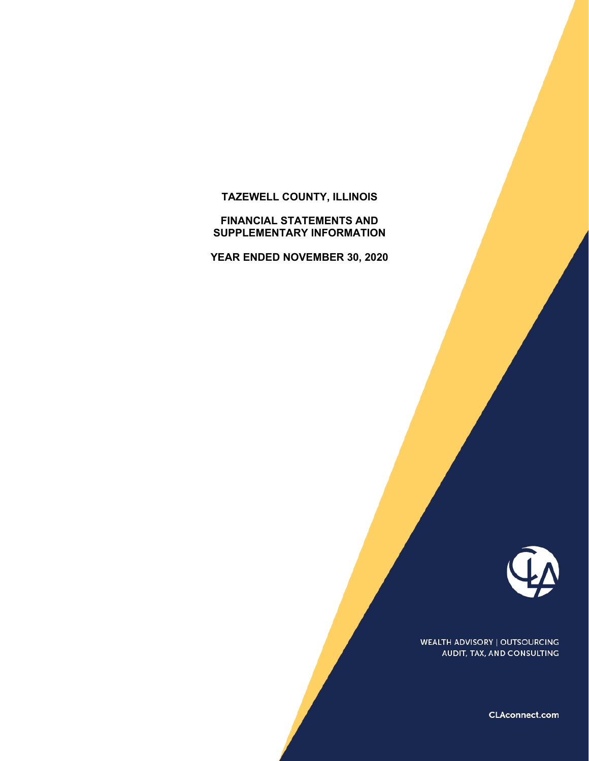# **TAZEWELL COUNTY, ILLINOIS**

#### **FINANCIAL STATEMENTS AND SUPPLEMENTARY INFORMATION**

**YEAR ENDED NOVEMBER 30, 2020**



WEALTH ADVISORY | OUTSOURCING AUDIT, TAX, AND CONSULTING

CLAconnect.com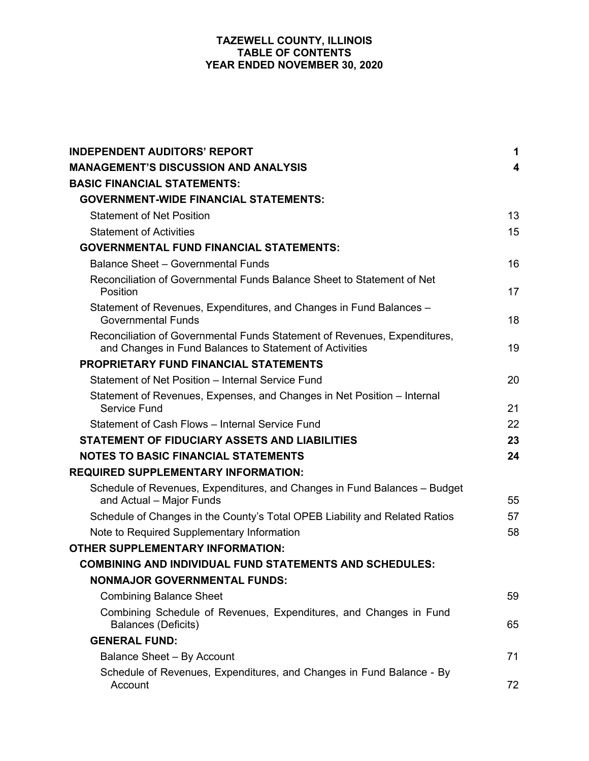| <b>INDEPENDENT AUDITORS' REPORT</b>                                                                                                  | 1  |
|--------------------------------------------------------------------------------------------------------------------------------------|----|
| <b>MANAGEMENT'S DISCUSSION AND ANALYSIS</b>                                                                                          | 4  |
| <b>BASIC FINANCIAL STATEMENTS:</b>                                                                                                   |    |
| <b>GOVERNMENT-WIDE FINANCIAL STATEMENTS:</b>                                                                                         |    |
| <b>Statement of Net Position</b>                                                                                                     | 13 |
| <b>Statement of Activities</b>                                                                                                       | 15 |
| <b>GOVERNMENTAL FUND FINANCIAL STATEMENTS:</b>                                                                                       |    |
| <b>Balance Sheet - Governmental Funds</b>                                                                                            | 16 |
| Reconciliation of Governmental Funds Balance Sheet to Statement of Net<br>Position                                                   | 17 |
| Statement of Revenues, Expenditures, and Changes in Fund Balances -<br><b>Governmental Funds</b>                                     | 18 |
| Reconciliation of Governmental Funds Statement of Revenues, Expenditures,<br>and Changes in Fund Balances to Statement of Activities | 19 |
| <b>PROPRIETARY FUND FINANCIAL STATEMENTS</b>                                                                                         |    |
| Statement of Net Position - Internal Service Fund                                                                                    | 20 |
| Statement of Revenues, Expenses, and Changes in Net Position – Internal<br><b>Service Fund</b>                                       | 21 |
| Statement of Cash Flows - Internal Service Fund                                                                                      | 22 |
| STATEMENT OF FIDUCIARY ASSETS AND LIABILITIES                                                                                        | 23 |
| <b>NOTES TO BASIC FINANCIAL STATEMENTS</b>                                                                                           | 24 |
| <b>REQUIRED SUPPLEMENTARY INFORMATION:</b>                                                                                           |    |
| Schedule of Revenues, Expenditures, and Changes in Fund Balances - Budget<br>and Actual - Major Funds                                | 55 |
| Schedule of Changes in the County's Total OPEB Liability and Related Ratios                                                          | 57 |
| Note to Required Supplementary Information                                                                                           | 58 |
| <b>OTHER SUPPLEMENTARY INFORMATION:</b>                                                                                              |    |
| <b>COMBINING AND INDIVIDUAL FUND STATEMENTS AND SCHEDULES:</b>                                                                       |    |
| <b>NONMAJOR GOVERNMENTAL FUNDS:</b>                                                                                                  |    |
| <b>Combining Balance Sheet</b>                                                                                                       | 59 |
| Combining Schedule of Revenues, Expenditures, and Changes in Fund<br><b>Balances (Deficits)</b>                                      | 65 |
| <b>GENERAL FUND:</b>                                                                                                                 |    |
| <b>Balance Sheet - By Account</b>                                                                                                    | 71 |
| Schedule of Revenues, Expenditures, and Changes in Fund Balance - By<br>Account                                                      | 72 |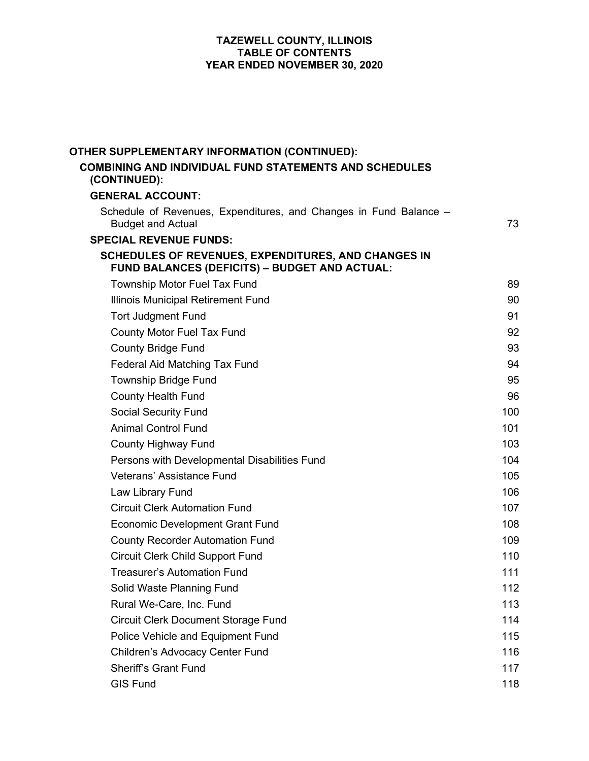| OTHER SUPPLEMENTARY INFORMATION (CONTINUED):                                                                       |     |
|--------------------------------------------------------------------------------------------------------------------|-----|
| <b>COMBINING AND INDIVIDUAL FUND STATEMENTS AND SCHEDULES</b><br>(CONTINUED):                                      |     |
| <b>GENERAL ACCOUNT:</b>                                                                                            |     |
| Schedule of Revenues, Expenditures, and Changes in Fund Balance -<br><b>Budget and Actual</b>                      | 73  |
| <b>SPECIAL REVENUE FUNDS:</b>                                                                                      |     |
| <b>SCHEDULES OF REVENUES, EXPENDITURES, AND CHANGES IN</b><br><b>FUND BALANCES (DEFICITS) - BUDGET AND ACTUAL:</b> |     |
| <b>Township Motor Fuel Tax Fund</b>                                                                                | 89  |
| Illinois Municipal Retirement Fund                                                                                 | 90  |
| <b>Tort Judgment Fund</b>                                                                                          | 91  |
| County Motor Fuel Tax Fund                                                                                         | 92  |
| <b>County Bridge Fund</b>                                                                                          | 93  |
| Federal Aid Matching Tax Fund                                                                                      | 94  |
| <b>Township Bridge Fund</b>                                                                                        | 95  |
| <b>County Health Fund</b>                                                                                          | 96  |
| <b>Social Security Fund</b>                                                                                        | 100 |
| <b>Animal Control Fund</b>                                                                                         | 101 |
| <b>County Highway Fund</b>                                                                                         | 103 |
| Persons with Developmental Disabilities Fund                                                                       | 104 |
| Veterans' Assistance Fund                                                                                          | 105 |
| Law Library Fund                                                                                                   | 106 |
| <b>Circuit Clerk Automation Fund</b>                                                                               | 107 |
| <b>Economic Development Grant Fund</b>                                                                             | 108 |
| <b>County Recorder Automation Fund</b>                                                                             | 109 |
| <b>Circuit Clerk Child Support Fund</b>                                                                            | 110 |
| Treasurer's Automation Fund                                                                                        | 111 |
| Solid Waste Planning Fund                                                                                          | 112 |
| Rural We-Care, Inc. Fund                                                                                           | 113 |
| <b>Circuit Clerk Document Storage Fund</b>                                                                         | 114 |
| Police Vehicle and Equipment Fund                                                                                  | 115 |
| Children's Advocacy Center Fund                                                                                    | 116 |
| <b>Sheriff's Grant Fund</b>                                                                                        | 117 |
| <b>GIS Fund</b>                                                                                                    | 118 |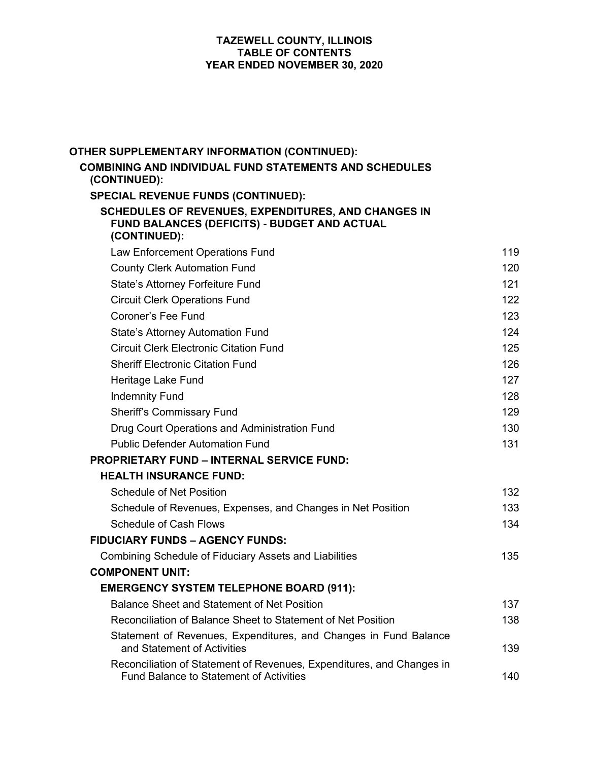| OTHER SUPPLEMENTARY INFORMATION (CONTINUED):                                                                            |     |
|-------------------------------------------------------------------------------------------------------------------------|-----|
| <b>COMBINING AND INDIVIDUAL FUND STATEMENTS AND SCHEDULES</b><br>(CONTINUED):                                           |     |
| <b>SPECIAL REVENUE FUNDS (CONTINUED):</b>                                                                               |     |
| SCHEDULES OF REVENUES, EXPENDITURES, AND CHANGES IN<br>FUND BALANCES (DEFICITS) - BUDGET AND ACTUAL<br>(CONTINUED):     |     |
| Law Enforcement Operations Fund                                                                                         | 119 |
| <b>County Clerk Automation Fund</b>                                                                                     | 120 |
| State's Attorney Forfeiture Fund                                                                                        | 121 |
| <b>Circuit Clerk Operations Fund</b>                                                                                    | 122 |
| Coroner's Fee Fund                                                                                                      | 123 |
| <b>State's Attorney Automation Fund</b>                                                                                 | 124 |
| <b>Circuit Clerk Electronic Citation Fund</b>                                                                           | 125 |
| <b>Sheriff Electronic Citation Fund</b>                                                                                 | 126 |
| Heritage Lake Fund                                                                                                      | 127 |
| <b>Indemnity Fund</b>                                                                                                   | 128 |
| <b>Sheriff's Commissary Fund</b>                                                                                        | 129 |
| Drug Court Operations and Administration Fund                                                                           | 130 |
| <b>Public Defender Automation Fund</b>                                                                                  | 131 |
| <b>PROPRIETARY FUND - INTERNAL SERVICE FUND:</b>                                                                        |     |
| <b>HEALTH INSURANCE FUND:</b>                                                                                           |     |
| <b>Schedule of Net Position</b>                                                                                         | 132 |
| Schedule of Revenues, Expenses, and Changes in Net Position                                                             | 133 |
| <b>Schedule of Cash Flows</b>                                                                                           | 134 |
| <b>FIDUCIARY FUNDS - AGENCY FUNDS:</b>                                                                                  |     |
| <b>Combining Schedule of Fiduciary Assets and Liabilities</b>                                                           | 135 |
| <b>COMPONENT UNIT:</b>                                                                                                  |     |
| <b>EMERGENCY SYSTEM TELEPHONE BOARD (911):</b>                                                                          |     |
| <b>Balance Sheet and Statement of Net Position</b>                                                                      | 137 |
| Reconciliation of Balance Sheet to Statement of Net Position                                                            | 138 |
| Statement of Revenues, Expenditures, and Changes in Fund Balance<br>and Statement of Activities                         | 139 |
| Reconciliation of Statement of Revenues, Expenditures, and Changes in<br><b>Fund Balance to Statement of Activities</b> | 140 |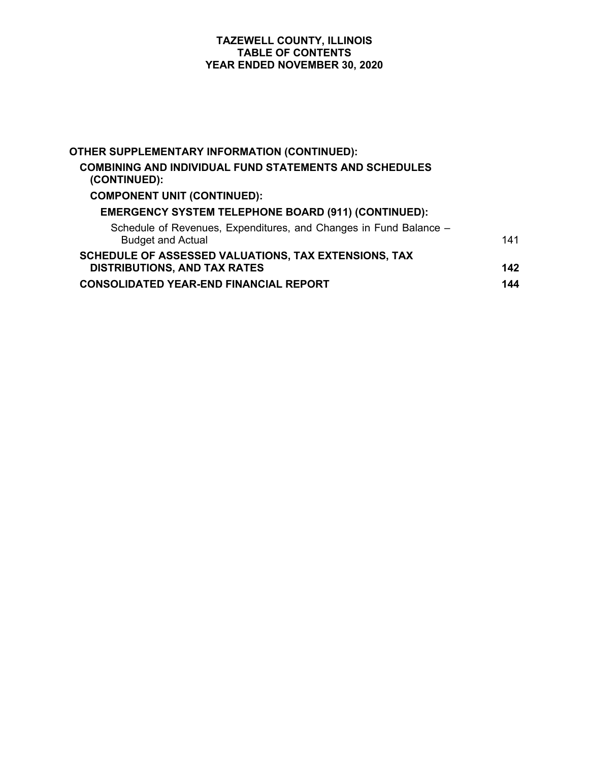| OTHER SUPPLEMENTARY INFORMATION (CONTINUED):                                                  |     |
|-----------------------------------------------------------------------------------------------|-----|
| <b>COMBINING AND INDIVIDUAL FUND STATEMENTS AND SCHEDULES</b><br>(CONTINUED):                 |     |
| <b>COMPONENT UNIT (CONTINUED):</b>                                                            |     |
| <b>EMERGENCY SYSTEM TELEPHONE BOARD (911) (CONTINUED):</b>                                    |     |
| Schedule of Revenues, Expenditures, and Changes in Fund Balance -<br><b>Budget and Actual</b> | 141 |
| SCHEDULE OF ASSESSED VALUATIONS, TAX EXTENSIONS, TAX<br><b>DISTRIBUTIONS, AND TAX RATES</b>   | 142 |
| <b>CONSOLIDATED YEAR-END FINANCIAL REPORT</b>                                                 | 144 |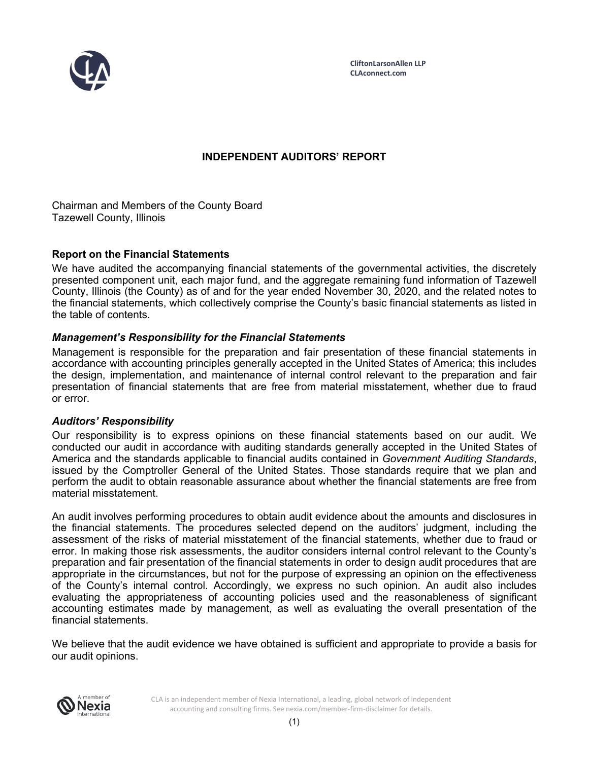

# **INDEPENDENT AUDITORS' REPORT**

Chairman and Members of the County Board Tazewell County, Illinois

## **Report on the Financial Statements**

We have audited the accompanying financial statements of the governmental activities, the discretely presented component unit, each major fund, and the aggregate remaining fund information of Tazewell County, Illinois (the County) as of and for the year ended November 30, 2020, and the related notes to the financial statements, which collectively comprise the County's basic financial statements as listed in the table of contents.

# *Management's Responsibility for the Financial Statements*

Management is responsible for the preparation and fair presentation of these financial statements in accordance with accounting principles generally accepted in the United States of America; this includes the design, implementation, and maintenance of internal control relevant to the preparation and fair presentation of financial statements that are free from material misstatement, whether due to fraud or error.

#### *Auditors' Responsibility*

Our responsibility is to express opinions on these financial statements based on our audit. We conducted our audit in accordance with auditing standards generally accepted in the United States of America and the standards applicable to financial audits contained in *Government Auditing Standards*, issued by the Comptroller General of the United States. Those standards require that we plan and perform the audit to obtain reasonable assurance about whether the financial statements are free from material misstatement.

An audit involves performing procedures to obtain audit evidence about the amounts and disclosures in the financial statements. The procedures selected depend on the auditors' judgment, including the assessment of the risks of material misstatement of the financial statements, whether due to fraud or error. In making those risk assessments, the auditor considers internal control relevant to the County's preparation and fair presentation of the financial statements in order to design audit procedures that are appropriate in the circumstances, but not for the purpose of expressing an opinion on the effectiveness of the County's internal control. Accordingly, we express no such opinion. An audit also includes evaluating the appropriateness of accounting policies used and the reasonableness of significant accounting estimates made by management, as well as evaluating the overall presentation of the financial statements.

We believe that the audit evidence we have obtained is sufficient and appropriate to provide a basis for our audit opinions.



CLA is an independent member of Nexia International, a leading, global network of independent accounting and consulting firms. See nexia.com/member-firm-disclaimer for details.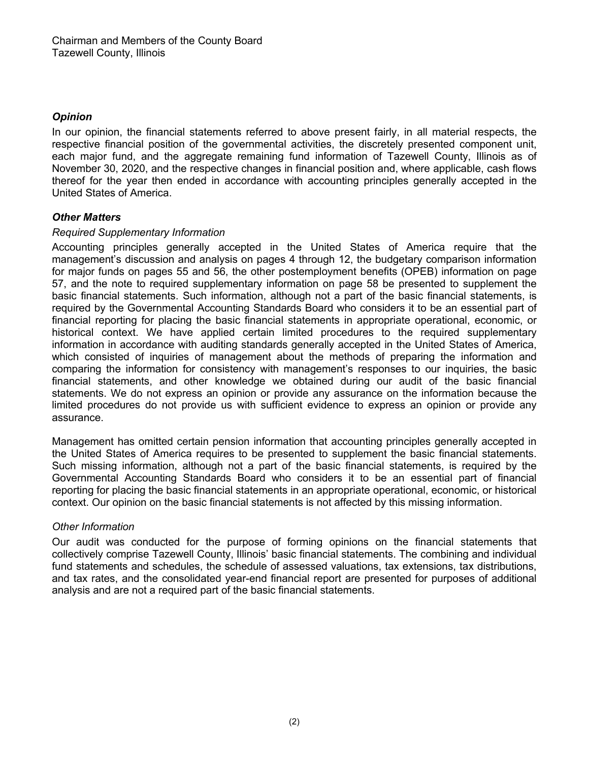# *Opinion*

In our opinion, the financial statements referred to above present fairly, in all material respects, the respective financial position of the governmental activities, the discretely presented component unit, each major fund, and the aggregate remaining fund information of Tazewell County, Illinois as of November 30, 2020, and the respective changes in financial position and, where applicable, cash flows thereof for the year then ended in accordance with accounting principles generally accepted in the United States of America.

# *Other Matters*

# *Required Supplementary Information*

Accounting principles generally accepted in the United States of America require that the management's discussion and analysis on pages 4 through 12, the budgetary comparison information for major funds on pages 55 and 56, the other postemployment benefits (OPEB) information on page 57, and the note to required supplementary information on page 58 be presented to supplement the basic financial statements. Such information, although not a part of the basic financial statements, is required by the Governmental Accounting Standards Board who considers it to be an essential part of financial reporting for placing the basic financial statements in appropriate operational, economic, or historical context. We have applied certain limited procedures to the required supplementary information in accordance with auditing standards generally accepted in the United States of America, which consisted of inquiries of management about the methods of preparing the information and comparing the information for consistency with management's responses to our inquiries, the basic financial statements, and other knowledge we obtained during our audit of the basic financial statements. We do not express an opinion or provide any assurance on the information because the limited procedures do not provide us with sufficient evidence to express an opinion or provide any assurance.

Management has omitted certain pension information that accounting principles generally accepted in the United States of America requires to be presented to supplement the basic financial statements. Such missing information, although not a part of the basic financial statements, is required by the Governmental Accounting Standards Board who considers it to be an essential part of financial reporting for placing the basic financial statements in an appropriate operational, economic, or historical context. Our opinion on the basic financial statements is not affected by this missing information.

# *Other Information*

Our audit was conducted for the purpose of forming opinions on the financial statements that collectively comprise Tazewell County, Illinois' basic financial statements. The combining and individual fund statements and schedules, the schedule of assessed valuations, tax extensions, tax distributions, and tax rates, and the consolidated year-end financial report are presented for purposes of additional analysis and are not a required part of the basic financial statements.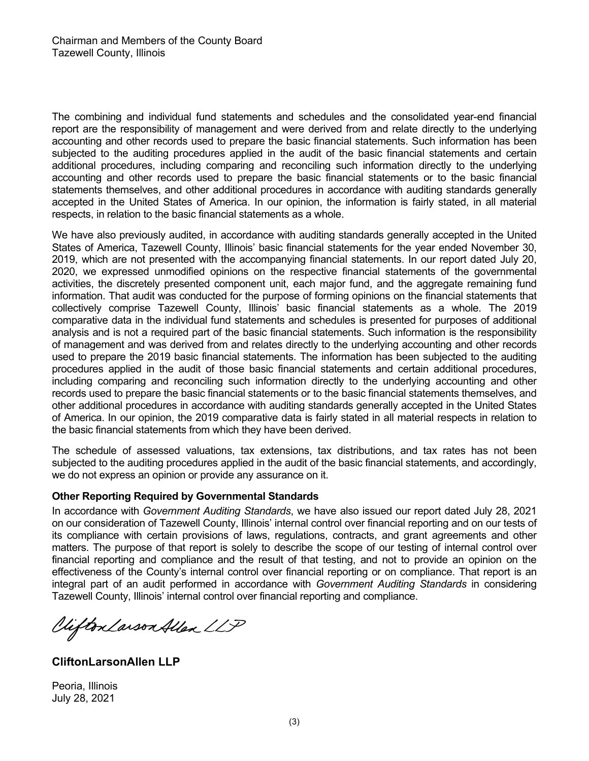The combining and individual fund statements and schedules and the consolidated year-end financial report are the responsibility of management and were derived from and relate directly to the underlying accounting and other records used to prepare the basic financial statements. Such information has been subjected to the auditing procedures applied in the audit of the basic financial statements and certain additional procedures, including comparing and reconciling such information directly to the underlying accounting and other records used to prepare the basic financial statements or to the basic financial statements themselves, and other additional procedures in accordance with auditing standards generally accepted in the United States of America. In our opinion, the information is fairly stated, in all material respects, in relation to the basic financial statements as a whole.

We have also previously audited, in accordance with auditing standards generally accepted in the United States of America, Tazewell County, Illinois' basic financial statements for the year ended November 30, 2019, which are not presented with the accompanying financial statements. In our report dated July 20, 2020, we expressed unmodified opinions on the respective financial statements of the governmental activities, the discretely presented component unit, each major fund, and the aggregate remaining fund information. That audit was conducted for the purpose of forming opinions on the financial statements that collectively comprise Tazewell County, Illinois' basic financial statements as a whole. The 2019 comparative data in the individual fund statements and schedules is presented for purposes of additional analysis and is not a required part of the basic financial statements. Such information is the responsibility of management and was derived from and relates directly to the underlying accounting and other records used to prepare the 2019 basic financial statements. The information has been subjected to the auditing procedures applied in the audit of those basic financial statements and certain additional procedures, including comparing and reconciling such information directly to the underlying accounting and other records used to prepare the basic financial statements or to the basic financial statements themselves, and other additional procedures in accordance with auditing standards generally accepted in the United States of America. In our opinion, the 2019 comparative data is fairly stated in all material respects in relation to the basic financial statements from which they have been derived.

The schedule of assessed valuations, tax extensions, tax distributions, and tax rates has not been subjected to the auditing procedures applied in the audit of the basic financial statements, and accordingly, we do not express an opinion or provide any assurance on it.

#### **Other Reporting Required by Governmental Standards**

In accordance with *Government Auditing Standards*, we have also issued our report dated July 28, 2021 on our consideration of Tazewell County, Illinois' internal control over financial reporting and on our tests of its compliance with certain provisions of laws, regulations, contracts, and grant agreements and other matters. The purpose of that report is solely to describe the scope of our testing of internal control over financial reporting and compliance and the result of that testing, and not to provide an opinion on the effectiveness of the County's internal control over financial reporting or on compliance. That report is an integral part of an audit performed in accordance with *Government Auditing Standards* in considering Tazewell County, Illinois ' internal control over financial reporting and compliance.

Viifton Larson Allen LLP

**CliftonLarsonAllen LLP**

Peoria, Illinois July 28, 2021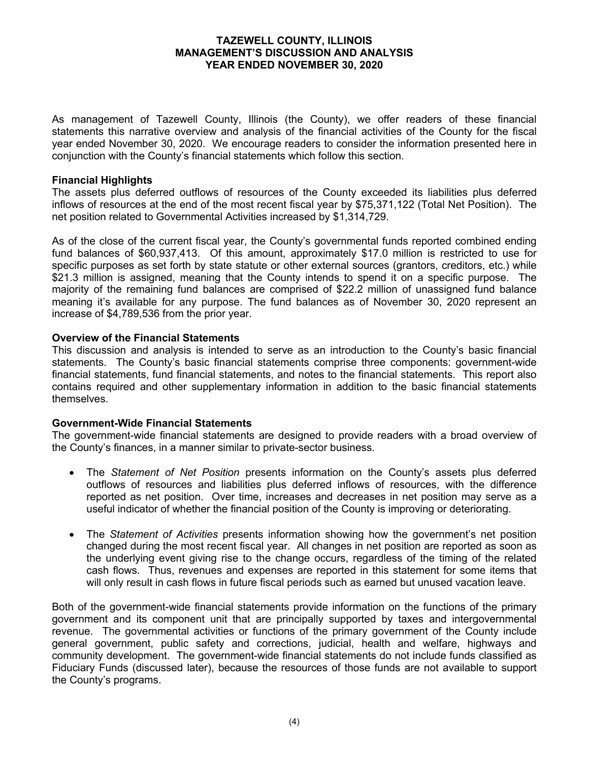As management of Tazewell County, Illinois (the County), we offer readers of these financial statements this narrative overview and analysis of the financial activities of the County for the fiscal year ended November 30, 2020. We encourage readers to consider the information presented here in conjunction with the County's financial statements which follow this section.

# **Financial Highlights**

The assets plus deferred outflows of resources of the County exceeded its liabilities plus deferred inflows of resources at the end of the most recent fiscal year by \$75,371,122 (Total Net Position). The net position related to Governmental Activities increased by \$1,314,729.

As of the close of the current fiscal year, the County's governmental funds reported combined ending fund balances of \$60,937,413. Of this amount, approximately \$17.0 million is restricted to use for specific purposes as set forth by state statute or other external sources (grantors, creditors, etc.) while \$21.3 million is assigned, meaning that the County intends to spend it on a specific purpose. The majority of the remaining fund balances are comprised of \$22.2 million of unassigned fund balance meaning it's available for any purpose. The fund balances as of November 30, 2020 represent an increase of \$4,789,536 from the prior year.

#### **Overview of the Financial Statements**

This discussion and analysis is intended to serve as an introduction to the County's basic financial statements. The County's basic financial statements comprise three components: government-wide financial statements, fund financial statements, and notes to the financial statements. This report also contains required and other supplementary information in addition to the basic financial statements themselves.

#### **Government-Wide Financial Statements**

The government-wide financial statements are designed to provide readers with a broad overview of the County's finances, in a manner similar to private-sector business.

- The *Statement of Net Position* presents information on the County's assets plus deferred outflows of resources and liabilities plus deferred inflows of resources, with the difference reported as net position. Over time, increases and decreases in net position may serve as a useful indicator of whether the financial position of the County is improving or deteriorating.
- The *Statement of Activities* presents information showing how the government's net position changed during the most recent fiscal year. All changes in net position are reported as soon as the underlying event giving rise to the change occurs, regardless of the timing of the related cash flows. Thus, revenues and expenses are reported in this statement for some items that will only result in cash flows in future fiscal periods such as earned but unused vacation leave.

Both of the government-wide financial statements provide information on the functions of the primary government and its component unit that are principally supported by taxes and intergovernmental revenue. The governmental activities or functions of the primary government of the County include general government, public safety and corrections, judicial, health and welfare, highways and community development. The government-wide financial statements do not include funds classified as Fiduciary Funds (discussed later), because the resources of those funds are not available to support the County's programs.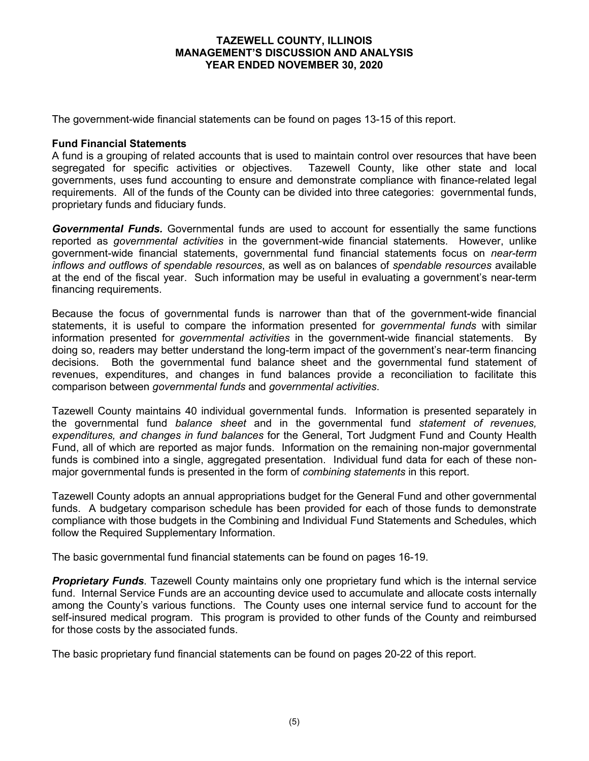The government-wide financial statements can be found on pages 13-15 of this report.

#### **Fund Financial Statements**

A fund is a grouping of related accounts that is used to maintain control over resources that have been segregated for specific activities or objectives. Tazewell County, like other state and local governments, uses fund accounting to ensure and demonstrate compliance with finance-related legal requirements. All of the funds of the County can be divided into three categories: governmental funds, proprietary funds and fiduciary funds.

*Governmental Funds.* Governmental funds are used to account for essentially the same functions reported as *governmental activities* in the government-wide financial statements. However, unlike government-wide financial statements, governmental fund financial statements focus on *near-term inflows and outflows of spendable resources*, as well as on balances of *spendable resources* available at the end of the fiscal year. Such information may be useful in evaluating a government's near-term financing requirements.

Because the focus of governmental funds is narrower than that of the government-wide financial statements, it is useful to compare the information presented for *governmental funds* with similar information presented for *governmental activities* in the government-wide financial statements. By doing so, readers may better understand the long-term impact of the government's near-term financing decisions. Both the governmental fund balance sheet and the governmental fund statement of revenues, expenditures, and changes in fund balances provide a reconciliation to facilitate this comparison between *governmental funds* and *governmental activities*.

Tazewell County maintains 40 individual governmental funds. Information is presented separately in the governmental fund *balance sheet* and in the governmental fund *statement of revenues, expenditures, and changes in fund balances* for the General, Tort Judgment Fund and County Health Fund, all of which are reported as major funds. Information on the remaining non-major governmental funds is combined into a single, aggregated presentation. Individual fund data for each of these nonmajor governmental funds is presented in the form of *combining statements* in this report.

Tazewell County adopts an annual appropriations budget for the General Fund and other governmental funds. A budgetary comparison schedule has been provided for each of those funds to demonstrate compliance with those budgets in the Combining and Individual Fund Statements and Schedules, which follow the Required Supplementary Information.

The basic governmental fund financial statements can be found on pages 16-19.

*Proprietary Funds*. Tazewell County maintains only one proprietary fund which is the internal service fund. Internal Service Funds are an accounting device used to accumulate and allocate costs internally among the County's various functions. The County uses one internal service fund to account for the self-insured medical program. This program is provided to other funds of the County and reimbursed for those costs by the associated funds.

The basic proprietary fund financial statements can be found on pages 20-22 of this report.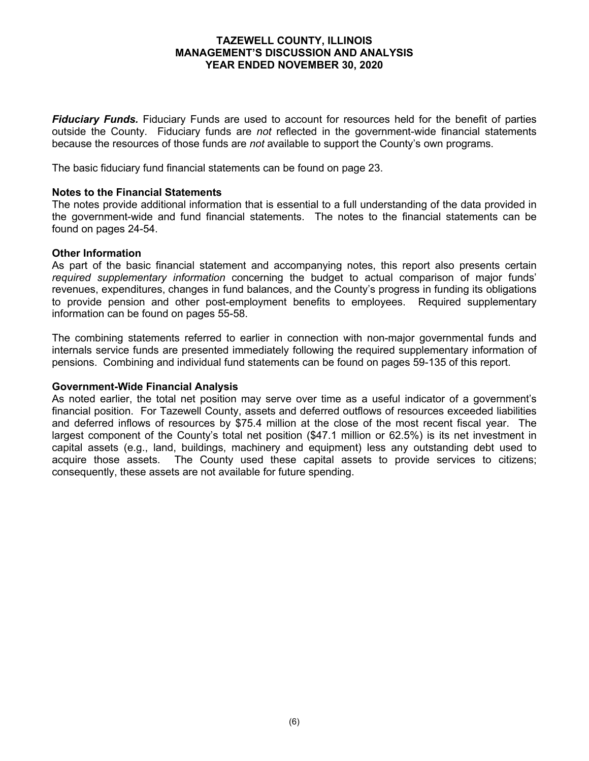*Fiduciary Funds.* Fiduciary Funds are used to account for resources held for the benefit of parties outside the County. Fiduciary funds are *not* reflected in the government-wide financial statements because the resources of those funds are *not* available to support the County's own programs.

The basic fiduciary fund financial statements can be found on page 23.

#### **Notes to the Financial Statements**

The notes provide additional information that is essential to a full understanding of the data provided in the government-wide and fund financial statements. The notes to the financial statements can be found on pages 24-54.

#### **Other Information**

As part of the basic financial statement and accompanying notes, this report also presents certain *required supplementary information* concerning the budget to actual comparison of major funds' revenues, expenditures, changes in fund balances, and the County's progress in funding its obligations to provide pension and other post-employment benefits to employees. Required supplementary information can be found on pages 55-58.

The combining statements referred to earlier in connection with non-major governmental funds and internals service funds are presented immediately following the required supplementary information of pensions. Combining and individual fund statements can be found on pages 59-135 of this report.

#### **Government-Wide Financial Analysis**

As noted earlier, the total net position may serve over time as a useful indicator of a government's financial position. For Tazewell County, assets and deferred outflows of resources exceeded liabilities and deferred inflows of resources by \$75.4 million at the close of the most recent fiscal year. The largest component of the County's total net position (\$47.1 million or 62.5%) is its net investment in capital assets (e.g., land, buildings, machinery and equipment) less any outstanding debt used to acquire those assets. The County used these capital assets to provide services to citizens; consequently, these assets are not available for future spending.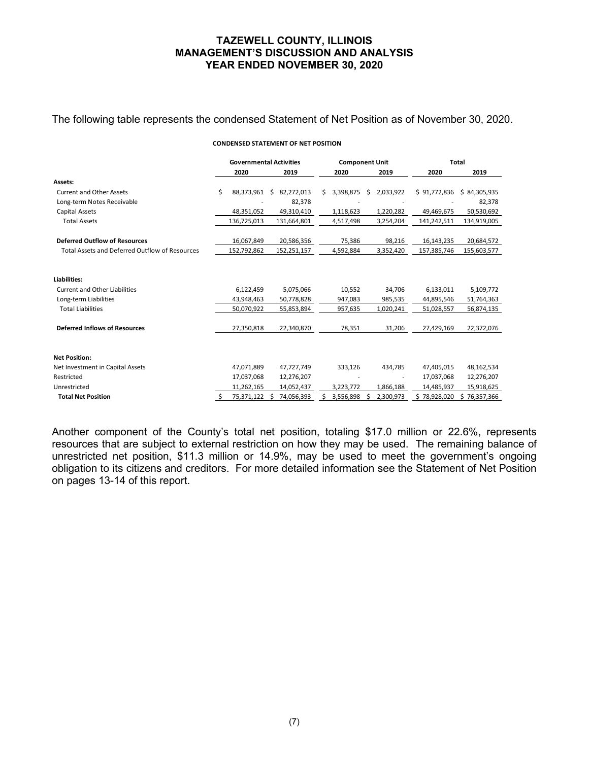#### The following table represents the condensed Statement of Net Position as of November 30, 2020.

#### **CONDENSED STATEMENT OF NET POSITION**

|                                                |    | <b>Governmental Activities</b> |                 |    | <b>Component Unit</b> |   |           | <b>Total</b> |              |  |
|------------------------------------------------|----|--------------------------------|-----------------|----|-----------------------|---|-----------|--------------|--------------|--|
|                                                |    | 2020                           | 2019            |    | 2020                  |   | 2019      | 2020         | 2019         |  |
| Assets:                                        |    |                                |                 |    |                       |   |           |              |              |  |
| <b>Current and Other Assets</b>                | Ś. | 88,373,961                     | 82,272,013<br>Ś | Ś  | 3,398,875             | Ś | 2,033,922 | \$91,772,836 | \$84,305,935 |  |
| Long-term Notes Receivable                     |    |                                | 82,378          |    |                       |   |           |              | 82,378       |  |
| <b>Capital Assets</b>                          |    | 48,351,052                     | 49,310,410      |    | 1,118,623             |   | 1,220,282 | 49,469,675   | 50,530,692   |  |
| <b>Total Assets</b>                            |    | 136,725,013                    | 131,664,801     |    | 4,517,498             |   | 3,254,204 | 141,242,511  | 134,919,005  |  |
| <b>Deferred Outflow of Resources</b>           |    | 16,067,849                     | 20,586,356      |    | 75,386                |   | 98,216    | 16,143,235   | 20,684,572   |  |
| Total Assets and Deferred Outflow of Resources |    | 152,792,862                    | 152,251,157     |    | 4,592,884             |   | 3,352,420 | 157,385,746  | 155,603,577  |  |
|                                                |    |                                |                 |    |                       |   |           |              |              |  |
| Liabilities:                                   |    |                                |                 |    |                       |   |           |              |              |  |
| <b>Current and Other Liabilities</b>           |    | 6,122,459                      | 5,075,066       |    | 10,552                |   | 34,706    | 6,133,011    | 5,109,772    |  |
| Long-term Liabilities                          |    | 43,948,463                     | 50,778,828      |    | 947,083               |   | 985,535   | 44,895,546   | 51,764,363   |  |
| <b>Total Liabilities</b>                       |    | 50,070,922                     | 55,853,894      |    | 957,635               |   | 1,020,241 | 51,028,557   | 56,874,135   |  |
| <b>Deferred Inflows of Resources</b>           |    | 27,350,818                     | 22,340,870      |    | 78,351                |   | 31,206    | 27,429,169   | 22,372,076   |  |
| <b>Net Position:</b>                           |    |                                |                 |    |                       |   |           |              |              |  |
| Net Investment in Capital Assets               |    | 47,071,889                     | 47,727,749      |    | 333,126               |   | 434,785   | 47,405,015   | 48,162,534   |  |
| Restricted                                     |    | 17,037,068                     | 12,276,207      |    |                       |   |           | 17,037,068   | 12,276,207   |  |
| Unrestricted                                   |    | 11,262,165                     | 14,052,437      |    | 3,223,772             |   | 1,866,188 | 14,485,937   | 15,918,625   |  |
| <b>Total Net Position</b>                      | Ŝ. | 75,371,122                     | 74,056,393      | Ś. | 3,556,898             |   | 2,300,973 | \$78,928,020 | \$76,357,366 |  |

Another component of the County's total net position, totaling \$17.0 million or 22.6%, represents resources that are subject to external restriction on how they may be used. The remaining balance of unrestricted net position, \$11.3 million or 14.9%, may be used to meet the government's ongoing obligation to its citizens and creditors. For more detailed information see the Statement of Net Position on pages 13-14 of this report.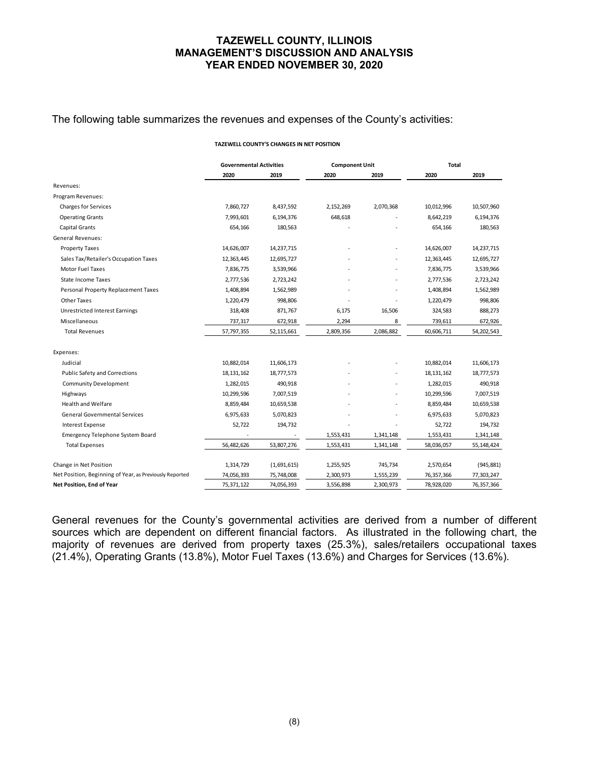#### The following table summarizes the revenues and expenses of the County's activities:

#### **TAZEWELL COUNTY'S CHANGES IN NET POSITION**

|                                                         | <b>Governmental Activities</b> |              | <b>Component Unit</b> |           | <b>Total</b> |            |  |
|---------------------------------------------------------|--------------------------------|--------------|-----------------------|-----------|--------------|------------|--|
|                                                         | 2020                           | 2019         | 2020                  | 2019      | 2020         | 2019       |  |
| Revenues:                                               |                                |              |                       |           |              |            |  |
| Program Revenues:                                       |                                |              |                       |           |              |            |  |
| <b>Charges for Services</b>                             | 7,860,727                      | 8,437,592    | 2,152,269             | 2,070,368 | 10,012,996   | 10,507,960 |  |
| <b>Operating Grants</b>                                 | 7,993,601                      | 6,194,376    | 648,618               |           | 8,642,219    | 6,194,376  |  |
| Capital Grants                                          | 654,166                        | 180,563      |                       |           | 654,166      | 180,563    |  |
| General Revenues:                                       |                                |              |                       |           |              |            |  |
| <b>Property Taxes</b>                                   | 14,626,007                     | 14, 237, 715 |                       |           | 14,626,007   | 14,237,715 |  |
| Sales Tax/Retailer's Occupation Taxes                   | 12,363,445                     | 12,695,727   |                       |           | 12,363,445   | 12,695,727 |  |
| Motor Fuel Taxes                                        | 7,836,775                      | 3,539,966    |                       |           | 7,836,775    | 3,539,966  |  |
| <b>State Income Taxes</b>                               | 2,777,536                      | 2,723,242    |                       |           | 2,777,536    | 2,723,242  |  |
| Personal Property Replacement Taxes                     | 1,408,894                      | 1,562,989    |                       |           | 1,408,894    | 1,562,989  |  |
| <b>Other Taxes</b>                                      | 1,220,479                      | 998,806      |                       |           | 1,220,479    | 998,806    |  |
| <b>Unrestricted Interest Earnings</b>                   | 318,408                        | 871,767      | 6,175                 | 16,506    | 324,583      | 888,273    |  |
| Miscellaneous                                           | 737,317                        | 672,918      | 2,294                 | 8         | 739,611      | 672,926    |  |
| <b>Total Revenues</b>                                   | 57,797,355                     | 52,115,661   | 2,809,356             | 2,086,882 | 60,606,711   | 54,202,543 |  |
| Expenses:                                               |                                |              |                       |           |              |            |  |
| Judicial                                                | 10,882,014                     | 11,606,173   |                       |           | 10,882,014   | 11,606,173 |  |
| Public Safety and Corrections                           | 18, 131, 162                   | 18,777,573   |                       |           | 18, 131, 162 | 18,777,573 |  |
| <b>Community Development</b>                            | 1,282,015                      | 490,918      |                       |           | 1,282,015    | 490,918    |  |
| Highways                                                | 10,299,596                     | 7,007,519    |                       |           | 10,299,596   | 7,007,519  |  |
| <b>Health and Welfare</b>                               | 8,859,484                      | 10,659,538   |                       |           | 8,859,484    | 10,659,538 |  |
| <b>General Governmental Services</b>                    | 6,975,633                      | 5,070,823    |                       |           | 6,975,633    | 5,070,823  |  |
| <b>Interest Expense</b>                                 | 52,722                         | 194,732      |                       |           | 52,722       | 194,732    |  |
| <b>Emergency Telephone System Board</b>                 |                                |              | 1,553,431             | 1,341,148 | 1,553,431    | 1,341,148  |  |
| <b>Total Expenses</b>                                   | 56,482,626                     | 53,807,276   | 1,553,431             | 1,341,148 | 58,036,057   | 55,148,424 |  |
| Change in Net Position                                  | 1,314,729                      | (1,691,615)  | 1,255,925             | 745,734   | 2,570,654    | (945, 881) |  |
| Net Position, Beginning of Year, as Previously Reported | 74,056,393                     | 75,748,008   | 2,300,973             | 1,555,239 | 76, 357, 366 | 77,303,247 |  |
| Net Position, End of Year                               | 75,371,122                     | 74,056,393   | 3,556,898             | 2,300,973 | 78,928,020   | 76,357,366 |  |

General revenues for the County's governmental activities are derived from a number of different sources which are dependent on different financial factors. As illustrated in the following chart, the majority of revenues are derived from property taxes (25.3%), sales/retailers occupational taxes (21.4%), Operating Grants (13.8%), Motor Fuel Taxes (13.6%) and Charges for Services (13.6%).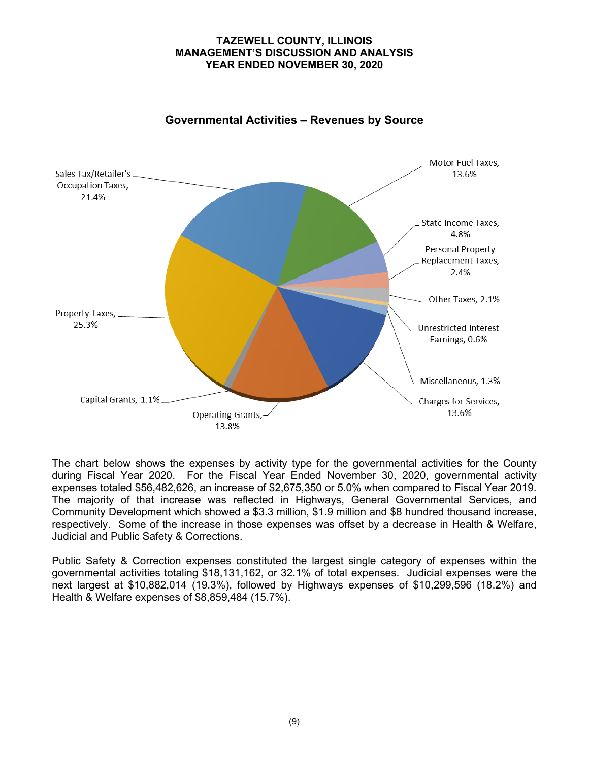

# **Governmental Activities – Revenues by Source**

The chart below shows the expenses by activity type for the governmental activities for the County during Fiscal Year 2020. For the Fiscal Year Ended November 30, 2020, governmental activity expenses totaled \$56,482,626, an increase of \$2,675,350 or 5.0% when compared to Fiscal Year 2019. The majority of that increase was reflected in Highways, General Governmental Services, and Community Development which showed a \$3.3 million, \$1.9 million and \$8 hundred thousand increase, respectively. Some of the increase in those expenses was offset by a decrease in Health & Welfare, Judicial and Public Safety & Corrections.

Public Safety & Correction expenses constituted the largest single category of expenses within the governmental activities totaling \$18,131,162, or 32.1% of total expenses. Judicial expenses were the next largest at \$10,882,014 (19.3%), followed by Highways expenses of \$10,299,596 (18.2%) and Health & Welfare expenses of \$8,859,484 (15.7%).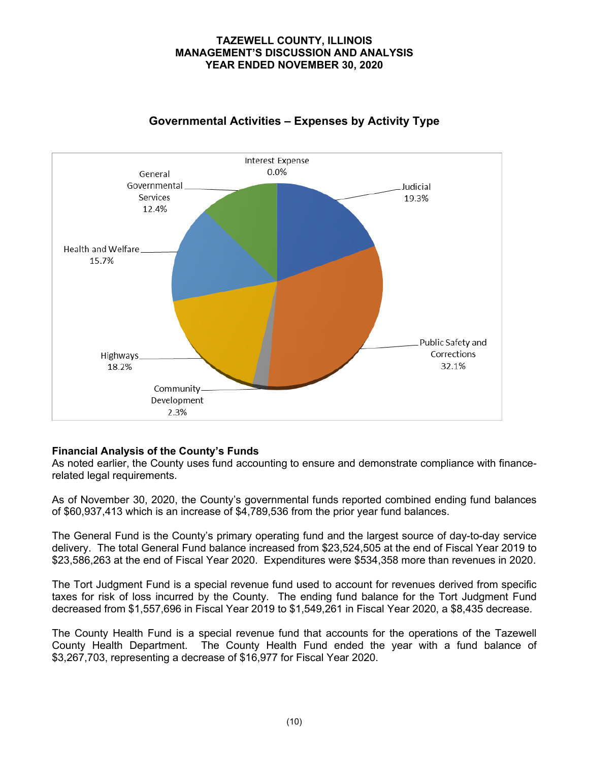

# **Governmental Activities – Expenses by Activity Type**

# **Financial Analysis of the County's Funds**

As noted earlier, the County uses fund accounting to ensure and demonstrate compliance with financerelated legal requirements.

As of November 30, 2020, the County's governmental funds reported combined ending fund balances of \$60,937,413 which is an increase of \$4,789,536 from the prior year fund balances.

The General Fund is the County's primary operating fund and the largest source of day-to-day service delivery. The total General Fund balance increased from \$23,524,505 at the end of Fiscal Year 2019 to \$23,586,263 at the end of Fiscal Year 2020. Expenditures were \$534,358 more than revenues in 2020.

The Tort Judgment Fund is a special revenue fund used to account for revenues derived from specific taxes for risk of loss incurred by the County. The ending fund balance for the Tort Judgment Fund decreased from \$1,557,696 in Fiscal Year 2019 to \$1,549,261 in Fiscal Year 2020, a \$8,435 decrease.

The County Health Fund is a special revenue fund that accounts for the operations of the Tazewell County Health Department. The County Health Fund ended the year with a fund balance of \$3,267,703, representing a decrease of \$16,977 for Fiscal Year 2020.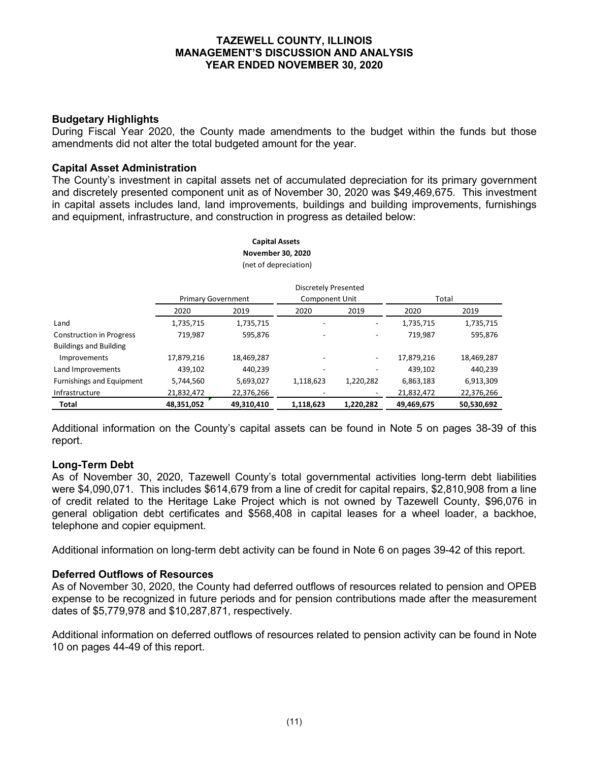# **Budgetary Highlights**

During Fiscal Year 2020, the County made amendments to the budget within the funds but those amendments did not alter the total budgeted amount for the year.

#### **Capital Asset Administration**

The County's investment in capital assets net of accumulated depreciation for its primary government and discretely presented component unit as of November 30, 2020 was \$49,469,675. This investment in capital assets includes land, land improvements, buildings and building improvements, furnishings and equipment, infrastructure, and construction in progress as detailed below:

|                                 |                           |            | <b>Discretely Presented</b> |           |            |            |  |  |
|---------------------------------|---------------------------|------------|-----------------------------|-----------|------------|------------|--|--|
|                                 | <b>Primary Government</b> |            | Component Unit              |           | Total      |            |  |  |
|                                 | 2020                      | 2019       | 2020                        | 2019      | 2020       | 2019       |  |  |
| Land                            | 1,735,715                 | 1,735,715  |                             |           | 1,735,715  | 1,735,715  |  |  |
| <b>Construction in Progress</b> | 719,987                   | 595,876    |                             |           | 719,987    | 595,876    |  |  |
| <b>Buildings and Building</b>   |                           |            |                             |           |            |            |  |  |
| Improvements                    | 17,879,216                | 18,469,287 |                             | ٠         | 17,879,216 | 18,469,287 |  |  |
| Land Improvements               | 439,102                   | 440,239    |                             |           | 439,102    | 440,239    |  |  |
| Furnishings and Equipment       | 5,744,560                 | 5,693,027  | 1,118,623                   | 1,220,282 | 6,863,183  | 6,913,309  |  |  |
| Infrastructure                  | 21,832,472                | 22,376,266 |                             |           | 21,832,472 | 22,376,266 |  |  |
| <b>Total</b>                    | 48,351,052                | 49,310,410 | 1,118,623                   | 1,220,282 | 49,469,675 | 50,530,692 |  |  |

**Capital Assets November 30, 2020** (net of depreciation)

Additional information on the County's capital assets can be found in Note 5 on pages 38-39 of this report.

#### **Long-Term Debt**

As of November 30, 2020, Tazewell County's total governmental activities long-term debt liabilities were \$4,090,071. This includes \$614,679 from a line of credit for capital repairs, \$2,810,908 from a line of credit related to the Heritage Lake Project which is not owned by Tazewell County, \$96,076 in general obligation debt certificates and \$568,408 in capital leases for a wheel loader, a backhoe, telephone and copier equipment.

Additional information on long-term debt activity can be found in Note 6 on pages 39-42 of this report.

#### **Deferred Outflows of Resources**

As of November 30, 2020, the County had deferred outflows of resources related to pension and OPEB expense to be recognized in future periods and for pension contributions made after the measurement dates of \$5,779,978 and \$10,287,871, respectively.

Additional information on deferred outflows of resources related to pension activity can be found in Note 10 on pages 44-49 of this report.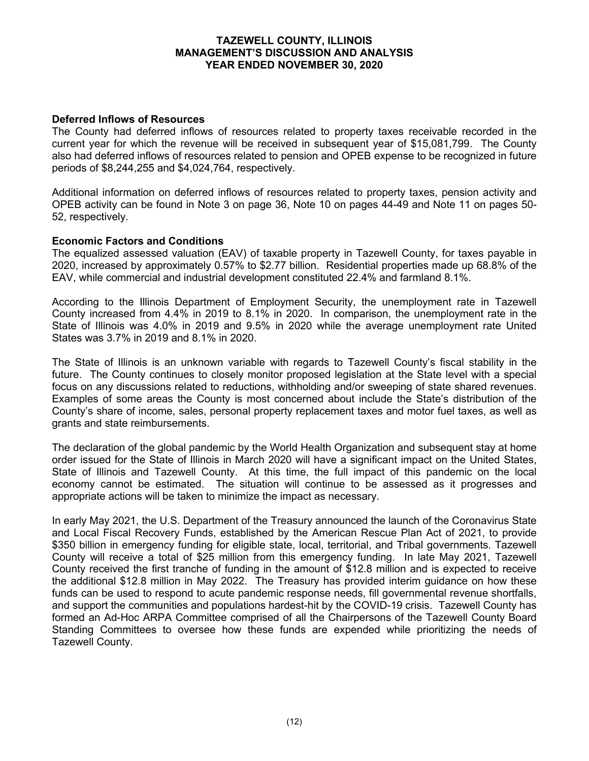## **Deferred Inflows of Resources**

The County had deferred inflows of resources related to property taxes receivable recorded in the current year for which the revenue will be received in subsequent year of \$15,081,799. The County also had deferred inflows of resources related to pension and OPEB expense to be recognized in future periods of \$8,244,255 and \$4,024,764, respectively.

Additional information on deferred inflows of resources related to property taxes, pension activity and OPEB activity can be found in Note 3 on page 36, Note 10 on pages 44-49 and Note 11 on pages 50- 52, respectively.

## **Economic Factors and Conditions**

The equalized assessed valuation (EAV) of taxable property in Tazewell County, for taxes payable in 2020, increased by approximately 0.57% to \$2.77 billion. Residential properties made up 68.8% of the EAV, while commercial and industrial development constituted 22.4% and farmland 8.1%.

According to the Illinois Department of Employment Security, the unemployment rate in Tazewell County increased from 4.4% in 2019 to 8.1% in 2020. In comparison, the unemployment rate in the State of Illinois was 4.0% in 2019 and 9.5% in 2020 while the average unemployment rate United States was 3.7% in 2019 and 8.1% in 2020.

The State of Illinois is an unknown variable with regards to Tazewell County's fiscal stability in the future. The County continues to closely monitor proposed legislation at the State level with a special focus on any discussions related to reductions, withholding and/or sweeping of state shared revenues. Examples of some areas the County is most concerned about include the State's distribution of the County's share of income, sales, personal property replacement taxes and motor fuel taxes, as well as grants and state reimbursements.

The declaration of the global pandemic by the World Health Organization and subsequent stay at home order issued for the State of Illinois in March 2020 will have a significant impact on the United States, State of Illinois and Tazewell County. At this time, the full impact of this pandemic on the local economy cannot be estimated. The situation will continue to be assessed as it progresses and appropriate actions will be taken to minimize the impact as necessary.

In early May 2021, the U.S. Department of the Treasury announced the launch of the Coronavirus State and Local Fiscal Recovery Funds, established by the American Rescue Plan Act of 2021, to provide \$350 billion in emergency funding for eligible state, local, territorial, and Tribal governments. Tazewell County will receive a total of \$25 million from this emergency funding. In late May 2021, Tazewell County received the first tranche of funding in the amount of \$12.8 million and is expected to receive the additional \$12.8 million in May 2022. The Treasury has provided interim guidance on how these funds can be used to respond to acute pandemic response needs, fill governmental revenue shortfalls, and support the communities and populations hardest-hit by the COVID-19 crisis. Tazewell County has formed an Ad-Hoc ARPA Committee comprised of all the Chairpersons of the Tazewell County Board Standing Committees to oversee how these funds are expended while prioritizing the needs of Tazewell County.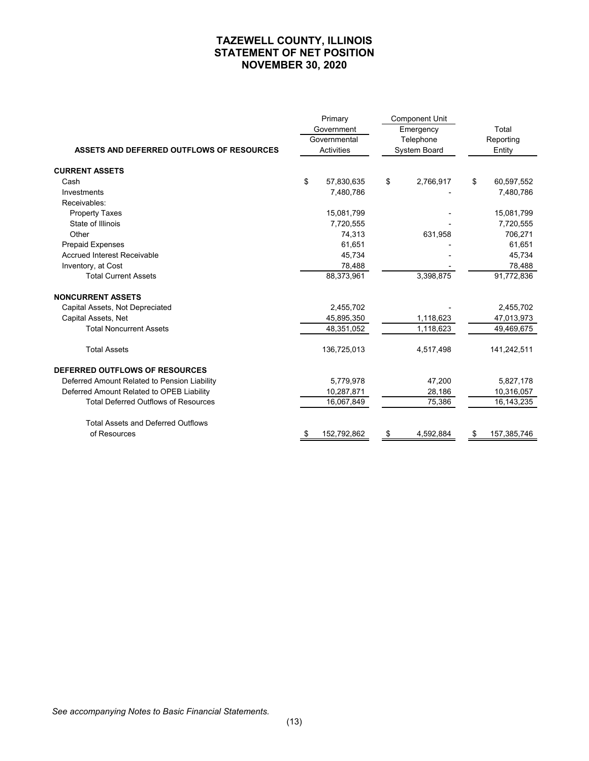# **TAZEWELL COUNTY, ILLINOIS STATEMENT OF NET POSITION NOVEMBER 30, 2020**

|                                              |    | Primary      |    | <b>Component Unit</b> |                   |
|----------------------------------------------|----|--------------|----|-----------------------|-------------------|
|                                              |    | Government   |    | Emergency             | Total             |
|                                              |    | Governmental |    | Telephone             | Reporting         |
| ASSETS AND DEFERRED OUTFLOWS OF RESOURCES    |    | Activities   |    | System Board          | Entity            |
| <b>CURRENT ASSETS</b>                        |    |              |    |                       |                   |
| Cash                                         | \$ | 57,830,635   | \$ | 2,766,917             | \$<br>60,597,552  |
| Investments                                  |    | 7.480.786    |    |                       | 7,480,786         |
| Receivables:                                 |    |              |    |                       |                   |
| <b>Property Taxes</b>                        |    | 15,081,799   |    |                       | 15,081,799        |
| State of Illinois                            |    | 7,720,555    |    |                       | 7,720,555         |
| Other                                        |    | 74,313       |    | 631,958               | 706,271           |
| <b>Prepaid Expenses</b>                      |    | 61,651       |    |                       | 61,651            |
| <b>Accrued Interest Receivable</b>           |    | 45,734       |    |                       | 45,734            |
| Inventory, at Cost                           |    | 78,488       |    |                       | 78,488            |
| <b>Total Current Assets</b>                  |    | 88,373,961   |    | 3,398,875             | 91,772,836        |
| <b>NONCURRENT ASSETS</b>                     |    |              |    |                       |                   |
| Capital Assets, Not Depreciated              |    | 2,455,702    |    |                       | 2,455,702         |
| Capital Assets, Net                          |    | 45,895,350   |    | 1,118,623             | 47,013,973        |
| <b>Total Noncurrent Assets</b>               |    | 48,351,052   |    | 1,118,623             | 49,469,675        |
| <b>Total Assets</b>                          |    | 136,725,013  |    | 4,517,498             | 141,242,511       |
| <b>DEFERRED OUTFLOWS OF RESOURCES</b>        |    |              |    |                       |                   |
| Deferred Amount Related to Pension Liability |    | 5,779,978    |    | 47,200                | 5,827,178         |
| Deferred Amount Related to OPEB Liability    |    | 10,287,871   |    | 28,186                | 10,316,057        |
| <b>Total Deferred Outflows of Resources</b>  |    | 16,067,849   |    | 75,386                | 16, 143, 235      |
| <b>Total Assets and Deferred Outflows</b>    |    |              |    |                       |                   |
| of Resources                                 | S  | 152,792,862  | S  | 4,592,884             | \$<br>157,385,746 |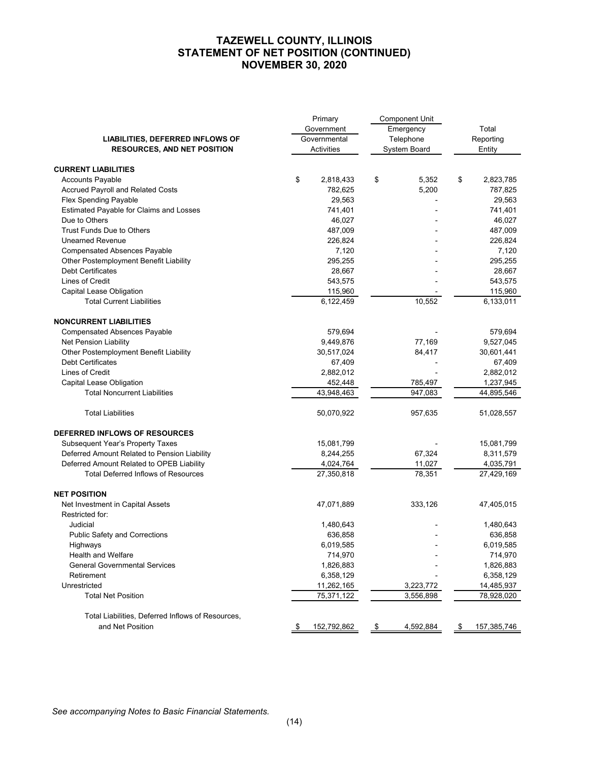# **TAZEWELL COUNTY, ILLINOIS STATEMENT OF NET POSITION (CONTINUED) NOVEMBER 30, 2020**

|                                                                       | Primary           | <b>Component Unit</b> |                   |
|-----------------------------------------------------------------------|-------------------|-----------------------|-------------------|
|                                                                       | Government        | Emergency             | Total             |
| LIABILITIES, DEFERRED INFLOWS OF                                      | Governmental      | Telephone             | Reporting         |
| <b>RESOURCES, AND NET POSITION</b>                                    | Activities        | System Board          | Entity            |
|                                                                       |                   |                       |                   |
| <b>CURRENT LIABILITIES</b>                                            |                   |                       |                   |
| <b>Accounts Payable</b>                                               | \$<br>2,818,433   | \$<br>5,352           | \$<br>2,823,785   |
| Accrued Payroll and Related Costs                                     | 782,625           | 5,200                 | 787,825           |
| Flex Spending Payable                                                 | 29,563            |                       | 29,563            |
| Estimated Payable for Claims and Losses                               | 741,401           |                       | 741,401           |
| Due to Others                                                         | 46,027            |                       | 46,027            |
| <b>Trust Funds Due to Others</b>                                      | 487,009           |                       | 487,009           |
| <b>Unearned Revenue</b>                                               | 226,824           |                       | 226,824           |
| <b>Compensated Absences Payable</b>                                   | 7,120             |                       | 7,120             |
| Other Postemployment Benefit Liability                                | 295,255           |                       | 295,255           |
| <b>Debt Certificates</b>                                              | 28,667            |                       | 28,667            |
| Lines of Credit                                                       | 543,575           |                       | 543,575           |
| Capital Lease Obligation                                              | 115,960           |                       | 115,960           |
| <b>Total Current Liabilities</b>                                      | 6,122,459         | 10,552                | 6,133,011         |
| <b>NONCURRENT LIABILITIES</b>                                         |                   |                       |                   |
| <b>Compensated Absences Payable</b>                                   | 579,694           |                       | 579,694           |
| Net Pension Liability                                                 | 9,449,876         | 77,169                | 9,527,045         |
| Other Postemployment Benefit Liability                                | 30,517,024        | 84,417                | 30,601,441        |
| <b>Debt Certificates</b>                                              | 67,409            |                       | 67,409            |
| Lines of Credit                                                       | 2,882,012         |                       | 2,882,012         |
| Capital Lease Obligation                                              | 452,448           | 785,497               | 1,237,945         |
| <b>Total Noncurrent Liabilities</b>                                   | 43,948,463        | 947,083               | 44,895,546        |
| <b>Total Liabilities</b>                                              | 50,070,922        | 957,635               | 51,028,557        |
| DEFERRED INFLOWS OF RESOURCES                                         |                   |                       |                   |
| <b>Subsequent Year's Property Taxes</b>                               | 15,081,799        |                       | 15,081,799        |
| Deferred Amount Related to Pension Liability                          | 8,244,255         | 67,324                | 8,311,579         |
| Deferred Amount Related to OPEB Liability                             | 4,024,764         | 11,027                | 4,035,791         |
| <b>Total Deferred Inflows of Resources</b>                            | 27,350,818        | 78,351                | 27,429,169        |
| <b>NET POSITION</b>                                                   |                   |                       |                   |
| Net Investment in Capital Assets                                      | 47,071,889        | 333,126               | 47,405,015        |
| Restricted for:                                                       |                   |                       |                   |
| Judicial                                                              | 1,480,643         |                       | 1,480,643         |
| <b>Public Safety and Corrections</b>                                  | 636,858           |                       | 636,858           |
| Highways                                                              | 6,019,585         |                       | 6,019,585         |
| <b>Health and Welfare</b>                                             | 714,970           |                       | 714,970           |
| <b>General Governmental Services</b>                                  | 1,826,883         |                       | 1,826,883         |
| Retirement                                                            | 6,358,129         |                       | 6,358,129         |
| Unrestricted                                                          | 11,262,165        | 3,223,772             | 14,485,937        |
| <b>Total Net Position</b>                                             | 75,371,122        | 3,556,898             | 78,928,020        |
|                                                                       |                   |                       |                   |
| Total Liabilities, Deferred Inflows of Resources,<br>and Net Position | 152,792,862<br>\$ | 4,592,884<br>\$       | \$<br>157,385,746 |
|                                                                       |                   |                       |                   |

*See accompanying Notes to Basic Financial Statements.*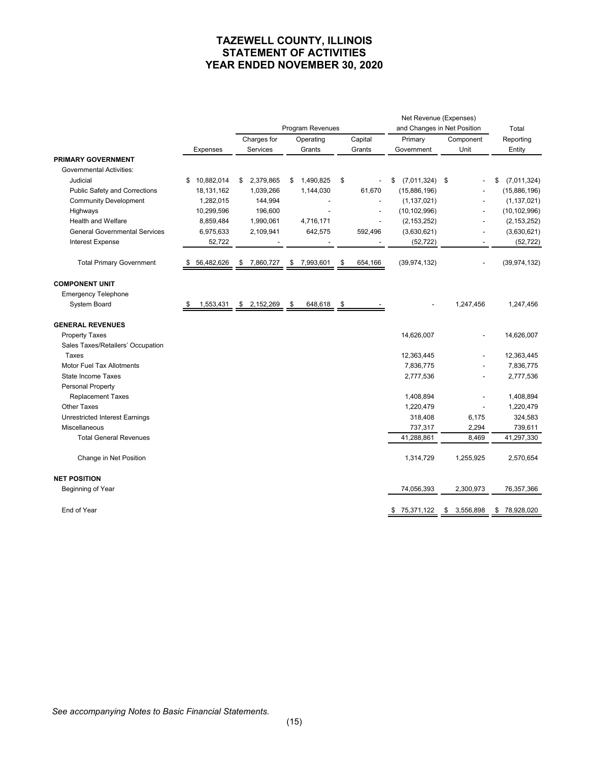# **TAZEWELL COUNTY, ILLINOIS STATEMENT OF ACTIVITIES YEAR ENDED NOVEMBER 30, 2020**

|                                       |                  |    |             |    |                  | Net Revenue (Expenses) |                             |                 |                   |
|---------------------------------------|------------------|----|-------------|----|------------------|------------------------|-----------------------------|-----------------|-------------------|
|                                       |                  |    |             |    | Program Revenues |                        | and Changes in Net Position |                 | Total             |
|                                       |                  |    | Charges for |    | Operating        | Capital                | Primary                     | Component       | Reporting         |
|                                       | <b>Expenses</b>  |    | Services    |    | Grants           | Grants                 | Government                  | Unit            | Entity            |
| <b>PRIMARY GOVERNMENT</b>             |                  |    |             |    |                  |                        |                             |                 |                   |
| <b>Governmental Activities:</b>       |                  |    |             |    |                  |                        |                             |                 |                   |
| Judicial                              | 10,882,014<br>\$ | \$ | 2,379,865   | \$ | 1,490,825        | \$                     | $(7,011,324)$ \$<br>\$      |                 | (7,011,324)<br>\$ |
| <b>Public Safety and Corrections</b>  | 18,131,162       |    | 1,039,266   |    | 1,144,030        | 61,670                 | (15,886,196)                |                 | (15,886,196)      |
| <b>Community Development</b>          | 1,282,015        |    | 144,994     |    |                  |                        | (1, 137, 021)               |                 | (1, 137, 021)     |
| Highways                              | 10,299,596       |    | 196,600     |    |                  |                        | (10, 102, 996)              |                 | (10, 102, 996)    |
| <b>Health and Welfare</b>             | 8,859,484        |    | 1,990,061   |    | 4,716,171        |                        | (2, 153, 252)               |                 | (2, 153, 252)     |
| <b>General Governmental Services</b>  | 6,975,633        |    | 2,109,941   |    | 642,575          | 592,496                | (3,630,621)                 |                 | (3,630,621)       |
| <b>Interest Expense</b>               | 52,722           |    |             |    |                  |                        | (52, 722)                   |                 | (52, 722)         |
| <b>Total Primary Government</b>       | \$ 56,482,626    |    | \$7,860,727 |    | \$ 7,993,601     | \$<br>654,166          | (39, 974, 132)              |                 | (39, 974, 132)    |
| <b>COMPONENT UNIT</b>                 |                  |    |             |    |                  |                        |                             |                 |                   |
| <b>Emergency Telephone</b>            |                  |    |             |    |                  |                        |                             |                 |                   |
| System Board                          | 1,553,431<br>S   | \$ | 2,152,269   | \$ | 648,618          | \$                     |                             | 1,247,456       | 1,247,456         |
| <b>GENERAL REVENUES</b>               |                  |    |             |    |                  |                        |                             |                 |                   |
| <b>Property Taxes</b>                 |                  |    |             |    |                  |                        | 14,626,007                  |                 | 14,626,007        |
| Sales Taxes/Retailers' Occupation     |                  |    |             |    |                  |                        |                             |                 |                   |
| Taxes                                 |                  |    |             |    |                  |                        | 12,363,445                  |                 | 12,363,445        |
| <b>Motor Fuel Tax Allotments</b>      |                  |    |             |    |                  |                        | 7,836,775                   |                 | 7,836,775         |
| <b>State Income Taxes</b>             |                  |    |             |    |                  |                        | 2,777,536                   |                 | 2,777,536         |
| <b>Personal Property</b>              |                  |    |             |    |                  |                        |                             |                 |                   |
| <b>Replacement Taxes</b>              |                  |    |             |    |                  |                        | 1,408,894                   |                 | 1,408,894         |
| <b>Other Taxes</b>                    |                  |    |             |    |                  |                        | 1,220,479                   |                 | 1,220,479         |
| <b>Unrestricted Interest Earnings</b> |                  |    |             |    |                  |                        | 318,408                     | 6,175           | 324,583           |
| Miscellaneous                         |                  |    |             |    |                  |                        | 737,317                     | 2,294           | 739,611           |
| <b>Total General Revenues</b>         |                  |    |             |    |                  |                        | 41,288,861                  | 8,469           | 41,297,330        |
| Change in Net Position                |                  |    |             |    |                  |                        | 1,314,729                   | 1,255,925       | 2,570,654         |
| <b>NET POSITION</b>                   |                  |    |             |    |                  |                        |                             |                 |                   |
| Beginning of Year                     |                  |    |             |    |                  |                        | 74,056,393                  | 2,300,973       | 76,357,366        |
| End of Year                           |                  |    |             |    |                  |                        | 75,371,122<br>\$            | \$<br>3,556,898 | \$78,928,020      |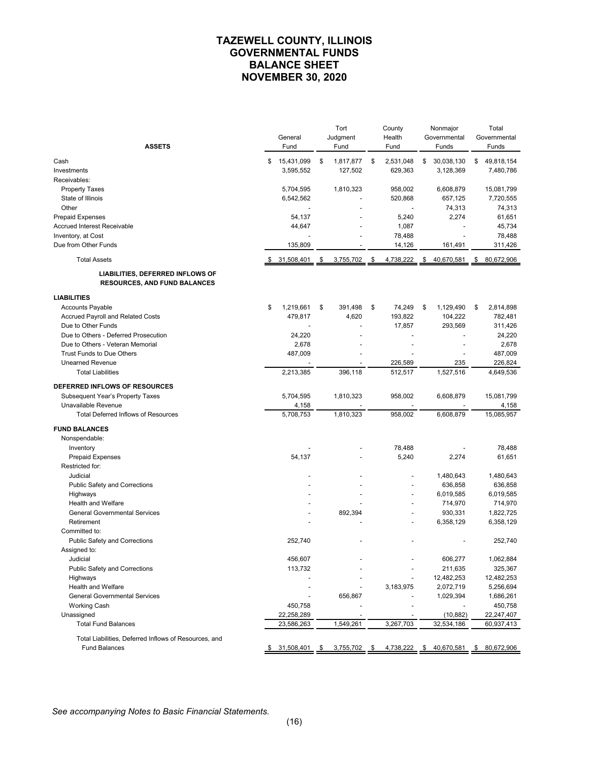# **TAZEWELL COUNTY, ILLINOIS GOVERNMENTAL FUNDS BALANCE SHEET NOVEMBER 30, 2020**

| <b>ASSETS</b>                                                           | General<br>Fund  | Tort<br>Judgment<br>Fund | County<br>Health<br>Fund | Nonmajor<br>Governmental<br>Funds     |    | Total<br>Governmental<br>Funds |
|-------------------------------------------------------------------------|------------------|--------------------------|--------------------------|---------------------------------------|----|--------------------------------|
| Cash                                                                    | \$<br>15,431,099 | \$<br>1,817,877          | \$<br>2,531,048          | \$<br>30,038,130                      | \$ | 49,818,154                     |
| Investments                                                             | 3,595,552        | 127,502                  | 629,363                  | 3,128,369                             |    | 7,480,786                      |
| Receivables:                                                            |                  |                          |                          |                                       |    |                                |
| <b>Property Taxes</b>                                                   | 5,704,595        | 1,810,323                | 958,002                  | 6,608,879                             |    | 15,081,799                     |
| State of Illinois                                                       | 6,542,562        |                          | 520,868                  | 657,125                               |    | 7,720,555                      |
| Other                                                                   | $\overline{a}$   |                          |                          | 74,313                                |    | 74,313                         |
| <b>Prepaid Expenses</b>                                                 | 54,137           |                          | 5,240                    | 2,274                                 |    | 61,651                         |
| <b>Accrued Interest Receivable</b>                                      | 44,647           |                          | 1,087                    |                                       |    | 45,734                         |
| Inventory, at Cost                                                      |                  |                          | 78,488                   |                                       |    | 78,488                         |
| Due from Other Funds                                                    | 135,809          |                          | 14,126                   | 161,491                               |    | 311,426                        |
| <b>Total Assets</b>                                                     | 31,508,401       | \$<br>3,755,702          | \$<br>4,738,222          | \$<br>40,670,581                      | S  | 80,672,906                     |
| LIABILITIES, DEFERRED INFLOWS OF<br><b>RESOURCES, AND FUND BALANCES</b> |                  |                          |                          |                                       |    |                                |
| <b>LIABILITIES</b>                                                      |                  |                          |                          |                                       |    |                                |
| <b>Accounts Payable</b>                                                 | \$<br>1,219,661  | \$<br>391,498            | \$<br>74,249             | \$<br>1,129,490                       | \$ | 2,814,898                      |
| Accrued Payroll and Related Costs                                       | 479,817          | 4,620                    | 193,822                  | 104,222                               |    | 782,481                        |
| Due to Other Funds                                                      |                  |                          | 17,857                   | 293,569                               |    | 311,426                        |
| Due to Others - Deferred Prosecution                                    | 24,220           |                          |                          |                                       |    | 24,220                         |
| Due to Others - Veteran Memorial                                        | 2,678            |                          |                          |                                       |    | 2,678                          |
| Trust Funds to Due Others                                               | 487,009          |                          |                          |                                       |    | 487,009                        |
| <b>Unearned Revenue</b>                                                 |                  |                          | 226,589                  | 235                                   |    | 226,824                        |
| <b>Total Liabilities</b>                                                | 2,213,385        | 396,118                  | 512,517                  | 1,527,516                             |    | 4,649,536                      |
| DEFERRED INFLOWS OF RESOURCES                                           |                  |                          |                          |                                       |    |                                |
| Subsequent Year's Property Taxes                                        | 5,704,595        | 1,810,323                | 958,002                  | 6,608,879                             |    | 15,081,799                     |
| Unavailable Revenue                                                     | 4,158            |                          |                          |                                       |    | 4,158                          |
| <b>Total Deferred Inflows of Resources</b>                              | 5,708,753        | 1,810,323                | 958,002                  | 6,608,879                             |    | 15,085,957                     |
| <b>FUND BALANCES</b>                                                    |                  |                          |                          |                                       |    |                                |
| Nonspendable:                                                           |                  |                          |                          |                                       |    |                                |
| Inventory                                                               |                  |                          | 78,488                   |                                       |    | 78,488                         |
| <b>Prepaid Expenses</b>                                                 | 54,137           |                          | 5,240                    | 2,274                                 |    | 61,651                         |
| Restricted for:                                                         |                  |                          |                          |                                       |    |                                |
| Judicial                                                                |                  |                          |                          | 1,480,643                             |    | 1,480,643                      |
| <b>Public Safety and Corrections</b>                                    |                  |                          |                          | 636,858                               |    | 636,858                        |
| Highways                                                                |                  |                          |                          | 6,019,585                             |    | 6,019,585                      |
| Health and Welfare                                                      |                  |                          |                          | 714,970                               |    | 714,970                        |
| <b>General Governmental Services</b>                                    |                  | 892,394                  |                          | 930,331                               |    | 1,822,725                      |
| Retirement                                                              |                  |                          |                          | 6,358,129                             |    | 6,358,129                      |
| Committed to:                                                           |                  |                          |                          |                                       |    |                                |
| <b>Public Safety and Corrections</b>                                    | 252,740          |                          |                          |                                       |    | 252,740                        |
| Assigned to:                                                            |                  |                          |                          |                                       |    |                                |
| Judicial                                                                | 456,607          |                          |                          | 606,277                               |    | 1,062,884                      |
| Public Safety and Corrections                                           | 113,732          |                          |                          | 211,635                               |    | 325,367                        |
| Highways                                                                |                  |                          |                          | 12,482,253                            |    | 12,482,253                     |
| Health and Welfare                                                      |                  |                          | 3,183,975                | 2,072,719                             |    | 5,256,694                      |
| <b>General Governmental Services</b>                                    |                  | 656,867                  |                          | 1,029,394                             |    | 1,686,261                      |
| <b>Working Cash</b>                                                     | 450,758          |                          |                          |                                       |    | 450,758                        |
| Unassigned                                                              | 22,258,289       |                          |                          | (10, 882)                             |    | 22,247,407                     |
| <b>Total Fund Balances</b>                                              | 23,586,263       | 1,549,261                | 3,267,703                | 32,534,186                            |    | 60,937,413                     |
| Total Liabilities, Deferred Inflows of Resources, and                   |                  |                          |                          |                                       |    |                                |
| <b>Fund Balances</b>                                                    | $$31,508,401$ \$ | $3,755,702$ \$           |                          | 4,738,222 \$ 40,670,581 \$ 80,672,906 |    |                                |

*See accompanying Notes to Basic Financial Statements.*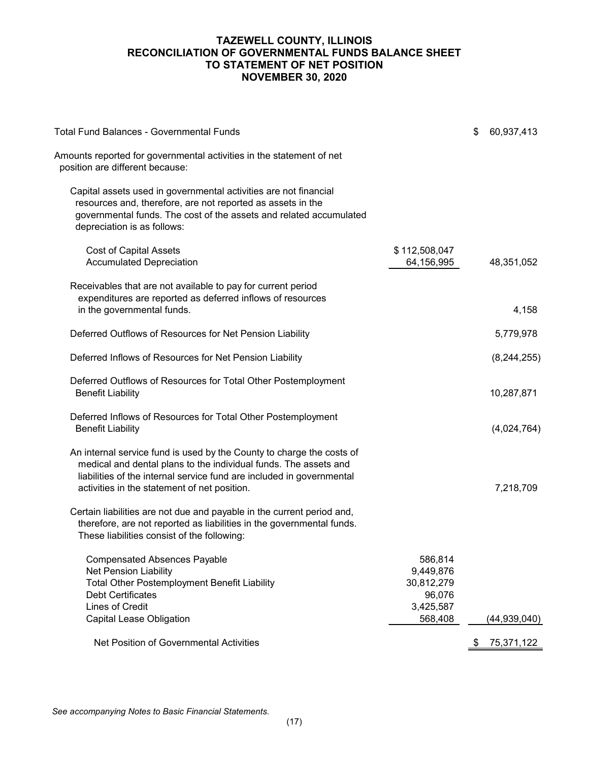# **TAZEWELL COUNTY, ILLINOIS RECONCILIATION OF GOVERNMENTAL FUNDS BALANCE SHEET TO STATEMENT OF NET POSITION NOVEMBER 30, 2020**

| <b>Total Fund Balances - Governmental Funds</b>                                                                                                                                                                                                                    |                                                           | \$<br>60,937,413 |
|--------------------------------------------------------------------------------------------------------------------------------------------------------------------------------------------------------------------------------------------------------------------|-----------------------------------------------------------|------------------|
| Amounts reported for governmental activities in the statement of net<br>position are different because:                                                                                                                                                            |                                                           |                  |
| Capital assets used in governmental activities are not financial<br>resources and, therefore, are not reported as assets in the<br>governmental funds. The cost of the assets and related accumulated<br>depreciation is as follows:                               |                                                           |                  |
| <b>Cost of Capital Assets</b><br><b>Accumulated Depreciation</b>                                                                                                                                                                                                   | \$112,508,047<br>64,156,995                               | 48,351,052       |
| Receivables that are not available to pay for current period<br>expenditures are reported as deferred inflows of resources<br>in the governmental funds.                                                                                                           |                                                           | 4,158            |
| Deferred Outflows of Resources for Net Pension Liability                                                                                                                                                                                                           |                                                           | 5,779,978        |
| Deferred Inflows of Resources for Net Pension Liability                                                                                                                                                                                                            |                                                           | (8,244,255)      |
| Deferred Outflows of Resources for Total Other Postemployment<br><b>Benefit Liability</b>                                                                                                                                                                          |                                                           | 10,287,871       |
| Deferred Inflows of Resources for Total Other Postemployment<br><b>Benefit Liability</b>                                                                                                                                                                           |                                                           | (4,024,764)      |
| An internal service fund is used by the County to charge the costs of<br>medical and dental plans to the individual funds. The assets and<br>liabilities of the internal service fund are included in governmental<br>activities in the statement of net position. |                                                           | 7,218,709        |
| Certain liabilities are not due and payable in the current period and,<br>therefore, are not reported as liabilities in the governmental funds.<br>These liabilities consist of the following:                                                                     |                                                           |                  |
| <b>Compensated Absences Payable</b><br><b>Net Pension Liability</b><br><b>Total Other Postemployment Benefit Liability</b><br><b>Debt Certificates</b><br><b>Lines of Credit</b>                                                                                   | 586,814<br>9,449,876<br>30,812,279<br>96,076<br>3,425,587 |                  |
| <b>Capital Lease Obligation</b>                                                                                                                                                                                                                                    | 568,408                                                   | (44,939,040)     |
| Net Position of Governmental Activities                                                                                                                                                                                                                            |                                                           | \$<br>75,371,122 |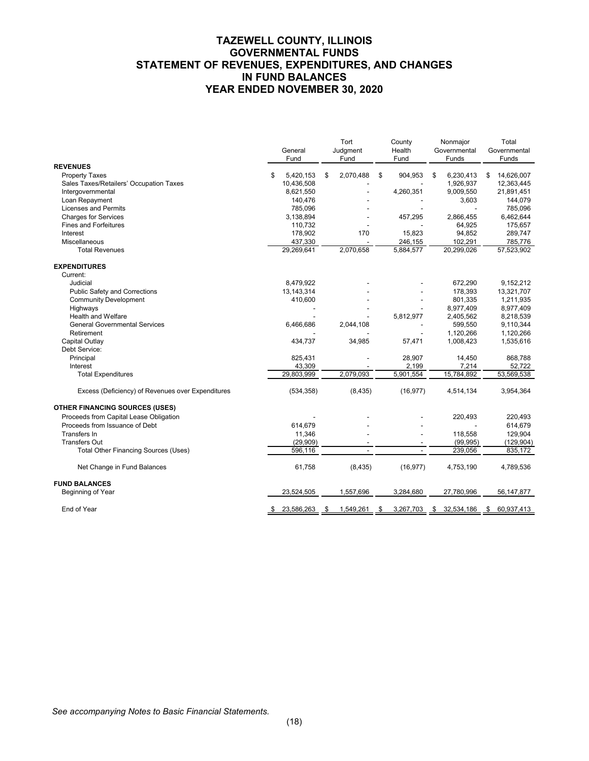# **TAZEWELL COUNTY, ILLINOIS GOVERNMENTAL FUNDS STATEMENT OF REVENUES, EXPENDITURES, AND CHANGES IN FUND BALANCES YEAR ENDED NOVEMBER 30, 2020**

|                                                   | General<br>Fund | Tort<br>Judgment<br>Fund | County<br>Health<br>Fund | Nonmajor<br>Governmental<br>Funds | Total<br>Governmental<br>Funds |
|---------------------------------------------------|-----------------|--------------------------|--------------------------|-----------------------------------|--------------------------------|
| <b>REVENUES</b>                                   |                 |                          |                          |                                   |                                |
| <b>Property Taxes</b>                             | \$<br>5,420,153 | \$<br>2,070,488          | \$<br>904,953            | \$<br>6,230,413                   | \$<br>14,626,007               |
| Sales Taxes/Retailers' Occupation Taxes           | 10,436,508      |                          |                          | 1,926,937                         | 12,363,445                     |
| Intergovernmental                                 | 8,621,550       |                          | 4,260,351                | 9,009,550                         | 21,891,451                     |
| Loan Repayment                                    | 140,476         |                          |                          | 3,603                             | 144.079                        |
| <b>Licenses and Permits</b>                       | 785,096         |                          |                          |                                   | 785,096                        |
| <b>Charges for Services</b>                       | 3,138,894       |                          | 457,295                  | 2,866,455                         | 6,462,644                      |
| <b>Fines and Forfeitures</b>                      | 110,732         |                          |                          | 64,925                            | 175,657                        |
| Interest                                          | 178,902         | 170                      | 15,823                   | 94,852                            | 289,747                        |
| Miscellaneous                                     | 437,330         |                          | 246,155                  | 102,291                           | 785,776                        |
| <b>Total Revenues</b>                             | 29,269,641      | 2,070,658                | 5,884,577                | 20,299,026                        | 57,523,902                     |
| <b>EXPENDITURES</b>                               |                 |                          |                          |                                   |                                |
| Current:                                          |                 |                          |                          |                                   |                                |
| Judicial                                          | 8,479,922       |                          |                          | 672,290                           | 9,152,212                      |
| <b>Public Safety and Corrections</b>              | 13, 143, 314    |                          |                          | 178,393                           | 13,321,707                     |
| <b>Community Development</b>                      | 410,600         |                          |                          | 801,335                           | 1,211,935                      |
| Highways                                          |                 |                          |                          | 8,977,409                         | 8,977,409                      |
| <b>Health and Welfare</b>                         |                 |                          | 5,812,977                | 2,405,562                         | 8,218,539                      |
| <b>General Governmental Services</b>              | 6,466,686       | 2,044,108                |                          | 599,550                           | 9,110,344                      |
| Retirement                                        |                 |                          |                          | 1,120,266                         | 1,120,266                      |
| Capital Outlay                                    | 434,737         | 34,985                   | 57,471                   | 1,008,423                         | 1,535,616                      |
| Debt Service:                                     |                 |                          |                          |                                   |                                |
| Principal                                         | 825,431         |                          | 28,907                   | 14,450                            | 868,788                        |
| Interest                                          | 43,309          |                          | 2,199                    | 7,214                             | 52,722                         |
| <b>Total Expenditures</b>                         | 29,803,999      | 2,079,093                | 5,901,554                | 15,784,892                        | 53,569,538                     |
| Excess (Deficiency) of Revenues over Expenditures | (534, 358)      | (8, 435)                 | (16, 977)                | 4,514,134                         | 3,954,364                      |
| <b>OTHER FINANCING SOURCES (USES)</b>             |                 |                          |                          |                                   |                                |
| Proceeds from Capital Lease Obligation            |                 |                          |                          | 220,493                           | 220,493                        |
| Proceeds from Issuance of Debt                    | 614,679         |                          |                          |                                   | 614,679                        |
| Transfers In                                      | 11,346          |                          |                          | 118,558                           | 129,904                        |
| <b>Transfers Out</b>                              | (29,909)        |                          |                          | (99, 995)                         | (129, 904)                     |
| Total Other Financing Sources (Uses)              | 596,116         |                          |                          | 239,056                           | 835,172                        |
| Net Change in Fund Balances                       | 61,758          | (8, 435)                 | (16, 977)                | 4,753,190                         | 4,789,536                      |
| <b>FUND BALANCES</b>                              |                 |                          |                          |                                   |                                |
| Beginning of Year                                 | 23,524,505      | 1,557,696                | 3,284,680                | 27,780,996                        | 56,147,877                     |
| End of Year                                       | 23,586,263      | \$<br>1,549,261          | \$<br>3,267,703          | \$<br>32,534,186                  | \$<br>60,937,413               |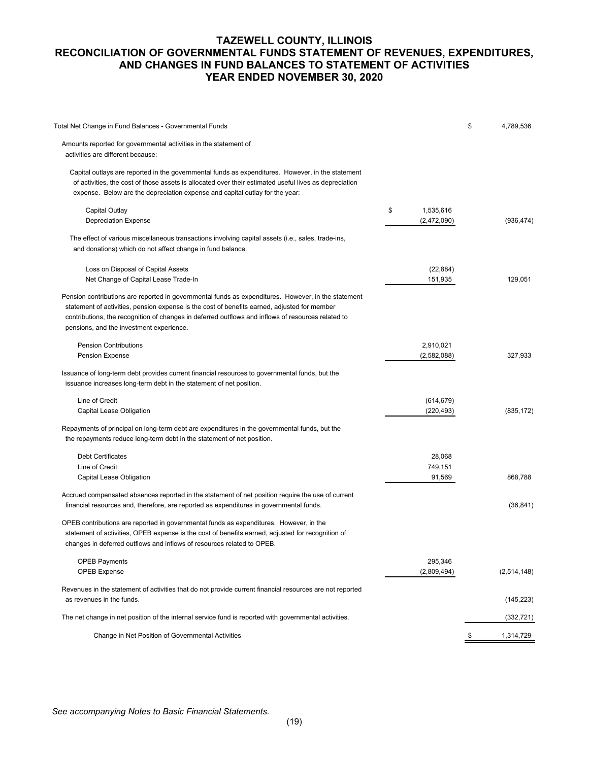# **TAZEWELL COUNTY, ILLINOIS RECONCILIATION OF GOVERNMENTAL FUNDS STATEMENT OF REVENUES, EXPENDITURES, AND CHANGES IN FUND BALANCES TO STATEMENT OF ACTIVITIES YEAR ENDED NOVEMBER 30, 2020**

| Total Net Change in Fund Balances - Governmental Funds                                                                                                                                                                                                                                                                                                |                                | \$<br>4,789,536 |
|-------------------------------------------------------------------------------------------------------------------------------------------------------------------------------------------------------------------------------------------------------------------------------------------------------------------------------------------------------|--------------------------------|-----------------|
| Amounts reported for governmental activities in the statement of<br>activities are different because:                                                                                                                                                                                                                                                 |                                |                 |
| Capital outlays are reported in the governmental funds as expenditures. However, in the statement<br>of activities, the cost of those assets is allocated over their estimated useful lives as depreciation<br>expense. Below are the depreciation expense and capital outlay for the year:                                                           |                                |                 |
| Capital Outlay<br><b>Depreciation Expense</b>                                                                                                                                                                                                                                                                                                         | \$<br>1,535,616<br>(2,472,090) | (936, 474)      |
| The effect of various miscellaneous transactions involving capital assets (i.e., sales, trade-ins,<br>and donations) which do not affect change in fund balance.                                                                                                                                                                                      |                                |                 |
| Loss on Disposal of Capital Assets<br>Net Change of Capital Lease Trade-In                                                                                                                                                                                                                                                                            | (22, 884)<br>151,935           | 129,051         |
| Pension contributions are reported in governmental funds as expenditures. However, in the statement<br>statement of activities, pension expense is the cost of benefits earned, adjusted for member<br>contributions, the recognition of changes in deferred outflows and inflows of resources related to<br>pensions, and the investment experience. |                                |                 |
| <b>Pension Contributions</b><br><b>Pension Expense</b>                                                                                                                                                                                                                                                                                                | 2,910,021<br>(2,582,088)       | 327,933         |
| Issuance of long-term debt provides current financial resources to governmental funds, but the<br>issuance increases long-term debt in the statement of net position.                                                                                                                                                                                 |                                |                 |
| Line of Credit<br>Capital Lease Obligation                                                                                                                                                                                                                                                                                                            | (614, 679)<br>(220, 493)       | (835, 172)      |
| Repayments of principal on long-term debt are expenditures in the governmental funds, but the<br>the repayments reduce long-term debt in the statement of net position.                                                                                                                                                                               |                                |                 |
| <b>Debt Certificates</b><br>Line of Credit<br>Capital Lease Obligation                                                                                                                                                                                                                                                                                | 28,068<br>749,151<br>91,569    | 868,788         |
| Accrued compensated absences reported in the statement of net position require the use of current<br>financial resources and, therefore, are reported as expenditures in governmental funds.                                                                                                                                                          |                                | (36, 841)       |
| OPEB contributions are reported in governmental funds as expenditures. However, in the<br>statement of activities, OPEB expense is the cost of benefits earned, adjusted for recognition of<br>changes in deferred outflows and inflows of resources related to OPEB.                                                                                 |                                |                 |
| <b>OPEB Payments</b><br><b>OPEB Expense</b>                                                                                                                                                                                                                                                                                                           | 295,346<br>(2,809,494)         | (2,514,148)     |
| Revenues in the statement of activities that do not provide current financial resources are not reported<br>as revenues in the funds.                                                                                                                                                                                                                 |                                | (145, 223)      |
| The net change in net position of the internal service fund is reported with governmental activities.                                                                                                                                                                                                                                                 |                                | (332, 721)      |
| Change in Net Position of Governmental Activities                                                                                                                                                                                                                                                                                                     |                                | 1,314,729       |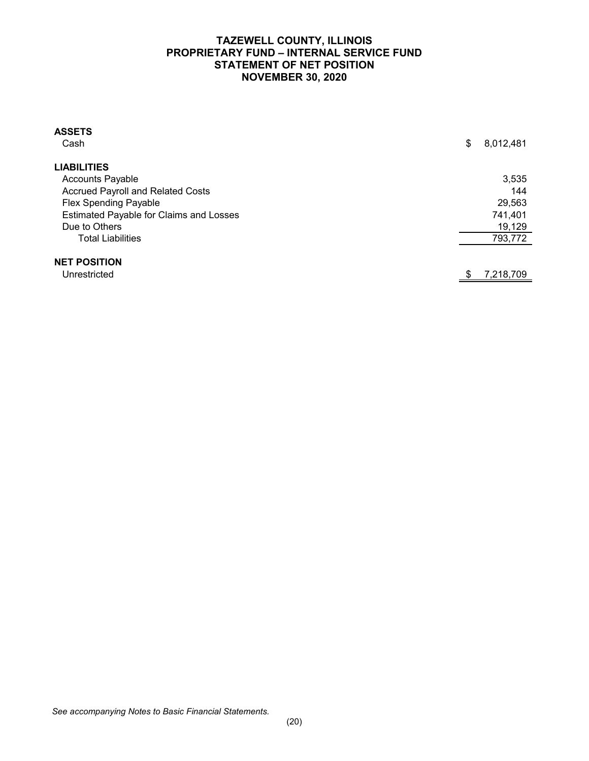# **TAZEWELL COUNTY, ILLINOIS PROPRIETARY FUND – INTERNAL SERVICE FUND STATEMENT OF NET POSITION NOVEMBER 30, 2020**

| <b>ASSETS</b>                            |                 |
|------------------------------------------|-----------------|
| Cash                                     | \$<br>8,012,481 |
| <b>LIABILITIES</b>                       |                 |
| <b>Accounts Payable</b>                  | 3,535           |
| <b>Accrued Payroll and Related Costs</b> | 144             |
| <b>Flex Spending Payable</b>             | 29,563          |
| Estimated Payable for Claims and Losses  | 741,401         |
| Due to Others                            | 19,129          |
| <b>Total Liabilities</b>                 | 793,772         |
| <b>NET POSITION</b>                      |                 |
| Unrestricted                             | 7,218,709       |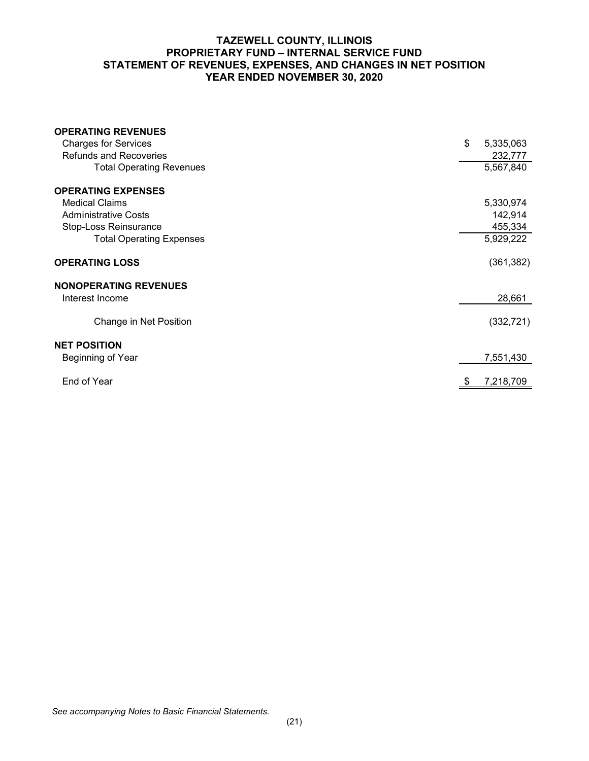# **TAZEWELL COUNTY, ILLINOIS PROPRIETARY FUND – INTERNAL SERVICE FUND STATEMENT OF REVENUES, EXPENSES, AND CHANGES IN NET POSITION YEAR ENDED NOVEMBER 30, 2020**

| <b>OPERATING REVENUES</b>       |                 |
|---------------------------------|-----------------|
| <b>Charges for Services</b>     | \$<br>5,335,063 |
| <b>Refunds and Recoveries</b>   | 232,777         |
| <b>Total Operating Revenues</b> | 5,567,840       |
| <b>OPERATING EXPENSES</b>       |                 |
| <b>Medical Claims</b>           | 5,330,974       |
| <b>Administrative Costs</b>     | 142,914         |
| Stop-Loss Reinsurance           | 455,334         |
| <b>Total Operating Expenses</b> | 5,929,222       |
| <b>OPERATING LOSS</b>           | (361, 382)      |
| <b>NONOPERATING REVENUES</b>    |                 |
| Interest Income                 | 28,661          |
| Change in Net Position          | (332, 721)      |
| <b>NET POSITION</b>             |                 |
| Beginning of Year               | 7,551,430       |
| End of Year                     | 7,218,709       |
|                                 |                 |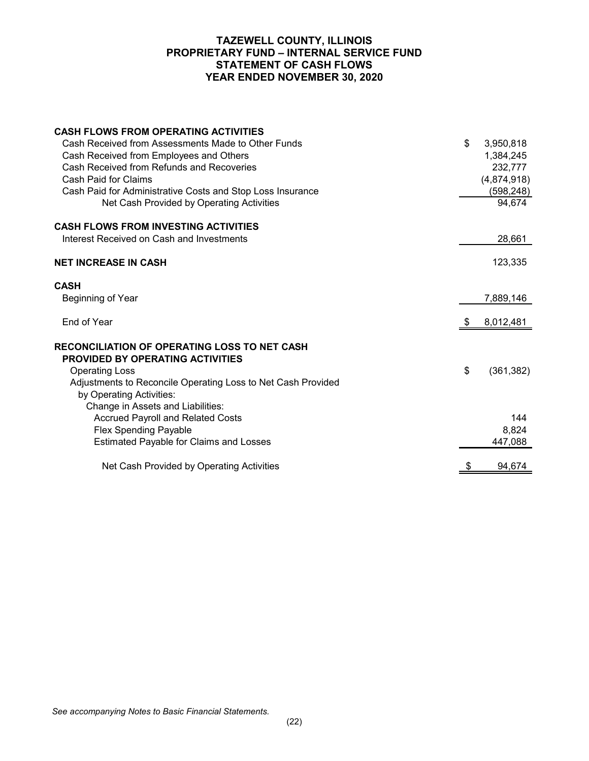## **TAZEWELL COUNTY, ILLINOIS PROPRIETARY FUND – INTERNAL SERVICE FUND STATEMENT OF CASH FLOWS YEAR ENDED NOVEMBER 30, 2020**

| <b>CASH FLOWS FROM OPERATING ACTIVITIES</b><br>Cash Received from Assessments Made to Other Funds<br>Cash Received from Employees and Others<br>Cash Received from Refunds and Recoveries<br>Cash Paid for Claims<br>Cash Paid for Administrative Costs and Stop Loss Insurance<br>Net Cash Provided by Operating Activities | \$ | 3,950,818<br>1,384,245<br>232,777<br>(4,874,918)<br>(598, 248)<br>94,674 |
|------------------------------------------------------------------------------------------------------------------------------------------------------------------------------------------------------------------------------------------------------------------------------------------------------------------------------|----|--------------------------------------------------------------------------|
| <b>CASH FLOWS FROM INVESTING ACTIVITIES</b>                                                                                                                                                                                                                                                                                  |    |                                                                          |
| Interest Received on Cash and Investments                                                                                                                                                                                                                                                                                    |    | 28,661                                                                   |
| <b>NET INCREASE IN CASH</b>                                                                                                                                                                                                                                                                                                  |    | 123,335                                                                  |
| <b>CASH</b><br>Beginning of Year                                                                                                                                                                                                                                                                                             |    | 7,889,146                                                                |
| End of Year                                                                                                                                                                                                                                                                                                                  | S. | 8,012,481                                                                |
| <b>RECONCILIATION OF OPERATING LOSS TO NET CASH</b><br><b>PROVIDED BY OPERATING ACTIVITIES</b><br><b>Operating Loss</b><br>Adjustments to Reconcile Operating Loss to Net Cash Provided<br>by Operating Activities:<br>Change in Assets and Liabilities:                                                                     | \$ | (361, 382)                                                               |
| <b>Accrued Payroll and Related Costs</b>                                                                                                                                                                                                                                                                                     |    | 144                                                                      |
| <b>Flex Spending Payable</b>                                                                                                                                                                                                                                                                                                 |    | 8,824                                                                    |
| <b>Estimated Payable for Claims and Losses</b>                                                                                                                                                                                                                                                                               |    | 447,088                                                                  |
| Net Cash Provided by Operating Activities                                                                                                                                                                                                                                                                                    |    | 94,674                                                                   |

*See accompanying Notes to Basic Financial Statements.*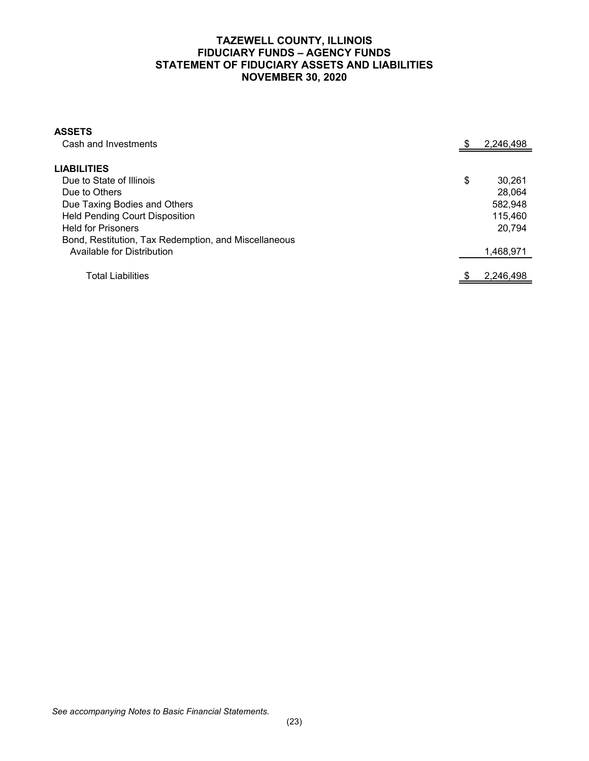# **TAZEWELL COUNTY, ILLINOIS FIDUCIARY FUNDS – AGENCY FUNDS STATEMENT OF FIDUCIARY ASSETS AND LIABILITIES NOVEMBER 30, 2020**

| <b>ASSETS</b><br>Cash and Investments                |    |           |
|------------------------------------------------------|----|-----------|
|                                                      |    | 2,246,498 |
| <b>LIABILITIES</b>                                   |    |           |
| Due to State of Illinois                             | \$ | 30,261    |
| Due to Others                                        |    | 28,064    |
| Due Taxing Bodies and Others                         |    | 582,948   |
| <b>Held Pending Court Disposition</b>                |    | 115,460   |
| <b>Held for Prisoners</b>                            |    | 20,794    |
| Bond, Restitution, Tax Redemption, and Miscellaneous |    |           |
| Available for Distribution                           |    | 1,468,971 |
| Total Liabilities                                    | S. | 2.246.498 |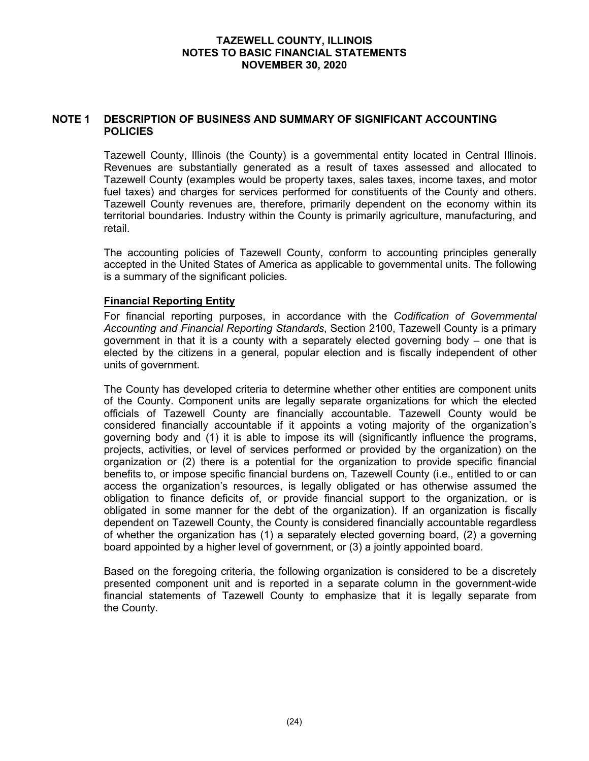#### **NOTE 1 DESCRIPTION OF BUSINESS AND SUMMARY OF SIGNIFICANT ACCOUNTING POLICIES**

Tazewell County, Illinois (the County) is a governmental entity located in Central Illinois. Revenues are substantially generated as a result of taxes assessed and allocated to Tazewell County (examples would be property taxes, sales taxes, income taxes, and motor fuel taxes) and charges for services performed for constituents of the County and others. Tazewell County revenues are, therefore, primarily dependent on the economy within its territorial boundaries. Industry within the County is primarily agriculture, manufacturing, and retail.

The accounting policies of Tazewell County, conform to accounting principles generally accepted in the United States of America as applicable to governmental units. The following is a summary of the significant policies.

## **Financial Reporting Entity**

For financial reporting purposes, in accordance with the *Codification of Governmental Accounting and Financial Reporting Standards*, Section 2100, Tazewell County is a primary government in that it is a county with a separately elected governing body – one that is elected by the citizens in a general, popular election and is fiscally independent of other units of government.

The County has developed criteria to determine whether other entities are component units of the County. Component units are legally separate organizations for which the elected officials of Tazewell County are financially accountable. Tazewell County would be considered financially accountable if it appoints a voting majority of the organization's governing body and (1) it is able to impose its will (significantly influence the programs, projects, activities, or level of services performed or provided by the organization) on the organization or (2) there is a potential for the organization to provide specific financial benefits to, or impose specific financial burdens on, Tazewell County (i.e., entitled to or can access the organization's resources, is legally obligated or has otherwise assumed the obligation to finance deficits of, or provide financial support to the organization, or is obligated in some manner for the debt of the organization). If an organization is fiscally dependent on Tazewell County, the County is considered financially accountable regardless of whether the organization has (1) a separately elected governing board, (2) a governing board appointed by a higher level of government, or (3) a jointly appointed board.

Based on the foregoing criteria, the following organization is considered to be a discretely presented component unit and is reported in a separate column in the government-wide financial statements of Tazewell County to emphasize that it is legally separate from the County.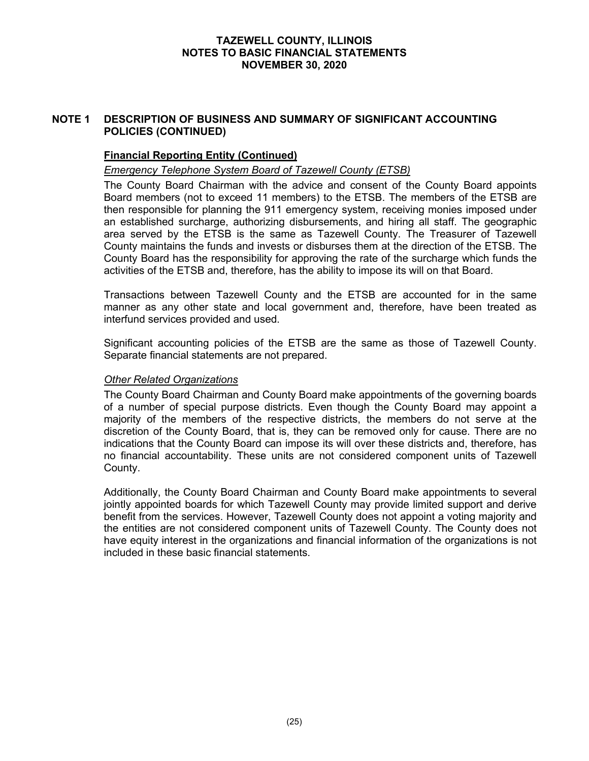# **NOTE 1 DESCRIPTION OF BUSINESS AND SUMMARY OF SIGNIFICANT ACCOUNTING POLICIES (CONTINUED)**

# **Financial Reporting Entity (Continued)**

## *Emergency Telephone System Board of Tazewell County (ETSB)*

The County Board Chairman with the advice and consent of the County Board appoints Board members (not to exceed 11 members) to the ETSB. The members of the ETSB are then responsible for planning the 911 emergency system, receiving monies imposed under an established surcharge, authorizing disbursements, and hiring all staff. The geographic area served by the ETSB is the same as Tazewell County. The Treasurer of Tazewell County maintains the funds and invests or disburses them at the direction of the ETSB. The County Board has the responsibility for approving the rate of the surcharge which funds the activities of the ETSB and, therefore, has the ability to impose its will on that Board.

Transactions between Tazewell County and the ETSB are accounted for in the same manner as any other state and local government and, therefore, have been treated as interfund services provided and used.

Significant accounting policies of the ETSB are the same as those of Tazewell County. Separate financial statements are not prepared.

#### *Other Related Organizations*

The County Board Chairman and County Board make appointments of the governing boards of a number of special purpose districts. Even though the County Board may appoint a majority of the members of the respective districts, the members do not serve at the discretion of the County Board, that is, they can be removed only for cause. There are no indications that the County Board can impose its will over these districts and, therefore, has no financial accountability. These units are not considered component units of Tazewell County.

Additionally, the County Board Chairman and County Board make appointments to several jointly appointed boards for which Tazewell County may provide limited support and derive benefit from the services. However, Tazewell County does not appoint a voting majority and the entities are not considered component units of Tazewell County. The County does not have equity interest in the organizations and financial information of the organizations is not included in these basic financial statements.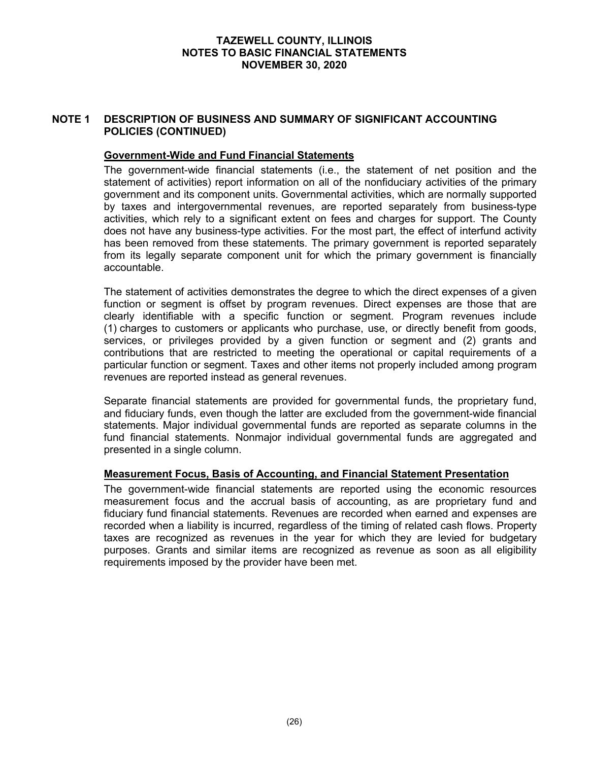# **NOTE 1 DESCRIPTION OF BUSINESS AND SUMMARY OF SIGNIFICANT ACCOUNTING POLICIES (CONTINUED)**

## **Government-Wide and Fund Financial Statements**

The government-wide financial statements (i.e., the statement of net position and the statement of activities) report information on all of the nonfiduciary activities of the primary government and its component units. Governmental activities, which are normally supported by taxes and intergovernmental revenues, are reported separately from business-type activities, which rely to a significant extent on fees and charges for support. The County does not have any business-type activities. For the most part, the effect of interfund activity has been removed from these statements. The primary government is reported separately from its legally separate component unit for which the primary government is financially accountable.

The statement of activities demonstrates the degree to which the direct expenses of a given function or segment is offset by program revenues. Direct expenses are those that are clearly identifiable with a specific function or segment. Program revenues include (1) charges to customers or applicants who purchase, use, or directly benefit from goods, services, or privileges provided by a given function or segment and (2) grants and contributions that are restricted to meeting the operational or capital requirements of a particular function or segment. Taxes and other items not properly included among program revenues are reported instead as general revenues.

Separate financial statements are provided for governmental funds, the proprietary fund, and fiduciary funds, even though the latter are excluded from the government-wide financial statements. Major individual governmental funds are reported as separate columns in the fund financial statements. Nonmajor individual governmental funds are aggregated and presented in a single column.

#### **Measurement Focus, Basis of Accounting, and Financial Statement Presentation**

The government-wide financial statements are reported using the economic resources measurement focus and the accrual basis of accounting, as are proprietary fund and fiduciary fund financial statements. Revenues are recorded when earned and expenses are recorded when a liability is incurred, regardless of the timing of related cash flows. Property taxes are recognized as revenues in the year for which they are levied for budgetary purposes. Grants and similar items are recognized as revenue as soon as all eligibility requirements imposed by the provider have been met.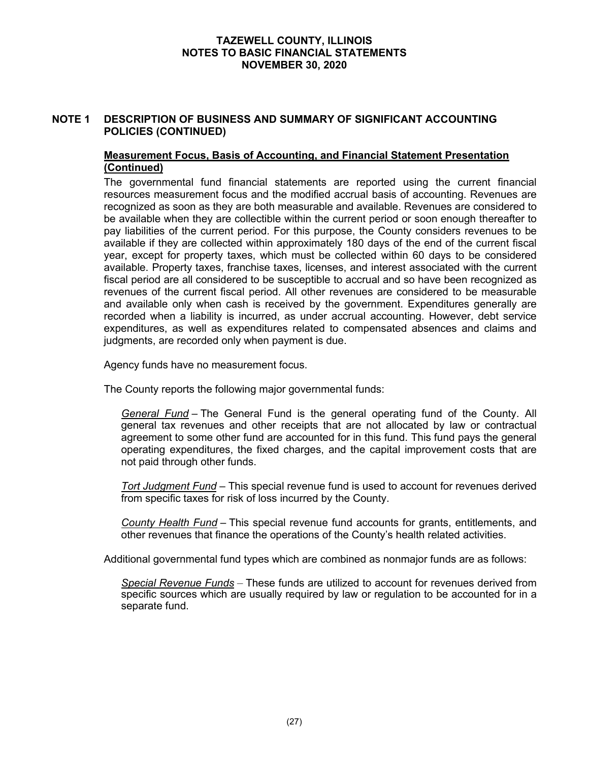# **NOTE 1 DESCRIPTION OF BUSINESS AND SUMMARY OF SIGNIFICANT ACCOUNTING POLICIES (CONTINUED)**

# **Measurement Focus, Basis of Accounting, and Financial Statement Presentation (Continued)**

The governmental fund financial statements are reported using the current financial resources measurement focus and the modified accrual basis of accounting. Revenues are recognized as soon as they are both measurable and available. Revenues are considered to be available when they are collectible within the current period or soon enough thereafter to pay liabilities of the current period. For this purpose, the County considers revenues to be available if they are collected within approximately 180 days of the end of the current fiscal year, except for property taxes, which must be collected within 60 days to be considered available. Property taxes, franchise taxes, licenses, and interest associated with the current fiscal period are all considered to be susceptible to accrual and so have been recognized as revenues of the current fiscal period. All other revenues are considered to be measurable and available only when cash is received by the government. Expenditures generally are recorded when a liability is incurred, as under accrual accounting. However, debt service expenditures, as well as expenditures related to compensated absences and claims and judgments, are recorded only when payment is due.

Agency funds have no measurement focus.

The County reports the following major governmental funds:

*General Fund* – The General Fund is the general operating fund of the County. All general tax revenues and other receipts that are not allocated by law or contractual agreement to some other fund are accounted for in this fund. This fund pays the general operating expenditures, the fixed charges, and the capital improvement costs that are not paid through other funds.

*Tort Judgment Fund* – This special revenue fund is used to account for revenues derived from specific taxes for risk of loss incurred by the County.

*County Health Fund* – This special revenue fund accounts for grants, entitlements, and other revenues that finance the operations of the County's health related activities.

Additional governmental fund types which are combined as nonmajor funds are as follows:

*Special Revenue Funds* – These funds are utilized to account for revenues derived from specific sources which are usually required by law or regulation to be accounted for in a separate fund.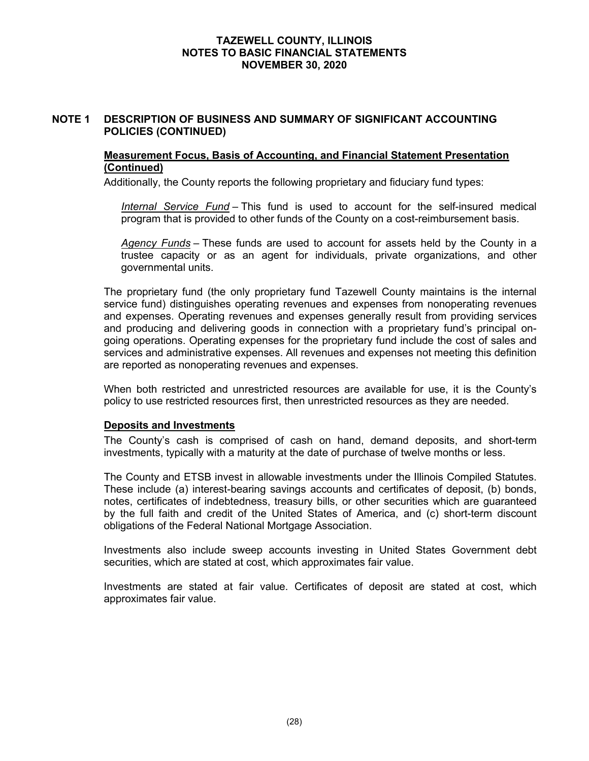# **NOTE 1 DESCRIPTION OF BUSINESS AND SUMMARY OF SIGNIFICANT ACCOUNTING POLICIES (CONTINUED)**

#### **Measurement Focus, Basis of Accounting, and Financial Statement Presentation (Continued)**

Additionally, the County reports the following proprietary and fiduciary fund types:

*Internal Service Fund* – This fund is used to account for the self-insured medical program that is provided to other funds of the County on a cost-reimbursement basis.

*Agency Funds* – These funds are used to account for assets held by the County in a trustee capacity or as an agent for individuals, private organizations, and other governmental units.

The proprietary fund (the only proprietary fund Tazewell County maintains is the internal service fund) distinguishes operating revenues and expenses from nonoperating revenues and expenses. Operating revenues and expenses generally result from providing services and producing and delivering goods in connection with a proprietary fund's principal ongoing operations. Operating expenses for the proprietary fund include the cost of sales and services and administrative expenses. All revenues and expenses not meeting this definition are reported as nonoperating revenues and expenses.

When both restricted and unrestricted resources are available for use, it is the County's policy to use restricted resources first, then unrestricted resources as they are needed.

#### **Deposits and Investments**

The County's cash is comprised of cash on hand, demand deposits, and short-term investments, typically with a maturity at the date of purchase of twelve months or less.

The County and ETSB invest in allowable investments under the Illinois Compiled Statutes. These include (a) interest-bearing savings accounts and certificates of deposit, (b) bonds, notes, certificates of indebtedness, treasury bills, or other securities which are guaranteed by the full faith and credit of the United States of America, and (c) short-term discount obligations of the Federal National Mortgage Association.

Investments also include sweep accounts investing in United States Government debt securities, which are stated at cost, which approximates fair value.

Investments are stated at fair value. Certificates of deposit are stated at cost, which approximates fair value.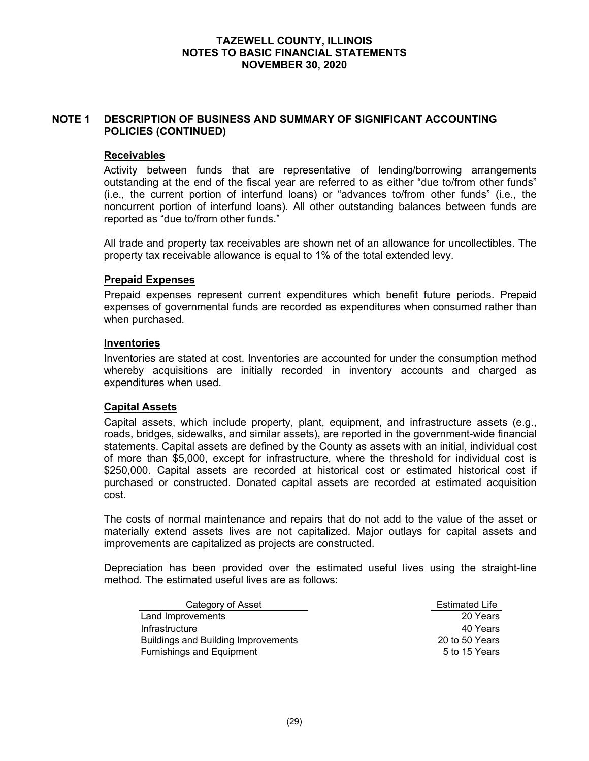# **NOTE 1 DESCRIPTION OF BUSINESS AND SUMMARY OF SIGNIFICANT ACCOUNTING POLICIES (CONTINUED)**

#### **Receivables**

Activity between funds that are representative of lending/borrowing arrangements outstanding at the end of the fiscal year are referred to as either "due to/from other funds" (i.e., the current portion of interfund loans) or "advances to/from other funds" (i.e., the noncurrent portion of interfund loans). All other outstanding balances between funds are reported as "due to/from other funds."

All trade and property tax receivables are shown net of an allowance for uncollectibles. The property tax receivable allowance is equal to 1% of the total extended levy.

## **Prepaid Expenses**

Prepaid expenses represent current expenditures which benefit future periods. Prepaid expenses of governmental funds are recorded as expenditures when consumed rather than when purchased.

#### **Inventories**

Inventories are stated at cost. Inventories are accounted for under the consumption method whereby acquisitions are initially recorded in inventory accounts and charged as expenditures when used.

#### **Capital Assets**

Capital assets, which include property, plant, equipment, and infrastructure assets (e.g., roads, bridges, sidewalks, and similar assets), are reported in the government-wide financial statements. Capital assets are defined by the County as assets with an initial, individual cost of more than \$5,000, except for infrastructure, where the threshold for individual cost is \$250,000. Capital assets are recorded at historical cost or estimated historical cost if purchased or constructed. Donated capital assets are recorded at estimated acquisition cost.

The costs of normal maintenance and repairs that do not add to the value of the asset or materially extend assets lives are not capitalized. Major outlays for capital assets and improvements are capitalized as projects are constructed.

Depreciation has been provided over the estimated useful lives using the straight-line method. The estimated useful lives are as follows:

| Category of Asset                          | <b>Estimated Life</b> |
|--------------------------------------------|-----------------------|
| Land Improvements                          | 20 Years              |
| Infrastructure                             | 40 Years              |
| <b>Buildings and Building Improvements</b> | 20 to 50 Years        |
| <b>Furnishings and Equipment</b>           | 5 to 15 Years         |

Estimated Life 20 to 50 Years 5 to 15 Years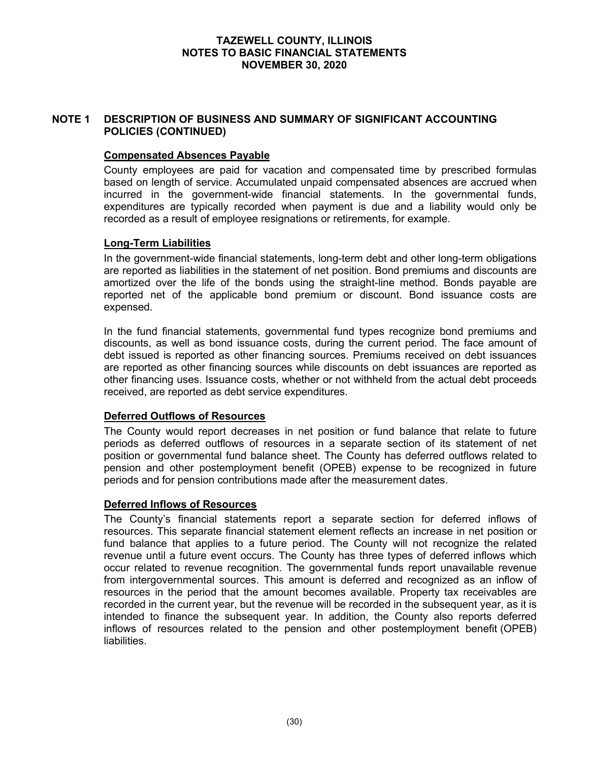# **NOTE 1 DESCRIPTION OF BUSINESS AND SUMMARY OF SIGNIFICANT ACCOUNTING POLICIES (CONTINUED)**

## **Compensated Absences Payable**

County employees are paid for vacation and compensated time by prescribed formulas based on length of service. Accumulated unpaid compensated absences are accrued when incurred in the government-wide financial statements. In the governmental funds, expenditures are typically recorded when payment is due and a liability would only be recorded as a result of employee resignations or retirements, for example.

#### **Long-Term Liabilities**

In the government-wide financial statements, long-term debt and other long-term obligations are reported as liabilities in the statement of net position. Bond premiums and discounts are amortized over the life of the bonds using the straight-line method. Bonds payable are reported net of the applicable bond premium or discount. Bond issuance costs are expensed.

In the fund financial statements, governmental fund types recognize bond premiums and discounts, as well as bond issuance costs, during the current period. The face amount of debt issued is reported as other financing sources. Premiums received on debt issuances are reported as other financing sources while discounts on debt issuances are reported as other financing uses. Issuance costs, whether or not withheld from the actual debt proceeds received, are reported as debt service expenditures.

# **Deferred Outflows of Resources**

The County would report decreases in net position or fund balance that relate to future periods as deferred outflows of resources in a separate section of its statement of net position or governmental fund balance sheet. The County has deferred outflows related to pension and other postemployment benefit (OPEB) expense to be recognized in future periods and for pension contributions made after the measurement dates.

# **Deferred Inflows of Resources**

The County's financial statements report a separate section for deferred inflows of resources. This separate financial statement element reflects an increase in net position or fund balance that applies to a future period. The County will not recognize the related revenue until a future event occurs. The County has three types of deferred inflows which occur related to revenue recognition. The governmental funds report unavailable revenue from intergovernmental sources. This amount is deferred and recognized as an inflow of resources in the period that the amount becomes available. Property tax receivables are recorded in the current year, but the revenue will be recorded in the subsequent year, as it is intended to finance the subsequent year. In addition, the County also reports deferred inflows of resources related to the pension and other postemployment benefit (OPEB) liabilities.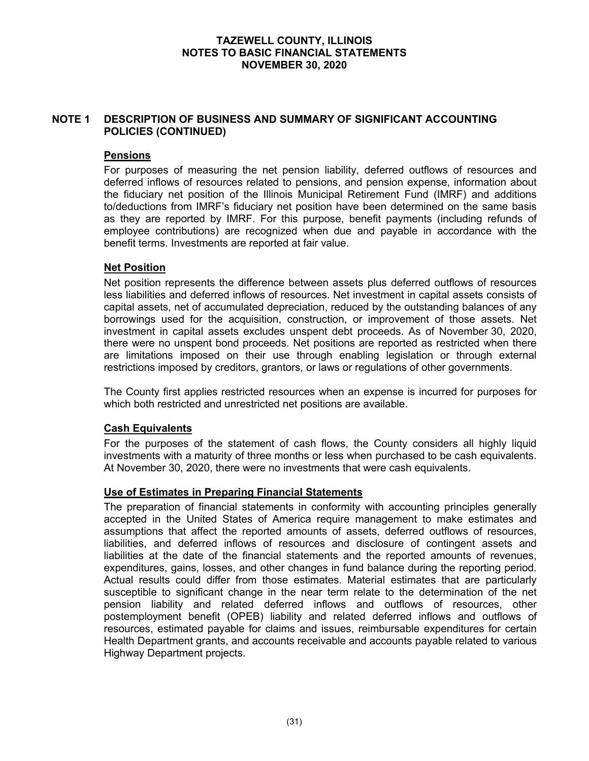# **NOTE 1 DESCRIPTION OF BUSINESS AND SUMMARY OF SIGNIFICANT ACCOUNTING POLICIES (CONTINUED)**

# **Pensions**

For purposes of measuring the net pension liability, deferred outflows of resources and deferred inflows of resources related to pensions, and pension expense, information about the fiduciary net position of the Illinois Municipal Retirement Fund (IMRF) and additions to/deductions from IMRF's fiduciary net position have been determined on the same basis as they are reported by IMRF. For this purpose, benefit payments (including refunds of employee contributions) are recognized when due and payable in accordance with the benefit terms. Investments are reported at fair value.

# **Net Position**

Net position represents the difference between assets plus deferred outflows of resources less liabilities and deferred inflows of resources. Net investment in capital assets consists of capital assets, net of accumulated depreciation, reduced by the outstanding balances of any borrowings used for the acquisition, construction, or improvement of those assets. Net investment in capital assets excludes unspent debt proceeds. As of November 30, 2020, there were no unspent bond proceeds. Net positions are reported as restricted when there are limitations imposed on their use through enabling legislation or through external restrictions imposed by creditors, grantors, or laws or regulations of other governments.

The County first applies restricted resources when an expense is incurred for purposes for which both restricted and unrestricted net positions are available.

# **Cash Equivalents**

For the purposes of the statement of cash flows, the County considers all highly liquid investments with a maturity of three months or less when purchased to be cash equivalents. At November 30, 2020, there were no investments that were cash equivalents.

#### **Use of Estimates in Preparing Financial Statements**

The preparation of financial statements in conformity with accounting principles generally accepted in the United States of America require management to make estimates and assumptions that affect the reported amounts of assets, deferred outflows of resources, liabilities, and deferred inflows of resources and disclosure of contingent assets and liabilities at the date of the financial statements and the reported amounts of revenues, expenditures, gains, losses, and other changes in fund balance during the reporting period. Actual results could differ from those estimates. Material estimates that are particularly susceptible to significant change in the near term relate to the determination of the net pension liability and related deferred inflows and outflows of resources, other postemployment benefit (OPEB) liability and related deferred inflows and outflows of resources, estimated payable for claims and issues, reimbursable expenditures for certain Health Department grants, and accounts receivable and accounts payable related to various Highway Department projects.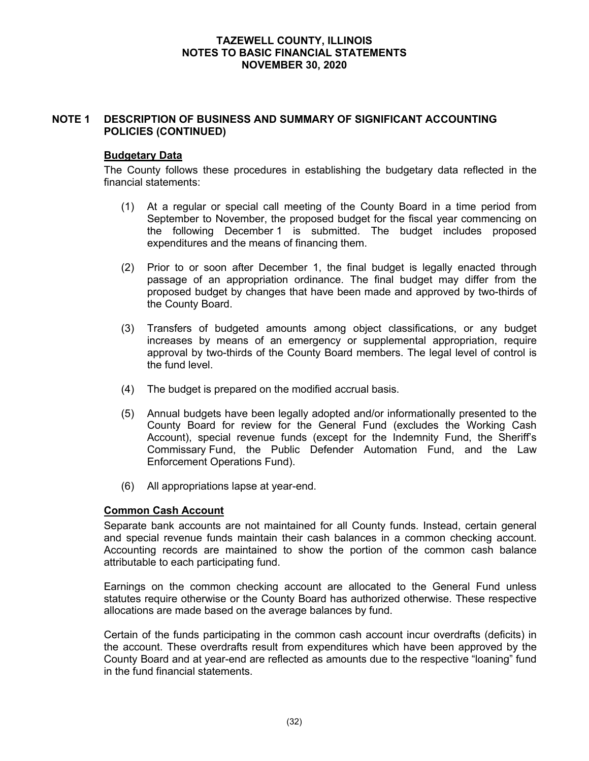### **NOTE 1 DESCRIPTION OF BUSINESS AND SUMMARY OF SIGNIFICANT ACCOUNTING POLICIES (CONTINUED)**

#### **Budgetary Data**

The County follows these procedures in establishing the budgetary data reflected in the financial statements:

- (1) At a regular or special call meeting of the County Board in a time period from September to November, the proposed budget for the fiscal year commencing on the following December 1 is submitted. The budget includes proposed expenditures and the means of financing them.
- (2) Prior to or soon after December 1, the final budget is legally enacted through passage of an appropriation ordinance. The final budget may differ from the proposed budget by changes that have been made and approved by two-thirds of the County Board.
- (3) Transfers of budgeted amounts among object classifications, or any budget increases by means of an emergency or supplemental appropriation, require approval by two-thirds of the County Board members. The legal level of control is the fund level.
- (4) The budget is prepared on the modified accrual basis.
- (5) Annual budgets have been legally adopted and/or informationally presented to the County Board for review for the General Fund (excludes the Working Cash Account), special revenue funds (except for the Indemnity Fund, the Sheriff's Commissary Fund, the Public Defender Automation Fund, and the Law Enforcement Operations Fund).
- (6) All appropriations lapse at year-end.

### **Common Cash Account**

Separate bank accounts are not maintained for all County funds. Instead, certain general and special revenue funds maintain their cash balances in a common checking account. Accounting records are maintained to show the portion of the common cash balance attributable to each participating fund.

Earnings on the common checking account are allocated to the General Fund unless statutes require otherwise or the County Board has authorized otherwise. These respective allocations are made based on the average balances by fund.

Certain of the funds participating in the common cash account incur overdrafts (deficits) in the account. These overdrafts result from expenditures which have been approved by the County Board and at year-end are reflected as amounts due to the respective "loaning" fund in the fund financial statements.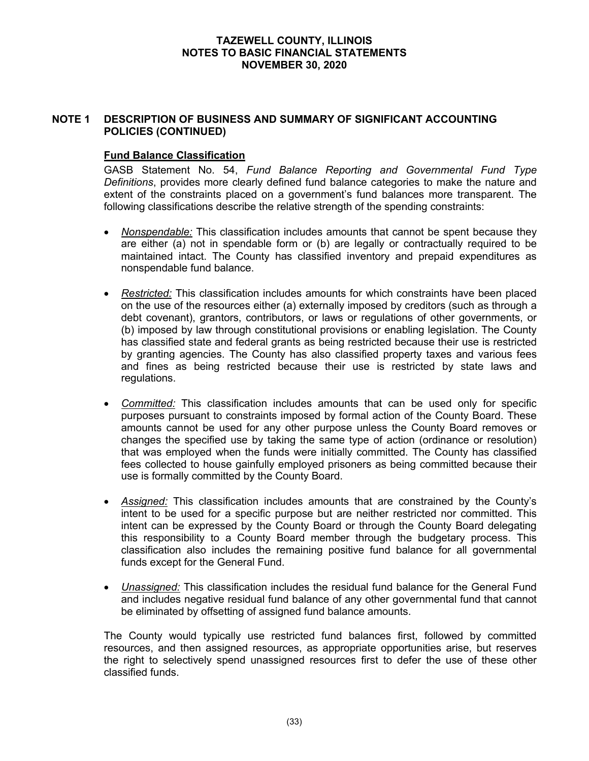### **NOTE 1 DESCRIPTION OF BUSINESS AND SUMMARY OF SIGNIFICANT ACCOUNTING POLICIES (CONTINUED)**

### **Fund Balance Classification**

GASB Statement No. 54, *Fund Balance Reporting and Governmental Fund Type Definitions*, provides more clearly defined fund balance categories to make the nature and extent of the constraints placed on a government's fund balances more transparent. The following classifications describe the relative strength of the spending constraints:

- *Nonspendable:* This classification includes amounts that cannot be spent because they are either (a) not in spendable form or (b) are legally or contractually required to be maintained intact. The County has classified inventory and prepaid expenditures as nonspendable fund balance.
- *Restricted:* This classification includes amounts for which constraints have been placed on the use of the resources either (a) externally imposed by creditors (such as through a debt covenant), grantors, contributors, or laws or regulations of other governments, or (b) imposed by law through constitutional provisions or enabling legislation. The County has classified state and federal grants as being restricted because their use is restricted by granting agencies. The County has also classified property taxes and various fees and fines as being restricted because their use is restricted by state laws and regulations.
- *Committed:* This classification includes amounts that can be used only for specific purposes pursuant to constraints imposed by formal action of the County Board. These amounts cannot be used for any other purpose unless the County Board removes or changes the specified use by taking the same type of action (ordinance or resolution) that was employed when the funds were initially committed. The County has classified fees collected to house gainfully employed prisoners as being committed because their use is formally committed by the County Board.
- *Assigned:* This classification includes amounts that are constrained by the County's intent to be used for a specific purpose but are neither restricted nor committed. This intent can be expressed by the County Board or through the County Board delegating this responsibility to a County Board member through the budgetary process. This classification also includes the remaining positive fund balance for all governmental funds except for the General Fund.
- *Unassigned:* This classification includes the residual fund balance for the General Fund and includes negative residual fund balance of any other governmental fund that cannot be eliminated by offsetting of assigned fund balance amounts.

The County would typically use restricted fund balances first, followed by committed resources, and then assigned resources, as appropriate opportunities arise, but reserves the right to selectively spend unassigned resources first to defer the use of these other classified funds.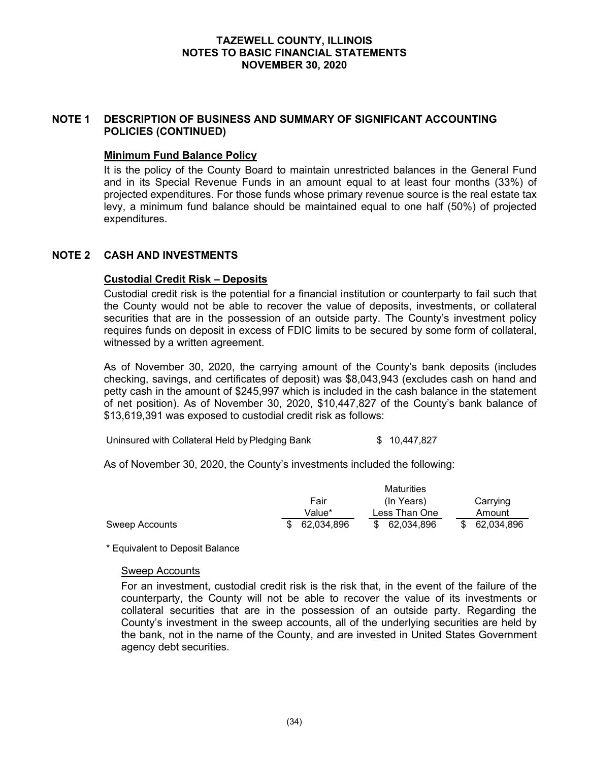### **NOTE 1 DESCRIPTION OF BUSINESS AND SUMMARY OF SIGNIFICANT ACCOUNTING POLICIES (CONTINUED)**

### **Minimum Fund Balance Policy**

It is the policy of the County Board to maintain unrestricted balances in the General Fund and in its Special Revenue Funds in an amount equal to at least four months (33%) of projected expenditures. For those funds whose primary revenue source is the real estate tax levy, a minimum fund balance should be maintained equal to one half (50%) of projected expenditures.

#### **NOTE 2 CASH AND INVESTMENTS**

#### **Custodial Credit Risk – Deposits**

Custodial credit risk is the potential for a financial institution or counterparty to fail such that the County would not be able to recover the value of deposits, investments, or collateral securities that are in the possession of an outside party. The County's investment policy requires funds on deposit in excess of FDIC limits to be secured by some form of collateral, witnessed by a written agreement.

As of November 30, 2020, the carrying amount of the County's bank deposits (includes checking, savings, and certificates of deposit) was \$8,043,943 (excludes cash on hand and petty cash in the amount of \$245,997 which is included in the cash balance in the statement of net position). As of November 30, 2020, \$10,447,827 of the County's bank balance of \$13,619,391 was exposed to custodial credit risk as follows:

Uninsured with Collateral Held by Pledging Bank  $$ 10,447,827$ 

As of November 30, 2020, the County's investments included the following:

|                |            | Maturities    |                  |  |  |
|----------------|------------|---------------|------------------|--|--|
|                | Fair       | (In Years)    | Carrying         |  |  |
|                | Value*     | Less Than One |                  |  |  |
| Sweep Accounts | 62.034.896 | \$ 62.034.896 | 62,034,896<br>S. |  |  |

\* Equivalent to Deposit Balance

#### Sweep Accounts

For an investment, custodial credit risk is the risk that, in the event of the failure of the counterparty, the County will not be able to recover the value of its investments or collateral securities that are in the possession of an outside party. Regarding the County's investment in the sweep accounts, all of the underlying securities are held by the bank, not in the name of the County, and are invested in United States Government agency debt securities.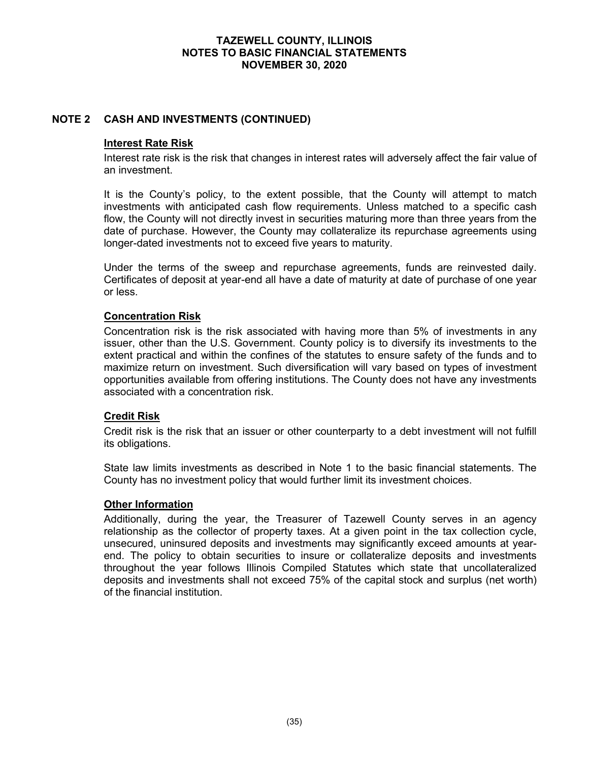### **NOTE 2 CASH AND INVESTMENTS (CONTINUED)**

#### **Interest Rate Risk**

Interest rate risk is the risk that changes in interest rates will adversely affect the fair value of an investment.

It is the County's policy, to the extent possible, that the County will attempt to match investments with anticipated cash flow requirements. Unless matched to a specific cash flow, the County will not directly invest in securities maturing more than three years from the date of purchase. However, the County may collateralize its repurchase agreements using longer-dated investments not to exceed five years to maturity.

Under the terms of the sweep and repurchase agreements, funds are reinvested daily. Certificates of deposit at year-end all have a date of maturity at date of purchase of one year or less.

#### **Concentration Risk**

Concentration risk is the risk associated with having more than 5% of investments in any issuer, other than the U.S. Government. County policy is to diversify its investments to the extent practical and within the confines of the statutes to ensure safety of the funds and to maximize return on investment. Such diversification will vary based on types of investment opportunities available from offering institutions. The County does not have any investments associated with a concentration risk.

#### **Credit Risk**

Credit risk is the risk that an issuer or other counterparty to a debt investment will not fulfill its obligations.

State law limits investments as described in Note 1 to the basic financial statements. The County has no investment policy that would further limit its investment choices.

#### **Other Information**

Additionally, during the year, the Treasurer of Tazewell County serves in an agency relationship as the collector of property taxes. At a given point in the tax collection cycle, unsecured, uninsured deposits and investments may significantly exceed amounts at yearend. The policy to obtain securities to insure or collateralize deposits and investments throughout the year follows Illinois Compiled Statutes which state that uncollateralized deposits and investments shall not exceed 75% of the capital stock and surplus (net worth) of the financial institution.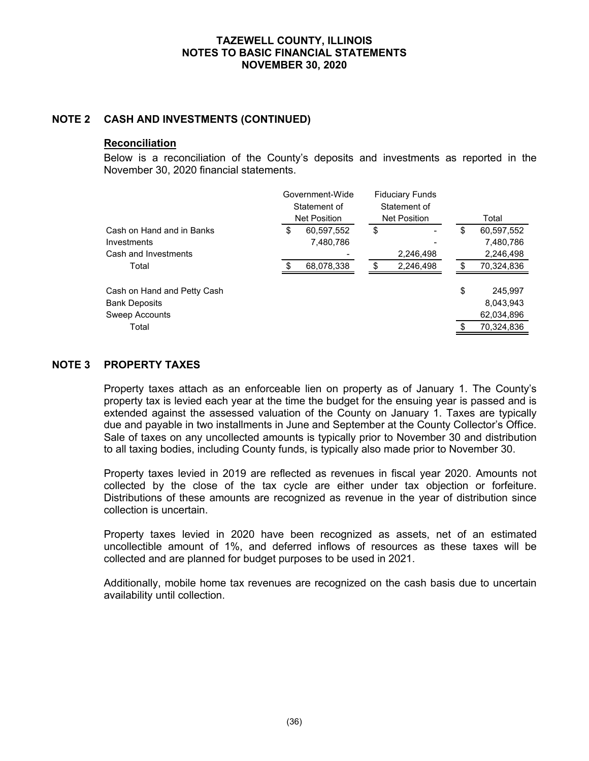#### **NOTE 2 CASH AND INVESTMENTS (CONTINUED)**

#### **Reconciliation**

Below is a reconciliation of the County's deposits and investments as reported in the November 30, 2020 financial statements.

|                                                                                |   | Government-Wide<br>Statement of<br><b>Net Position</b> |    | <b>Fiduciary Funds</b><br>Statement of<br><b>Net Position</b> | Total |                                                  |  |
|--------------------------------------------------------------------------------|---|--------------------------------------------------------|----|---------------------------------------------------------------|-------|--------------------------------------------------|--|
| Cash on Hand and in Banks<br>Investments<br>Cash and Investments               | S | 60,597,552<br>7,480,786                                | \$ | 2,246,498                                                     | \$    | 60,597,552<br>7,480,786<br>2,246,498             |  |
| Total                                                                          |   | 68,078,338                                             |    | 2,246,498                                                     |       | 70,324,836                                       |  |
| Cash on Hand and Petty Cash<br><b>Bank Deposits</b><br>Sweep Accounts<br>Total |   |                                                        |    |                                                               | \$    | 245.997<br>8,043,943<br>62,034,896<br>70,324,836 |  |

#### **NOTE 3 PROPERTY TAXES**

Property taxes attach as an enforceable lien on property as of January 1. The County's property tax is levied each year at the time the budget for the ensuing year is passed and is extended against the assessed valuation of the County on January 1. Taxes are typically due and payable in two installments in June and September at the County Collector's Office. Sale of taxes on any uncollected amounts is typically prior to November 30 and distribution to all taxing bodies, including County funds, is typically also made prior to November 30.

Property taxes levied in 2019 are reflected as revenues in fiscal year 2020. Amounts not collected by the close of the tax cycle are either under tax objection or forfeiture. Distributions of these amounts are recognized as revenue in the year of distribution since collection is uncertain.

Property taxes levied in 2020 have been recognized as assets, net of an estimated uncollectible amount of 1%, and deferred inflows of resources as these taxes will be collected and are planned for budget purposes to be used in 2021.

Additionally, mobile home tax revenues are recognized on the cash basis due to uncertain availability until collection.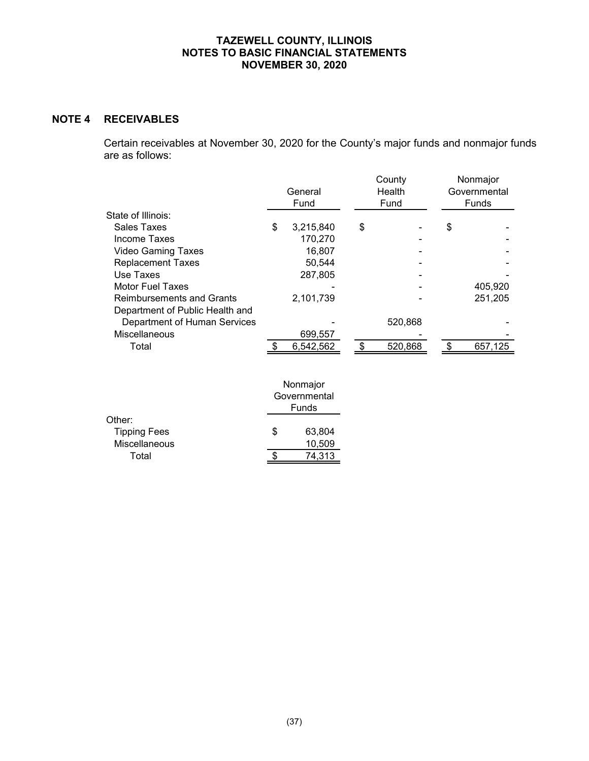## **NOTE 4 RECEIVABLES**

Certain receivables at November 30, 2020 for the County's major funds and nonmajor funds are as follows:

|                                  | General<br>Fund |           |    | County<br>Health<br>Fund | Nonmajor<br>Governmental<br><b>Funds</b> |    |         |  |
|----------------------------------|-----------------|-----------|----|--------------------------|------------------------------------------|----|---------|--|
| State of Illinois:               |                 |           |    |                          |                                          |    |         |  |
| Sales Taxes                      | \$              | 3,215,840 | \$ |                          |                                          | \$ |         |  |
| Income Taxes                     |                 | 170,270   |    |                          |                                          |    |         |  |
| <b>Video Gaming Taxes</b>        |                 | 16,807    |    |                          |                                          |    |         |  |
| <b>Replacement Taxes</b>         |                 | 50,544    |    |                          |                                          |    |         |  |
| Use Taxes                        |                 | 287,805   |    |                          |                                          |    |         |  |
| <b>Motor Fuel Taxes</b>          |                 |           |    |                          |                                          |    | 405.920 |  |
| <b>Reimbursements and Grants</b> |                 | 2,101,739 |    |                          |                                          |    | 251,205 |  |
| Department of Public Health and  |                 |           |    |                          |                                          |    |         |  |
| Department of Human Services     |                 |           |    | 520,868                  |                                          |    |         |  |
| Miscellaneous                    |                 | 699,557   |    |                          |                                          |    |         |  |
| Total                            |                 | 6,542,562 |    | 520.868                  |                                          |    | 657.125 |  |

|                     |   | Nonmajor<br>Governmental<br>Funds |
|---------------------|---|-----------------------------------|
| Other:              |   |                                   |
| <b>Tipping Fees</b> | S | 63,804                            |
| Miscellaneous       |   | 10,509                            |
| Total               |   | 74.313                            |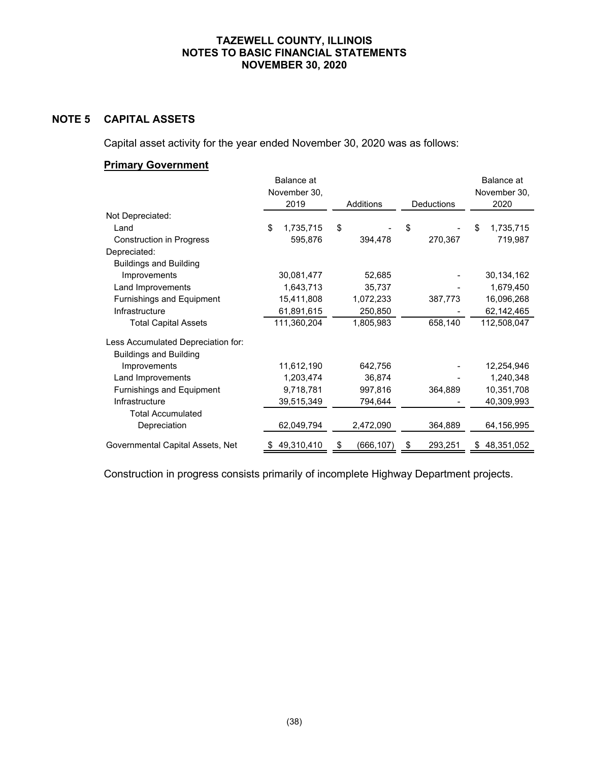# **NOTE 5 CAPITAL ASSETS**

Capital asset activity for the year ended November 30, 2020 was as follows:

# **Primary Government**

|                                    | Balance at      |                  |               | Balance at      |  |  |  |  |  |
|------------------------------------|-----------------|------------------|---------------|-----------------|--|--|--|--|--|
|                                    | November 30,    |                  |               |                 |  |  |  |  |  |
|                                    | 2019            | <b>Additions</b> | Deductions    | 2020            |  |  |  |  |  |
| Not Depreciated:                   |                 |                  |               |                 |  |  |  |  |  |
| Land                               | \$<br>1,735,715 | \$               | \$            | \$<br>1,735,715 |  |  |  |  |  |
| <b>Construction in Progress</b>    | 595,876         | 394,478          | 270,367       | 719,987         |  |  |  |  |  |
| Depreciated:                       |                 |                  |               |                 |  |  |  |  |  |
| <b>Buildings and Building</b>      |                 |                  |               |                 |  |  |  |  |  |
| Improvements                       | 30,081,477      | 52,685           |               | 30,134,162      |  |  |  |  |  |
| Land Improvements                  | 1,643,713       | 35,737           |               | 1,679,450       |  |  |  |  |  |
| Furnishings and Equipment          | 15,411,808      | 1,072,233        | 387,773       | 16,096,268      |  |  |  |  |  |
| Infrastructure                     | 61,891,615      | 250,850          |               | 62,142,465      |  |  |  |  |  |
| <b>Total Capital Assets</b>        | 111,360,204     | 1,805,983        | 658,140       | 112,508,047     |  |  |  |  |  |
| Less Accumulated Depreciation for: |                 |                  |               |                 |  |  |  |  |  |
| <b>Buildings and Building</b>      |                 |                  |               |                 |  |  |  |  |  |
| Improvements                       | 11,612,190      | 642,756          |               | 12,254,946      |  |  |  |  |  |
| Land Improvements                  | 1,203,474       | 36,874           |               | 1,240,348       |  |  |  |  |  |
| Furnishings and Equipment          | 9,718,781       | 997,816          | 364,889       | 10,351,708      |  |  |  |  |  |
| Infrastructure                     | 39,515,349      | 794,644          |               | 40,309,993      |  |  |  |  |  |
| <b>Total Accumulated</b>           |                 |                  |               |                 |  |  |  |  |  |
| Depreciation                       | 62,049,794      | 2,472,090        | 364,889       | 64,156,995      |  |  |  |  |  |
| Governmental Capital Assets, Net   | 49,310,410<br>S | (666,107)<br>S   | 293,251<br>\$ | 48,351,052<br>S |  |  |  |  |  |

Construction in progress consists primarily of incomplete Highway Department projects.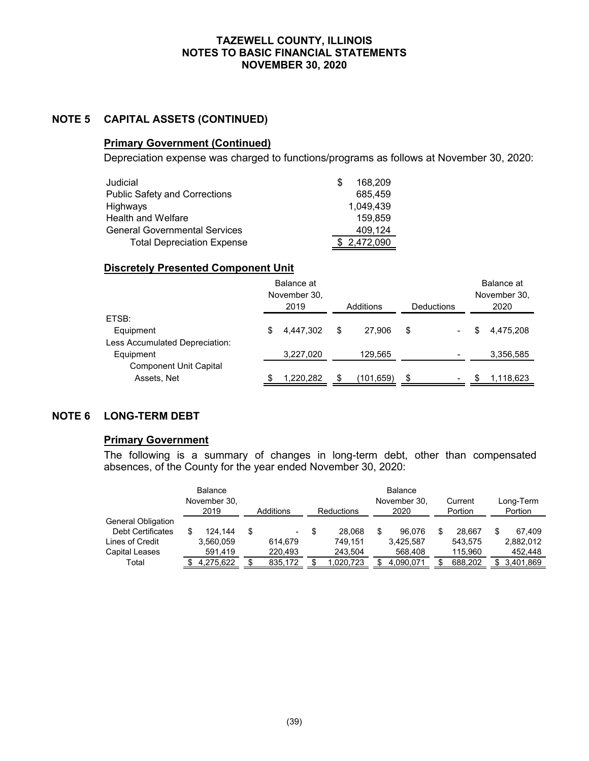### **NOTE 5 CAPITAL ASSETS (CONTINUED)**

### **Primary Government (Continued)**

Depreciation expense was charged to functions/programs as follows at November 30, 2020:

| Judicial                             | 168,209     |
|--------------------------------------|-------------|
| <b>Public Safety and Corrections</b> | 685,459     |
| Highways                             | 1,049,439   |
| <b>Health and Welfare</b>            | 159.859     |
| <b>General Governmental Services</b> | 409.124     |
| <b>Total Depreciation Expense</b>    | \$2,472,090 |

#### **Discretely Presented Component Unit**

|                                | Balance at<br>November 30,<br>2019 |           |    |           |    |                          |   | Balance at<br>November 30, |  |  |
|--------------------------------|------------------------------------|-----------|----|-----------|----|--------------------------|---|----------------------------|--|--|
|                                |                                    |           |    | Additions |    | Deductions               |   | 2020                       |  |  |
| ETSB:                          |                                    |           |    |           |    |                          |   |                            |  |  |
| Equipment                      | S                                  | 4.447.302 | \$ | 27.906    | \$ | $\blacksquare$           | S | 4.475.208                  |  |  |
| Less Accumulated Depreciation: |                                    |           |    |           |    |                          |   |                            |  |  |
| Equipment                      |                                    | 3,227,020 |    | 129,565   |    | $\overline{\phantom{0}}$ |   | 3,356,585                  |  |  |
| <b>Component Unit Capital</b>  |                                    |           |    |           |    |                          |   |                            |  |  |
| Assets, Net                    |                                    | 1,220,282 |    | (101,659) |    |                          |   | 1,118,623                  |  |  |

### **NOTE 6 LONG-TERM DEBT**

#### **Primary Government**

The following is a summary of changes in long-term debt, other than compensated absences, of the County for the year ended November 30, 2020:

|                          | Balance<br>November 30,<br>2019 | Additions |         | Reductions |           | Balance<br>November 30,<br>2020 |  | Current<br>Portion |  | Long-Term<br>Portion |  |
|--------------------------|---------------------------------|-----------|---------|------------|-----------|---------------------------------|--|--------------------|--|----------------------|--|
| General Obligation       |                                 |           |         |            |           |                                 |  |                    |  |                      |  |
| <b>Debt Certificates</b> | \$<br>124.144                   | S         | -       | \$.        | 28.068    | 96.076                          |  | 28.667             |  | 67.409               |  |
| Lines of Credit          | 3,560,059                       |           | 614.679 |            | 749.151   | 3,425,587                       |  | 543.575            |  | 2,882,012            |  |
| Capital Leases           | 591,419                         |           | 220.493 |            | 243,504   | 568,408                         |  | 115,960            |  | 452,448              |  |
| Total                    | 4,275,622                       |           | 835,172 |            | 1.020.723 | 4,090,071                       |  | 688,202            |  | 3,401,869            |  |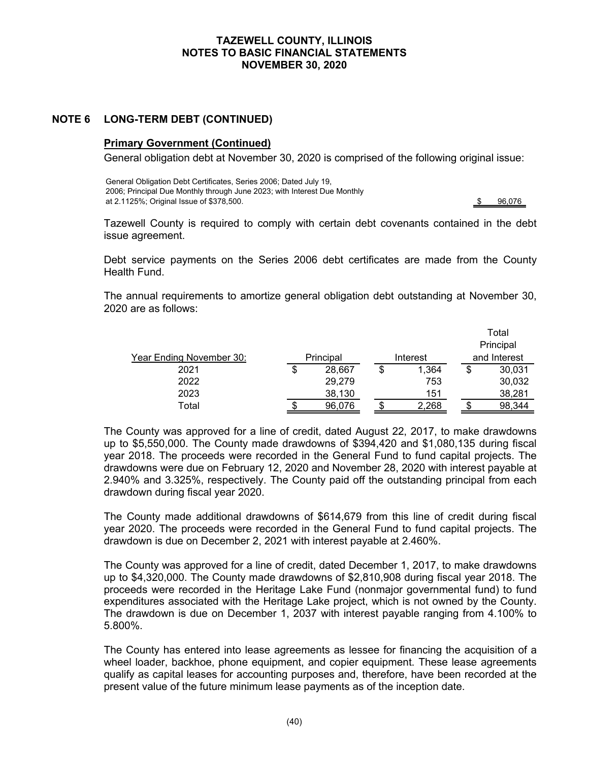### **NOTE 6 LONG-TERM DEBT (CONTINUED)**

#### **Primary Government (Continued)**

General obligation debt at November 30, 2020 is comprised of the following original issue:

General Obligation Debt Certificates, Series 2006; Dated July 19, 2006; Principal Due Monthly through June 2023; with Interest Due Monthly at 2.1125%; Original Issue of \$378,500. **\$ 96,076**  $\frac{1}{3}$  96,076

Tazewell County is required to comply with certain debt covenants contained in the debt issue agreement.

Debt service payments on the Series 2006 debt certificates are made from the County Health Fund.

The annual requirements to amortize general obligation debt outstanding at November 30, 2020 are as follows:

|                                  |              |   |          | Total        |           |  |  |
|----------------------------------|--------------|---|----------|--------------|-----------|--|--|
|                                  |              |   |          |              | Principal |  |  |
| <u> Year Ending November 30:</u> | Principal    |   | Interest | and Interest |           |  |  |
| 2021                             | \$<br>28,667 | S | 1,364    | S            | 30,031    |  |  |
| 2022                             | 29,279       |   | 753      |              | 30,032    |  |  |
| 2023                             | 38,130       |   | 151      |              | 38,281    |  |  |
| Total                            | 96,076       |   | 2.268    |              | 98.344    |  |  |

The County was approved for a line of credit, dated August 22, 2017, to make drawdowns up to \$5,550,000. The County made drawdowns of \$394,420 and \$1,080,135 during fiscal year 2018. The proceeds were recorded in the General Fund to fund capital projects. The drawdowns were due on February 12, 2020 and November 28, 2020 with interest payable at 2.940% and 3.325%, respectively. The County paid off the outstanding principal from each drawdown during fiscal year 2020.

The County made additional drawdowns of \$614,679 from this line of credit during fiscal year 2020. The proceeds were recorded in the General Fund to fund capital projects. The drawdown is due on December 2, 2021 with interest payable at 2.460%.

The County was approved for a line of credit, dated December 1, 2017, to make drawdowns up to \$4,320,000. The County made drawdowns of \$2,810,908 during fiscal year 2018. The proceeds were recorded in the Heritage Lake Fund (nonmajor governmental fund) to fund expenditures associated with the Heritage Lake project, which is not owned by the County. The drawdown is due on December 1, 2037 with interest payable ranging from 4.100% to 5.800%.

The County has entered into lease agreements as lessee for financing the acquisition of a wheel loader, backhoe, phone equipment, and copier equipment. These lease agreements qualify as capital leases for accounting purposes and, therefore, have been recorded at the present value of the future minimum lease payments as of the inception date.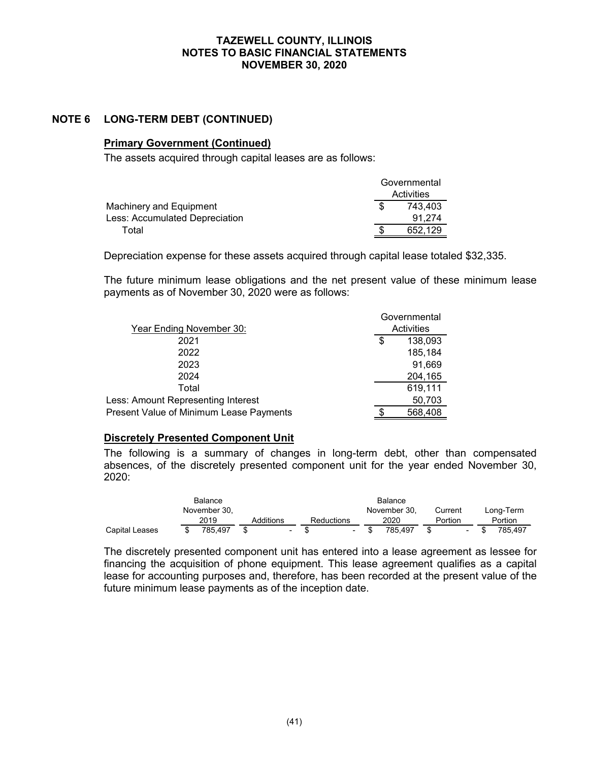#### **NOTE 6 LONG-TERM DEBT (CONTINUED)**

### **Primary Government (Continued)**

The assets acquired through capital leases are as follows:

|                                | Governmental |
|--------------------------------|--------------|
|                                | Activities   |
| Machinery and Equipment        | 743.403      |
| Less: Accumulated Depreciation | 91.274       |
| Total                          | 652.129      |

Depreciation expense for these assets acquired through capital lease totaled \$32,335.

The future minimum lease obligations and the net present value of these minimum lease payments as of November 30, 2020 were as follows:

|                                         |   | Governmental |  |  |  |  |
|-----------------------------------------|---|--------------|--|--|--|--|
| Year Ending November 30:                |   | Activities   |  |  |  |  |
| 2021                                    | S | 138,093      |  |  |  |  |
| 2022                                    |   | 185,184      |  |  |  |  |
| 2023                                    |   | 91,669       |  |  |  |  |
| 2024                                    |   | 204,165      |  |  |  |  |
| Total                                   |   | 619,111      |  |  |  |  |
| Less: Amount Representing Interest      |   | 50,703       |  |  |  |  |
| Present Value of Minimum Lease Payments |   | 568,408      |  |  |  |  |

#### **Discretely Presented Component Unit**

The following is a summary of changes in long-term debt, other than compensated absences, of the discretely presented component unit for the year ended November 30, 2020:

|                       |              | Balance   |            |              |         |                          |           |
|-----------------------|--------------|-----------|------------|--------------|---------|--------------------------|-----------|
|                       | November 30, |           |            | November 30. | Current |                          | Long-Term |
|                       | 2019         | Additions | Reductions | 2020         | Portion |                          | Portion   |
| <b>Capital Leases</b> | 785.497      | ٠         | $\sim$     | 785.497      |         | $\overline{\phantom{0}}$ | 785.497   |

The discretely presented component unit has entered into a lease agreement as lessee for financing the acquisition of phone equipment. This lease agreement qualifies as a capital lease for accounting purposes and, therefore, has been recorded at the present value of the future minimum lease payments as of the inception date.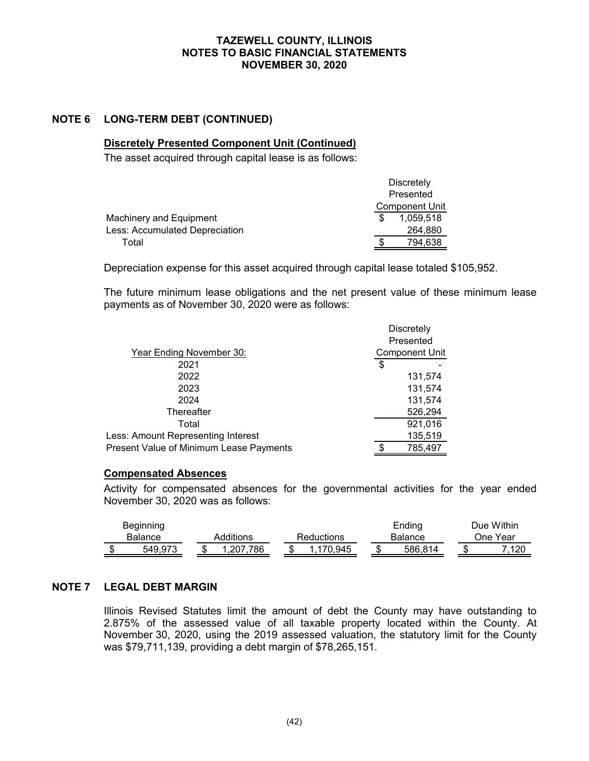### **NOTE 6 LONG-TERM DEBT (CONTINUED)**

### **Discretely Presented Component Unit (Continued)**

The asset acquired through capital lease is as follows:

|                                       | <b>Discretely</b>     |
|---------------------------------------|-----------------------|
|                                       | Presented             |
|                                       | <b>Component Unit</b> |
| Machinery and Equipment               | 1.059.518             |
| <b>Less: Accumulated Depreciation</b> | 264,880               |
| Total                                 | 794,638               |
|                                       |                       |

Depreciation expense for this asset acquired through capital lease totaled \$105,952.

The future minimum lease obligations and the net present value of these minimum lease payments as of November 30, 2020 were as follows:

|                                         | <b>Discretely</b> |                       |
|-----------------------------------------|-------------------|-----------------------|
|                                         |                   | Presented             |
| Year Ending November 30:                |                   | <b>Component Unit</b> |
| 2021                                    | \$                |                       |
| 2022                                    |                   | 131,574               |
| 2023                                    |                   | 131,574               |
| 2024                                    |                   | 131,574               |
| Thereafter                              |                   | 526,294               |
| Total                                   |                   | 921,016               |
| Less: Amount Representing Interest      |                   | 135,519               |
| Present Value of Minimum Lease Payments |                   | 785,497               |

#### **Compensated Absences**

Activity for compensated absences for the governmental activities for the year ended November 30, 2020 was as follows:

| <b>Beginning</b> |  |           |            | Ending        |  | Due Within     |
|------------------|--|-----------|------------|---------------|--|----------------|
| <b>Balance</b>   |  | Additions | Reductions | Balance       |  | One Year       |
| 549.973          |  | .207.786  | 170.945    | \$<br>586.814 |  | 7 100<br>ں ے ا |

#### **NOTE 7 LEGAL DEBT MARGIN**

Illinois Revised Statutes limit the amount of debt the County may have outstanding to 2.875% of the assessed value of all taxable property located within the County. At November 30, 2020, using the 2019 assessed valuation, the statutory limit for the County was \$79,711,139, providing a debt margin of \$78,265,151.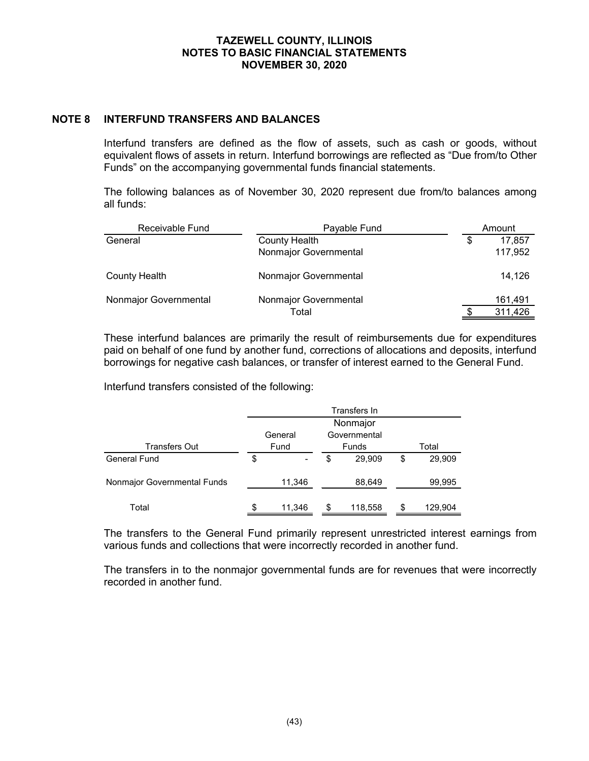#### **NOTE 8 INTERFUND TRANSFERS AND BALANCES**

Interfund transfers are defined as the flow of assets, such as cash or goods, without equivalent flows of assets in return. Interfund borrowings are reflected as "Due from/to Other Funds" on the accompanying governmental funds financial statements.

The following balances as of November 30, 2020 represent due from/to balances among all funds:

| Receivable Fund       | Payable Fund          |   | Amount  |
|-----------------------|-----------------------|---|---------|
| General               | <b>County Health</b>  | S | 17,857  |
|                       | Nonmajor Governmental |   | 117,952 |
| County Health         | Nonmajor Governmental |   | 14,126  |
| Nonmajor Governmental | Nonmajor Governmental |   | 161,491 |
|                       | Total                 |   | 311,426 |

These interfund balances are primarily the result of reimbursements due for expenditures paid on behalf of one fund by another fund, corrections of allocations and deposits, interfund borrowings for negative cash balances, or transfer of interest earned to the General Fund.

Interfund transfers consisted of the following:

|                             | Transfers In            |   |         |       |         |  |  |  |
|-----------------------------|-------------------------|---|---------|-------|---------|--|--|--|
|                             | Nonmajor                |   |         |       |         |  |  |  |
|                             | Governmental<br>General |   |         |       |         |  |  |  |
| <b>Transfers Out</b>        | Fund                    |   | Funds   | Total |         |  |  |  |
| General Fund                | \$                      | S | 29,909  | \$    | 29,909  |  |  |  |
| Nonmajor Governmental Funds | 11,346                  |   | 88,649  |       | 99,995  |  |  |  |
| Total                       | \$<br>11,346            | S | 118,558 | \$    | 129,904 |  |  |  |

The transfers to the General Fund primarily represent unrestricted interest earnings from various funds and collections that were incorrectly recorded in another fund.

The transfers in to the nonmajor governmental funds are for revenues that were incorrectly recorded in another fund.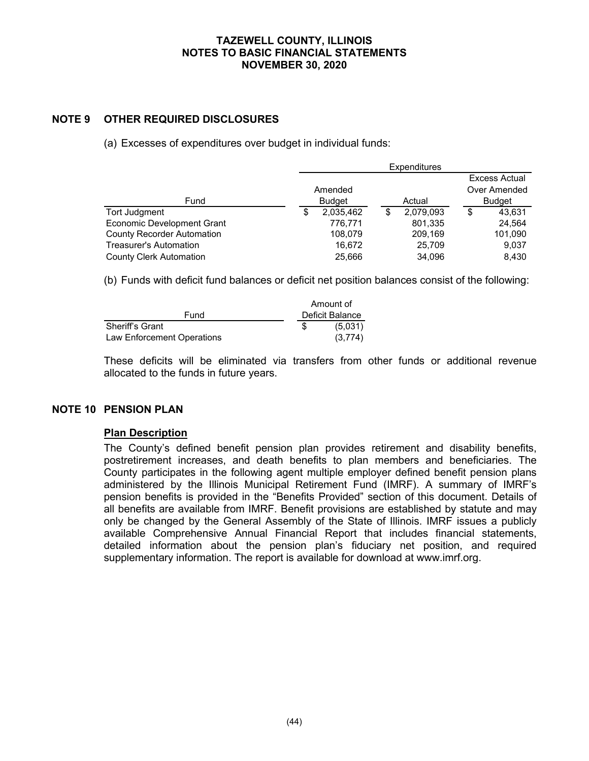### **NOTE 9 OTHER REQUIRED DISCLOSURES**

(a) Excesses of expenditures over budget in individual funds:

|                                   | <b>Expenditures</b> |               |    |           |    |               |
|-----------------------------------|---------------------|---------------|----|-----------|----|---------------|
|                                   |                     |               |    |           |    | Excess Actual |
|                                   |                     | Amended       |    |           |    | Over Amended  |
| Fund                              |                     | <b>Budget</b> |    | Actual    |    | <b>Budget</b> |
| Tort Judgment                     | S                   | 2,035,462     | \$ | 2,079,093 | \$ | 43.631        |
| <b>Economic Development Grant</b> |                     | 776,771       |    | 801,335   |    | 24,564        |
| <b>County Recorder Automation</b> |                     | 108,079       |    | 209,169   |    | 101,090       |
| <b>Treasurer's Automation</b>     |                     | 16.672        |    | 25,709    |    | 9,037         |
| <b>County Clerk Automation</b>    |                     | 25,666        |    | 34.096    |    | 8,430         |

(b) Funds with deficit fund balances or deficit net position balances consist of the following:

|                            | Amount of       |
|----------------------------|-----------------|
| Fund                       | Deficit Balance |
| <b>Sheriff's Grant</b>     | (5,031)         |
| Law Enforcement Operations | (3.774)         |

These deficits will be eliminated via transfers from other funds or additional revenue allocated to the funds in future years.

#### **NOTE 10 PENSION PLAN**

#### **Plan Description**

The County's defined benefit pension plan provides retirement and disability benefits, postretirement increases, and death benefits to plan members and beneficiaries. The County participates in the following agent multiple employer defined benefit pension plans administered by the Illinois Municipal Retirement Fund (IMRF). A summary of IMRF's pension benefits is provided in the "Benefits Provided" section of this document. Details of all benefits are available from IMRF. Benefit provisions are established by statute and may only be changed by the General Assembly of the State of Illinois. IMRF issues a publicly available Comprehensive Annual Financial Report that includes financial statements, detailed information about the pension plan's fiduciary net position, and required supplementary information. The report is available for download at www.imrf.org.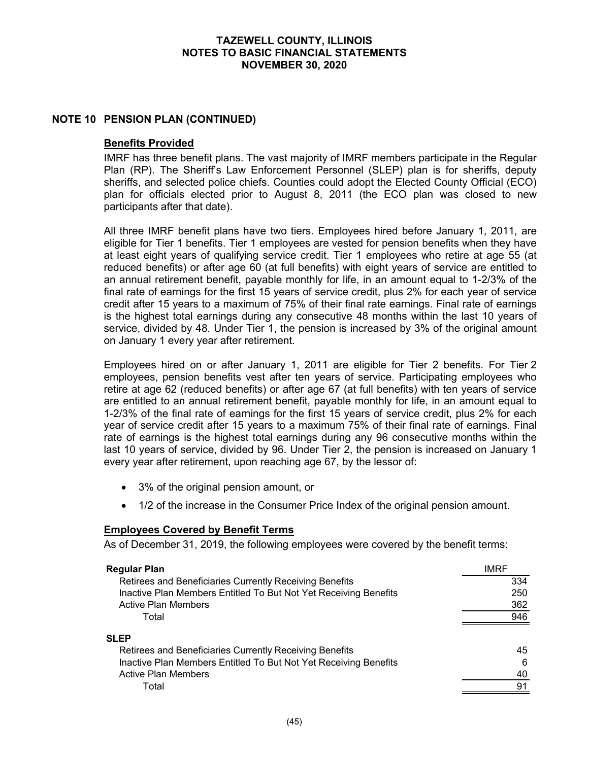#### **NOTE 10 PENSION PLAN (CONTINUED)**

#### **Benefits Provided**

IMRF has three benefit plans. The vast majority of IMRF members participate in the Regular Plan (RP). The Sheriff's Law Enforcement Personnel (SLEP) plan is for sheriffs, deputy sheriffs, and selected police chiefs. Counties could adopt the Elected County Official (ECO) plan for officials elected prior to August 8, 2011 (the ECO plan was closed to new participants after that date).

All three IMRF benefit plans have two tiers. Employees hired before January 1, 2011, are eligible for Tier 1 benefits. Tier 1 employees are vested for pension benefits when they have at least eight years of qualifying service credit. Tier 1 employees who retire at age 55 (at reduced benefits) or after age 60 (at full benefits) with eight years of service are entitled to an annual retirement benefit, payable monthly for life, in an amount equal to 1-2/3% of the final rate of earnings for the first 15 years of service credit, plus 2% for each year of service credit after 15 years to a maximum of 75% of their final rate earnings. Final rate of earnings is the highest total earnings during any consecutive 48 months within the last 10 years of service, divided by 48. Under Tier 1, the pension is increased by 3% of the original amount on January 1 every year after retirement.

Employees hired on or after January 1, 2011 are eligible for Tier 2 benefits. For Tier 2 employees, pension benefits vest after ten years of service. Participating employees who retire at age 62 (reduced benefits) or after age 67 (at full benefits) with ten years of service are entitled to an annual retirement benefit, payable monthly for life, in an amount equal to 1-2/3% of the final rate of earnings for the first 15 years of service credit, plus 2% for each year of service credit after 15 years to a maximum 75% of their final rate of earnings. Final rate of earnings is the highest total earnings during any 96 consecutive months within the last 10 years of service, divided by 96. Under Tier 2, the pension is increased on January 1 every year after retirement, upon reaching age 67, by the lessor of:

- 3% of the original pension amount, or
- 1/2 of the increase in the Consumer Price Index of the original pension amount.

#### **Employees Covered by Benefit Terms**

As of December 31, 2019, the following employees were covered by the benefit terms:

| Regular Plan                                                     | <b>IMRF</b> |
|------------------------------------------------------------------|-------------|
| Retirees and Beneficiaries Currently Receiving Benefits          | 334         |
| Inactive Plan Members Entitled To But Not Yet Receiving Benefits | 250         |
| <b>Active Plan Members</b>                                       | 362         |
| Total                                                            | 946         |
| SLEP                                                             |             |
| Retirees and Beneficiaries Currently Receiving Benefits          | 45          |
| Inactive Plan Members Entitled To But Not Yet Receiving Benefits | 6           |
| <b>Active Plan Members</b>                                       | 40          |
| Total                                                            | 91          |
|                                                                  |             |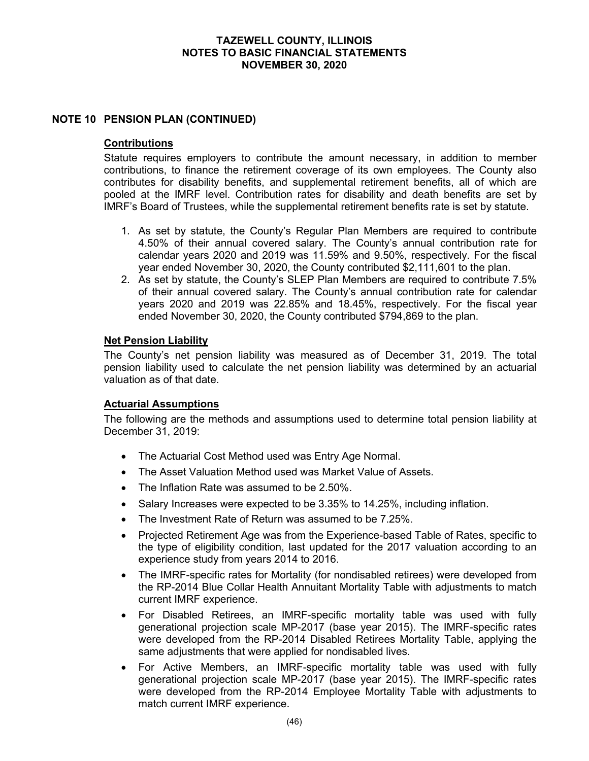### **NOTE 10 PENSION PLAN (CONTINUED)**

#### **Contributions**

Statute requires employers to contribute the amount necessary, in addition to member contributions, to finance the retirement coverage of its own employees. The County also contributes for disability benefits, and supplemental retirement benefits, all of which are pooled at the IMRF level. Contribution rates for disability and death benefits are set by IMRF's Board of Trustees, while the supplemental retirement benefits rate is set by statute.

- 1. As set by statute, the County's Regular Plan Members are required to contribute 4.50% of their annual covered salary. The County's annual contribution rate for calendar years 2020 and 2019 was 11.59% and 9.50%, respectively. For the fiscal year ended November 30, 2020, the County contributed \$2,111,601 to the plan.
- 2. As set by statute, the County's SLEP Plan Members are required to contribute 7.5% of their annual covered salary. The County's annual contribution rate for calendar years 2020 and 2019 was 22.85% and 18.45%, respectively. For the fiscal year ended November 30, 2020, the County contributed \$794,869 to the plan.

#### **Net Pension Liability**

The County's net pension liability was measured as of December 31, 2019. The total pension liability used to calculate the net pension liability was determined by an actuarial valuation as of that date.

### **Actuarial Assumptions**

The following are the methods and assumptions used to determine total pension liability at December 31, 2019:

- The Actuarial Cost Method used was Entry Age Normal.
- The Asset Valuation Method used was Market Value of Assets.
- The Inflation Rate was assumed to be 2.50%.
- Salary Increases were expected to be 3.35% to 14.25%, including inflation.
- The Investment Rate of Return was assumed to be 7.25%.
- Projected Retirement Age was from the Experience-based Table of Rates, specific to the type of eligibility condition, last updated for the 2017 valuation according to an experience study from years 2014 to 2016.
- The IMRF-specific rates for Mortality (for nondisabled retirees) were developed from the RP-2014 Blue Collar Health Annuitant Mortality Table with adjustments to match current IMRF experience.
- For Disabled Retirees, an IMRF-specific mortality table was used with fully generational projection scale MP-2017 (base year 2015). The IMRF-specific rates were developed from the RP-2014 Disabled Retirees Mortality Table, applying the same adjustments that were applied for nondisabled lives.
- For Active Members, an IMRF-specific mortality table was used with fully generational projection scale MP-2017 (base year 2015). The IMRF-specific rates were developed from the RP-2014 Employee Mortality Table with adjustments to match current IMRF experience.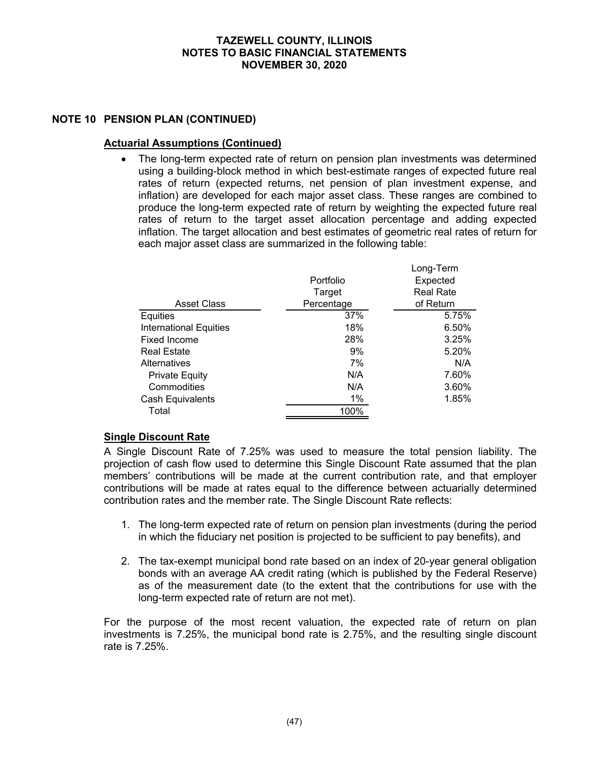### **NOTE 10 PENSION PLAN (CONTINUED)**

#### **Actuarial Assumptions (Continued)**

 The long-term expected rate of return on pension plan investments was determined using a building-block method in which best-estimate ranges of expected future real rates of return (expected returns, net pension of plan investment expense, and inflation) are developed for each major asset class. These ranges are combined to produce the long-term expected rate of return by weighting the expected future real rates of return to the target asset allocation percentage and adding expected inflation. The target allocation and best estimates of geometric real rates of return for each major asset class are summarized in the following table:

|                               | Portfolio<br>Target | Long-Term<br>Expected<br><b>Real Rate</b> |
|-------------------------------|---------------------|-------------------------------------------|
| <b>Asset Class</b>            | Percentage          | of Return                                 |
| Equities                      | 37%                 | 5.75%                                     |
| <b>International Equities</b> | 18%                 | 6.50%                                     |
| Fixed Income                  | 28%                 | 3.25%                                     |
| <b>Real Estate</b>            | 9%                  | 5.20%                                     |
| Alternatives                  | 7%                  | N/A                                       |
| <b>Private Equity</b>         | N/A                 | 7.60%                                     |
| Commodities                   | N/A                 | 3.60%                                     |
| Cash Equivalents              | 1%                  | 1.85%                                     |
| Total                         | 100%                |                                           |

### **Single Discount Rate**

A Single Discount Rate of 7.25% was used to measure the total pension liability. The projection of cash flow used to determine this Single Discount Rate assumed that the plan members' contributions will be made at the current contribution rate, and that employer contributions will be made at rates equal to the difference between actuarially determined contribution rates and the member rate. The Single Discount Rate reflects:

- 1. The long-term expected rate of return on pension plan investments (during the period in which the fiduciary net position is projected to be sufficient to pay benefits), and
- 2. The tax-exempt municipal bond rate based on an index of 20-year general obligation bonds with an average AA credit rating (which is published by the Federal Reserve) as of the measurement date (to the extent that the contributions for use with the long-term expected rate of return are not met).

For the purpose of the most recent valuation, the expected rate of return on plan investments is 7.25%, the municipal bond rate is 2.75%, and the resulting single discount rate is 7.25%.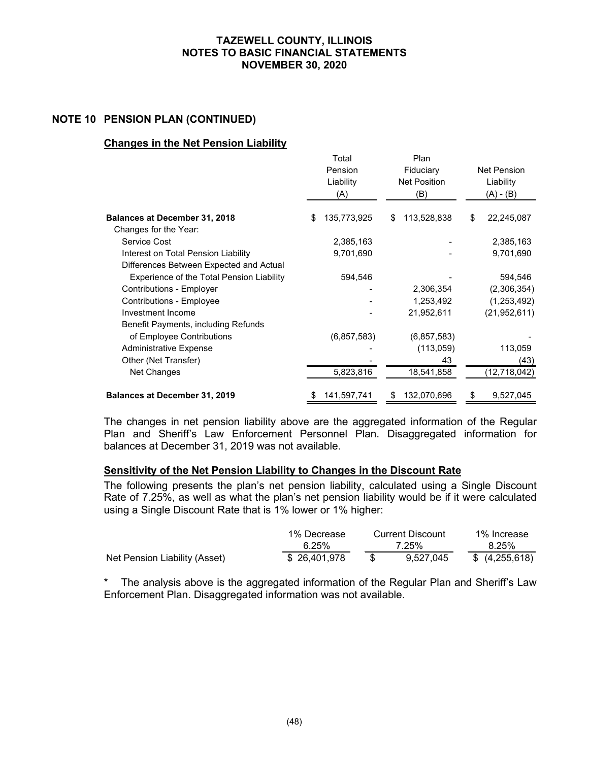#### **NOTE 10 PENSION PLAN (CONTINUED)**

#### **Changes in the Net Pension Liability**

|                                           |                      | Total         | Plan                |    |                |
|-------------------------------------------|----------------------|---------------|---------------------|----|----------------|
|                                           | Pension<br>Fiduciary |               | <b>Net Pension</b>  |    |                |
|                                           |                      | Liability     | <b>Net Position</b> |    | Liability      |
|                                           |                      | (A)           | (B)                 |    | (A) - (B)      |
| <b>Balances at December 31, 2018</b>      | \$                   | 135,773,925   | \$<br>113,528,838   | \$ | 22,245,087     |
| Changes for the Year:                     |                      |               |                     |    |                |
| Service Cost                              |                      | 2,385,163     |                     |    | 2,385,163      |
| Interest on Total Pension Liability       |                      | 9,701,690     |                     |    | 9,701,690      |
| Differences Between Expected and Actual   |                      |               |                     |    |                |
| Experience of the Total Pension Liability |                      | 594,546       |                     |    | 594,546        |
| Contributions - Employer                  |                      |               | 2,306,354           |    | (2,306,354)    |
| <b>Contributions - Employee</b>           |                      |               | 1,253,492           |    | (1,253,492)    |
| Investment Income                         |                      |               | 21,952,611          |    | (21, 952, 611) |
| Benefit Payments, including Refunds       |                      |               |                     |    |                |
| of Employee Contributions                 |                      | (6, 857, 583) | (6, 857, 583)       |    |                |
| <b>Administrative Expense</b>             |                      |               | (113,059)           |    | 113,059        |
| Other (Net Transfer)                      |                      |               | 43                  |    | (43)           |
| Net Changes                               |                      | 5,823,816     | 18,541,858          |    | (12, 718, 042) |
| <b>Balances at December 31, 2019</b>      | \$                   | 141,597,741   | \$<br>132,070,696   | \$ | 9,527,045      |

The changes in net pension liability above are the aggregated information of the Regular Plan and Sheriff's Law Enforcement Personnel Plan. Disaggregated information for balances at December 31, 2019 was not available.

#### **Sensitivity of the Net Pension Liability to Changes in the Discount Rate**

The following presents the plan's net pension liability, calculated using a Single Discount Rate of 7.25%, as well as what the plan's net pension liability would be if it were calculated using a Single Discount Rate that is 1% lower or 1% higher:

|                               | 1% Decrease  |       | Current Discount | 1% Increase   |
|-------------------------------|--------------|-------|------------------|---------------|
|                               | 6.25%        | 7.25% |                  | 8.25%         |
| Net Pension Liability (Asset) | \$26,401.978 |       | 9,527,045        | \$(4,255,618) |

\* The analysis above is the aggregated information of the Regular Plan and Sheriff's Law Enforcement Plan. Disaggregated information was not available.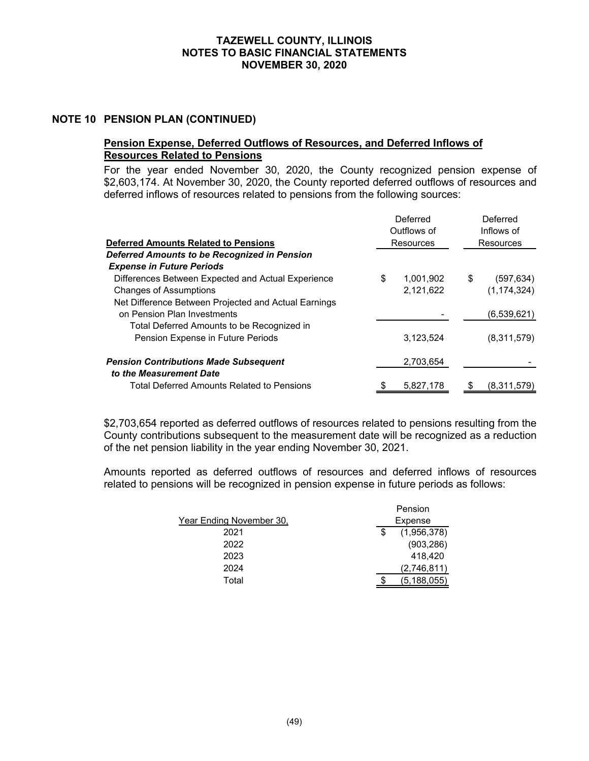#### **NOTE 10 PENSION PLAN (CONTINUED)**

#### **Pension Expense, Deferred Outflows of Resources, and Deferred Inflows of Resources Related to Pensions**

For the year ended November 30, 2020, the County recognized pension expense of \$2,603,174. At November 30, 2020, the County reported deferred outflows of resources and deferred inflows of resources related to pensions from the following sources:

|                                                      |             | Deferred  | Deferred         |  |  |
|------------------------------------------------------|-------------|-----------|------------------|--|--|
|                                                      | Outflows of |           | Inflows of       |  |  |
| <b>Deferred Amounts Related to Pensions</b>          |             | Resources | <b>Resources</b> |  |  |
| Deferred Amounts to be Recognized in Pension         |             |           |                  |  |  |
| <b>Expense in Future Periods</b>                     |             |           |                  |  |  |
| Differences Between Expected and Actual Experience   | \$          | 1.001.902 | \$<br>(597, 634) |  |  |
| <b>Changes of Assumptions</b>                        |             | 2,121,622 | (1, 174, 324)    |  |  |
| Net Difference Between Projected and Actual Earnings |             |           |                  |  |  |
| on Pension Plan Investments                          |             |           | (6,539,621)      |  |  |
| Total Deferred Amounts to be Recognized in           |             |           |                  |  |  |
| Pension Expense in Future Periods                    |             | 3,123,524 | (8,311,579)      |  |  |
| <b>Pension Contributions Made Subsequent</b>         |             | 2,703,654 |                  |  |  |
| to the Measurement Date                              |             |           |                  |  |  |
| Total Deferred Amounts Related to Pensions           | \$          | 5,827,178 | (8,311,579)      |  |  |

\$2,703,654 reported as deferred outflows of resources related to pensions resulting from the County contributions subsequent to the measurement date will be recognized as a reduction of the net pension liability in the year ending November 30, 2021.

Amounts reported as deferred outflows of resources and deferred inflows of resources related to pensions will be recognized in pension expense in future periods as follows:

| Pension |             |  |  |
|---------|-------------|--|--|
|         | Expense     |  |  |
|         | (1,956,378) |  |  |
|         | (903, 286)  |  |  |
|         | 418.420     |  |  |
|         | (2,746,811) |  |  |
|         | (5.188.055) |  |  |
|         |             |  |  |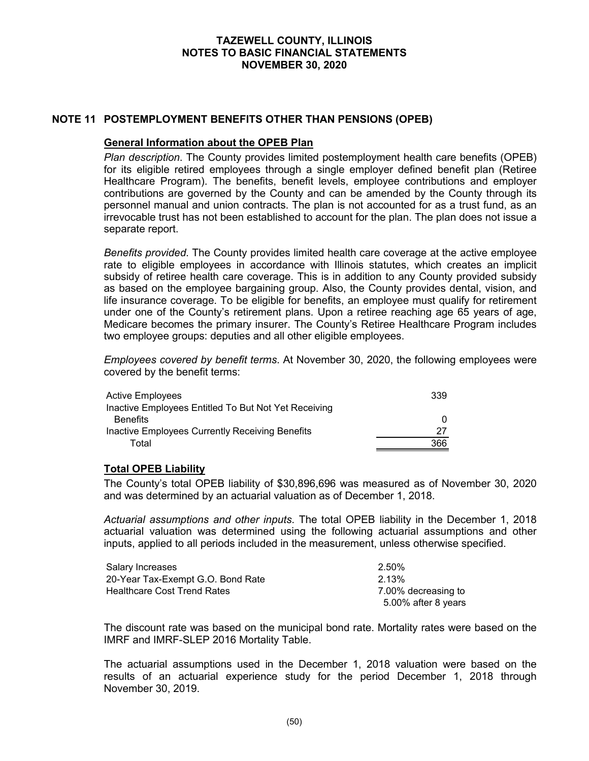#### **NOTE 11 POSTEMPLOYMENT BENEFITS OTHER THAN PENSIONS (OPEB)**

#### **General Information about the OPEB Plan**

*Plan description*. The County provides limited postemployment health care benefits (OPEB) for its eligible retired employees through a single employer defined benefit plan (Retiree Healthcare Program). The benefits, benefit levels, employee contributions and employer contributions are governed by the County and can be amended by the County through its personnel manual and union contracts. The plan is not accounted for as a trust fund, as an irrevocable trust has not been established to account for the plan. The plan does not issue a separate report.

*Benefits provided*. The County provides limited health care coverage at the active employee rate to eligible employees in accordance with Illinois statutes, which creates an implicit subsidy of retiree health care coverage. This is in addition to any County provided subsidy as based on the employee bargaining group. Also, the County provides dental, vision, and life insurance coverage. To be eligible for benefits, an employee must qualify for retirement under one of the County's retirement plans. Upon a retiree reaching age 65 years of age, Medicare becomes the primary insurer. The County's Retiree Healthcare Program includes two employee groups: deputies and all other eligible employees.

*Employees covered by benefit terms*. At November 30, 2020, the following employees were covered by the benefit terms:

| <b>Active Employees</b>                              | 339 |
|------------------------------------------------------|-----|
| Inactive Employees Entitled To But Not Yet Receiving |     |
| <b>Benefits</b>                                      |     |
| Inactive Employees Currently Receiving Benefits      | -27 |
| Total                                                | 366 |

#### **Total OPEB Liability**

The County's total OPEB liability of \$30,896,696 was measured as of November 30, 2020 and was determined by an actuarial valuation as of December 1, 2018.

*Actuarial assumptions and other inputs*. The total OPEB liability in the December 1, 2018 actuarial valuation was determined using the following actuarial assumptions and other inputs, applied to all periods included in the measurement, unless otherwise specified.

| Salary Increases                   | 2.50%               |
|------------------------------------|---------------------|
| 20-Year Tax-Exempt G.O. Bond Rate  | 2.13%               |
| <b>Healthcare Cost Trend Rates</b> | 7.00% decreasing to |
|                                    | 5.00% after 8 years |

The discount rate was based on the municipal bond rate. Mortality rates were based on the IMRF and IMRF-SLEP 2016 Mortality Table.

The actuarial assumptions used in the December 1, 2018 valuation were based on the results of an actuarial experience study for the period December 1, 2018 through November 30, 2019.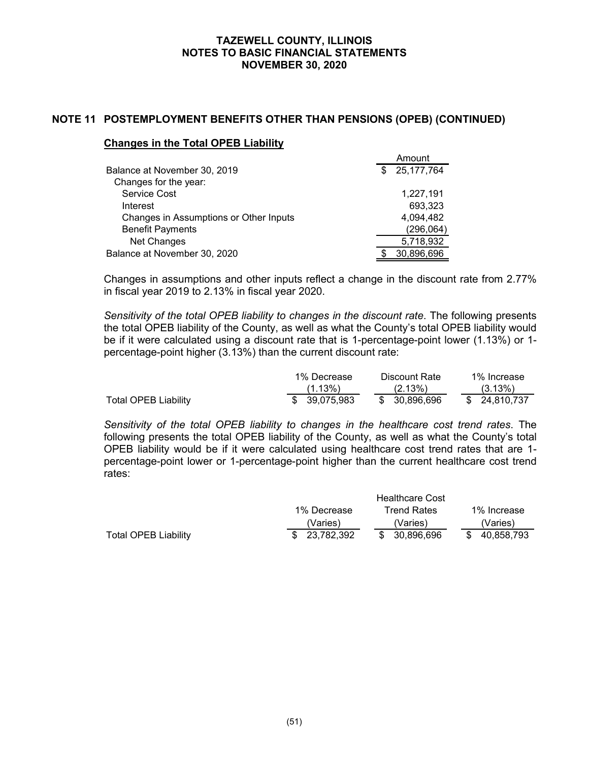### **NOTE 11 POSTEMPLOYMENT BENEFITS OTHER THAN PENSIONS (OPEB) (CONTINUED)**

#### **Changes in the Total OPEB Liability**

|                                        | Amount       |
|----------------------------------------|--------------|
| Balance at November 30, 2019           | 25, 177, 764 |
| Changes for the year:                  |              |
| Service Cost                           | 1,227,191    |
| Interest                               | 693,323      |
| Changes in Assumptions or Other Inputs | 4,094,482    |
| <b>Benefit Payments</b>                | (296, 064)   |
| <b>Net Changes</b>                     | 5,718,932    |
| Balance at November 30, 2020           | 30,896,696   |

Changes in assumptions and other inputs reflect a change in the discount rate from 2.77% in fiscal year 2019 to 2.13% in fiscal year 2020.

*Sensitivity of the total OPEB liability to changes in the discount rate*. The following presents the total OPEB liability of the County, as well as what the County's total OPEB liability would be if it were calculated using a discount rate that is 1-percentage-point lower (1.13%) or 1 percentage-point higher (3.13%) than the current discount rate:

|                      | 1% Decrease<br>Discount Rate |  | 1% Increase   |               |
|----------------------|------------------------------|--|---------------|---------------|
|                      | $(1.13\%)$                   |  | $(2.13\%)$    | (3.13%)       |
| Total OPEB Liability | \$ 39.075.983                |  | \$ 30.896.696 | \$ 24,810,737 |

*Sensitivity of the total OPEB liability to changes in the healthcare cost trend rates*. The following presents the total OPEB liability of the County, as well as what the County's total OPEB liability would be if it were calculated using healthcare cost trend rates that are 1 percentage-point lower or 1-percentage-point higher than the current healthcare cost trend rates:

|                      |                        | <b>Healthcare Cost</b>     |            |  |  |  |
|----------------------|------------------------|----------------------------|------------|--|--|--|
|                      | 1% Decrease            | 1% Increase<br>Trend Rates |            |  |  |  |
|                      | 'Varies).<br>'Varies). |                            |            |  |  |  |
| Total OPEB Liability | \$ 23.782.392          | \$ 30.896.696              | 40.858.793 |  |  |  |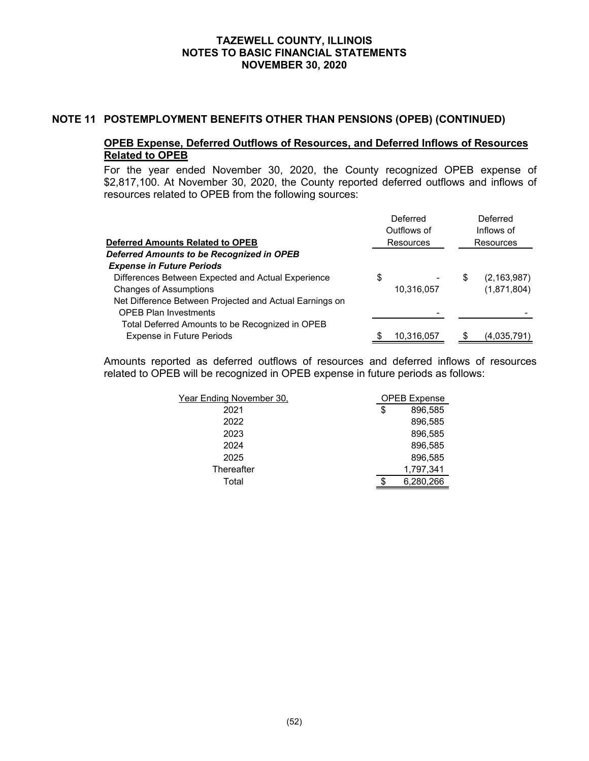#### **NOTE 11 POSTEMPLOYMENT BENEFITS OTHER THAN PENSIONS (OPEB) (CONTINUED)**

### **OPEB Expense, Deferred Outflows of Resources, and Deferred Inflows of Resources Related to OPEB**

For the year ended November 30, 2020, the County recognized OPEB expense of \$2,817,100. At November 30, 2020, the County reported deferred outflows and inflows of resources related to OPEB from the following sources:

| <b>Deferred Amounts Related to OPEB</b>                 |    | Deferred<br>Outflows of<br><b>Resources</b> | Deferred<br>Inflows of<br><b>Resources</b> |               |  |
|---------------------------------------------------------|----|---------------------------------------------|--------------------------------------------|---------------|--|
| Deferred Amounts to be Recognized in OPEB               |    |                                             |                                            |               |  |
| <b>Expense in Future Periods</b>                        |    |                                             |                                            |               |  |
| Differences Between Expected and Actual Experience      | \$ |                                             | \$                                         | (2, 163, 987) |  |
| <b>Changes of Assumptions</b>                           |    | 10,316,057                                  |                                            | (1,871,804)   |  |
| Net Difference Between Projected and Actual Earnings on |    |                                             |                                            |               |  |
| <b>OPEB Plan Investments</b>                            |    |                                             |                                            |               |  |
| Total Deferred Amounts to be Recognized in OPEB         |    |                                             |                                            |               |  |
| <b>Expense in Future Periods</b>                        |    | 10,316,057                                  |                                            | (4,035,791)   |  |

Amounts reported as deferred outflows of resources and deferred inflows of resources related to OPEB will be recognized in OPEB expense in future periods as follows:

| Year Ending November 30, | <b>OPEB Expense</b> |           |  |
|--------------------------|---------------------|-----------|--|
| 2021                     | \$                  | 896.585   |  |
| 2022                     |                     | 896,585   |  |
| 2023                     |                     | 896,585   |  |
| 2024                     |                     | 896.585   |  |
| 2025                     |                     | 896,585   |  |
| Thereafter               |                     | 1,797,341 |  |
| Total                    |                     | 6,280,266 |  |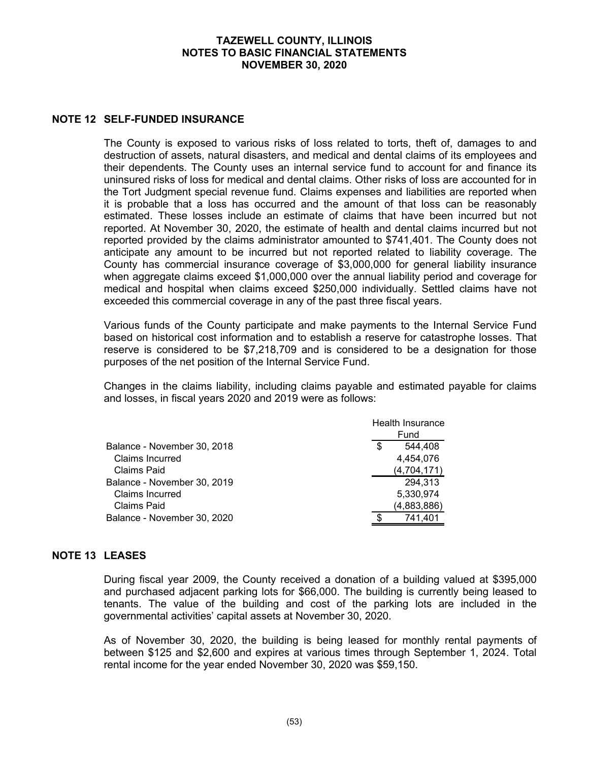#### **NOTE 12 SELF-FUNDED INSURANCE**

The County is exposed to various risks of loss related to torts, theft of, damages to and destruction of assets, natural disasters, and medical and dental claims of its employees and their dependents. The County uses an internal service fund to account for and finance its uninsured risks of loss for medical and dental claims. Other risks of loss are accounted for in the Tort Judgment special revenue fund. Claims expenses and liabilities are reported when it is probable that a loss has occurred and the amount of that loss can be reasonably estimated. These losses include an estimate of claims that have been incurred but not reported. At November 30, 2020, the estimate of health and dental claims incurred but not reported provided by the claims administrator amounted to \$741,401. The County does not anticipate any amount to be incurred but not reported related to liability coverage. The County has commercial insurance coverage of \$3,000,000 for general liability insurance when aggregate claims exceed \$1,000,000 over the annual liability period and coverage for medical and hospital when claims exceed \$250,000 individually. Settled claims have not exceeded this commercial coverage in any of the past three fiscal years.

Various funds of the County participate and make payments to the Internal Service Fund based on historical cost information and to establish a reserve for catastrophe losses. That reserve is considered to be \$7,218,709 and is considered to be a designation for those purposes of the net position of the Internal Service Fund.

Changes in the claims liability, including claims payable and estimated payable for claims and losses, in fiscal years 2020 and 2019 were as follows:

|                             | <b>Health Insurance</b> |
|-----------------------------|-------------------------|
|                             | Fund                    |
| Balance - November 30, 2018 | \$<br>544.408           |
| <b>Claims Incurred</b>      | 4,454,076               |
| Claims Paid                 | (4,704,171)             |
| Balance - November 30, 2019 | 294,313                 |
| <b>Claims Incurred</b>      | 5,330,974               |
| Claims Paid                 | (4,883,886)             |
| Balance - November 30, 2020 | 741,401                 |

### **NOTE 13 LEASES**

During fiscal year 2009, the County received a donation of a building valued at \$395,000 and purchased adjacent parking lots for \$66,000. The building is currently being leased to tenants. The value of the building and cost of the parking lots are included in the governmental activities' capital assets at November 30, 2020.

As of November 30, 2020, the building is being leased for monthly rental payments of between \$125 and \$2,600 and expires at various times through September 1, 2024. Total rental income for the year ended November 30, 2020 was \$59,150.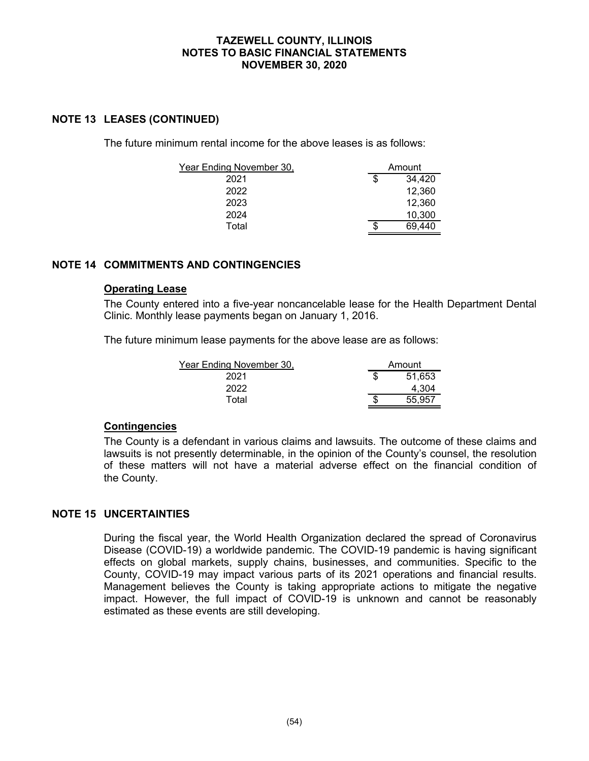### **NOTE 13 LEASES (CONTINUED)**

The future minimum rental income for the above leases is as follows:

| Year Ending November 30, |    | Amount |
|--------------------------|----|--------|
| 2021                     | \$ | 34,420 |
| 2022                     |    | 12,360 |
| 2023                     |    | 12,360 |
| 2024                     |    | 10,300 |
| Total                    | S  | 69,440 |

### **NOTE 14 COMMITMENTS AND CONTINGENCIES**

#### **Operating Lease**

The County entered into a five-year noncancelable lease for the Health Department Dental Clinic. Monthly lease payments began on January 1, 2016.

The future minimum lease payments for the above lease are as follows:

| Year Ending November 30, | Amount |
|--------------------------|--------|
| 2021                     | 51,653 |
| 2022                     | 4.304  |
| Total                    | 55.957 |

### **Contingencies**

The County is a defendant in various claims and lawsuits. The outcome of these claims and lawsuits is not presently determinable, in the opinion of the County's counsel, the resolution of these matters will not have a material adverse effect on the financial condition of the County.

### **NOTE 15 UNCERTAINTIES**

During the fiscal year, the World Health Organization declared the spread of Coronavirus Disease (COVID-19) a worldwide pandemic. The COVID-19 pandemic is having significant effects on global markets, supply chains, businesses, and communities. Specific to the County, COVID-19 may impact various parts of its 2021 operations and financial results. Management believes the County is taking appropriate actions to mitigate the negative impact. However, the full impact of COVID-19 is unknown and cannot be reasonably estimated as these events are still developing.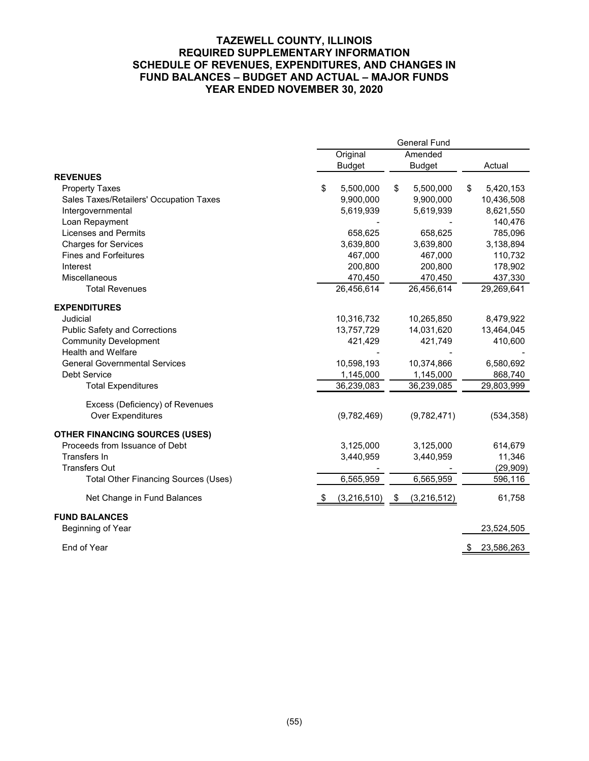### **TAZEWELL COUNTY, ILLINOIS REQUIRED SUPPLEMENTARY INFORMATION SCHEDULE OF REVENUES, EXPENDITURES, AND CHANGES IN FUND BALANCES – BUDGET AND ACTUAL – MAJOR FUNDS YEAR ENDED NOVEMBER 30, 2020**

|                                             | <b>General Fund</b>       |             |                          |             |    |            |
|---------------------------------------------|---------------------------|-------------|--------------------------|-------------|----|------------|
|                                             | Original<br><b>Budget</b> |             | Amended<br><b>Budget</b> |             |    | Actual     |
| <b>REVENUES</b>                             |                           |             |                          |             |    |            |
| <b>Property Taxes</b>                       | \$                        | 5,500,000   | \$                       | 5,500,000   | \$ | 5,420,153  |
| Sales Taxes/Retailers' Occupation Taxes     |                           | 9,900,000   |                          | 9,900,000   |    | 10,436,508 |
| Intergovernmental                           |                           | 5,619,939   |                          | 5,619,939   |    | 8,621,550  |
| Loan Repayment                              |                           |             |                          |             |    | 140,476    |
| <b>Licenses and Permits</b>                 |                           | 658,625     |                          | 658,625     |    | 785,096    |
| <b>Charges for Services</b>                 |                           | 3,639,800   |                          | 3,639,800   |    | 3,138,894  |
| <b>Fines and Forfeitures</b>                |                           | 467,000     |                          | 467,000     |    | 110,732    |
| Interest                                    |                           | 200,800     |                          | 200,800     |    | 178,902    |
| Miscellaneous                               |                           | 470,450     |                          | 470,450     |    | 437,330    |
| <b>Total Revenues</b>                       |                           | 26,456,614  |                          | 26,456,614  |    | 29,269,641 |
| <b>EXPENDITURES</b>                         |                           |             |                          |             |    |            |
| Judicial                                    |                           | 10,316,732  |                          | 10,265,850  |    | 8,479,922  |
| <b>Public Safety and Corrections</b>        |                           | 13,757,729  |                          | 14,031,620  |    | 13,464,045 |
| <b>Community Development</b>                |                           | 421,429     |                          | 421,749     |    | 410,600    |
| <b>Health and Welfare</b>                   |                           |             |                          |             |    |            |
| <b>General Governmental Services</b>        |                           | 10,598,193  |                          | 10,374,866  |    | 6,580,692  |
| Debt Service                                |                           | 1,145,000   |                          | 1,145,000   |    | 868,740    |
| <b>Total Expenditures</b>                   |                           | 36,239,083  |                          | 36,239,085  |    | 29,803,999 |
| Excess (Deficiency) of Revenues             |                           |             |                          |             |    |            |
| <b>Over Expenditures</b>                    |                           | (9,782,469) |                          | (9,782,471) |    | (534, 358) |
|                                             |                           |             |                          |             |    |            |
| <b>OTHER FINANCING SOURCES (USES)</b>       |                           |             |                          |             |    |            |
| Proceeds from Issuance of Debt              |                           | 3,125,000   |                          | 3,125,000   |    | 614,679    |
| Transfers In                                |                           | 3,440,959   |                          | 3,440,959   |    | 11,346     |
| <b>Transfers Out</b>                        |                           |             |                          |             |    | (29, 909)  |
| <b>Total Other Financing Sources (Uses)</b> |                           | 6,565,959   |                          | 6,565,959   |    | 596,116    |
| Net Change in Fund Balances                 |                           | (3,216,510) | \$                       | (3,216,512) |    | 61,758     |
| <b>FUND BALANCES</b>                        |                           |             |                          |             |    |            |
| Beginning of Year                           |                           |             |                          |             |    | 23,524,505 |
| End of Year                                 |                           |             |                          |             | \$ | 23,586,263 |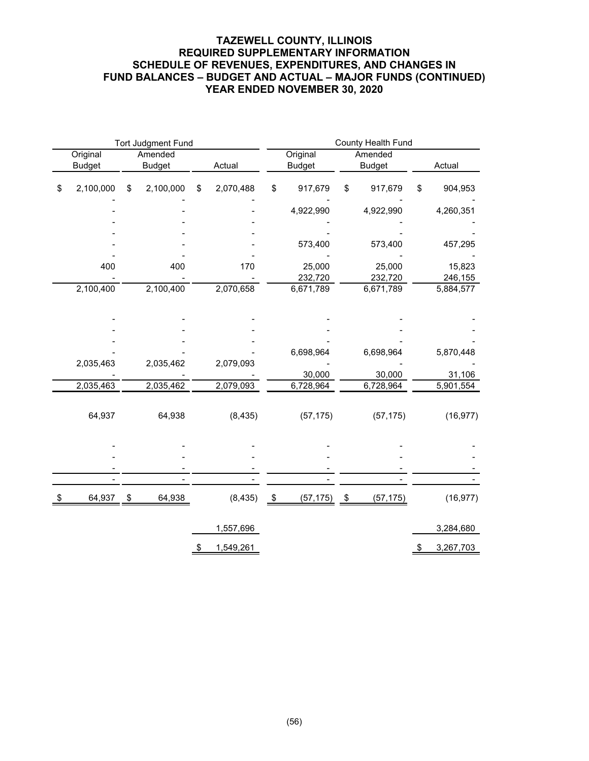### **TAZEWELL COUNTY, ILLINOIS REQUIRED SUPPLEMENTARY INFORMATION SCHEDULE OF REVENUES, EXPENDITURES, AND CHANGES IN FUND BALANCES – BUDGET AND ACTUAL – MAJOR FUNDS (CONTINUED) YEAR ENDED NOVEMBER 30, 2020**

|                           |                          | <b>Tort Judgment Fund</b> |    |           |               |                           | County Health Fund |                          |    |           |  |
|---------------------------|--------------------------|---------------------------|----|-----------|---------------|---------------------------|--------------------|--------------------------|----|-----------|--|
| Original<br><b>Budget</b> | Amended<br><b>Budget</b> |                           |    | Actual    |               | Original<br><b>Budget</b> |                    | Amended<br><b>Budget</b> |    | Actual    |  |
| \$<br>2,100,000           | \$                       | 2,100,000                 | \$ | 2,070,488 | \$            | 917,679                   | \$                 | 917,679                  | \$ | 904,953   |  |
|                           |                          |                           |    |           |               | 4,922,990                 |                    | 4,922,990                |    | 4,260,351 |  |
|                           |                          |                           |    |           |               |                           |                    |                          |    |           |  |
|                           |                          |                           |    |           |               | 573,400                   |                    | 573,400                  |    | 457,295   |  |
|                           |                          |                           |    |           |               |                           |                    |                          |    |           |  |
| 400                       |                          | 400                       |    | 170       |               | 25,000                    |                    | 25,000                   |    | 15,823    |  |
|                           |                          |                           |    | 2,070,658 |               | 232,720                   |                    | 232,720                  |    | 246,155   |  |
|                           | 2,100,400<br>2,100,400   |                           |    |           |               | 6,671,789                 |                    | 6,671,789                |    | 5,884,577 |  |
|                           |                          |                           |    |           |               |                           |                    |                          |    |           |  |
|                           |                          |                           |    |           |               |                           |                    |                          |    |           |  |
|                           |                          |                           |    |           |               |                           |                    |                          |    |           |  |
|                           |                          |                           |    |           |               | 6,698,964                 |                    | 6,698,964                |    | 5,870,448 |  |
| 2,035,463                 |                          | 2,035,462                 |    | 2,079,093 |               |                           |                    |                          |    |           |  |
|                           |                          |                           |    |           |               | 30,000                    |                    | 30,000                   |    | 31,106    |  |
| 2,035,463                 |                          | 2,035,462                 |    | 2,079,093 |               | 6,728,964                 |                    | 6,728,964                |    | 5,901,554 |  |
|                           |                          |                           |    |           |               |                           |                    |                          |    |           |  |
| 64,937                    |                          | 64,938                    |    | (8, 435)  |               | (57, 175)                 |                    | (57, 175)                |    | (16, 977) |  |
|                           |                          |                           |    |           |               |                           |                    |                          |    |           |  |
|                           |                          |                           |    |           |               |                           |                    |                          |    |           |  |
|                           |                          |                           |    |           |               |                           |                    |                          |    |           |  |
|                           |                          |                           |    |           |               |                           |                    |                          |    |           |  |
|                           |                          |                           |    |           |               |                           |                    |                          |    |           |  |
| \$<br>64,937              | \$                       | 64,938                    |    | (8, 435)  | $\frac{1}{2}$ | (57, 175)                 | $\frac{1}{2}$      | (57, 175)                |    | (16, 977) |  |
|                           |                          |                           |    | 1,557,696 |               |                           |                    |                          |    | 3,284,680 |  |
|                           |                          |                           |    |           |               |                           |                    |                          |    |           |  |
|                           |                          |                           | \$ | 1,549,261 |               |                           |                    |                          | \$ | 3,267,703 |  |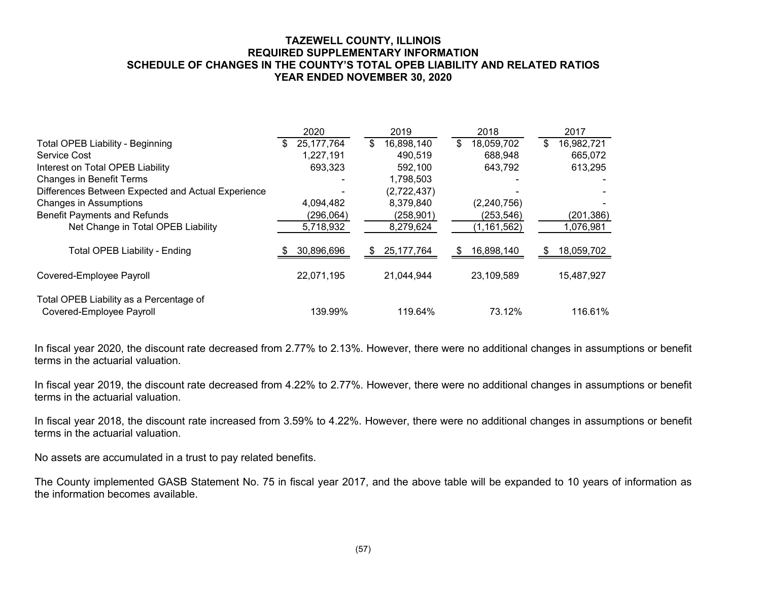#### **TAZEWELL COUNTY, ILLINOIS REQUIRED SUPPLEMENTARY INFORMATION SCHEDULE OF CHANGES IN THE COUNTY'S TOTAL OPEB LIABILITY AND RELATED RATIOS YEAR ENDED NOVEMBER 30, 2020**

|                                                                     | 2020              | 2019               | 2018              | 2017              |
|---------------------------------------------------------------------|-------------------|--------------------|-------------------|-------------------|
| <b>Total OPEB Liability - Beginning</b>                             | 25, 177, 764<br>S | 16,898,140<br>\$   | 18,059,702<br>\$  | \$<br>16,982,721  |
| Service Cost                                                        | 1,227,191         | 490,519            | 688,948           | 665,072           |
| Interest on Total OPEB Liability                                    | 693,323           | 592,100            | 643,792           | 613,295           |
| <b>Changes in Benefit Terms</b>                                     |                   | 1,798,503          |                   |                   |
| Differences Between Expected and Actual Experience                  |                   | (2,722,437)        |                   |                   |
| <b>Changes in Assumptions</b>                                       | 4,094,482         | 8,379,840          | (2,240,756)       |                   |
| <b>Benefit Payments and Refunds</b>                                 | (296,064)         | (258,901)          | (253, 546)        | (201, 386)        |
| Net Change in Total OPEB Liability                                  | 5,718,932         | 8,279,624          | (1, 161, 562)     | 1,076,981         |
| <b>Total OPEB Liability - Ending</b>                                | 30,896,696        | 25, 177, 764<br>S. | 16,898,140<br>\$. | 18,059,702<br>\$. |
| Covered-Employee Payroll                                            | 22,071,195        | 21,044,944         | 23,109,589        | 15,487,927        |
| Total OPEB Liability as a Percentage of<br>Covered-Employee Payroll | 139.99%           | 119.64%            | 73.12%            | 116.61%           |

In fiscal year 2020, the discount rate decreased from 2.77% to 2.13%. However, there were no additional changes in assumptions or benefit terms in the actuarial valuation.

In fiscal year 2019, the discount rate decreased from 4.22% to 2.77%. However, there were no additional changes in assumptions or benefit terms in the actuarial valuation.

In fiscal year 2018, the discount rate increased from 3.59% to 4.22%. However, there were no additional changes in assumptions or benefit terms in the actuarial valuation.

No assets are accumulated in a trust to pay related benefits.

The County implemented GASB Statement No. 75 in fiscal year 2017, and the above table will be expanded to 10 years of information as the information becomes available.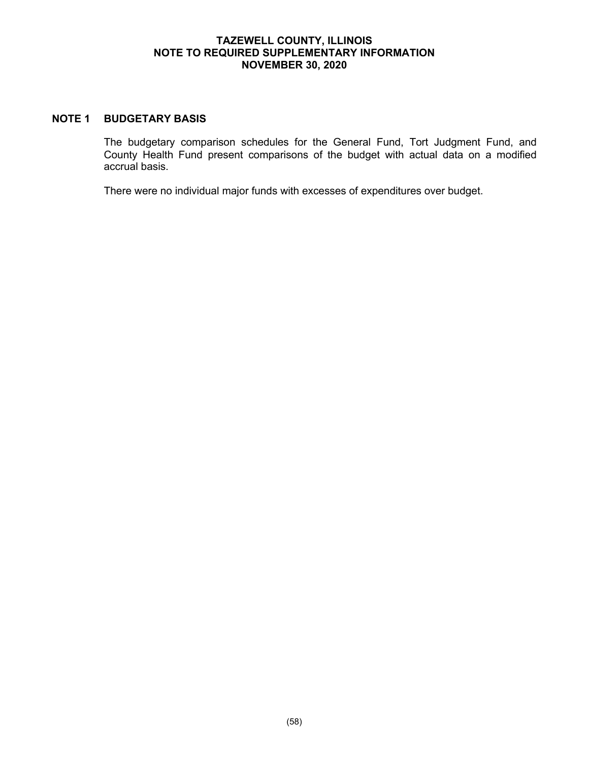#### **TAZEWELL COUNTY, ILLINOIS NOTE TO REQUIRED SUPPLEMENTARY INFORMATION NOVEMBER 30, 2020**

### **NOTE 1 BUDGETARY BASIS**

The budgetary comparison schedules for the General Fund, Tort Judgment Fund, and County Health Fund present comparisons of the budget with actual data on a modified accrual basis.

There were no individual major funds with excesses of expenditures over budget.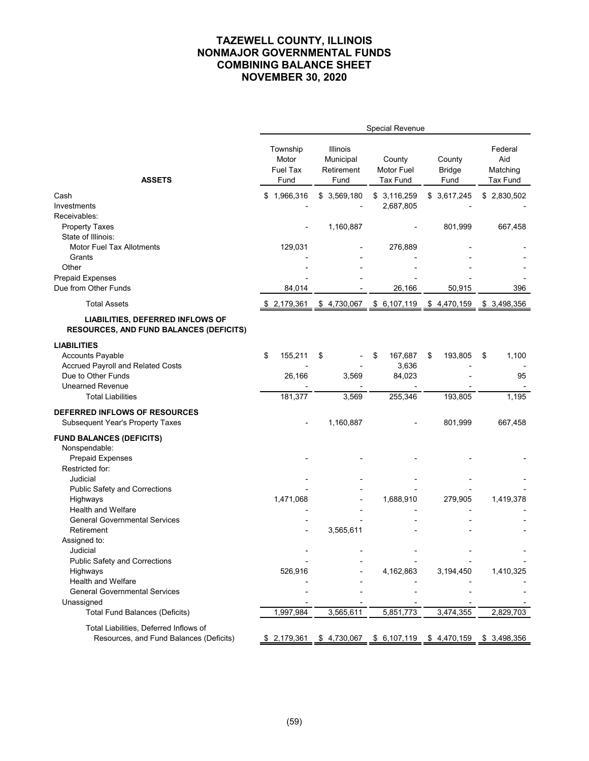|                                                                                           |                                              |                                             | <b>Special Revenue</b>                     |                                 |                                               |
|-------------------------------------------------------------------------------------------|----------------------------------------------|---------------------------------------------|--------------------------------------------|---------------------------------|-----------------------------------------------|
| <b>ASSETS</b>                                                                             | Township<br>Motor<br><b>Fuel Tax</b><br>Fund | Illinois<br>Municipal<br>Retirement<br>Fund | County<br>Motor Fuel<br><b>Tax Fund</b>    | County<br><b>Bridge</b><br>Fund | Federal<br>Aid<br>Matching<br><b>Tax Fund</b> |
| Cash                                                                                      | 1,966,316<br>\$                              | \$3,569,180                                 | \$3,116,259                                | \$3,617,245                     | \$2,830,502                                   |
| Investments                                                                               |                                              |                                             | 2,687,805                                  |                                 |                                               |
| Receivables:                                                                              |                                              |                                             |                                            |                                 |                                               |
| <b>Property Taxes</b>                                                                     |                                              | 1,160,887                                   |                                            | 801,999                         | 667,458                                       |
| State of Illinois:                                                                        |                                              |                                             |                                            |                                 |                                               |
| <b>Motor Fuel Tax Allotments</b>                                                          | 129,031                                      |                                             | 276,889                                    |                                 |                                               |
| Grants<br>Other                                                                           |                                              |                                             |                                            |                                 |                                               |
| <b>Prepaid Expenses</b>                                                                   |                                              |                                             |                                            |                                 |                                               |
| Due from Other Funds                                                                      | 84,014                                       |                                             | 26,166                                     | 50,915                          | 396                                           |
|                                                                                           |                                              |                                             |                                            |                                 |                                               |
| <b>Total Assets</b>                                                                       | \$2,179,361                                  | \$4,730,067                                 | \$6,107,119                                | \$4,470,159                     | \$ 3,498,356                                  |
| <b>LIABILITIES, DEFERRED INFLOWS OF</b><br><b>RESOURCES, AND FUND BALANCES (DEFICITS)</b> |                                              |                                             |                                            |                                 |                                               |
| <b>LIABILITIES</b>                                                                        |                                              |                                             |                                            |                                 |                                               |
| <b>Accounts Payable</b>                                                                   | \$<br>155,211                                | \$                                          | 167,687<br>\$                              | 193,805<br>\$                   | \$<br>1,100                                   |
| Accrued Payroll and Related Costs                                                         |                                              |                                             | 3,636                                      |                                 |                                               |
| Due to Other Funds                                                                        | 26,166                                       | 3,569                                       | 84,023                                     |                                 | 95                                            |
| <b>Unearned Revenue</b>                                                                   |                                              |                                             |                                            |                                 |                                               |
| <b>Total Liabilities</b>                                                                  | 181,377                                      | 3,569                                       | 255,346                                    | 193,805                         | 1,195                                         |
| DEFERRED INFLOWS OF RESOURCES                                                             |                                              |                                             |                                            |                                 |                                               |
| <b>Subsequent Year's Property Taxes</b>                                                   |                                              | 1,160,887                                   |                                            | 801,999                         | 667,458                                       |
| <b>FUND BALANCES (DEFICITS)</b>                                                           |                                              |                                             |                                            |                                 |                                               |
| Nonspendable:                                                                             |                                              |                                             |                                            |                                 |                                               |
| <b>Prepaid Expenses</b>                                                                   |                                              |                                             |                                            |                                 |                                               |
| Restricted for:                                                                           |                                              |                                             |                                            |                                 |                                               |
| Judicial<br><b>Public Safety and Corrections</b>                                          |                                              |                                             |                                            |                                 |                                               |
| Highways                                                                                  | 1,471,068                                    |                                             | 1,688,910                                  | 279,905                         | 1,419,378                                     |
| <b>Health and Welfare</b>                                                                 |                                              |                                             |                                            |                                 |                                               |
| <b>General Governmental Services</b>                                                      |                                              |                                             |                                            |                                 |                                               |
| Retirement                                                                                |                                              | 3,565,611                                   |                                            |                                 |                                               |
| Assigned to:                                                                              |                                              |                                             |                                            |                                 |                                               |
| Judicial                                                                                  |                                              |                                             |                                            |                                 |                                               |
| <b>Public Safety and Corrections</b>                                                      |                                              |                                             |                                            |                                 |                                               |
| Highways<br><b>Health and Welfare</b>                                                     | 526,916                                      |                                             | 4,162,863                                  | 3,194,450                       | 1,410,325                                     |
| <b>General Governmental Services</b>                                                      |                                              |                                             |                                            |                                 |                                               |
| Unassigned                                                                                |                                              |                                             |                                            |                                 |                                               |
| <b>Total Fund Balances (Deficits)</b>                                                     | 1,997,984                                    | 3,565,611                                   | 5,851,773                                  | 3,474,355                       | 2,829,703                                     |
| Total Liabilities, Deferred Inflows of                                                    |                                              |                                             |                                            |                                 |                                               |
| Resources, and Fund Balances (Deficits)                                                   | \$2,179,361                                  |                                             | <u>\$4,730,067 \$6,107,119 \$4,470,159</u> |                                 | \$3,498,356                                   |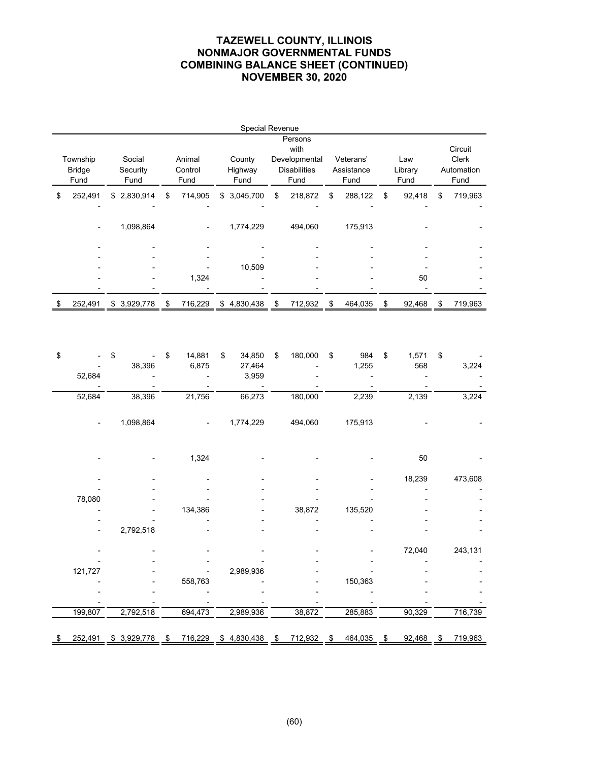|               |             |    |         | Special Revenue |     |                     |               |              |               |
|---------------|-------------|----|---------|-----------------|-----|---------------------|---------------|--------------|---------------|
|               |             |    |         |                 |     | Persons             |               |              |               |
|               |             |    |         |                 |     | with                |               |              | Circuit       |
| Township      | Social      |    | Animal  | County          |     | Developmental       | Veterans'     | Law          | <b>Clerk</b>  |
| <b>Bridge</b> | Security    |    | Control | Highway         |     | <b>Disabilities</b> | Assistance    | Library      | Automation    |
| Fund          | Fund        |    | Fund    | Fund            |     | Fund                | Fund          | Fund         | Fund          |
| \$<br>252,491 | \$2,830,914 | \$ | 714,905 | \$<br>3,045,700 | \$  | 218,872             | \$<br>288,122 | \$<br>92,418 | \$<br>719,963 |
|               |             |    |         |                 |     |                     |               |              |               |
|               | 1,098,864   |    |         | 1,774,229       |     | 494,060             | 175,913       |              |               |
|               |             |    |         |                 |     |                     |               |              |               |
|               |             |    |         |                 |     |                     |               |              |               |
|               |             |    |         |                 |     |                     |               |              |               |
|               |             |    |         | 10,509          |     |                     |               |              |               |
|               |             |    | 1,324   |                 |     |                     |               | 50           |               |
|               |             |    |         |                 |     |                     |               |              |               |
| 252,491       | \$3,929,778 | S  | 716,229 | \$<br>4,830,438 | \$. | 712,932             | \$<br>464,035 | 92,468       | 719,963       |

| \$<br>52,684 | \$<br>38,396 | \$ | 14,881<br>6,875 | \$<br>34,850<br>27,464<br>3,959 | \$ | 180,000 | \$<br>984<br>1,255 | \$<br>1,571<br>568 | \$ | 3,224   |
|--------------|--------------|----|-----------------|---------------------------------|----|---------|--------------------|--------------------|----|---------|
| 52,684       | 38,396       |    | 21,756          | 66,273                          |    | 180,000 | 2,239              | 2,139              |    | 3,224   |
|              | 1,098,864    |    |                 | 1,774,229                       |    | 494,060 | 175,913            |                    |    |         |
|              |              |    | 1,324           |                                 |    |         |                    | $50\,$             |    |         |
|              |              |    |                 |                                 |    |         |                    | 18,239             |    | 473,608 |
|              |              |    |                 |                                 |    |         |                    |                    |    |         |
| 78,080       |              |    |                 |                                 |    |         |                    |                    |    |         |
|              |              |    | 134,386         |                                 |    | 38,872  | 135,520            |                    |    |         |
|              |              |    |                 |                                 |    |         |                    |                    |    |         |
|              | 2,792,518    |    |                 |                                 |    |         |                    |                    |    |         |
|              |              |    |                 |                                 |    |         |                    | 72,040             |    | 243,131 |
|              |              |    |                 |                                 |    |         |                    |                    |    |         |
| 121,727      |              |    |                 | 2,989,936                       |    |         |                    |                    |    |         |
|              |              |    | 558,763         |                                 |    |         | 150,363            |                    |    |         |
|              |              |    |                 |                                 |    |         |                    |                    |    |         |
|              |              |    |                 |                                 |    |         |                    |                    |    |         |
| 199,807      | 2,792,518    |    | 694,473         | 2,989,936                       |    | 38,872  | 285,883            | 90,329             |    | 716,739 |
| 252,491      | \$3,929,778  | S  | 716,229         | \$<br>4,830,438                 | S  | 712,932 | \$<br>464,035      | \$<br>92,468       | S  | 719,963 |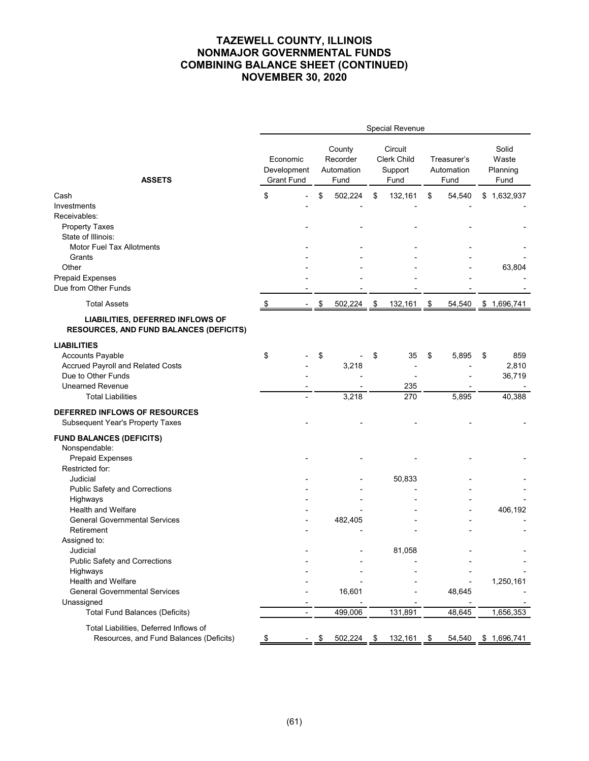|                                                                                    |                                  |                |               |                                          | Special Revenue                           |            |                                   |                                    |
|------------------------------------------------------------------------------------|----------------------------------|----------------|---------------|------------------------------------------|-------------------------------------------|------------|-----------------------------------|------------------------------------|
| <b>ASSETS</b>                                                                      | Development<br><b>Grant Fund</b> | Economic       |               | County<br>Recorder<br>Automation<br>Fund | Circuit<br>Clerk Child<br>Support<br>Fund |            | Treasurer's<br>Automation<br>Fund | Solid<br>Waste<br>Planning<br>Fund |
| Cash                                                                               | \$                               |                | \$            | 502,224                                  | \$<br>132,161                             | \$         | 54,540                            | \$<br>1,632,937                    |
| Investments                                                                        |                                  |                |               |                                          |                                           |            |                                   |                                    |
| Receivables:                                                                       |                                  |                |               |                                          |                                           |            |                                   |                                    |
| <b>Property Taxes</b>                                                              |                                  |                |               |                                          |                                           |            |                                   |                                    |
| State of Illinois:                                                                 |                                  |                |               |                                          |                                           |            |                                   |                                    |
| Motor Fuel Tax Allotments                                                          |                                  |                |               |                                          |                                           |            |                                   |                                    |
| Grants                                                                             |                                  |                |               |                                          |                                           |            |                                   |                                    |
| Other                                                                              |                                  |                |               |                                          |                                           |            |                                   | 63,804                             |
| <b>Prepaid Expenses</b>                                                            |                                  |                |               |                                          |                                           |            |                                   |                                    |
| Due from Other Funds                                                               |                                  |                |               |                                          |                                           |            |                                   |                                    |
| <b>Total Assets</b>                                                                | \$                               |                | $\frac{1}{2}$ | $502,224$ \$                             | 132,161                                   | $\sqrt{3}$ | 54,540                            | \$1,696,741                        |
| LIABILITIES, DEFERRED INFLOWS OF<br><b>RESOURCES, AND FUND BALANCES (DEFICITS)</b> |                                  |                |               |                                          |                                           |            |                                   |                                    |
| <b>LIABILITIES</b>                                                                 |                                  |                |               |                                          |                                           |            |                                   |                                    |
| <b>Accounts Payable</b>                                                            | \$                               |                | \$            |                                          | \$<br>35                                  | \$         | 5,895                             | \$<br>859                          |
| Accrued Payroll and Related Costs                                                  |                                  |                |               | 3,218                                    |                                           |            |                                   | 2,810                              |
| Due to Other Funds                                                                 |                                  |                |               |                                          |                                           |            |                                   | 36,719                             |
| <b>Unearned Revenue</b>                                                            |                                  |                |               |                                          | 235                                       |            |                                   |                                    |
| <b>Total Liabilities</b>                                                           |                                  |                |               | 3,218                                    | 270                                       |            | 5,895                             | 40,388                             |
| DEFERRED INFLOWS OF RESOURCES<br><b>Subsequent Year's Property Taxes</b>           |                                  |                |               |                                          |                                           |            |                                   |                                    |
| <b>FUND BALANCES (DEFICITS)</b>                                                    |                                  |                |               |                                          |                                           |            |                                   |                                    |
| Nonspendable:                                                                      |                                  |                |               |                                          |                                           |            |                                   |                                    |
| <b>Prepaid Expenses</b>                                                            |                                  |                |               |                                          |                                           |            |                                   |                                    |
| Restricted for:                                                                    |                                  |                |               |                                          |                                           |            |                                   |                                    |
| Judicial                                                                           |                                  |                |               |                                          | 50,833                                    |            |                                   |                                    |
| <b>Public Safety and Corrections</b>                                               |                                  |                |               |                                          |                                           |            |                                   |                                    |
| Highways                                                                           |                                  |                |               |                                          |                                           |            |                                   |                                    |
| <b>Health and Welfare</b>                                                          |                                  |                |               |                                          |                                           |            |                                   | 406,192                            |
| <b>General Governmental Services</b>                                               |                                  |                |               | 482,405                                  |                                           |            |                                   |                                    |
| Retirement                                                                         |                                  |                |               |                                          |                                           |            |                                   |                                    |
| Assigned to:                                                                       |                                  |                |               |                                          |                                           |            |                                   |                                    |
| Judicial                                                                           |                                  |                |               |                                          | 81,058                                    |            |                                   |                                    |
| <b>Public Safety and Corrections</b>                                               |                                  |                |               |                                          |                                           |            |                                   |                                    |
| Highways                                                                           |                                  |                |               |                                          |                                           |            |                                   |                                    |
| <b>Health and Welfare</b>                                                          |                                  |                |               |                                          |                                           |            |                                   | 1,250,161                          |
| <b>General Governmental Services</b>                                               |                                  |                |               | 16,601                                   |                                           |            | 48,645                            |                                    |
| Unassigned<br><b>Total Fund Balances (Deficits)</b>                                |                                  | $\blacksquare$ |               | 499,006                                  | 131,891                                   |            | 48,645                            | 1,656,353                          |
|                                                                                    |                                  |                |               |                                          |                                           |            |                                   |                                    |
| Total Liabilities, Deferred Inflows of<br>Resources, and Fund Balances (Deficits)  | \$                               |                | \$            | 502,224                                  | \$<br>132,161                             | \$         | 54,540                            | \$1,696,741                        |
|                                                                                    |                                  |                |               |                                          |                                           |            |                                   |                                    |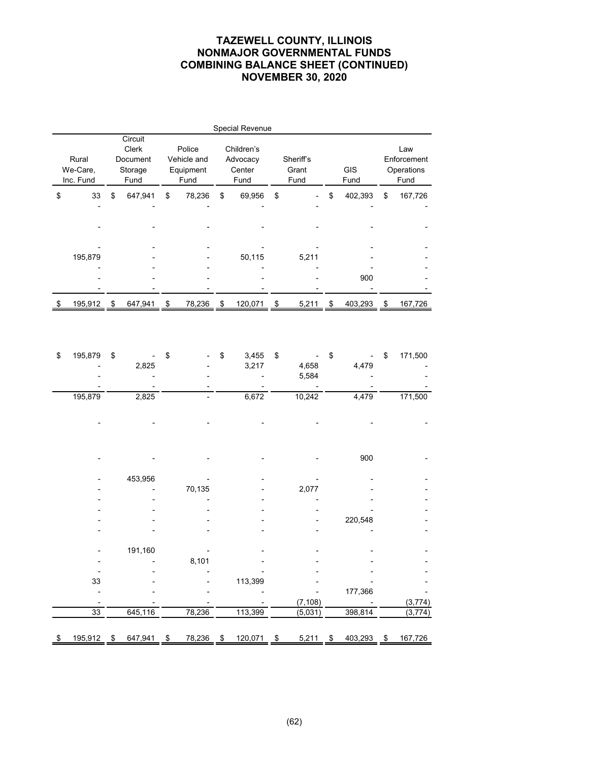|    |                   |                                                |                                    | <b>Special Revenue</b>           |                    |               |                                  |
|----|-------------------|------------------------------------------------|------------------------------------|----------------------------------|--------------------|---------------|----------------------------------|
|    | Rural<br>We-Care, | Circuit<br><b>Clerk</b><br>Document<br>Storage | Police<br>Vehicle and<br>Equipment | Children's<br>Advocacy<br>Center | Sheriff's<br>Grant | <b>GIS</b>    | Law<br>Enforcement<br>Operations |
|    | Inc. Fund         | Fund                                           | Fund                               | Fund                             | Fund               | Fund          | Fund                             |
| \$ | 33                | \$<br>647,941                                  | \$<br>78,236                       | \$<br>69,956                     | \$                 | \$<br>402,393 | \$<br>167,726                    |
|    |                   |                                                |                                    |                                  |                    |               |                                  |
|    |                   |                                                |                                    |                                  |                    |               |                                  |
|    |                   |                                                |                                    |                                  |                    |               |                                  |
|    | 195,879           |                                                |                                    | 50,115                           | 5,211              |               |                                  |
|    |                   |                                                |                                    |                                  |                    |               |                                  |
|    |                   |                                                |                                    |                                  |                    | 900           |                                  |
|    |                   |                                                |                                    |                                  |                    |               |                                  |
| S  | 195,912           | \$<br>647,941                                  | \$<br>78,236                       | \$<br>120,071                    | \$<br>5,211        | \$<br>403,293 | \$<br>167,726                    |

| \$  | 195,879 | \$            | \$   |        | \$<br>3,455   | \$   |          | \$            | \$<br>171,500 |
|-----|---------|---------------|------|--------|---------------|------|----------|---------------|---------------|
|     |         | 2,825         |      |        | 3,217         |      | 4,658    | 4,479         |               |
|     |         |               |      |        |               |      | 5,584    |               |               |
|     |         |               |      |        |               |      |          |               |               |
|     | 195,879 | 2,825         |      |        | 6,672         |      | 10,242   | 4,479         | 171,500       |
|     |         |               |      |        |               |      |          |               |               |
|     |         |               |      |        |               |      |          |               |               |
|     |         |               |      |        |               |      |          |               |               |
|     |         |               |      |        |               |      |          |               |               |
|     |         |               |      |        |               |      |          | 900           |               |
|     |         |               |      |        |               |      |          |               |               |
|     |         | 453,956       |      |        |               |      |          |               |               |
|     |         |               |      | 70,135 |               |      | 2,077    |               |               |
|     |         |               |      |        |               |      |          |               |               |
|     |         |               |      |        |               |      |          |               |               |
|     |         |               |      |        |               |      |          | 220,548       |               |
|     |         |               |      |        |               |      |          |               |               |
|     |         |               |      |        |               |      |          |               |               |
|     |         | 191,160       |      |        |               |      |          |               |               |
|     |         |               |      | 8,101  |               |      |          |               |               |
|     |         |               |      |        |               |      |          |               |               |
|     | 33      |               |      |        | 113,399       |      |          |               |               |
|     |         |               |      |        |               |      |          | 177,366       |               |
|     |         |               |      |        |               |      | (7, 108) |               | (3,774)       |
|     | 33      | 645,116       |      | 78,236 | 113,399       |      | (5,031)  | 398,814       | (3, 774)      |
|     |         |               |      |        |               |      |          |               |               |
| \$. | 195,912 | \$<br>647,941 | - \$ | 78,236 | \$<br>120,071 | - \$ | 5,211    | \$<br>403,293 | \$<br>167,726 |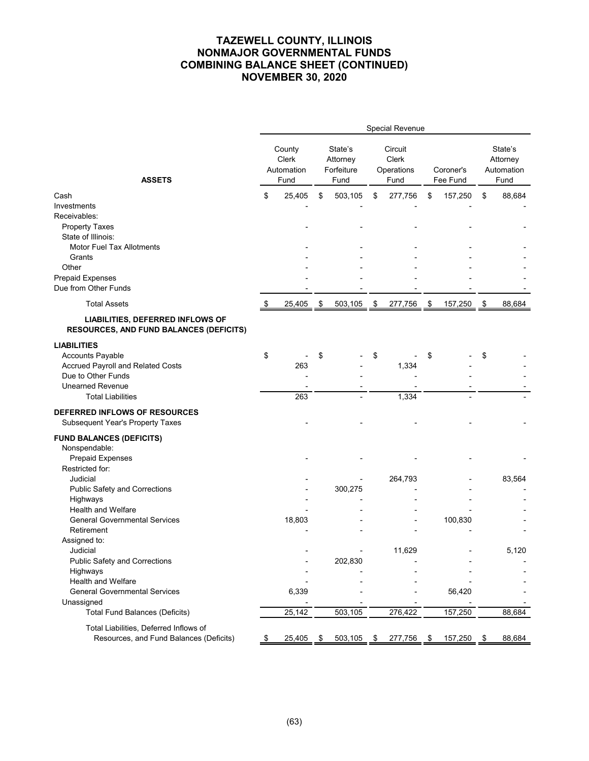|                                                                                    |    |                                       |               |                                           |               | Special Revenue                               |               |                       |                                           |
|------------------------------------------------------------------------------------|----|---------------------------------------|---------------|-------------------------------------------|---------------|-----------------------------------------------|---------------|-----------------------|-------------------------------------------|
| <b>ASSETS</b>                                                                      |    | County<br>Clerk<br>Automation<br>Fund |               | State's<br>Attorney<br>Forfeiture<br>Fund |               | Circuit<br><b>Clerk</b><br>Operations<br>Fund |               | Coroner's<br>Fee Fund | State's<br>Attorney<br>Automation<br>Fund |
| Cash                                                                               | \$ | 25,405                                | \$            | 503,105                                   | \$            | 277,756                                       | \$            | 157,250               | \$<br>88,684                              |
| Investments                                                                        |    |                                       |               |                                           |               |                                               |               |                       |                                           |
| Receivables:                                                                       |    |                                       |               |                                           |               |                                               |               |                       |                                           |
| <b>Property Taxes</b>                                                              |    |                                       |               |                                           |               |                                               |               |                       |                                           |
| State of Illinois:                                                                 |    |                                       |               |                                           |               |                                               |               |                       |                                           |
| <b>Motor Fuel Tax Allotments</b>                                                   |    |                                       |               |                                           |               |                                               |               |                       |                                           |
| Grants                                                                             |    |                                       |               |                                           |               |                                               |               |                       |                                           |
| Other                                                                              |    |                                       |               |                                           |               |                                               |               |                       |                                           |
| <b>Prepaid Expenses</b>                                                            |    |                                       |               |                                           |               |                                               |               |                       |                                           |
| Due from Other Funds                                                               |    |                                       |               |                                           |               |                                               |               |                       |                                           |
| <b>Total Assets</b>                                                                | \$ | 25,405                                | $\frac{1}{2}$ | 503,105                                   | $\frac{3}{2}$ | 277,756                                       | $\frac{3}{2}$ | 157,250               | \$<br>88,684                              |
| LIABILITIES, DEFERRED INFLOWS OF<br><b>RESOURCES, AND FUND BALANCES (DEFICITS)</b> |    |                                       |               |                                           |               |                                               |               |                       |                                           |
| <b>LIABILITIES</b>                                                                 |    |                                       |               |                                           |               |                                               |               |                       |                                           |
| <b>Accounts Payable</b>                                                            | \$ |                                       | \$            |                                           | \$            |                                               | \$            |                       | \$                                        |
| Accrued Payroll and Related Costs                                                  |    | 263                                   |               |                                           |               | 1,334                                         |               |                       |                                           |
| Due to Other Funds                                                                 |    |                                       |               |                                           |               |                                               |               |                       |                                           |
| <b>Unearned Revenue</b>                                                            |    |                                       |               |                                           |               |                                               |               |                       |                                           |
| <b>Total Liabilities</b>                                                           |    | 263                                   |               |                                           |               | 1,334                                         |               |                       |                                           |
| DEFERRED INFLOWS OF RESOURCES<br><b>Subsequent Year's Property Taxes</b>           |    |                                       |               |                                           |               |                                               |               |                       |                                           |
| <b>FUND BALANCES (DEFICITS)</b>                                                    |    |                                       |               |                                           |               |                                               |               |                       |                                           |
| Nonspendable:                                                                      |    |                                       |               |                                           |               |                                               |               |                       |                                           |
| <b>Prepaid Expenses</b>                                                            |    |                                       |               |                                           |               |                                               |               |                       |                                           |
| Restricted for:                                                                    |    |                                       |               |                                           |               |                                               |               |                       |                                           |
| Judicial                                                                           |    |                                       |               |                                           |               | 264,793                                       |               |                       | 83,564                                    |
| <b>Public Safety and Corrections</b>                                               |    |                                       |               | 300,275                                   |               |                                               |               |                       |                                           |
| Highways                                                                           |    |                                       |               |                                           |               |                                               |               |                       |                                           |
| <b>Health and Welfare</b>                                                          |    |                                       |               |                                           |               |                                               |               |                       |                                           |
| <b>General Governmental Services</b>                                               |    | 18,803                                |               |                                           |               |                                               |               | 100,830               |                                           |
| Retirement                                                                         |    |                                       |               |                                           |               |                                               |               |                       |                                           |
| Assigned to:                                                                       |    |                                       |               |                                           |               |                                               |               |                       |                                           |
| Judicial                                                                           |    |                                       |               |                                           |               | 11,629                                        |               |                       | 5,120                                     |
| <b>Public Safety and Corrections</b>                                               |    |                                       |               | 202,830                                   |               |                                               |               |                       |                                           |
| Highways                                                                           |    |                                       |               |                                           |               |                                               |               |                       |                                           |
| Health and Welfare                                                                 |    |                                       |               |                                           |               |                                               |               |                       |                                           |
| <b>General Governmental Services</b>                                               |    | 6,339                                 |               |                                           |               |                                               |               | 56,420                |                                           |
| Unassigned                                                                         |    |                                       |               |                                           |               |                                               |               |                       |                                           |
| <b>Total Fund Balances (Deficits)</b>                                              |    | 25,142                                |               | 503,105                                   |               | 276,422                                       |               | 157,250               | 88,684                                    |
| Total Liabilities, Deferred Inflows of<br>Resources, and Fund Balances (Deficits)  |    |                                       |               |                                           |               |                                               |               |                       |                                           |
|                                                                                    | æ. | 25,405                                | \$            | 503,105                                   | \$            | 277,756                                       | \$            | 157,250               | \$<br>88,684                              |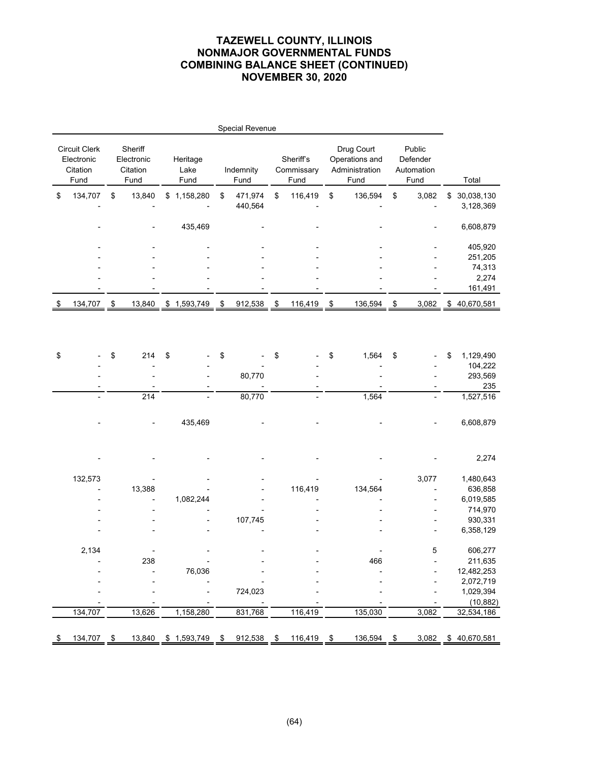|                                                 |               |                                           |                          |               | Special Revenue    |                                 |               |                                                        |                                          |                               |
|-------------------------------------------------|---------------|-------------------------------------------|--------------------------|---------------|--------------------|---------------------------------|---------------|--------------------------------------------------------|------------------------------------------|-------------------------------|
| Circuit Clerk<br>Electronic<br>Citation<br>Fund |               | Sheriff<br>Electronic<br>Citation<br>Fund | Heritage<br>Lake<br>Fund |               | Indemnity<br>Fund  | Sheriff's<br>Commissary<br>Fund |               | Drug Court<br>Operations and<br>Administration<br>Fund | Public<br>Defender<br>Automation<br>Fund | Total                         |
| \$<br>134,707                                   | \$            | 13,840                                    | \$1,158,280              | \$            | 471,974<br>440,564 | \$<br>116,419                   | \$            | 136,594                                                | \$<br>3,082                              | \$<br>30,038,130<br>3,128,369 |
|                                                 |               |                                           | 435,469                  |               |                    |                                 |               |                                                        |                                          | 6,608,879                     |
|                                                 |               |                                           |                          |               |                    |                                 |               |                                                        |                                          | 405,920<br>251,205<br>74,313  |
|                                                 |               |                                           |                          |               |                    |                                 |               |                                                        |                                          | 2,274<br>161,491              |
| 134,707                                         | $\frac{3}{2}$ | 13,840                                    | \$1,593,749              | $\frac{1}{2}$ | 912,538            | \$<br>116,419                   | $\rightarrow$ | 136,594                                                | \$<br>3,082                              | \$40,670,581                  |
|                                                 |               |                                           |                          |               |                    |                                 |               |                                                        |                                          |                               |
| \$                                              | \$            | 214                                       | \$                       | \$            |                    | \$                              | \$            | 1,564                                                  | \$                                       | \$<br>1,129,490<br>104,222    |
|                                                 |               |                                           |                          |               | 80,770             |                                 |               |                                                        |                                          | 293,569                       |
|                                                 |               |                                           |                          |               |                    |                                 |               |                                                        |                                          | 235                           |
|                                                 |               | 214                                       |                          |               | 80,770             |                                 |               | 1,564                                                  | $\overline{\phantom{0}}$                 | 1,527,516                     |
|                                                 |               |                                           | 435,469                  |               |                    |                                 |               |                                                        |                                          | 6,608,879                     |
|                                                 |               |                                           |                          |               |                    |                                 |               |                                                        |                                          | 2,274                         |
| 132,573                                         |               |                                           |                          |               |                    |                                 |               |                                                        | 3,077                                    | 1,480,643                     |
|                                                 |               | 13,388                                    |                          |               |                    | 116,419                         |               | 134,564                                                |                                          | 636,858                       |
|                                                 |               |                                           | 1,082,244                |               |                    |                                 |               |                                                        |                                          | 6,019,585                     |
|                                                 |               |                                           |                          |               |                    |                                 |               |                                                        |                                          | 714,970                       |
|                                                 |               |                                           |                          |               | 107,745            |                                 |               |                                                        |                                          | 930,331<br>6,358,129          |
|                                                 |               |                                           |                          |               |                    |                                 |               |                                                        |                                          |                               |
| 2,134                                           |               |                                           |                          |               |                    |                                 |               |                                                        | 5                                        | 606,277                       |
|                                                 |               | 238                                       | -                        |               |                    |                                 |               | 466                                                    |                                          | 211,635                       |
|                                                 |               |                                           | 76,036                   |               |                    |                                 |               |                                                        |                                          | 12,482,253                    |
|                                                 |               |                                           |                          |               |                    |                                 |               |                                                        |                                          | 2,072,719                     |
|                                                 |               |                                           |                          |               | 724,023            |                                 |               |                                                        |                                          | 1,029,394                     |
| 134,707                                         |               |                                           |                          |               |                    |                                 |               |                                                        |                                          | (10, 882)                     |
|                                                 |               | 13,626                                    | 1,158,280                |               | 831,768            | 116,419                         |               | 135,030                                                | 3,082                                    | 32,534,186                    |
| \$<br>134,707                                   | \$            | 13,840                                    | \$1,593,749              | \$            | 912,538            | \$<br>116,419                   | $\sqrt{2}$    | 136,594                                                | \$<br>3,082                              | \$40,670,581                  |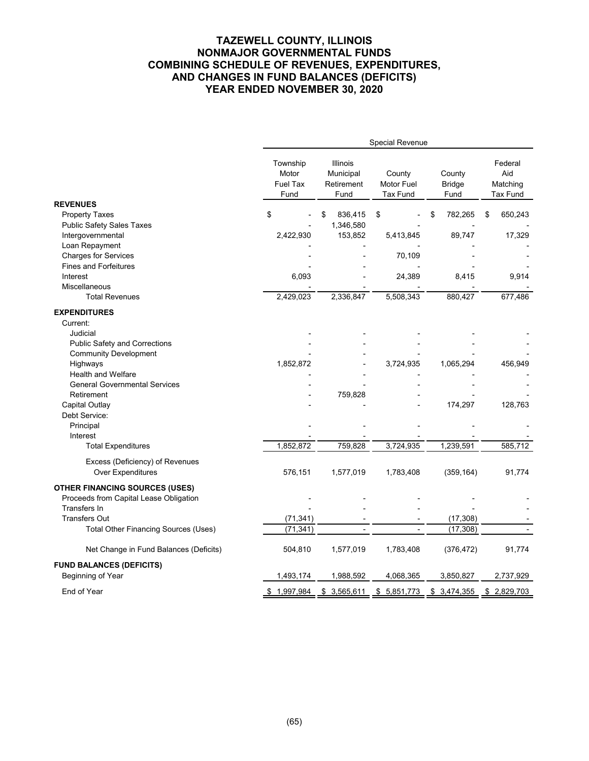### **TAZEWELL COUNTY, ILLINOIS NONMAJOR GOVERNMENTAL FUNDS COMBINING SCHEDULE OF REVENUES, EXPENDITURES, AND CHANGES IN FUND BALANCES (DEFICITS) YEAR ENDED NOVEMBER 30, 2020**

|                                             |                                              |                                             | Special Revenue                         |                                 |                                        |
|---------------------------------------------|----------------------------------------------|---------------------------------------------|-----------------------------------------|---------------------------------|----------------------------------------|
|                                             | Township<br>Motor<br><b>Fuel Tax</b><br>Fund | Illinois<br>Municipal<br>Retirement<br>Fund | County<br>Motor Fuel<br><b>Tax Fund</b> | County<br><b>Bridge</b><br>Fund | Federal<br>Aid<br>Matching<br>Tax Fund |
| <b>REVENUES</b>                             |                                              |                                             |                                         |                                 |                                        |
| <b>Property Taxes</b>                       | \$                                           | 836,415<br>\$                               | \$                                      | 782,265<br>\$                   | 650,243<br>\$                          |
| <b>Public Safety Sales Taxes</b>            |                                              | 1,346,580                                   |                                         |                                 |                                        |
| Intergovernmental                           | 2,422,930                                    | 153,852                                     | 5,413,845                               | 89,747                          | 17,329                                 |
| Loan Repayment                              |                                              |                                             |                                         |                                 |                                        |
| <b>Charges for Services</b>                 |                                              |                                             | 70,109                                  |                                 |                                        |
| <b>Fines and Forfeitures</b>                |                                              |                                             |                                         |                                 |                                        |
| Interest                                    | 6,093                                        |                                             | 24,389                                  | 8,415                           | 9,914                                  |
| Miscellaneous                               |                                              |                                             |                                         |                                 |                                        |
| <b>Total Revenues</b>                       | 2,429,023                                    | 2,336,847                                   | 5,508,343                               | 880,427                         | 677,486                                |
| <b>EXPENDITURES</b>                         |                                              |                                             |                                         |                                 |                                        |
| Current:                                    |                                              |                                             |                                         |                                 |                                        |
| Judicial                                    |                                              |                                             |                                         |                                 |                                        |
| <b>Public Safety and Corrections</b>        |                                              |                                             |                                         |                                 |                                        |
| <b>Community Development</b>                |                                              |                                             |                                         |                                 |                                        |
| Highways                                    | 1,852,872                                    |                                             | 3,724,935                               | 1,065,294                       | 456,949                                |
| <b>Health and Welfare</b>                   |                                              |                                             |                                         |                                 |                                        |
| <b>General Governmental Services</b>        |                                              |                                             |                                         |                                 |                                        |
| Retirement                                  |                                              | 759,828                                     |                                         |                                 |                                        |
| Capital Outlay                              |                                              |                                             |                                         | 174,297                         | 128,763                                |
| Debt Service:                               |                                              |                                             |                                         |                                 |                                        |
| Principal                                   |                                              |                                             |                                         |                                 |                                        |
| Interest                                    |                                              |                                             |                                         |                                 |                                        |
| <b>Total Expenditures</b>                   | 1,852,872                                    | 759,828                                     | 3,724,935                               | 1,239,591                       | 585,712                                |
| Excess (Deficiency) of Revenues             |                                              |                                             |                                         |                                 |                                        |
| <b>Over Expenditures</b>                    | 576,151                                      | 1,577,019                                   | 1,783,408                               | (359, 164)                      | 91,774                                 |
| <b>OTHER FINANCING SOURCES (USES)</b>       |                                              |                                             |                                         |                                 |                                        |
| Proceeds from Capital Lease Obligation      |                                              |                                             |                                         |                                 |                                        |
| <b>Transfers In</b>                         |                                              |                                             |                                         |                                 |                                        |
| <b>Transfers Out</b>                        | (71, 341)                                    |                                             |                                         | (17, 308)                       |                                        |
| <b>Total Other Financing Sources (Uses)</b> | (71, 341)                                    |                                             |                                         | (17, 308)                       |                                        |
|                                             |                                              |                                             |                                         |                                 |                                        |
| Net Change in Fund Balances (Deficits)      | 504,810                                      | 1,577,019                                   | 1,783,408                               | (376, 472)                      | 91,774                                 |
| <b>FUND BALANCES (DEFICITS)</b>             |                                              |                                             |                                         |                                 |                                        |
| Beginning of Year                           | 1,493,174                                    | 1,988,592                                   | 4,068,365                               | 3,850,827                       | 2,737,929                              |
| End of Year                                 | \$1,997,984                                  | \$3,565,611                                 | \$5,851,773                             | \$3,474,355                     | \$2,829,703                            |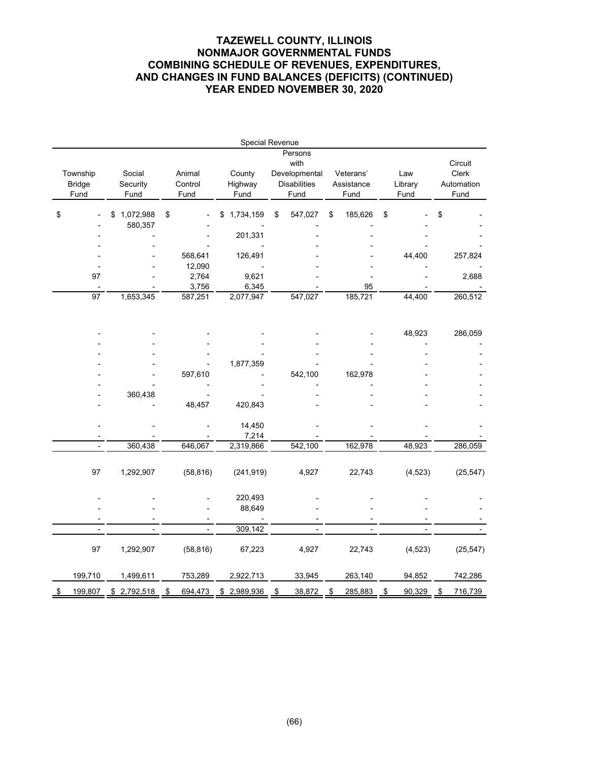### **TAZEWELL COUNTY, ILLINOIS NONMAJOR GOVERNMENTAL FUNDS COMBINING SCHEDULE OF REVENUES, EXPENDITURES, AND CHANGES IN FUND BALANCES (DEFICITS) (CONTINUED) YEAR ENDED NOVEMBER 30, 2020**

|                           |                            |                   | Special Revenue   |                                                         |                         |                |                                |
|---------------------------|----------------------------|-------------------|-------------------|---------------------------------------------------------|-------------------------|----------------|--------------------------------|
| Township<br><b>Bridge</b> | Social<br>Security         | Animal<br>Control | County<br>Highway | Persons<br>with<br>Developmental<br><b>Disabilities</b> | Veterans'<br>Assistance | Law<br>Library | Circuit<br>Clerk<br>Automation |
| Fund                      | Fund                       | Fund              | Fund              | Fund                                                    | Fund                    | Fund           | Fund                           |
| \$                        | 1,072,988<br>\$<br>580,357 | \$                | 1,734,159<br>\$   | \$<br>547,027                                           | \$<br>185,626           | \$             | \$                             |
|                           |                            |                   | 201,331           |                                                         |                         |                |                                |
|                           |                            |                   |                   |                                                         |                         |                |                                |
|                           |                            | 568,641           | 126,491           |                                                         |                         | 44,400         | 257,824                        |
|                           |                            | 12,090            |                   |                                                         |                         |                |                                |
| 97                        |                            | 2,764             | 9,621             |                                                         |                         |                | 2,688                          |
|                           |                            | 3,756             | 6,345             |                                                         | 95                      |                |                                |
| 97                        | 1,653,345                  | 587,251           | 2,077,947         | 547,027                                                 | 185,721                 | 44,400         | 260,512                        |
|                           |                            |                   |                   |                                                         |                         | 48,923         | 286,059                        |
|                           |                            |                   |                   |                                                         |                         |                |                                |
|                           |                            |                   |                   |                                                         |                         |                |                                |
|                           |                            |                   | 1,877,359         |                                                         |                         |                |                                |
|                           |                            | 597,610           |                   | 542,100                                                 | 162,978                 |                |                                |
|                           |                            |                   |                   |                                                         |                         |                |                                |
|                           | 360,438                    |                   |                   |                                                         |                         |                |                                |
|                           |                            | 48,457            | 420,843           |                                                         |                         |                |                                |
|                           |                            |                   | 14,450<br>7,214   |                                                         |                         |                |                                |
| $\overline{a}$            | 360,438                    | 646,067           | 2,319,866         | 542,100                                                 | 162,978                 | 48,923         | 286,059                        |
| 97                        | 1,292,907                  | (58, 816)         | (241, 919)        | 4,927                                                   | 22,743                  | (4, 523)       | (25, 547)                      |
|                           |                            |                   | 220,493<br>88,649 |                                                         |                         |                |                                |
|                           |                            |                   |                   |                                                         |                         |                |                                |
|                           |                            |                   | 309,142           |                                                         |                         |                |                                |
| 97                        | 1,292,907                  | (58, 816)         | 67,223            | 4,927                                                   | 22,743                  | (4, 523)       | (25, 547)                      |
| 199,710                   | 1,499,611                  | 753,289           | 2,922,713         | 33,945                                                  | 263,140                 | 94,852         | 742,286                        |
| \$<br>199,807             | 2,792,518<br>\$            | 694,473<br>\$     | 2,989,936<br>\$   | \$<br>38,872                                            | \$<br>285,883           | \$<br>90,329   | \$<br>716,739                  |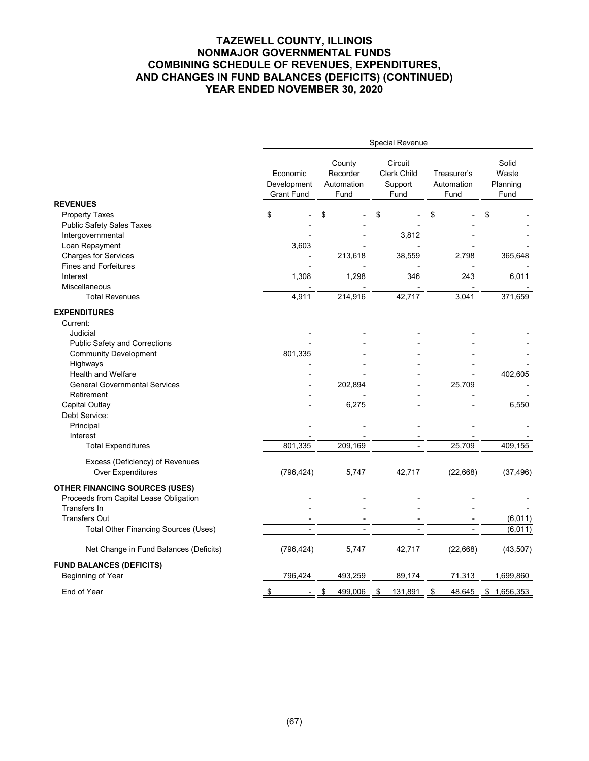### **TAZEWELL COUNTY, ILLINOIS NONMAJOR GOVERNMENTAL FUNDS COMBINING SCHEDULE OF REVENUES, EXPENDITURES, AND CHANGES IN FUND BALANCES (DEFICITS) (CONTINUED) YEAR ENDED NOVEMBER 30, 2020**

|                                             |                                              | Special Revenue                          |                                                  |                                   |                                    |  |
|---------------------------------------------|----------------------------------------------|------------------------------------------|--------------------------------------------------|-----------------------------------|------------------------------------|--|
|                                             | Economic<br>Development<br><b>Grant Fund</b> | County<br>Recorder<br>Automation<br>Fund | Circuit<br><b>Clerk Child</b><br>Support<br>Fund | Treasurer's<br>Automation<br>Fund | Solid<br>Waste<br>Planning<br>Fund |  |
| <b>REVENUES</b>                             |                                              |                                          |                                                  |                                   |                                    |  |
| <b>Property Taxes</b>                       | \$                                           | \$                                       | \$                                               | \$                                | \$                                 |  |
| <b>Public Safety Sales Taxes</b>            |                                              |                                          |                                                  |                                   |                                    |  |
| Intergovernmental                           |                                              |                                          | 3,812                                            |                                   |                                    |  |
| Loan Repayment                              | 3,603                                        |                                          |                                                  |                                   |                                    |  |
| <b>Charges for Services</b>                 |                                              | 213,618                                  | 38,559                                           | 2,798                             | 365,648                            |  |
| <b>Fines and Forfeitures</b>                |                                              |                                          |                                                  |                                   |                                    |  |
| Interest                                    | 1,308                                        | 1,298                                    | 346                                              | 243                               | 6,011                              |  |
| <b>Miscellaneous</b>                        |                                              |                                          |                                                  |                                   |                                    |  |
| <b>Total Revenues</b>                       | 4,911                                        | 214,916                                  | 42,717                                           | 3,041                             | 371,659                            |  |
| <b>EXPENDITURES</b>                         |                                              |                                          |                                                  |                                   |                                    |  |
| Current:                                    |                                              |                                          |                                                  |                                   |                                    |  |
| Judicial                                    |                                              |                                          |                                                  |                                   |                                    |  |
| <b>Public Safety and Corrections</b>        |                                              |                                          |                                                  |                                   |                                    |  |
| <b>Community Development</b>                | 801,335                                      |                                          |                                                  |                                   |                                    |  |
| Highways                                    |                                              |                                          |                                                  |                                   |                                    |  |
| Health and Welfare                          |                                              |                                          |                                                  |                                   | 402,605                            |  |
| <b>General Governmental Services</b>        |                                              | 202,894                                  |                                                  | 25,709                            |                                    |  |
| Retirement                                  |                                              |                                          |                                                  |                                   |                                    |  |
| Capital Outlay                              |                                              | 6,275                                    |                                                  |                                   | 6,550                              |  |
| Debt Service:                               |                                              |                                          |                                                  |                                   |                                    |  |
| Principal                                   |                                              |                                          |                                                  |                                   |                                    |  |
| Interest                                    |                                              |                                          |                                                  |                                   |                                    |  |
| <b>Total Expenditures</b>                   | 801,335                                      | 209,169                                  |                                                  | 25,709                            | 409,155                            |  |
| Excess (Deficiency) of Revenues             |                                              |                                          |                                                  |                                   |                                    |  |
| Over Expenditures                           | (796, 424)                                   | 5,747                                    | 42,717                                           | (22, 668)                         | (37, 496)                          |  |
|                                             |                                              |                                          |                                                  |                                   |                                    |  |
| <b>OTHER FINANCING SOURCES (USES)</b>       |                                              |                                          |                                                  |                                   |                                    |  |
| Proceeds from Capital Lease Obligation      |                                              |                                          |                                                  |                                   |                                    |  |
| <b>Transfers In</b>                         |                                              |                                          |                                                  |                                   |                                    |  |
| <b>Transfers Out</b>                        |                                              |                                          |                                                  |                                   | (6,011)                            |  |
| <b>Total Other Financing Sources (Uses)</b> |                                              | ۰                                        |                                                  |                                   | (6,011)                            |  |
| Net Change in Fund Balances (Deficits)      | (796, 424)                                   | 5,747                                    | 42,717                                           | (22, 668)                         | (43, 507)                          |  |
| <b>FUND BALANCES (DEFICITS)</b>             |                                              |                                          |                                                  |                                   |                                    |  |
| Beginning of Year                           | 796,424                                      | 493,259                                  | 89,174                                           | 71,313                            | 1,699,860                          |  |
| End of Year                                 | \$                                           | \$<br>499,006                            | 131,891<br>\$                                    | \$<br>48,645                      | \$1,656,353                        |  |
|                                             |                                              |                                          |                                                  |                                   |                                    |  |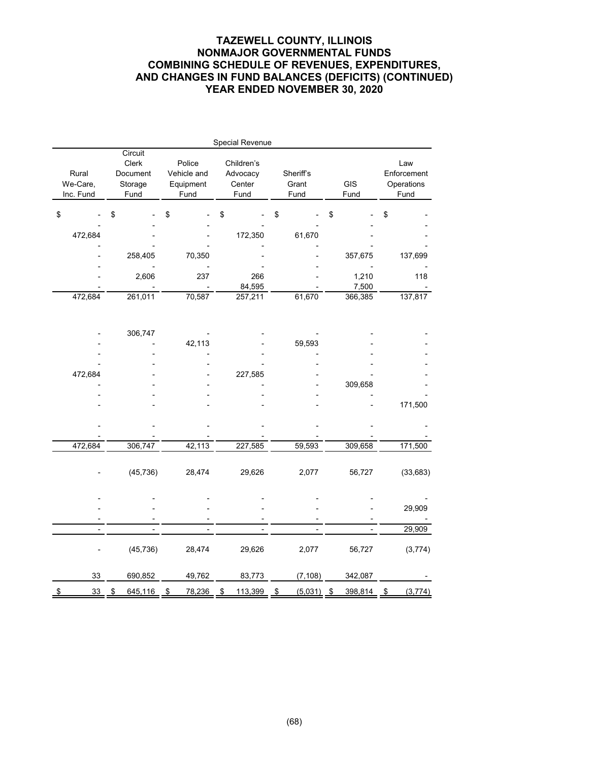# **TAZEWELL COUNTY, ILLINOIS NONMAJOR GOVERNMENTAL FUNDS COMBINING SCHEDULE OF REVENUES, EXPENDITURES, AND CHANGES IN FUND BALANCES (DEFICITS) (CONTINUED) YEAR ENDED NOVEMBER 30, 2020**

|                                |                                                 |                                            | Special Revenue                          |                                           |                |                                          |
|--------------------------------|-------------------------------------------------|--------------------------------------------|------------------------------------------|-------------------------------------------|----------------|------------------------------------------|
| Rural<br>We-Care,<br>Inc. Fund | Circuit<br>Clerk<br>Document<br>Storage<br>Fund | Police<br>Vehicle and<br>Equipment<br>Fund | Children's<br>Advocacy<br>Center<br>Fund | Sheriff's<br>GIS<br>Grant<br>Fund<br>Fund |                | Law<br>Enforcement<br>Operations<br>Fund |
| \$                             | \$                                              | \$                                         | \$                                       | \$                                        | \$             | \$                                       |
| 472,684                        |                                                 |                                            | 172,350                                  | 61,670                                    |                |                                          |
|                                | 258,405                                         | 70,350                                     |                                          |                                           | 357,675        | 137,699                                  |
|                                | 2,606                                           | 237                                        | 266<br>84,595                            |                                           | 1,210<br>7,500 | 118                                      |
| 472,684                        | 261,011                                         | 70,587                                     | 257,211                                  | 61,670                                    | 366,385        | 137,817                                  |
|                                |                                                 |                                            |                                          |                                           |                |                                          |
|                                | 306,747                                         | 42,113                                     |                                          | 59,593                                    |                |                                          |
|                                |                                                 |                                            |                                          |                                           |                |                                          |
|                                |                                                 |                                            |                                          |                                           |                |                                          |
| 472,684                        |                                                 |                                            | 227,585                                  |                                           |                |                                          |
|                                |                                                 |                                            |                                          |                                           | 309,658        |                                          |
|                                |                                                 |                                            |                                          |                                           |                |                                          |
|                                |                                                 |                                            |                                          |                                           |                | 171,500                                  |
|                                |                                                 |                                            |                                          |                                           |                |                                          |
| 472,684                        | 306,747                                         | 42,113                                     | 227,585                                  | 59,593                                    | 309,658        | 171,500                                  |
|                                | (45, 736)                                       | 28,474                                     | 29,626                                   | 2,077                                     | 56,727         | (33, 683)                                |
|                                |                                                 |                                            |                                          |                                           |                |                                          |
|                                |                                                 |                                            |                                          |                                           |                | 29,909                                   |
|                                |                                                 |                                            |                                          |                                           |                | 29,909                                   |
|                                |                                                 |                                            |                                          |                                           |                |                                          |
|                                | (45, 736)                                       | 28,474                                     | 29,626                                   | 2,077                                     | 56,727         | (3,774)                                  |
| 33                             | 690,852                                         | 49,762                                     | 83,773                                   | (7, 108)                                  | 342,087        |                                          |
| 33<br>\$                       | $\frac{1}{2}$<br>645,116                        | 78,236<br>\$                               | 113,399<br>\$                            | \$<br>(5,031)                             | 398,814<br>\$  | $\frac{1}{2}$<br>(3, 774)                |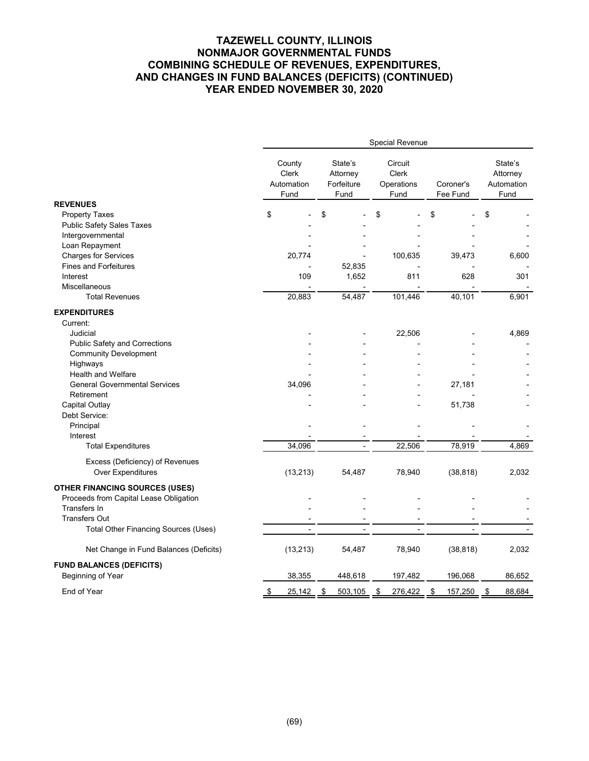# **TAZEWELL COUNTY, ILLINOIS NONMAJOR GOVERNMENTAL FUNDS COMBINING SCHEDULE OF REVENUES, EXPENDITURES, AND CHANGES IN FUND BALANCES (DEFICITS) (CONTINUED) YEAR ENDED NOVEMBER 30, 2020**

| Circuit<br>State's<br>County<br>State's<br>Clerk<br>Clerk<br>Attorney<br>Attorney<br>Automation<br>Forfeiture<br>Operations<br>Coroner's<br>Automation<br>Fund<br>Fund<br>Fee Fund<br>Fund<br>Fund<br><b>REVENUES</b><br>\$<br>\$<br><b>Property Taxes</b><br>\$<br>\$<br>\$<br><b>Public Safety Sales Taxes</b> |
|------------------------------------------------------------------------------------------------------------------------------------------------------------------------------------------------------------------------------------------------------------------------------------------------------------------|
|                                                                                                                                                                                                                                                                                                                  |
|                                                                                                                                                                                                                                                                                                                  |
|                                                                                                                                                                                                                                                                                                                  |
|                                                                                                                                                                                                                                                                                                                  |
| Intergovernmental<br>Loan Repayment                                                                                                                                                                                                                                                                              |
|                                                                                                                                                                                                                                                                                                                  |
| <b>Charges for Services</b><br>20,774<br>100,635<br>39,473<br>6,600<br><b>Fines and Forfeitures</b><br>52,835                                                                                                                                                                                                    |
| 1,652<br>109<br>811<br>628<br>301<br>Interest                                                                                                                                                                                                                                                                    |
| Miscellaneous                                                                                                                                                                                                                                                                                                    |
| 40,101<br>20,883<br>54,487<br>101,446<br>6,901<br><b>Total Revenues</b>                                                                                                                                                                                                                                          |
|                                                                                                                                                                                                                                                                                                                  |
| <b>EXPENDITURES</b>                                                                                                                                                                                                                                                                                              |
| Current:                                                                                                                                                                                                                                                                                                         |
| Judicial<br>22,506<br>4,869                                                                                                                                                                                                                                                                                      |
| <b>Public Safety and Corrections</b>                                                                                                                                                                                                                                                                             |
| <b>Community Development</b>                                                                                                                                                                                                                                                                                     |
| Highways                                                                                                                                                                                                                                                                                                         |
| <b>Health and Welfare</b>                                                                                                                                                                                                                                                                                        |
| 34,096<br><b>General Governmental Services</b><br>27,181                                                                                                                                                                                                                                                         |
| Retirement                                                                                                                                                                                                                                                                                                       |
| 51,738<br>Capital Outlay                                                                                                                                                                                                                                                                                         |
| Debt Service:                                                                                                                                                                                                                                                                                                    |
| Principal<br>Interest                                                                                                                                                                                                                                                                                            |
| 34,096<br>22,506<br>78,919<br>4,869<br><b>Total Expenditures</b>                                                                                                                                                                                                                                                 |
|                                                                                                                                                                                                                                                                                                                  |
| Excess (Deficiency) of Revenues                                                                                                                                                                                                                                                                                  |
| Over Expenditures<br>(13, 213)<br>78,940<br>(38, 818)<br>2,032<br>54,487                                                                                                                                                                                                                                         |
| <b>OTHER FINANCING SOURCES (USES)</b>                                                                                                                                                                                                                                                                            |
| Proceeds from Capital Lease Obligation                                                                                                                                                                                                                                                                           |
| <b>Transfers In</b>                                                                                                                                                                                                                                                                                              |
| <b>Transfers Out</b>                                                                                                                                                                                                                                                                                             |
| <b>Total Other Financing Sources (Uses)</b><br>$\overline{a}$                                                                                                                                                                                                                                                    |
|                                                                                                                                                                                                                                                                                                                  |
| (13, 213)<br>(38, 818)<br>Net Change in Fund Balances (Deficits)<br>54,487<br>78,940<br>2,032                                                                                                                                                                                                                    |
| <b>FUND BALANCES (DEFICITS)</b>                                                                                                                                                                                                                                                                                  |
| Beginning of Year<br>38,355<br>448,618<br>197,482<br>196,068<br>86,652                                                                                                                                                                                                                                           |
| End of Year<br>\$<br>25,142<br>503,105<br>276,422<br>\$<br>157,250<br>\$<br>88,684<br>\$<br>\$                                                                                                                                                                                                                   |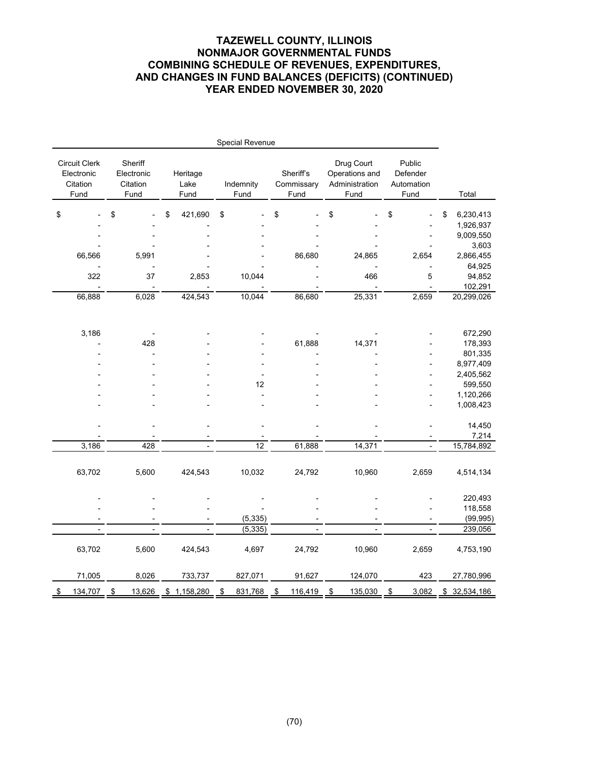# **TAZEWELL COUNTY, ILLINOIS NONMAJOR GOVERNMENTAL FUNDS COMBINING SCHEDULE OF REVENUES, EXPENDITURES, AND CHANGES IN FUND BALANCES (DEFICITS) (CONTINUED) YEAR ENDED NOVEMBER 30, 2020**

|                                                        |                                           |                          | Special Revenue   |                                 |         |                                                        |         |                                          |                          |                 |
|--------------------------------------------------------|-------------------------------------------|--------------------------|-------------------|---------------------------------|---------|--------------------------------------------------------|---------|------------------------------------------|--------------------------|-----------------|
| <b>Circuit Clerk</b><br>Electronic<br>Citation<br>Fund | Sheriff<br>Electronic<br>Citation<br>Fund | Heritage<br>Lake<br>Fund | Indemnity<br>Fund | Sheriff's<br>Commissary<br>Fund |         | Drug Court<br>Operations and<br>Administration<br>Fund |         | Public<br>Defender<br>Automation<br>Fund |                          | Total           |
| \$                                                     | \$                                        | \$<br>421,690            | \$                | \$                              |         | \$                                                     |         | \$                                       |                          | \$<br>6,230,413 |
|                                                        |                                           |                          |                   |                                 |         |                                                        |         |                                          |                          | 1,926,937       |
|                                                        |                                           |                          |                   |                                 |         |                                                        |         |                                          |                          | 9,009,550       |
|                                                        |                                           |                          |                   |                                 |         |                                                        |         |                                          |                          | 3,603           |
| 66,566                                                 | 5,991                                     |                          |                   |                                 | 86,680  |                                                        | 24,865  |                                          | 2,654                    | 2,866,455       |
|                                                        |                                           |                          |                   |                                 |         |                                                        |         |                                          |                          | 64,925          |
| 322                                                    | 37                                        | 2,853                    | 10,044            |                                 |         |                                                        | 466     |                                          | 5                        | 94,852          |
|                                                        |                                           |                          |                   |                                 |         |                                                        |         |                                          |                          | 102,291         |
| 66,888                                                 | 6,028                                     | 424,543                  | 10,044            |                                 | 86,680  |                                                        | 25,331  |                                          | 2,659                    | 20,299,026      |
| 3,186                                                  |                                           |                          |                   |                                 |         |                                                        |         |                                          |                          | 672,290         |
|                                                        | 428                                       |                          |                   |                                 | 61,888  |                                                        | 14,371  |                                          |                          | 178,393         |
|                                                        |                                           |                          |                   |                                 |         |                                                        |         |                                          |                          | 801,335         |
|                                                        |                                           |                          |                   |                                 |         |                                                        |         |                                          |                          | 8,977,409       |
|                                                        |                                           |                          |                   |                                 |         |                                                        |         |                                          |                          | 2,405,562       |
|                                                        |                                           |                          | 12                |                                 |         |                                                        |         |                                          |                          | 599,550         |
|                                                        |                                           |                          |                   |                                 |         |                                                        |         |                                          |                          | 1,120,266       |
|                                                        |                                           |                          |                   |                                 |         |                                                        |         |                                          |                          | 1,008,423       |
|                                                        |                                           |                          |                   |                                 |         |                                                        |         |                                          |                          | 14,450          |
|                                                        |                                           |                          |                   |                                 |         |                                                        |         |                                          |                          | 7,214           |
| 3,186                                                  | 428                                       | $\blacksquare$           | 12                |                                 | 61,888  |                                                        | 14,371  |                                          | $\overline{\phantom{a}}$ | 15,784,892      |
| 63,702                                                 | 5,600                                     | 424,543                  | 10,032            |                                 | 24,792  |                                                        | 10,960  |                                          | 2,659                    | 4,514,134       |
|                                                        |                                           |                          |                   |                                 |         |                                                        |         |                                          |                          | 220,493         |
|                                                        |                                           |                          |                   |                                 |         |                                                        |         |                                          |                          | 118,558         |
|                                                        |                                           |                          | (5, 335)          |                                 |         |                                                        |         |                                          |                          | (99, 995)       |
|                                                        |                                           |                          | (5, 335)          |                                 |         |                                                        |         |                                          |                          | 239,056         |
| 63,702                                                 | 5,600                                     | 424,543                  | 4,697             |                                 | 24,792  |                                                        | 10,960  |                                          | 2,659                    | 4,753,190       |
| 71,005                                                 | 8,026                                     | 733,737                  | 827,071           |                                 | 91,627  |                                                        | 124,070 |                                          | 423                      | 27,780,996      |
| \$<br>134,707                                          | 13,626<br>\$                              | \$1,158,280              | \$<br>831,768     | \$                              | 116,419 | \$                                                     | 135,030 | \$                                       | 3,082                    | \$32,534,186    |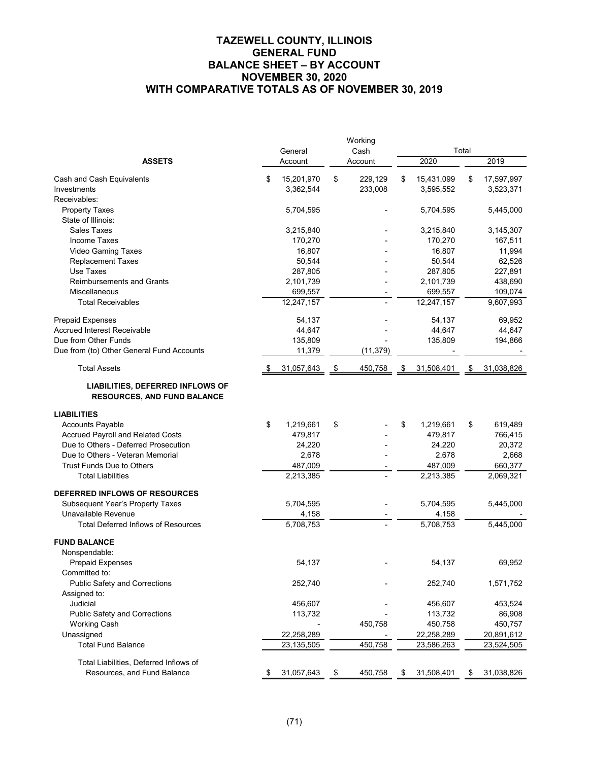# **TAZEWELL COUNTY, ILLINOIS GENERAL FUND BALANCE SHEET – BY ACCOUNT NOVEMBER 30, 2020 WITH COMPARATIVE TOTALS AS OF NOVEMBER 30, 2019**

|                                                                               | General |              |         | Working<br>Cash |    | Total      |      |            |  |  |
|-------------------------------------------------------------------------------|---------|--------------|---------|-----------------|----|------------|------|------------|--|--|
| <b>ASSETS</b>                                                                 |         | Account      | Account |                 |    | 2020       | 2019 |            |  |  |
|                                                                               |         |              |         |                 |    |            |      |            |  |  |
| Cash and Cash Equivalents                                                     | \$      | 15,201,970   | \$      | 229,129         | \$ | 15,431,099 | \$   | 17,597,997 |  |  |
| Investments                                                                   |         | 3,362,544    |         | 233,008         |    | 3,595,552  |      | 3,523,371  |  |  |
| Receivables:                                                                  |         |              |         |                 |    |            |      |            |  |  |
| <b>Property Taxes</b>                                                         |         | 5,704,595    |         |                 |    | 5,704,595  |      | 5,445,000  |  |  |
| State of Illinois:                                                            |         |              |         |                 |    |            |      |            |  |  |
| <b>Sales Taxes</b>                                                            |         | 3,215,840    |         |                 |    | 3,215,840  |      | 3,145,307  |  |  |
| <b>Income Taxes</b>                                                           |         | 170,270      |         |                 |    | 170,270    |      | 167,511    |  |  |
| Video Gaming Taxes                                                            |         | 16,807       |         |                 |    | 16,807     |      | 11,994     |  |  |
| <b>Replacement Taxes</b>                                                      |         | 50,544       |         |                 |    | 50,544     |      | 62,526     |  |  |
| Use Taxes                                                                     |         | 287,805      |         |                 |    | 287,805    |      | 227,891    |  |  |
| <b>Reimbursements and Grants</b>                                              |         | 2,101,739    |         |                 |    | 2,101,739  |      | 438,690    |  |  |
| <b>Miscellaneous</b>                                                          |         | 699,557      |         |                 |    | 699,557    |      | 109,074    |  |  |
| <b>Total Receivables</b>                                                      |         | 12,247,157   |         |                 |    | 12,247,157 |      | 9,607,993  |  |  |
| <b>Prepaid Expenses</b>                                                       |         | 54,137       |         |                 |    | 54,137     |      | 69,952     |  |  |
| <b>Accrued Interest Receivable</b>                                            |         | 44,647       |         |                 |    | 44,647     |      | 44,647     |  |  |
| Due from Other Funds                                                          |         | 135,809      |         |                 |    | 135,809    |      | 194,866    |  |  |
| Due from (to) Other General Fund Accounts                                     |         | 11,379       |         | (11, 379)       |    |            |      |            |  |  |
| <b>Total Assets</b>                                                           | - \$    | 31,057,643   | \$      | 450,758         | \$ | 31,508,401 | \$   | 31,038,826 |  |  |
| <b>LIABILITIES, DEFERRED INFLOWS OF</b><br><b>RESOURCES, AND FUND BALANCE</b> |         |              |         |                 |    |            |      |            |  |  |
| <b>LIABILITIES</b>                                                            |         |              |         |                 |    |            |      |            |  |  |
| <b>Accounts Payable</b>                                                       | \$      | 1,219,661    | \$      |                 | \$ | 1,219,661  | \$   | 619,489    |  |  |
| Accrued Payroll and Related Costs                                             |         | 479,817      |         |                 |    | 479,817    |      | 766,415    |  |  |
| Due to Others - Deferred Prosecution                                          |         | 24,220       |         |                 |    | 24,220     |      | 20,372     |  |  |
| Due to Others - Veteran Memorial                                              |         | 2,678        |         |                 |    | 2,678      |      | 2,668      |  |  |
| <b>Trust Funds Due to Others</b>                                              |         | 487,009      |         |                 |    | 487,009    |      | 660,377    |  |  |
| <b>Total Liabilities</b>                                                      |         | 2,213,385    |         |                 |    | 2,213,385  |      | 2,069,321  |  |  |
| DEFERRED INFLOWS OF RESOURCES                                                 |         |              |         |                 |    |            |      |            |  |  |
| Subsequent Year's Property Taxes                                              |         | 5,704,595    |         |                 |    | 5,704,595  |      | 5,445,000  |  |  |
| Unavailable Revenue                                                           |         | 4,158        |         |                 |    | 4,158      |      |            |  |  |
| <b>Total Deferred Inflows of Resources</b>                                    |         | 5,708,753    |         |                 |    | 5,708,753  |      | 5,445,000  |  |  |
|                                                                               |         |              |         |                 |    |            |      |            |  |  |
| <b>FUND BALANCE</b>                                                           |         |              |         |                 |    |            |      |            |  |  |
| Nonspendable:                                                                 |         |              |         |                 |    |            |      |            |  |  |
| <b>Prepaid Expenses</b>                                                       |         | 54,137       |         |                 |    | 54,137     |      | 69,952     |  |  |
| Committed to:                                                                 |         |              |         |                 |    |            |      |            |  |  |
| <b>Public Safety and Corrections</b>                                          |         | 252,740      |         |                 |    | 252,740    |      | 1,571,752  |  |  |
| Assigned to:                                                                  |         |              |         |                 |    |            |      |            |  |  |
| Judicial                                                                      |         | 456,607      |         |                 |    | 456,607    |      | 453,524    |  |  |
| <b>Public Safety and Corrections</b>                                          |         | 113,732      |         |                 |    | 113,732    |      | 86,908     |  |  |
| <b>Working Cash</b>                                                           |         |              |         | 450,758         |    | 450,758    |      | 450,757    |  |  |
| Unassigned                                                                    |         | 22,258,289   |         |                 |    | 22,258,289 |      | 20,891,612 |  |  |
| <b>Total Fund Balance</b>                                                     |         | 23, 135, 505 |         | 450,758         |    | 23,586,263 |      | 23,524,505 |  |  |
| Total Liabilities, Deferred Inflows of                                        |         |              |         |                 |    |            |      |            |  |  |
| Resources, and Fund Balance                                                   | \$      | 31,057,643   | \$      | 450,758         | \$ | 31,508,401 | \$   | 31,038,826 |  |  |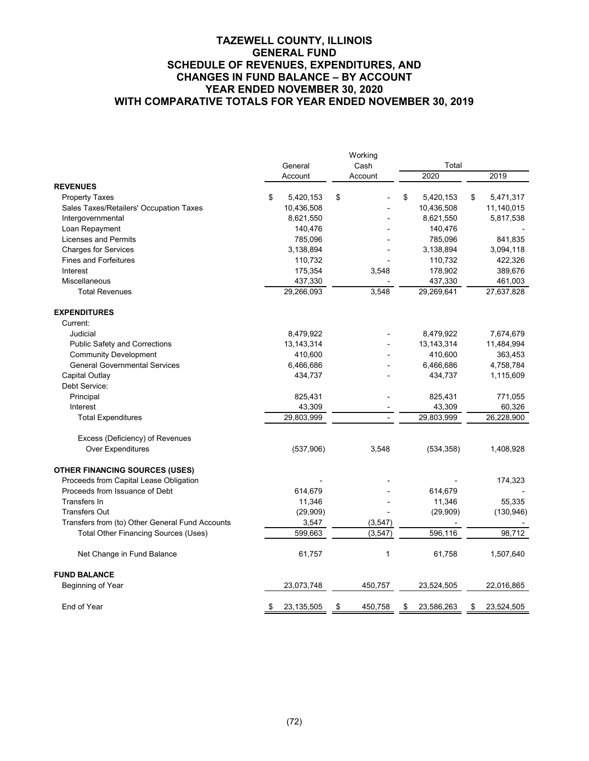|                                                 |                    | Working       |                  |                  |
|-------------------------------------------------|--------------------|---------------|------------------|------------------|
|                                                 | General            | Cash          | Total            |                  |
|                                                 | Account            | Account       | 2020             | 2019             |
| <b>REVENUES</b>                                 |                    |               |                  |                  |
| <b>Property Taxes</b>                           | \$<br>5,420,153    | \$            | \$<br>5,420,153  | \$<br>5,471,317  |
| Sales Taxes/Retailers' Occupation Taxes         | 10,436,508         |               | 10,436,508       | 11,140,015       |
| Intergovernmental                               | 8,621,550          |               | 8,621,550        | 5,817,538        |
| Loan Repayment                                  | 140,476            |               | 140,476          |                  |
| <b>Licenses and Permits</b>                     | 785,096            |               | 785,096          | 841,835          |
| <b>Charges for Services</b>                     | 3,138,894          |               | 3,138,894        | 3,094,118        |
| <b>Fines and Forfeitures</b>                    | 110,732            |               | 110,732          | 422,326          |
| Interest                                        | 175,354            | 3,548         | 178,902          | 389,676          |
| Miscellaneous                                   | 437,330            |               | 437,330          | 461,003          |
| <b>Total Revenues</b>                           | 29,266,093         | 3,548         | 29,269,641       | 27,637,828       |
| <b>EXPENDITURES</b>                             |                    |               |                  |                  |
| Current:                                        |                    |               |                  |                  |
| Judicial                                        | 8,479,922          |               | 8,479,922        | 7,674,679        |
| <b>Public Safety and Corrections</b>            | 13, 143, 314       |               | 13, 143, 314     | 11,484,994       |
| <b>Community Development</b>                    | 410,600            |               | 410,600          | 363,453          |
| <b>General Governmental Services</b>            | 6,466,686          |               | 6,466,686        | 4,758,784        |
| Capital Outlay                                  | 434,737            |               | 434,737          | 1,115,609        |
| Debt Service:                                   |                    |               |                  |                  |
| Principal                                       | 825,431            |               | 825,431          | 771,055          |
| Interest                                        | 43,309             |               | 43,309           | 60,326           |
| <b>Total Expenditures</b>                       | 29,803,999         |               | 29,803,999       | 26,228,900       |
| Excess (Deficiency) of Revenues                 |                    |               |                  |                  |
| Over Expenditures                               | (537,906)          | 3,548         | (534, 358)       | 1,408,928        |
| <b>OTHER FINANCING SOURCES (USES)</b>           |                    |               |                  |                  |
| Proceeds from Capital Lease Obligation          |                    |               |                  | 174,323          |
| Proceeds from Issuance of Debt                  | 614,679            |               | 614,679          |                  |
| Transfers In                                    | 11,346             |               | 11,346           | 55,335           |
| <b>Transfers Out</b>                            | (29,909)           |               | (29,909)         | (130, 946)       |
| Transfers from (to) Other General Fund Accounts | 3,547              | (3, 547)      |                  |                  |
| Total Other Financing Sources (Uses)            | 599,663            | (3, 547)      | 596,116          | 98,712           |
| Net Change in Fund Balance                      | 61,757             | $\mathbf{1}$  | 61,758           | 1,507,640        |
| <b>FUND BALANCE</b>                             |                    |               |                  |                  |
| Beginning of Year                               | 23,073,748         | 450,757       | 23,524,505       | 22,016,865       |
| End of Year                                     | \$<br>23, 135, 505 | \$<br>450,758 | \$<br>23,586,263 | \$<br>23,524,505 |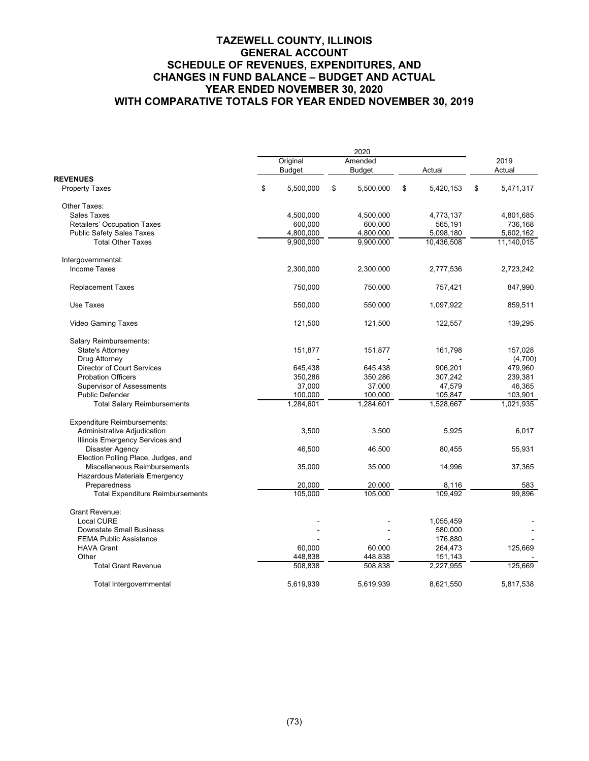|                                         |               | 2020            |                 |    |            |  |
|-----------------------------------------|---------------|-----------------|-----------------|----|------------|--|
|                                         | Original      | Amended         |                 |    | 2019       |  |
|                                         | <b>Budget</b> | <b>Budget</b>   | Actual          |    | Actual     |  |
| <b>REVENUES</b>                         | \$            |                 |                 |    |            |  |
| <b>Property Taxes</b>                   | 5,500,000     | \$<br>5,500,000 | \$<br>5,420,153 | \$ | 5,471,317  |  |
| Other Taxes:                            |               |                 |                 |    |            |  |
| <b>Sales Taxes</b>                      | 4,500,000     | 4,500,000       | 4,773,137       |    | 4,801,685  |  |
| Retailers' Occupation Taxes             | 600,000       | 600,000         | 565,191         |    | 736,168    |  |
| <b>Public Safety Sales Taxes</b>        | 4,800,000     | 4,800,000       | 5,098,180       |    | 5,602,162  |  |
| <b>Total Other Taxes</b>                | 9,900,000     | 9,900,000       | 10,436,508      |    | 11,140,015 |  |
| Intergovernmental:                      |               |                 |                 |    |            |  |
| <b>Income Taxes</b>                     | 2,300,000     | 2,300,000       | 2,777,536       |    | 2,723,242  |  |
|                                         |               |                 |                 |    |            |  |
| <b>Replacement Taxes</b>                | 750,000       | 750,000         | 757,421         |    | 847,990    |  |
| Use Taxes                               | 550,000       | 550,000         | 1,097,922       |    | 859,511    |  |
| <b>Video Gaming Taxes</b>               | 121,500       | 121,500         | 122,557         |    | 139,295    |  |
| Salary Reimbursements:                  |               |                 |                 |    |            |  |
| State's Attorney                        | 151,877       | 151,877         | 161,798         |    | 157,028    |  |
| Drug Attorney                           |               |                 |                 |    | (4,700)    |  |
| <b>Director of Court Services</b>       | 645,438       | 645,438         | 906,201         |    | 479,960    |  |
| <b>Probation Officers</b>               | 350,286       | 350,286         | 307,242         |    | 239,381    |  |
| <b>Supervisor of Assessments</b>        | 37,000        | 37,000          | 47,579          |    | 46,365     |  |
| <b>Public Defender</b>                  | 100,000       | 100,000         | 105,847         |    | 103,901    |  |
| <b>Total Salary Reimbursements</b>      | 1,284,601     | 1,284,601       | 1,528,667       |    | 1,021,935  |  |
| <b>Expenditure Reimbursements:</b>      |               |                 |                 |    |            |  |
| Administrative Adjudication             | 3,500         | 3,500           | 5,925           |    | 6,017      |  |
| Illinois Emergency Services and         |               |                 |                 |    |            |  |
| Disaster Agency                         | 46,500        | 46,500          | 80,455          |    | 55,931     |  |
| Election Polling Place, Judges, and     |               |                 |                 |    |            |  |
| Miscellaneous Reimbursements            | 35,000        | 35,000          | 14,996          |    | 37,365     |  |
| Hazardous Materials Emergency           |               |                 |                 |    |            |  |
| Preparedness                            | 20,000        | 20,000          | 8,116           |    | 583        |  |
| <b>Total Expenditure Reimbursements</b> | 105,000       | 105,000         | 109,492         |    | 99,896     |  |
| <b>Grant Revenue:</b>                   |               |                 |                 |    |            |  |
| <b>Local CURE</b>                       |               |                 | 1,055,459       |    |            |  |
| <b>Downstate Small Business</b>         |               |                 | 580,000         |    |            |  |
| <b>FEMA Public Assistance</b>           |               |                 | 176,880         |    |            |  |
| <b>HAVA Grant</b>                       | 60,000        | 60,000          | 264,473         |    | 125,669    |  |
| Other                                   | 448,838       | 448,838         | 151,143         |    |            |  |
| <b>Total Grant Revenue</b>              | 508,838       | 508,838         | 2,227,955       |    | 125,669    |  |
| Total Intergovernmental                 | 5,619,939     | 5,619,939       | 8,621,550       |    | 5,817,538  |  |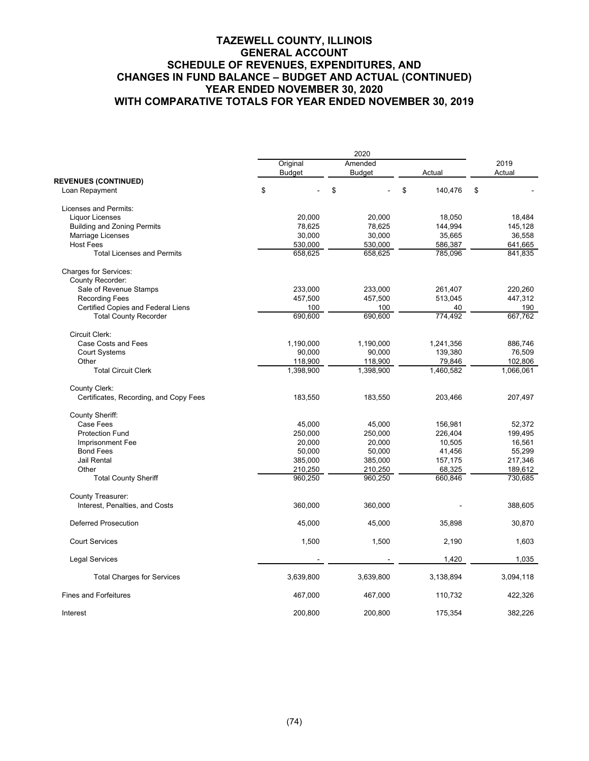|                                        |               | 2020          |               |           |  |  |  |  |  |  |
|----------------------------------------|---------------|---------------|---------------|-----------|--|--|--|--|--|--|
|                                        | Original      | Amended       |               | 2019      |  |  |  |  |  |  |
| <b>REVENUES (CONTINUED)</b>            | <b>Budget</b> | <b>Budget</b> | Actual        | Actual    |  |  |  |  |  |  |
| Loan Repayment                         | \$            | \$            | \$<br>140,476 | \$        |  |  |  |  |  |  |
| Licenses and Permits:                  |               |               |               |           |  |  |  |  |  |  |
| <b>Liquor Licenses</b>                 | 20,000        | 20,000        | 18,050        | 18,484    |  |  |  |  |  |  |
| <b>Building and Zoning Permits</b>     | 78,625        | 78,625        | 144,994       | 145,128   |  |  |  |  |  |  |
| <b>Marriage Licenses</b>               | 30,000        | 30,000        | 35,665        | 36,558    |  |  |  |  |  |  |
| <b>Host Fees</b>                       | 530,000       | 530,000       | 586,387       | 641,665   |  |  |  |  |  |  |
| <b>Total Licenses and Permits</b>      | 658,625       | 658,625       | 785,096       | 841,835   |  |  |  |  |  |  |
| <b>Charges for Services:</b>           |               |               |               |           |  |  |  |  |  |  |
| County Recorder:                       |               |               |               |           |  |  |  |  |  |  |
| Sale of Revenue Stamps                 | 233,000       | 233,000       | 261,407       | 220,260   |  |  |  |  |  |  |
| <b>Recording Fees</b>                  | 457,500       | 457,500       | 513,045       | 447,312   |  |  |  |  |  |  |
| Certified Copies and Federal Liens     | 100           | 100           | 40            | 190       |  |  |  |  |  |  |
| <b>Total County Recorder</b>           | 690,600       | 690,600       | 774,492       | 667,762   |  |  |  |  |  |  |
|                                        |               |               |               |           |  |  |  |  |  |  |
| Circuit Clerk:                         |               |               |               |           |  |  |  |  |  |  |
| Case Costs and Fees                    | 1,190,000     | 1,190,000     | 1,241,356     | 886,746   |  |  |  |  |  |  |
| <b>Court Systems</b>                   | 90,000        | 90,000        | 139,380       | 76,509    |  |  |  |  |  |  |
| Other                                  | 118,900       | 118,900       | 79,846        | 102,806   |  |  |  |  |  |  |
| <b>Total Circuit Clerk</b>             | 1,398,900     | 1,398,900     | 1,460,582     | 1,066,061 |  |  |  |  |  |  |
| County Clerk:                          |               |               |               |           |  |  |  |  |  |  |
| Certificates, Recording, and Copy Fees | 183,550       | 183,550       | 203,466       | 207,497   |  |  |  |  |  |  |
| <b>County Sheriff:</b>                 |               |               |               |           |  |  |  |  |  |  |
| Case Fees                              | 45,000        | 45,000        | 156,981       | 52,372    |  |  |  |  |  |  |
| <b>Protection Fund</b>                 | 250,000       | 250,000       | 226,404       | 199,495   |  |  |  |  |  |  |
| Imprisonment Fee                       | 20,000        | 20.000        | 10,505        | 16,561    |  |  |  |  |  |  |
| <b>Bond Fees</b>                       | 50,000        | 50,000        | 41,456        | 55,299    |  |  |  |  |  |  |
| <b>Jail Rental</b>                     | 385,000       | 385,000       | 157,175       | 217,346   |  |  |  |  |  |  |
| Other                                  | 210,250       | 210,250       | 68,325        | 189,612   |  |  |  |  |  |  |
| <b>Total County Sheriff</b>            | 960,250       | 960,250       | 660,846       | 730,685   |  |  |  |  |  |  |
| County Treasurer:                      |               |               |               |           |  |  |  |  |  |  |
| Interest, Penalties, and Costs         | 360,000       | 360,000       |               | 388,605   |  |  |  |  |  |  |
| <b>Deferred Prosecution</b>            | 45,000        | 45,000        | 35,898        | 30,870    |  |  |  |  |  |  |
| <b>Court Services</b>                  | 1,500         | 1,500         | 2,190         | 1,603     |  |  |  |  |  |  |
| <b>Legal Services</b>                  |               |               | 1,420         | 1,035     |  |  |  |  |  |  |
| <b>Total Charges for Services</b>      | 3,639,800     | 3,639,800     | 3,138,894     | 3,094,118 |  |  |  |  |  |  |
| <b>Fines and Forfeitures</b>           | 467,000       | 467,000       | 110,732       | 422,326   |  |  |  |  |  |  |
| Interest                               | 200,800       | 200,800       | 175,354       | 382,226   |  |  |  |  |  |  |
|                                        |               |               |               |           |  |  |  |  |  |  |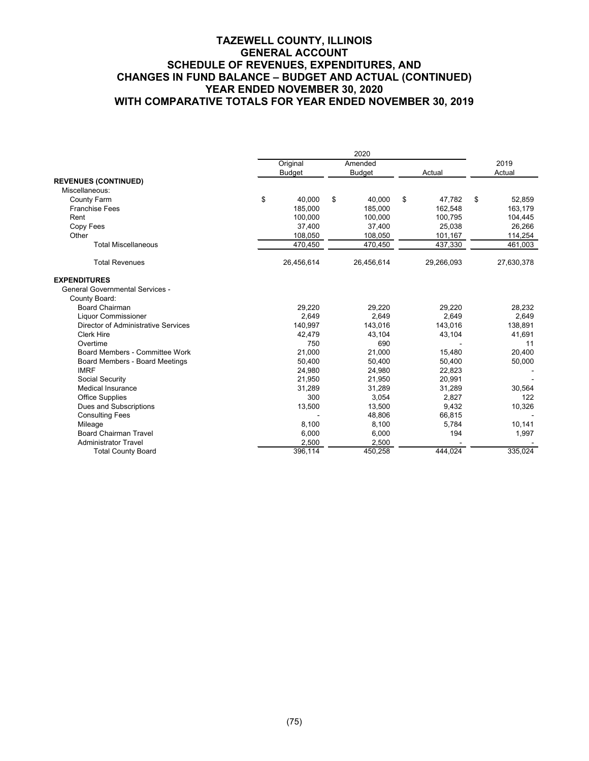|                                        | Original      | Amended       |              | 2019         |
|----------------------------------------|---------------|---------------|--------------|--------------|
|                                        | <b>Budget</b> | <b>Budget</b> | Actual       | Actual       |
| <b>REVENUES (CONTINUED)</b>            |               |               |              |              |
| Miscellaneous:                         |               |               |              |              |
| <b>County Farm</b>                     | \$<br>40.000  | \$<br>40.000  | \$<br>47,782 | \$<br>52,859 |
| <b>Franchise Fees</b>                  | 185,000       | 185,000       | 162,548      | 163,179      |
| Rent                                   | 100,000       | 100,000       | 100,795      | 104,445      |
| Copy Fees                              | 37,400        | 37,400        | 25,038       | 26,266       |
| Other                                  | 108,050       | 108,050       | 101,167      | 114,254      |
| <b>Total Miscellaneous</b>             | 470,450       | 470,450       | 437,330      | 461,003      |
| <b>Total Revenues</b>                  | 26,456,614    | 26,456,614    | 29,266,093   | 27,630,378   |
| <b>EXPENDITURES</b>                    |               |               |              |              |
| <b>General Governmental Services -</b> |               |               |              |              |
| County Board:                          |               |               |              |              |
| <b>Board Chairman</b>                  | 29,220        | 29,220        | 29,220       | 28,232       |
| <b>Liquor Commissioner</b>             | 2.649         | 2.649         | 2.649        | 2,649        |
| Director of Administrative Services    | 140.997       | 143.016       | 143.016      | 138,891      |
| <b>Clerk Hire</b>                      | 42.479        | 43.104        | 43,104       | 41,691       |
| Overtime                               | 750           | 690           |              | 11           |
| Board Members - Committee Work         | 21.000        | 21.000        | 15,480       | 20,400       |
| Board Members - Board Meetings         | 50,400        | 50.400        | 50,400       | 50,000       |
| <b>IMRF</b>                            | 24.980        | 24.980        | 22.823       |              |
| Social Security                        | 21.950        | 21.950        | 20.991       |              |
| Medical Insurance                      | 31,289        | 31,289        | 31,289       | 30,564       |
| <b>Office Supplies</b>                 | 300           | 3,054         | 2,827        | 122          |
| Dues and Subscriptions                 | 13,500        | 13,500        | 9,432        | 10,326       |
| <b>Consulting Fees</b>                 |               | 48,806        | 66,815       |              |
| Mileage                                | 8,100         | 8,100         | 5.784        | 10,141       |
| <b>Board Chairman Travel</b>           | 6,000         | 6,000         | 194          | 1,997        |
| <b>Administrator Travel</b>            | 2,500         | 2,500         |              |              |
| <b>Total County Board</b>              | 396,114       | 450,258       | 444,024      | 335,024      |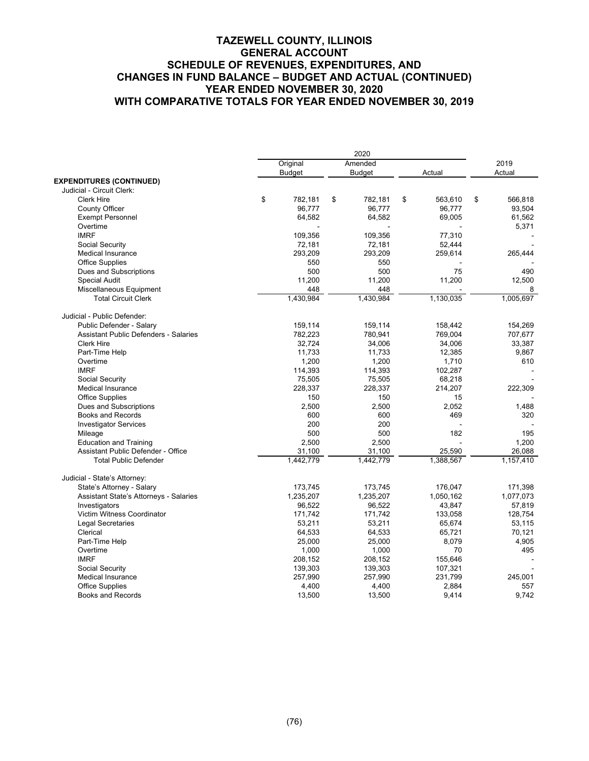|                                              | 2020 |               |    |               |    |           |    |           |  |
|----------------------------------------------|------|---------------|----|---------------|----|-----------|----|-----------|--|
|                                              |      | Original      |    | Amended       |    |           |    | 2019      |  |
|                                              |      | <b>Budget</b> |    | <b>Budget</b> |    | Actual    |    | Actual    |  |
| <b>EXPENDITURES (CONTINUED)</b>              |      |               |    |               |    |           |    |           |  |
| Judicial - Circuit Clerk:                    |      |               |    |               |    |           |    |           |  |
| <b>Clerk Hire</b>                            | \$   | 782,181       | \$ | 782,181       | \$ | 563,610   | \$ | 566,818   |  |
| County Officer                               |      | 96.777        |    | 96.777        |    | 96.777    |    | 93,504    |  |
| <b>Exempt Personnel</b>                      |      | 64,582        |    | 64,582        |    | 69,005    |    | 61,562    |  |
| Overtime                                     |      |               |    |               |    |           |    | 5,371     |  |
| <b>IMRF</b>                                  |      | 109,356       |    | 109,356       |    | 77,310    |    |           |  |
| Social Security                              |      | 72,181        |    | 72,181        |    | 52,444    |    |           |  |
| <b>Medical Insurance</b>                     |      | 293,209       |    | 293,209       |    | 259,614   |    | 265,444   |  |
| <b>Office Supplies</b>                       |      | 550           |    | 550           |    |           |    |           |  |
| Dues and Subscriptions                       |      | 500           |    | 500           |    | 75        |    | 490       |  |
| <b>Special Audit</b>                         |      | 11,200        |    | 11,200        |    | 11,200    |    | 12,500    |  |
| Miscellaneous Equipment                      |      | 448           |    | 448           |    |           |    | 8         |  |
| <b>Total Circuit Clerk</b>                   |      | 1,430,984     |    | 1,430,984     |    | 1,130,035 |    | 1,005,697 |  |
| Judicial - Public Defender:                  |      |               |    |               |    |           |    |           |  |
| Public Defender - Salary                     |      | 159,114       |    | 159,114       |    | 158,442   |    | 154,269   |  |
| <b>Assistant Public Defenders - Salaries</b> |      | 782,223       |    | 780,941       |    | 769,004   |    | 707,677   |  |
| <b>Clerk Hire</b>                            |      | 32,724        |    | 34,006        |    | 34,006    |    | 33,387    |  |
| Part-Time Help                               |      | 11,733        |    | 11,733        |    | 12,385    |    | 9,867     |  |
| Overtime                                     |      | 1,200         |    | 1,200         |    | 1,710     |    | 610       |  |
| <b>IMRF</b>                                  |      | 114,393       |    | 114,393       |    | 102,287   |    |           |  |
| Social Security                              |      | 75,505        |    | 75,505        |    | 68,218    |    |           |  |
| <b>Medical Insurance</b>                     |      | 228,337       |    | 228,337       |    | 214,207   |    | 222,309   |  |
| <b>Office Supplies</b>                       |      | 150           |    | 150           |    | 15        |    |           |  |
| Dues and Subscriptions                       |      | 2,500         |    | 2,500         |    | 2,052     |    | 1,488     |  |
| <b>Books and Records</b>                     |      | 600           |    | 600           |    | 469       |    | 320       |  |
| <b>Investigator Services</b>                 |      | 200           |    | 200           |    |           |    |           |  |
| Mileage                                      |      | 500           |    | 500           |    | 182       |    | 195       |  |
| <b>Education and Training</b>                |      | 2,500         |    | 2,500         |    |           |    | 1,200     |  |
| Assistant Public Defender - Office           |      | 31,100        |    | 31,100        |    | 25,590    |    | 26,088    |  |
| <b>Total Public Defender</b>                 |      | 1,442,779     |    | 1,442,779     |    | 1,388,567 |    | 1,157,410 |  |
| Judicial - State's Attorney:                 |      |               |    |               |    |           |    |           |  |
| State's Attorney - Salary                    |      | 173,745       |    | 173,745       |    | 176,047   |    | 171,398   |  |
| Assistant State's Attorneys - Salaries       |      | 1,235,207     |    | 1,235,207     |    | 1,050,162 |    | 1,077,073 |  |
| Investigators                                |      | 96,522        |    | 96,522        |    | 43,847    |    | 57,819    |  |
| Victim Witness Coordinator                   |      | 171,742       |    | 171,742       |    | 133,058   |    | 128,754   |  |
| <b>Legal Secretaries</b>                     |      | 53,211        |    | 53,211        |    | 65,674    |    | 53,115    |  |
| Clerical                                     |      | 64,533        |    | 64,533        |    | 65,721    |    | 70,121    |  |
| Part-Time Help                               |      | 25,000        |    | 25,000        |    | 8,079     |    | 4,905     |  |
| Overtime                                     |      | 1,000         |    | 1,000         |    | 70        |    | 495       |  |
| <b>IMRF</b>                                  |      | 208,152       |    | 208,152       |    | 155,646   |    |           |  |
| Social Security                              |      | 139,303       |    | 139,303       |    | 107,321   |    |           |  |
| Medical Insurance                            |      | 257,990       |    | 257,990       |    | 231,799   |    | 245,001   |  |
| <b>Office Supplies</b>                       |      | 4,400         |    | 4,400         |    | 2,884     |    | 557       |  |
| <b>Books and Records</b>                     |      | 13,500        |    | 13,500        |    | 9,414     |    | 9,742     |  |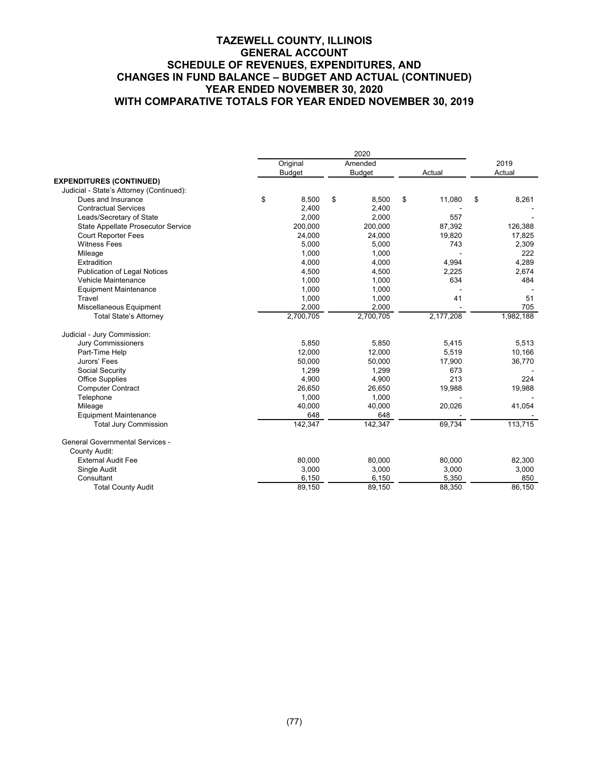|                                          | Original      | Amended       |              | 2019        |
|------------------------------------------|---------------|---------------|--------------|-------------|
|                                          | <b>Budget</b> | <b>Budget</b> | Actual       | Actual      |
| <b>EXPENDITURES (CONTINUED)</b>          |               |               |              |             |
| Judicial - State's Attorney (Continued): |               |               |              |             |
| Dues and Insurance                       | \$<br>8,500   | \$<br>8,500   | \$<br>11,080 | \$<br>8,261 |
| <b>Contractual Services</b>              | 2,400         | 2,400         |              |             |
| Leads/Secretary of State                 | 2,000         | 2,000         | 557          |             |
| State Appellate Prosecutor Service       | 200,000       | 200,000       | 87,392       | 126,388     |
| <b>Court Reporter Fees</b>               | 24,000        | 24,000        | 19,820       | 17,825      |
| <b>Witness Fees</b>                      | 5,000         | 5,000         | 743          | 2,309       |
| Mileage                                  | 1,000         | 1,000         |              | 222         |
| Extradition                              | 4.000         | 4.000         | 4,994        | 4.289       |
| <b>Publication of Legal Notices</b>      | 4,500         | 4,500         | 2,225        | 2,674       |
| Vehicle Maintenance                      | 1,000         | 1,000         | 634          | 484         |
| <b>Equipment Maintenance</b>             | 1,000         | 1,000         |              |             |
| Travel                                   | 1,000         | 1,000         | 41           | 51          |
| Miscellaneous Equipment                  | 2.000         | 2.000         |              | 705         |
| <b>Total State's Attorney</b>            | 2,700,705     | 2,700,705     | 2,177,208    | 1,982,188   |
| Judicial - Jury Commission:              |               |               |              |             |
| <b>Jury Commissioners</b>                | 5,850         | 5.850         | 5,415        | 5,513       |
| Part-Time Help                           | 12,000        | 12,000        | 5,519        | 10,166      |
| Jurors' Fees                             | 50,000        | 50,000        | 17,900       | 36,770      |
| Social Security                          | 1,299         | 1,299         | 673          |             |
| <b>Office Supplies</b>                   | 4,900         | 4,900         | 213          | 224         |
| <b>Computer Contract</b>                 | 26,650        | 26,650        | 19,988       | 19,988      |
| Telephone                                | 1,000         | 1.000         |              |             |
| Mileage                                  | 40,000        | 40,000        | 20,026       | 41,054      |
| <b>Equipment Maintenance</b>             | 648           | 648           |              |             |
| <b>Total Jury Commission</b>             | 142,347       | 142,347       | 69,734       | 113,715     |
| <b>General Governmental Services -</b>   |               |               |              |             |
| <b>County Audit:</b>                     |               |               |              |             |
| <b>External Audit Fee</b>                | 80,000        | 80,000        | 80,000       | 82,300      |
| Single Audit                             | 3,000         | 3,000         | 3,000        | 3,000       |
| Consultant                               | 6,150         | 6.150         | 5,350        | 850         |
| <b>Total County Audit</b>                | 89,150        | 89,150        | 88,350       | 86,150      |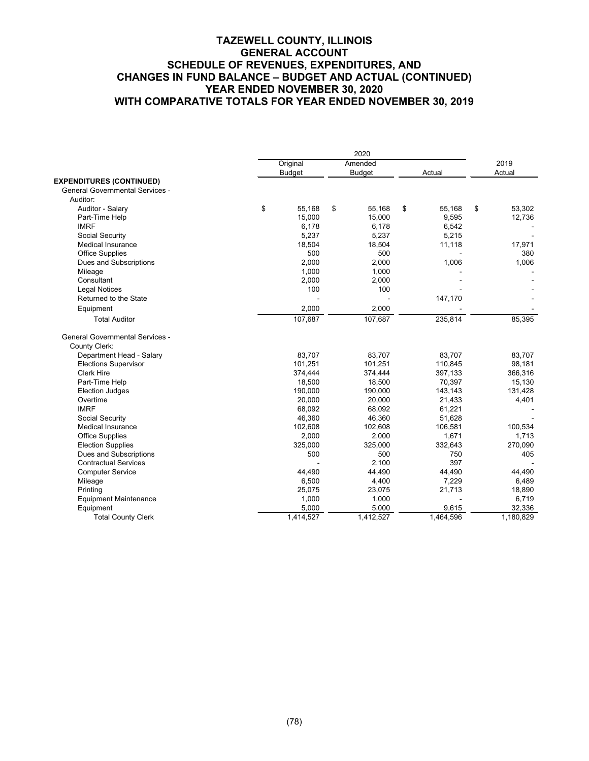|                                        | Original      | Amended       |              | 2019         |
|----------------------------------------|---------------|---------------|--------------|--------------|
|                                        | <b>Budget</b> | <b>Budget</b> | Actual       | Actual       |
| <b>EXPENDITURES (CONTINUED)</b>        |               |               |              |              |
| <b>General Governmental Services -</b> |               |               |              |              |
| Auditor:                               |               |               |              |              |
| Auditor - Salary                       | \$<br>55,168  | \$<br>55,168  | \$<br>55,168 | \$<br>53,302 |
| Part-Time Help                         | 15,000        | 15,000        | 9,595        | 12,736       |
| <b>IMRF</b>                            | 6,178         | 6,178         | 6,542        |              |
| Social Security                        | 5,237         | 5,237         | 5,215        |              |
| <b>Medical Insurance</b>               | 18,504        | 18,504        | 11,118       | 17,971       |
| <b>Office Supplies</b>                 | 500           | 500           |              | 380          |
| Dues and Subscriptions                 | 2,000         | 2,000         | 1,006        | 1,006        |
| Mileage                                | 1,000         | 1,000         |              |              |
| Consultant                             | 2,000         | 2,000         |              |              |
| <b>Legal Notices</b>                   | 100           | 100           |              |              |
| Returned to the State                  |               |               | 147,170      |              |
| Equipment                              | 2,000         | 2,000         |              |              |
| <b>Total Auditor</b>                   | 107,687       | 107,687       | 235,814      | 85,395       |
| <b>General Governmental Services -</b> |               |               |              |              |
| <b>County Clerk:</b>                   |               |               |              |              |
| Department Head - Salary               | 83.707        | 83,707        | 83,707       | 83.707       |
| <b>Elections Supervisor</b>            | 101,251       | 101,251       | 110,845      | 98,181       |
| <b>Clerk Hire</b>                      | 374,444       | 374,444       | 397,133      | 366,316      |
| Part-Time Help                         | 18,500        | 18,500        | 70,397       | 15,130       |
| <b>Election Judges</b>                 | 190,000       | 190,000       | 143,143      | 131,428      |
| Overtime                               | 20,000        | 20,000        | 21,433       | 4,401        |
| <b>IMRF</b>                            | 68,092        | 68,092        | 61,221       |              |
| Social Security                        | 46,360        | 46,360        | 51,628       |              |
| <b>Medical Insurance</b>               | 102,608       | 102,608       | 106,581      | 100,534      |
| <b>Office Supplies</b>                 | 2,000         | 2,000         | 1,671        | 1,713        |
| <b>Election Supplies</b>               | 325,000       | 325,000       | 332,643      | 270,090      |
| Dues and Subscriptions                 | 500           | 500           | 750          | 405          |
| <b>Contractual Services</b>            |               | 2.100         | 397          |              |
| <b>Computer Service</b>                | 44,490        | 44,490        | 44,490       | 44,490       |
| Mileage                                | 6,500         | 4,400         | 7,229        | 6,489        |
| Printing                               | 25,075        | 23,075        | 21,713       | 18,890       |
| <b>Equipment Maintenance</b>           | 1,000         | 1,000         |              | 6,719        |
| Equipment                              | 5,000         | 5,000         | 9,615        | 32,336       |
| <b>Total County Clerk</b>              | 1,414,527     | 1,412,527     | 1,464,596    | 1,180,829    |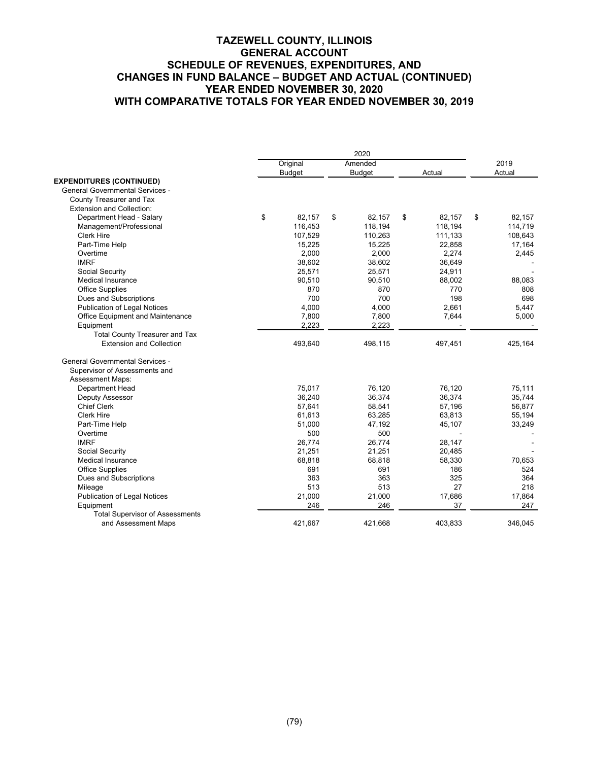|                                        | 2020 |               |    |               |    |         |    |         |
|----------------------------------------|------|---------------|----|---------------|----|---------|----|---------|
|                                        |      | Original      |    | Amended       |    |         |    | 2019    |
|                                        |      | <b>Budget</b> |    | <b>Budget</b> |    | Actual  |    | Actual  |
| <b>EXPENDITURES (CONTINUED)</b>        |      |               |    |               |    |         |    |         |
| <b>General Governmental Services -</b> |      |               |    |               |    |         |    |         |
| County Treasurer and Tax               |      |               |    |               |    |         |    |         |
| <b>Extension and Collection:</b>       |      |               |    |               |    |         |    |         |
| Department Head - Salary               | \$   | 82,157        | \$ | 82,157        | \$ | 82,157  | \$ | 82.157  |
| Management/Professional                |      | 116,453       |    | 118,194       |    | 118,194 |    | 114,719 |
| <b>Clerk Hire</b>                      |      | 107,529       |    | 110,263       |    | 111,133 |    | 108,643 |
| Part-Time Help                         |      | 15,225        |    | 15,225        |    | 22,858  |    | 17,164  |
| Overtime                               |      | 2,000         |    | 2,000         |    | 2,274   |    | 2,445   |
| <b>IMRF</b>                            |      | 38,602        |    | 38,602        |    | 36,649  |    |         |
| Social Security                        |      | 25,571        |    | 25,571        |    | 24,911  |    |         |
| <b>Medical Insurance</b>               |      | 90,510        |    | 90,510        |    | 88,002  |    | 88,083  |
| <b>Office Supplies</b>                 |      | 870           |    | 870           |    | 770     |    | 808     |
| Dues and Subscriptions                 |      | 700           |    | 700           |    | 198     |    | 698     |
| <b>Publication of Legal Notices</b>    |      | 4,000         |    | 4,000         |    | 2,661   |    | 5,447   |
| Office Equipment and Maintenance       |      | 7,800         |    | 7,800         |    | 7,644   |    | 5,000   |
| Equipment                              |      | 2,223         |    | 2,223         |    |         |    |         |
| <b>Total County Treasurer and Tax</b>  |      |               |    |               |    |         |    |         |
| <b>Extension and Collection</b>        |      | 493,640       |    | 498,115       |    | 497,451 |    | 425,164 |
| <b>General Governmental Services -</b> |      |               |    |               |    |         |    |         |
| Supervisor of Assessments and          |      |               |    |               |    |         |    |         |
| <b>Assessment Maps:</b>                |      |               |    |               |    |         |    |         |
| <b>Department Head</b>                 |      | 75,017        |    | 76,120        |    | 76,120  |    | 75,111  |
| Deputy Assessor                        |      | 36,240        |    | 36,374        |    | 36,374  |    | 35,744  |
| <b>Chief Clerk</b>                     |      | 57,641        |    | 58,541        |    | 57,196  |    | 56,877  |
| <b>Clerk Hire</b>                      |      | 61,613        |    | 63,285        |    | 63,813  |    | 55,194  |
| Part-Time Help                         |      | 51,000        |    | 47,192        |    | 45,107  |    | 33,249  |
| Overtime                               |      | 500           |    | 500           |    |         |    |         |
| <b>IMRF</b>                            |      | 26,774        |    | 26,774        |    | 28,147  |    |         |
| Social Security                        |      | 21,251        |    | 21,251        |    | 20,485  |    |         |
| <b>Medical Insurance</b>               |      | 68,818        |    | 68,818        |    | 58,330  |    | 70,653  |
| <b>Office Supplies</b>                 |      | 691           |    | 691           |    | 186     |    | 524     |
| Dues and Subscriptions                 |      | 363           |    | 363           |    | 325     |    | 364     |
| Mileage                                |      | 513           |    | 513           |    | 27      |    | 218     |
| <b>Publication of Legal Notices</b>    |      | 21,000        |    | 21,000        |    | 17,686  |    | 17,864  |
| Equipment                              |      | 246           |    | 246           |    | 37      |    | 247     |
| <b>Total Supervisor of Assessments</b> |      |               |    |               |    |         |    |         |
| and Assessment Maps                    |      | 421,667       |    | 421,668       |    | 403,833 |    | 346,045 |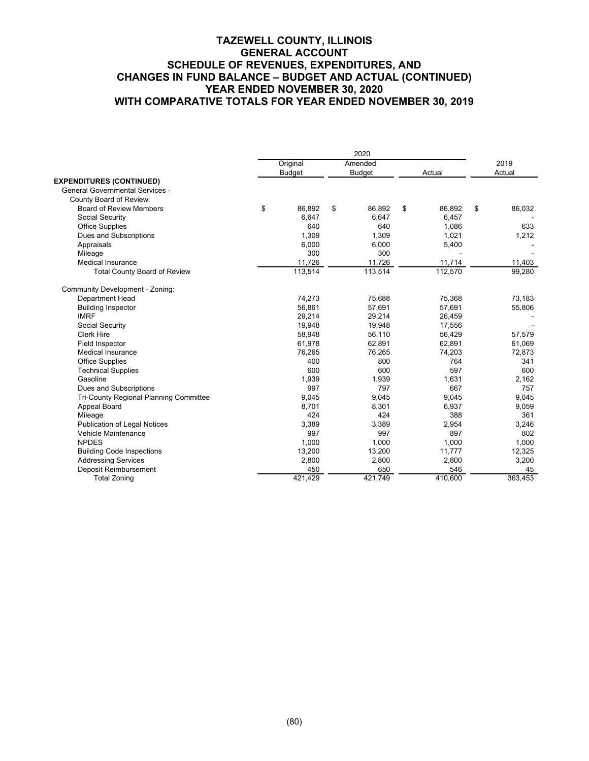|                                        | Original      | Amended       |              | 2019         |
|----------------------------------------|---------------|---------------|--------------|--------------|
|                                        | <b>Budget</b> | <b>Budget</b> | Actual       | Actual       |
| <b>EXPENDITURES (CONTINUED)</b>        |               |               |              |              |
| <b>General Governmental Services -</b> |               |               |              |              |
| County Board of Review:                |               |               |              |              |
| <b>Board of Review Members</b>         | \$<br>86.892  | \$<br>86.892  | \$<br>86,892 | \$<br>86,032 |
| Social Security                        | 6,647         | 6.647         | 6,457        |              |
| <b>Office Supplies</b>                 | 640           | 640           | 1,086        | 633          |
| Dues and Subscriptions                 | 1.309         | 1.309         | 1.021        | 1,212        |
| Appraisals                             | 6,000         | 6.000         | 5,400        |              |
| Mileage                                | 300           | 300           |              |              |
| <b>Medical Insurance</b>               | 11,726        | 11,726        | 11,714       | 11,403       |
| <b>Total County Board of Review</b>    | 113,514       | 113,514       | 112,570      | 99,280       |
| Community Development - Zoning:        |               |               |              |              |
| Department Head                        | 74.273        | 75,688        | 75,368       | 73,183       |
| <b>Building Inspector</b>              | 56,861        | 57,691        | 57,691       | 55,806       |
| <b>IMRF</b>                            | 29.214        | 29,214        | 26,459       |              |
| Social Security                        | 19,948        | 19,948        | 17,556       |              |
| <b>Clerk Hire</b>                      | 58,948        | 56,110        | 56,429       | 57,579       |
| <b>Field Inspector</b>                 | 61.978        | 62.891        | 62.891       | 61,069       |
| Medical Insurance                      | 76.265        | 76,265        | 74,203       | 72,873       |
| <b>Office Supplies</b>                 | 400           | 800           | 764          | 341          |
| <b>Technical Supplies</b>              | 600           | 600           | 597          | 600          |
| Gasoline                               | 1,939         | 1,939         | 1,631        | 2,162        |
| Dues and Subscriptions                 | 997           | 797           | 667          | 757          |
| Tri-County Regional Planning Committee | 9,045         | 9,045         | 9,045        | 9,045        |
| Appeal Board                           | 8,701         | 8,301         | 6,937        | 9,059        |
| Mileage                                | 424           | 424           | 388          | 361          |
| <b>Publication of Legal Notices</b>    | 3,389         | 3,389         | 2,954        | 3,246        |
| Vehicle Maintenance                    | 997           | 997           | 897          | 802          |
| <b>NPDES</b>                           | 1.000         | 1.000         | 1.000        | 1.000        |
| <b>Building Code Inspections</b>       | 13,200        | 13,200        | 11,777       | 12,325       |
| <b>Addressing Services</b>             | 2,800         | 2,800         | 2,800        | 3,200        |
| Deposit Reimbursement                  | 450           | 650           | 546          | 45           |
| <b>Total Zoning</b>                    | 421,429       | 421,749       | 410,600      | 363,453      |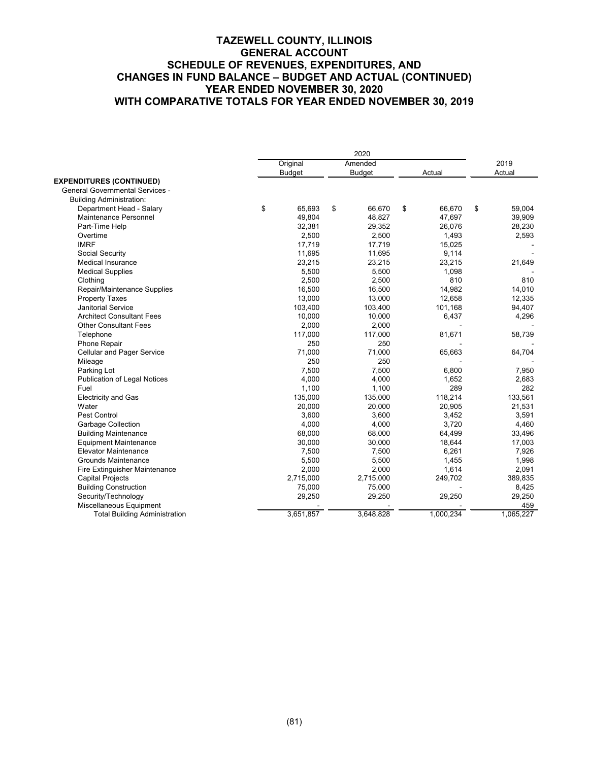|                                        |               | 2020  |               |              |    |           |  |
|----------------------------------------|---------------|-------|---------------|--------------|----|-----------|--|
|                                        | Original      |       | Amended       |              |    | 2019      |  |
|                                        | <b>Budget</b> |       | <b>Budget</b> | Actual       |    | Actual    |  |
| <b>EXPENDITURES (CONTINUED)</b>        |               |       |               |              |    |           |  |
| <b>General Governmental Services -</b> |               |       |               |              |    |           |  |
| <b>Building Administration:</b>        |               |       |               |              |    |           |  |
| Department Head - Salary               | \$<br>65,693  | \$    | 66.670        | \$<br>66,670 | \$ | 59.004    |  |
| Maintenance Personnel                  | 49,804        |       | 48.827        | 47,697       |    | 39,909    |  |
| Part-Time Help                         | 32,381        |       | 29,352        | 26.076       |    | 28,230    |  |
| Overtime                               |               | 2,500 | 2,500         | 1,493        |    | 2,593     |  |
| <b>IMRF</b>                            | 17,719        |       | 17,719        | 15,025       |    |           |  |
| Social Security                        | 11,695        |       | 11,695        | 9,114        |    |           |  |
| Medical Insurance                      | 23,215        |       | 23,215        | 23,215       |    | 21,649    |  |
| <b>Medical Supplies</b>                |               | 5,500 | 5,500         | 1,098        |    |           |  |
| Clothing                               |               | 2,500 | 2,500         | 810          |    | 810       |  |
| Repair/Maintenance Supplies            | 16,500        |       | 16,500        | 14,982       |    | 14,010    |  |
| <b>Property Taxes</b>                  | 13,000        |       | 13,000        | 12.658       |    | 12,335    |  |
| <b>Janitorial Service</b>              | 103,400       |       | 103,400       | 101,168      |    | 94,407    |  |
| <b>Architect Consultant Fees</b>       | 10,000        |       | 10,000        | 6,437        |    | 4,296     |  |
| <b>Other Consultant Fees</b>           |               | 2,000 | 2,000         |              |    |           |  |
| Telephone                              | 117,000       |       | 117,000       | 81,671       |    | 58,739    |  |
| Phone Repair                           |               | 250   | 250           |              |    |           |  |
| <b>Cellular and Pager Service</b>      | 71,000        |       | 71,000        | 65,663       |    | 64,704    |  |
| Mileage                                |               | 250   | 250           |              |    |           |  |
| Parking Lot                            |               | 7,500 | 7,500         | 6,800        |    | 7,950     |  |
| <b>Publication of Legal Notices</b>    |               | 4,000 | 4,000         | 1,652        |    | 2,683     |  |
| Fuel                                   |               | 1,100 | 1,100         | 289          |    | 282       |  |
| <b>Electricity and Gas</b>             | 135,000       |       | 135,000       | 118,214      |    | 133,561   |  |
| Water                                  | 20,000        |       | 20,000        | 20,905       |    | 21,531    |  |
| <b>Pest Control</b>                    |               | 3,600 | 3,600         | 3,452        |    | 3,591     |  |
| <b>Garbage Collection</b>              |               | 4,000 | 4,000         | 3,720        |    | 4,460     |  |
| <b>Building Maintenance</b>            | 68,000        |       | 68,000        | 64,499       |    | 33,496    |  |
| <b>Equipment Maintenance</b>           | 30,000        |       | 30,000        | 18,644       |    | 17,003    |  |
| <b>Elevator Maintenance</b>            |               | 7,500 | 7,500         | 6,261        |    | 7,926     |  |
| <b>Grounds Maintenance</b>             |               | 5,500 | 5,500         | 1,455        |    | 1,998     |  |
| Fire Extinguisher Maintenance          |               | 2,000 | 2,000         | 1,614        |    | 2,091     |  |
| <b>Capital Projects</b>                | 2,715,000     |       | 2,715,000     | 249,702      |    | 389,835   |  |
| <b>Building Construction</b>           | 75,000        |       | 75,000        |              |    | 8,425     |  |
| Security/Technology                    | 29,250        |       | 29,250        | 29,250       |    | 29,250    |  |
| Miscellaneous Equipment                |               |       |               |              |    | 459       |  |
| <b>Total Building Administration</b>   | 3,651,857     |       | 3,648,828     | 1,000,234    |    | 1,065,227 |  |
|                                        |               |       |               |              |    |           |  |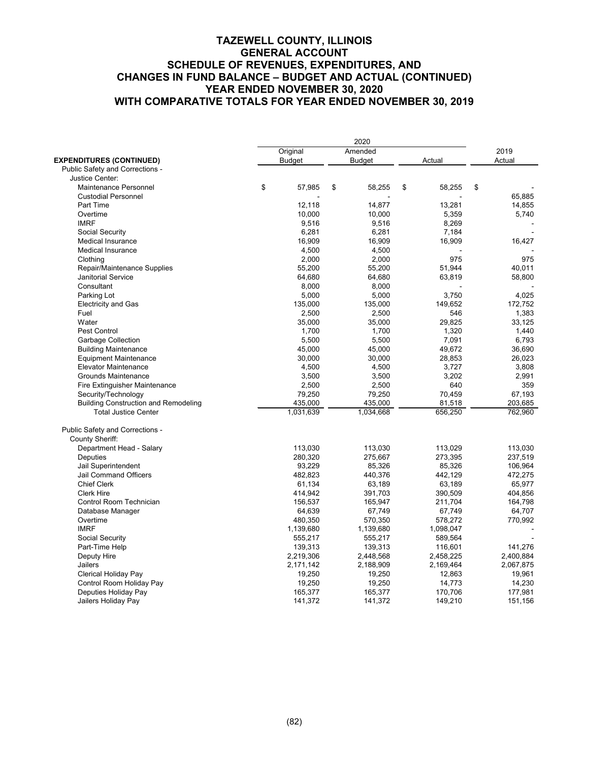|                                             | 2020 |               |    |                  |    |           |    |           |
|---------------------------------------------|------|---------------|----|------------------|----|-----------|----|-----------|
|                                             |      | Original      |    | Amended          |    |           |    | 2019      |
| <b>EXPENDITURES (CONTINUED)</b>             |      | <b>Budget</b> |    | <b>Budget</b>    |    | Actual    |    | Actual    |
| Public Safety and Corrections -             |      |               |    |                  |    |           |    |           |
| Justice Center:                             |      |               |    |                  |    |           |    |           |
| Maintenance Personnel                       | \$   | 57,985        | \$ | 58,255           | \$ | 58,255    | \$ |           |
| <b>Custodial Personnel</b>                  |      |               |    |                  |    |           |    | 65,885    |
| Part Time                                   |      | 12,118        |    | 14,877           |    | 13,281    |    | 14,855    |
| Overtime                                    |      | 10,000        |    | 10,000           |    | 5,359     |    | 5,740     |
| <b>IMRF</b>                                 |      | 9,516         |    | 9,516            |    | 8,269     |    |           |
| Social Security                             |      | 6,281         |    | 6,281            |    | 7,184     |    |           |
| <b>Medical Insurance</b>                    |      | 16,909        |    | 16,909           |    | 16,909    |    | 16,427    |
| <b>Medical Insurance</b>                    |      | 4,500         |    | 4,500            |    |           |    |           |
| Clothing                                    |      | 2,000         |    | 2,000            |    | 975       |    | 975       |
| Repair/Maintenance Supplies                 |      | 55,200        |    | 55,200           |    | 51,944    |    | 40,011    |
| <b>Janitorial Service</b>                   |      | 64,680        |    | 64,680           |    | 63,819    |    | 58,800    |
| Consultant                                  |      | 8,000         |    | 8,000            |    |           |    |           |
|                                             |      |               |    |                  |    |           |    |           |
| Parking Lot                                 |      | 5,000         |    | 5,000            |    | 3,750     |    | 4,025     |
| <b>Electricity and Gas</b>                  |      | 135,000       |    | 135,000<br>2,500 |    | 149,652   |    | 172,752   |
| Fuel                                        |      | 2,500         |    |                  |    | 546       |    | 1,383     |
| Water                                       |      | 35,000        |    | 35,000           |    | 29,825    |    | 33,125    |
| Pest Control                                |      | 1,700         |    | 1,700            |    | 1,320     |    | 1,440     |
| Garbage Collection                          |      | 5,500         |    | 5.500            |    | 7,091     |    | 6.793     |
| <b>Building Maintenance</b>                 |      | 45,000        |    | 45,000           |    | 49,672    |    | 36,690    |
| <b>Equipment Maintenance</b>                |      | 30,000        |    | 30,000           |    | 28,853    |    | 26,023    |
| <b>Elevator Maintenance</b>                 |      | 4,500         |    | 4,500            |    | 3,727     |    | 3,808     |
| <b>Grounds Maintenance</b>                  |      | 3,500         |    | 3,500            |    | 3,202     |    | 2,991     |
| Fire Extinguisher Maintenance               |      | 2,500         |    | 2,500            |    | 640       |    | 359       |
| Security/Technology                         |      | 79,250        |    | 79,250           |    | 70,459    |    | 67,193    |
| <b>Building Construction and Remodeling</b> |      | 435,000       |    | 435,000          |    | 81,518    |    | 203,685   |
| <b>Total Justice Center</b>                 |      | 1,031,639     |    | 1,034,668        |    | 656,250   |    | 762,960   |
| Public Safety and Corrections -             |      |               |    |                  |    |           |    |           |
| <b>County Sheriff:</b>                      |      |               |    |                  |    |           |    |           |
| Department Head - Salary                    |      | 113,030       |    | 113,030          |    | 113,029   |    | 113,030   |
| <b>Deputies</b>                             |      | 280,320       |    | 275,667          |    | 273,395   |    | 237,519   |
| Jail Superintendent                         |      | 93,229        |    | 85.326           |    | 85,326    |    | 106,964   |
| Jail Command Officers                       |      | 482,823       |    | 440,376          |    | 442,129   |    | 472,275   |
| <b>Chief Clerk</b>                          |      | 61,134        |    | 63,189           |    | 63,189    |    | 65,977    |
| <b>Clerk Hire</b>                           |      | 414,942       |    | 391,703          |    | 390,509   |    | 404,856   |
| Control Room Technician                     |      | 156,537       |    | 165,947          |    | 211,704   |    | 164,798   |
| Database Manager                            |      | 64,639        |    | 67,749           |    | 67,749    |    | 64,707    |
| Overtime                                    |      | 480,350       |    | 570,350          |    | 578,272   |    | 770,992   |
| <b>IMRF</b>                                 |      | 1,139,680     |    | 1,139,680        |    | 1,098,047 |    |           |
| Social Security                             |      | 555,217       |    | 555,217          |    | 589,564   |    |           |
| Part-Time Help                              |      | 139,313       |    | 139,313          |    | 116,601   |    | 141,276   |
| Deputy Hire                                 |      | 2,219,306     |    | 2,448,568        |    | 2,458,225 |    | 2,400,884 |
| Jailers                                     |      | 2,171,142     |    | 2,188,909        |    | 2,169,464 |    | 2,067,875 |
| Clerical Holiday Pay                        |      | 19,250        |    | 19,250           |    | 12,863    |    | 19,961    |
| Control Room Holiday Pay                    |      | 19,250        |    | 19,250           |    | 14,773    |    | 14,230    |
| Deputies Holiday Pay                        |      | 165,377       |    | 165,377          |    | 170,706   |    | 177,981   |
| Jailers Holiday Pay                         |      | 141,372       |    | 141,372          |    | 149,210   |    | 151,156   |
|                                             |      |               |    |                  |    |           |    |           |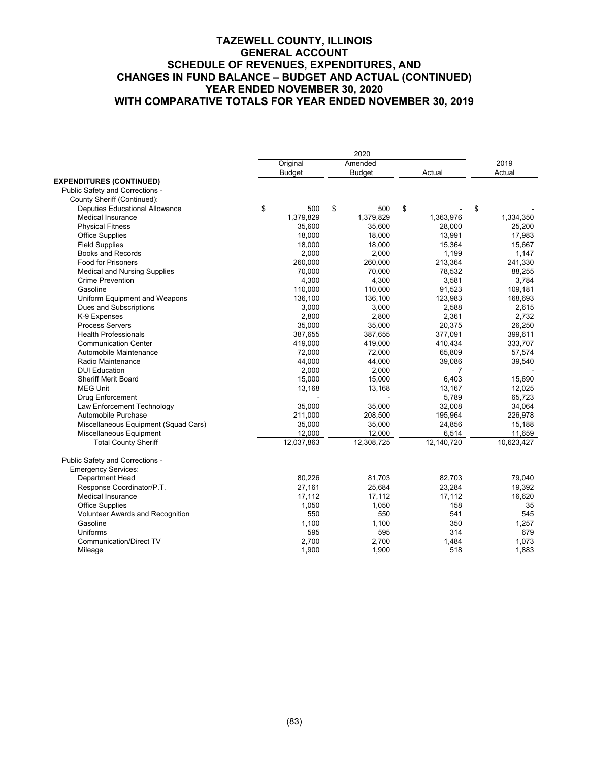|                                       | 2020 |               |    |               |    |                |            |
|---------------------------------------|------|---------------|----|---------------|----|----------------|------------|
|                                       |      | Original      |    | Amended       |    |                | 2019       |
|                                       |      | <b>Budget</b> |    | <b>Budget</b> |    | Actual         | Actual     |
| <b>EXPENDITURES (CONTINUED)</b>       |      |               |    |               |    |                |            |
| Public Safety and Corrections -       |      |               |    |               |    |                |            |
| County Sheriff (Continued):           |      |               |    |               |    |                |            |
| <b>Deputies Educational Allowance</b> | \$   | 500           | \$ | 500           | \$ |                | \$         |
| <b>Medical Insurance</b>              |      | 1,379,829     |    | 1,379,829     |    | 1,363,976      | 1,334,350  |
| <b>Physical Fitness</b>               |      | 35,600        |    | 35,600        |    | 28,000         | 25,200     |
| <b>Office Supplies</b>                |      | 18,000        |    | 18,000        |    | 13,991         | 17,983     |
| <b>Field Supplies</b>                 |      | 18,000        |    | 18,000        |    | 15,364         | 15,667     |
| Books and Records                     |      | 2,000         |    | 2,000         |    | 1,199          | 1,147      |
| <b>Food for Prisoners</b>             |      | 260,000       |    | 260,000       |    | 213,364        | 241,330    |
| <b>Medical and Nursing Supplies</b>   |      | 70,000        |    | 70,000        |    | 78,532         | 88,255     |
| <b>Crime Prevention</b>               |      | 4,300         |    | 4,300         |    | 3,581          | 3,784      |
| Gasoline                              |      | 110,000       |    | 110,000       |    | 91,523         | 109,181    |
| Uniform Equipment and Weapons         |      | 136,100       |    | 136,100       |    | 123,983        | 168,693    |
| Dues and Subscriptions                |      | 3,000         |    | 3,000         |    | 2,588          | 2,615      |
| K-9 Expenses                          |      | 2,800         |    | 2,800         |    | 2,361          | 2.732      |
| <b>Process Servers</b>                |      | 35,000        |    | 35,000        |    | 20,375         | 26,250     |
| <b>Health Professionals</b>           |      | 387,655       |    | 387,655       |    | 377,091        | 399,611    |
| <b>Communication Center</b>           |      | 419,000       |    | 419,000       |    | 410,434        | 333,707    |
| Automobile Maintenance                |      | 72,000        |    | 72,000        |    | 65,809         | 57,574     |
| Radio Maintenance                     |      | 44,000        |    | 44,000        |    | 39,086         | 39,540     |
| <b>DUI Education</b>                  |      | 2,000         |    | 2,000         |    | $\overline{7}$ |            |
| <b>Sheriff Merit Board</b>            |      | 15,000        |    | 15,000        |    | 6,403          | 15,690     |
| <b>MEG Unit</b>                       |      | 13,168        |    | 13,168        |    | 13,167         | 12,025     |
| <b>Drug Enforcement</b>               |      |               |    |               |    | 5,789          | 65,723     |
| Law Enforcement Technology            |      | 35,000        |    | 35,000        |    | 32,008         | 34,064     |
| Automobile Purchase                   |      | 211,000       |    | 208,500       |    | 195,964        | 226,978    |
| Miscellaneous Equipment (Squad Cars)  |      | 35,000        |    | 35,000        |    | 24,856         | 15,188     |
| Miscellaneous Equipment               |      | 12,000        |    | 12,000        |    | 6,514          | 11,659     |
| <b>Total County Sheriff</b>           |      | 12,037,863    |    | 12,308,725    |    | 12,140,720     | 10,623,427 |
| Public Safety and Corrections -       |      |               |    |               |    |                |            |
| <b>Emergency Services:</b>            |      |               |    |               |    |                |            |
| <b>Department Head</b>                |      | 80,226        |    | 81,703        |    | 82,703         | 79,040     |
| Response Coordinator/P.T.             |      | 27,161        |    | 25,684        |    | 23,284         | 19,392     |
| <b>Medical Insurance</b>              |      | 17,112        |    | 17,112        |    | 17,112         | 16,620     |
| <b>Office Supplies</b>                |      | 1,050         |    | 1,050         |    | 158            | 35         |
| Volunteer Awards and Recognition      |      | 550           |    | 550           |    | 541            | 545        |
| Gasoline                              |      | 1,100         |    | 1,100         |    | 350            | 1,257      |
| Uniforms                              |      | 595           |    | 595           |    | 314            | 679        |
| <b>Communication/Direct TV</b>        |      | 2,700         |    | 2,700         |    | 1,484          | 1,073      |
| Mileage                               |      | 1,900         |    | 1,900         |    | 518            | 1,883      |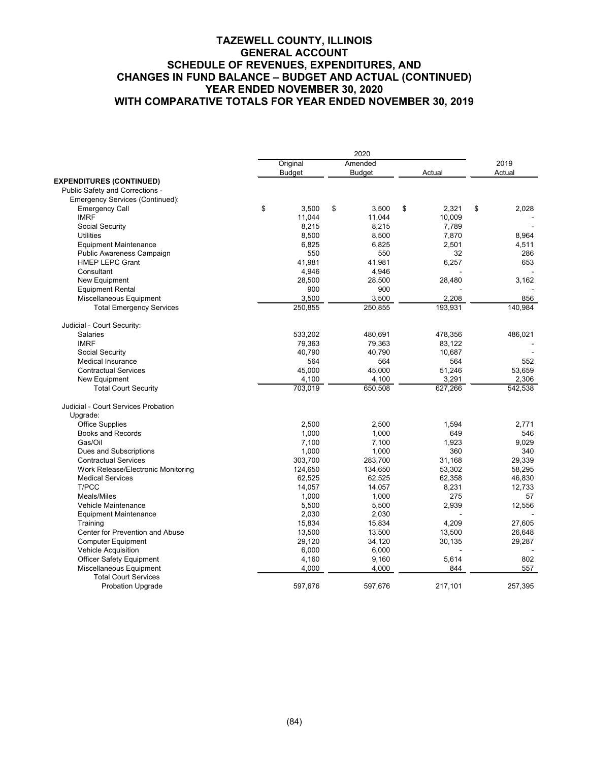|                                     | 2020          |    |               |    |         |    |         |
|-------------------------------------|---------------|----|---------------|----|---------|----|---------|
|                                     | Original      |    | Amended       |    |         |    | 2019    |
|                                     | <b>Budget</b> |    | <b>Budget</b> |    | Actual  |    | Actual  |
| <b>EXPENDITURES (CONTINUED)</b>     |               |    |               |    |         |    |         |
| Public Safety and Corrections -     |               |    |               |    |         |    |         |
| Emergency Services (Continued):     |               |    |               |    |         |    |         |
| <b>Emergency Call</b>               | \$<br>3,500   | \$ | 3,500         | \$ | 2,321   | \$ | 2,028   |
| <b>IMRF</b>                         | 11,044        |    | 11,044        |    | 10,009  |    |         |
| Social Security                     | 8,215         |    | 8,215         |    | 7,789   |    |         |
| <b>Utilities</b>                    | 8,500         |    | 8,500         |    | 7,870   |    | 8,964   |
| <b>Equipment Maintenance</b>        | 6,825         |    | 6,825         |    | 2,501   |    | 4,511   |
| Public Awareness Campaign           | 550           |    | 550           |    | 32      |    | 286     |
| <b>HMEP LEPC Grant</b>              | 41,981        |    | 41,981        |    | 6,257   |    | 653     |
| Consultant                          | 4,946         |    | 4,946         |    |         |    |         |
| New Equipment                       | 28,500        |    | 28,500        |    | 28,480  |    | 3,162   |
| <b>Equipment Rental</b>             | 900           |    | 900           |    |         |    |         |
| Miscellaneous Equipment             | 3,500         |    | 3,500         |    | 2,208   |    | 856     |
| <b>Total Emergency Services</b>     | 250,855       |    | 250,855       |    | 193,931 |    | 140,984 |
|                                     |               |    |               |    |         |    |         |
| Judicial - Court Security:          |               |    |               |    |         |    |         |
| <b>Salaries</b>                     | 533,202       |    | 480,691       |    | 478,356 |    | 486,021 |
| <b>IMRF</b>                         | 79,363        |    | 79,363        |    | 83,122  |    |         |
| Social Security                     | 40,790        |    | 40,790        |    | 10,687  |    |         |
| <b>Medical Insurance</b>            | 564           |    | 564           |    | 564     |    | 552     |
| <b>Contractual Services</b>         | 45,000        |    | 45,000        |    | 51,246  |    | 53,659  |
| New Equipment                       | 4,100         |    | 4,100         |    | 3,291   |    | 2,306   |
| <b>Total Court Security</b>         | 703,019       |    | 650,508       |    | 627,266 |    | 542,538 |
|                                     |               |    |               |    |         |    |         |
| Judicial - Court Services Probation |               |    |               |    |         |    |         |
| Upgrade:                            |               |    |               |    |         |    |         |
| <b>Office Supplies</b>              | 2,500         |    | 2,500         |    | 1,594   |    | 2,771   |
| <b>Books and Records</b>            | 1,000         |    | 1,000         |    | 649     |    | 546     |
| Gas/Oil                             | 7,100         |    | 7.100         |    | 1,923   |    | 9,029   |
| Dues and Subscriptions              | 1,000         |    | 1,000         |    | 360     |    | 340     |
| <b>Contractual Services</b>         | 303,700       |    | 283,700       |    | 31,168  |    | 29,339  |
| Work Release/Electronic Monitoring  | 124,650       |    | 134,650       |    | 53,302  |    | 58,295  |
| <b>Medical Services</b>             | 62,525        |    | 62,525        |    | 62,358  |    | 46,830  |
| T/PCC                               | 14,057        |    | 14,057        |    | 8,231   |    | 12,733  |
| Meals/Miles                         | 1,000         |    | 1,000         |    | 275     |    | 57      |
| <b>Vehicle Maintenance</b>          | 5,500         |    | 5,500         |    | 2,939   |    | 12,556  |
| <b>Equipment Maintenance</b>        | 2,030         |    | 2,030         |    |         |    |         |
| Training                            | 15,834        |    | 15,834        |    | 4,209   |    | 27.605  |
| Center for Prevention and Abuse     | 13,500        |    | 13,500        |    | 13,500  |    | 26,648  |
| <b>Computer Equipment</b>           | 29,120        |    | 34,120        |    | 30,135  |    | 29,287  |
| Vehicle Acquisition                 | 6,000         |    | 6,000         |    |         |    |         |
| <b>Officer Safety Equipment</b>     | 4,160         |    | 9,160         |    | 5,614   |    | 802     |
| Miscellaneous Equipment             | 4,000         |    | 4,000         |    | 844     |    | 557     |
| <b>Total Court Services</b>         |               |    |               |    |         |    |         |
| Probation Upgrade                   | 597,676       |    | 597,676       |    | 217,101 |    | 257,395 |
|                                     |               |    |               |    |         |    |         |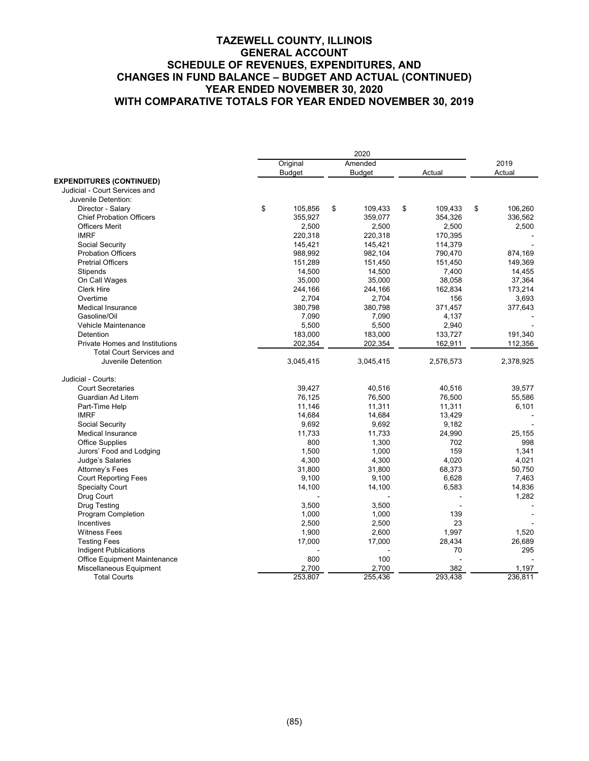|                                 |                 | 2020            |                 |               |
|---------------------------------|-----------------|-----------------|-----------------|---------------|
|                                 | Original        | Amended         |                 | 2019          |
|                                 | <b>Budget</b>   | <b>Budget</b>   | Actual          | Actual        |
| <b>EXPENDITURES (CONTINUED)</b> |                 |                 |                 |               |
| Judicial - Court Services and   |                 |                 |                 |               |
| Juvenile Detention:             |                 |                 |                 |               |
| Director - Salary               | \$<br>105,856   | \$<br>109.433   | \$<br>109,433   | 106,260<br>\$ |
| <b>Chief Probation Officers</b> | 355,927         | 359.077         | 354,326         | 336,562       |
| <b>Officers Merit</b>           | 2,500           | 2,500           | 2,500           | 2,500         |
| <b>IMRF</b>                     | 220,318         | 220,318         | 170,395         |               |
| Social Security                 | 145,421         | 145,421         | 114,379         |               |
| <b>Probation Officers</b>       | 988,992         | 982,104         | 790,470         | 874,169       |
| <b>Pretrial Officers</b>        | 151,289         | 151,450         | 151,450         | 149,369       |
| Stipends                        | 14,500          | 14,500          | 7,400           | 14,455        |
| On Call Wages                   | 35,000          | 35,000          | 38,058          | 37,364        |
| <b>Clerk Hire</b>               | 244,166         | 244,166         | 162,834         | 173,214       |
| Overtime                        | 2,704           | 2,704           | 156             | 3,693         |
| <b>Medical Insurance</b>        | 380,798         | 380,798         | 371,457         | 377,643       |
| Gasoline/Oil                    | 7,090           | 7,090           | 4,137           |               |
| Vehicle Maintenance             | 5,500           | 5,500           | 2,940           |               |
| Detention                       | 183,000         | 183,000         | 133,727         | 191,340       |
| Private Homes and Institutions  | 202,354         | 202,354         | 162,911         | 112,356       |
| <b>Total Court Services and</b> |                 |                 |                 |               |
| Juvenile Detention              | 3,045,415       | 3,045,415       | 2,576,573       | 2,378,925     |
| Judicial - Courts:              |                 |                 |                 |               |
| <b>Court Secretaries</b>        | 39,427          | 40,516          | 40,516          | 39,577        |
| Guardian Ad Litem               | 76,125          | 76,500          | 76,500          | 55,586        |
| Part-Time Help                  | 11,146          | 11,311          | 11,311          | 6,101         |
| <b>IMRF</b>                     |                 |                 |                 |               |
|                                 | 14,684<br>9,692 | 14,684<br>9.692 | 13,429          |               |
| Social Security                 | 11,733          | 11,733          | 9,182<br>24,990 |               |
| <b>Medical Insurance</b>        |                 |                 |                 | 25,155        |
| <b>Office Supplies</b>          | 800             | 1,300           | 702             | 998           |
| Jurors' Food and Lodging        | 1,500           | 1,000           | 159             | 1,341         |
| Judge's Salaries                | 4,300           | 4,300           | 4,020           | 4,021         |
| Attorney's Fees                 | 31,800          | 31,800          | 68,373          | 50,750        |
| <b>Court Reporting Fees</b>     | 9,100           | 9,100           | 6,628           | 7,463         |
| <b>Specialty Court</b>          | 14,100          | 14,100          | 6,583           | 14,836        |
| Drug Court                      |                 |                 |                 | 1,282         |
| <b>Drug Testing</b>             | 3,500           | 3.500           |                 |               |
| Program Completion              | 1,000           | 1,000           | 139             |               |
| Incentives                      | 2,500           | 2,500           | 23              |               |
| <b>Witness Fees</b>             | 1,900           | 2,600           | 1,997           | 1,520         |
| <b>Testing Fees</b>             | 17,000          | 17,000          | 28,434          | 26,689        |
| <b>Indigent Publications</b>    |                 |                 | 70              | 295           |
| Office Equipment Maintenance    | 800             | 100             |                 |               |
| Miscellaneous Equipment         | 2,700           | 2,700           | 382             | 1,197         |
| <b>Total Courts</b>             | 253,807         | 255,436         | 293,438         | 236,811       |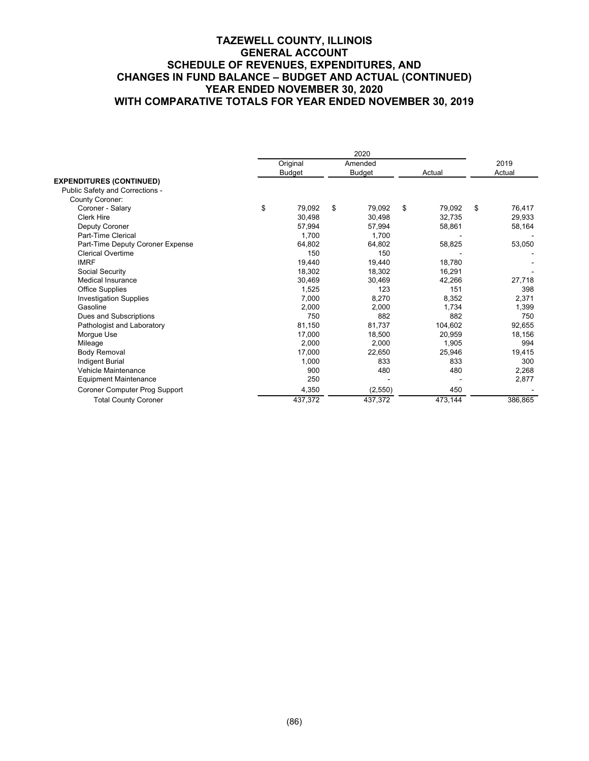|                                  | 2020 |          |    |         |    |         |              |  |
|----------------------------------|------|----------|----|---------|----|---------|--------------|--|
|                                  |      | Original |    | Amended |    |         | 2019         |  |
|                                  |      | Budget   |    | Budget  |    | Actual  | Actual       |  |
| <b>EXPENDITURES (CONTINUED)</b>  |      |          |    |         |    |         |              |  |
| Public Safety and Corrections -  |      |          |    |         |    |         |              |  |
| <b>County Coroner:</b>           |      |          |    |         |    |         |              |  |
| Coroner - Salary                 | \$   | 79,092   | \$ | 79,092  | \$ | 79.092  | \$<br>76,417 |  |
| <b>Clerk Hire</b>                |      | 30,498   |    | 30,498  |    | 32,735  | 29,933       |  |
| Deputy Coroner                   |      | 57,994   |    | 57,994  |    | 58,861  | 58,164       |  |
| Part-Time Clerical               |      | 1,700    |    | 1.700   |    |         |              |  |
| Part-Time Deputy Coroner Expense |      | 64,802   |    | 64,802  |    | 58,825  | 53,050       |  |
| <b>Clerical Overtime</b>         |      | 150      |    | 150     |    |         |              |  |
| <b>IMRF</b>                      |      | 19,440   |    | 19,440  |    | 18.780  |              |  |
| Social Security                  |      | 18.302   |    | 18.302  |    | 16,291  |              |  |
| Medical Insurance                |      | 30.469   |    | 30.469  |    | 42,266  | 27,718       |  |
| <b>Office Supplies</b>           |      | 1,525    |    | 123     |    | 151     | 398          |  |
| <b>Investigation Supplies</b>    |      | 7,000    |    | 8,270   |    | 8,352   | 2,371        |  |
| Gasoline                         |      | 2,000    |    | 2,000   |    | 1,734   | 1,399        |  |
| Dues and Subscriptions           |      | 750      |    | 882     |    | 882     | 750          |  |
| Pathologist and Laboratory       |      | 81,150   |    | 81.737  |    | 104,602 | 92,655       |  |
| Morgue Use                       |      | 17,000   |    | 18,500  |    | 20,959  | 18,156       |  |
| Mileage                          |      | 2,000    |    | 2,000   |    | 1,905   | 994          |  |
| <b>Body Removal</b>              |      | 17,000   |    | 22,650  |    | 25,946  | 19,415       |  |
| <b>Indigent Burial</b>           |      | 1,000    |    | 833     |    | 833     | 300          |  |
| Vehicle Maintenance              |      | 900      |    | 480     |    | 480     | 2,268        |  |
| <b>Equipment Maintenance</b>     |      | 250      |    |         |    |         | 2,877        |  |
| Coroner Computer Prog Support    |      | 4,350    |    | (2,550) |    | 450     |              |  |
| <b>Total County Coroner</b>      |      | 437,372  |    | 437,372 |    | 473,144 | 386,865      |  |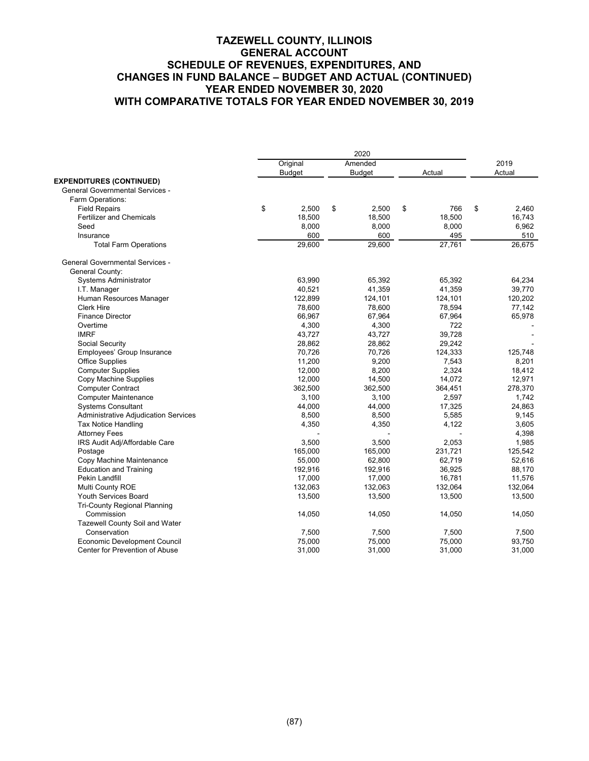|                                        | 2020 |               |    |               |    |         |      |         |
|----------------------------------------|------|---------------|----|---------------|----|---------|------|---------|
|                                        |      | Original      |    | Amended       |    |         | 2019 |         |
|                                        |      | <b>Budget</b> |    | <b>Budget</b> |    | Actual  |      | Actual  |
| <b>EXPENDITURES (CONTINUED)</b>        |      |               |    |               |    |         |      |         |
| <b>General Governmental Services -</b> |      |               |    |               |    |         |      |         |
| Farm Operations:                       |      |               |    |               |    |         |      |         |
| <b>Field Repairs</b>                   | \$   | 2,500         | \$ | 2,500         | \$ | 766     | \$   | 2,460   |
| <b>Fertilizer and Chemicals</b>        |      | 18,500        |    | 18,500        |    | 18,500  |      | 16,743  |
| Seed                                   |      | 8,000         |    | 8,000         |    | 8,000   |      | 6,962   |
| Insurance                              |      | 600           |    | 600           |    | 495     |      | 510     |
| <b>Total Farm Operations</b>           |      | 29,600        |    | 29,600        |    | 27,761  |      | 26,675  |
| <b>General Governmental Services -</b> |      |               |    |               |    |         |      |         |
| General County:                        |      |               |    |               |    |         |      |         |
| <b>Systems Administrator</b>           |      | 63,990        |    | 65,392        |    | 65,392  |      | 64,234  |
| I.T. Manager                           |      | 40,521        |    | 41,359        |    | 41,359  |      | 39,770  |
| Human Resources Manager                |      | 122,899       |    | 124,101       |    | 124,101 |      | 120,202 |
| <b>Clerk Hire</b>                      |      | 78,600        |    | 78,600        |    | 78,594  |      | 77,142  |
| <b>Finance Director</b>                |      | 66,967        |    | 67,964        |    | 67,964  |      | 65,978  |
| Overtime                               |      | 4,300         |    | 4,300         |    | 722     |      |         |
| <b>IMRF</b>                            |      | 43,727        |    | 43,727        |    | 39,728  |      |         |
| Social Security                        |      | 28,862        |    | 28,862        |    | 29,242  |      |         |
| Employees' Group Insurance             |      | 70,726        |    | 70,726        |    | 124,333 |      | 125,748 |
| <b>Office Supplies</b>                 |      | 11,200        |    | 9,200         |    | 7,543   |      | 8,201   |
| <b>Computer Supplies</b>               |      | 12,000        |    | 8,200         |    | 2,324   |      | 18,412  |
| Copy Machine Supplies                  |      | 12,000        |    | 14,500        |    | 14,072  |      | 12,971  |
| <b>Computer Contract</b>               |      | 362,500       |    | 362,500       |    | 364,451 |      | 278,370 |
| <b>Computer Maintenance</b>            |      | 3,100         |    | 3,100         |    | 2,597   |      | 1,742   |
| <b>Systems Consultant</b>              |      | 44,000        |    | 44,000        |    | 17,325  |      | 24,863  |
| Administrative Adjudication Services   |      | 8,500         |    | 8,500         |    | 5,585   |      | 9,145   |
| <b>Tax Notice Handling</b>             |      | 4,350         |    | 4,350         |    | 4.122   |      | 3,605   |
| <b>Attorney Fees</b>                   |      |               |    |               |    |         |      | 4,398   |
| IRS Audit Adj/Affordable Care          |      | 3,500         |    | 3.500         |    | 2.053   |      | 1,985   |
| Postage                                |      | 165,000       |    | 165,000       |    | 231,721 |      | 125,542 |
| Copy Machine Maintenance               |      | 55,000        |    | 62,800        |    | 62.719  |      | 52,616  |
| <b>Education and Training</b>          |      | 192,916       |    | 192,916       |    | 36,925  |      | 88,170  |
| Pekin Landfill                         |      | 17,000        |    | 17,000        |    | 16,781  |      | 11,576  |
| Multi County ROE                       |      | 132,063       |    | 132,063       |    | 132,064 |      | 132,064 |
| Youth Services Board                   |      | 13,500        |    | 13,500        |    | 13,500  |      | 13,500  |
| <b>Tri-County Regional Planning</b>    |      |               |    |               |    |         |      |         |
| Commission                             |      | 14,050        |    | 14,050        |    | 14,050  |      | 14,050  |
| Tazewell County Soil and Water         |      |               |    |               |    |         |      |         |
| Conservation                           |      | 7,500         |    | 7,500         |    | 7,500   |      | 7,500   |
| <b>Economic Development Council</b>    |      | 75,000        |    | 75,000        |    | 75,000  |      | 93,750  |
| Center for Prevention of Abuse         |      | 31,000        |    | 31,000        |    | 31,000  |      | 31,000  |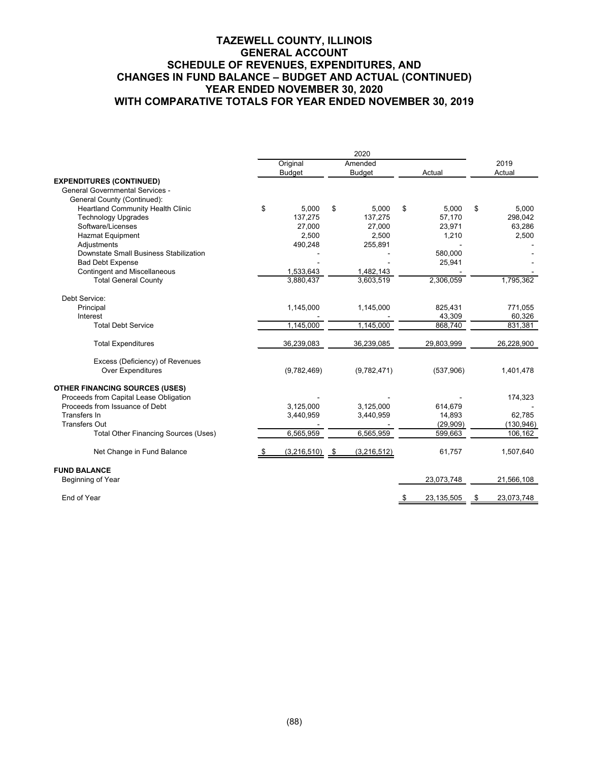|                                                                           | 2020 |               |      |               |    |              |             |
|---------------------------------------------------------------------------|------|---------------|------|---------------|----|--------------|-------------|
|                                                                           |      | Original      |      | Amended       |    |              | 2019        |
|                                                                           |      | <b>Budget</b> |      | <b>Budget</b> |    | Actual       | Actual      |
| <b>EXPENDITURES (CONTINUED)</b><br><b>General Governmental Services -</b> |      |               |      |               |    |              |             |
| General County (Continued):                                               |      |               |      |               |    |              |             |
| <b>Heartland Community Health Clinic</b>                                  | \$   | 5.000         | \$   | 5.000         | \$ | 5.000        | \$<br>5.000 |
| <b>Technology Upgrades</b>                                                |      | 137.275       |      | 137.275       |    | 57.170       | 298,042     |
| Software/Licenses                                                         |      | 27,000        |      | 27,000        |    | 23,971       | 63,286      |
| <b>Hazmat Equipment</b>                                                   |      | 2,500         |      | 2,500         |    | 1,210        | 2,500       |
| Adjustments                                                               |      | 490,248       |      | 255,891       |    |              |             |
| Downstate Small Business Stabilization                                    |      |               |      |               |    | 580,000      |             |
| <b>Bad Debt Expense</b>                                                   |      |               |      |               |    | 25,941       |             |
| <b>Contingent and Miscellaneous</b>                                       |      | 1,533,643     |      | 1,482,143     |    |              |             |
| <b>Total General County</b>                                               |      | 3,880,437     |      | 3,603,519     |    | 2,306,059    | 1,795,362   |
| Debt Service:                                                             |      |               |      |               |    |              |             |
| Principal                                                                 |      | 1,145,000     |      | 1,145,000     |    | 825.431      | 771,055     |
| Interest                                                                  |      |               |      |               |    | 43,309       | 60,326      |
| <b>Total Debt Service</b>                                                 |      | 1,145,000     |      | 1,145,000     |    | 868,740      | 831,381     |
| <b>Total Expenditures</b>                                                 |      | 36,239,083    |      | 36,239,085    |    | 29,803,999   | 26,228,900  |
| Excess (Deficiency) of Revenues                                           |      |               |      |               |    |              |             |
| <b>Over Expenditures</b>                                                  |      | (9,782,469)   |      | (9,782,471)   |    | (537,906)    | 1,401,478   |
| <b>OTHER FINANCING SOURCES (USES)</b>                                     |      |               |      |               |    |              |             |
| Proceeds from Capital Lease Obligation                                    |      |               |      |               |    |              | 174,323     |
| Proceeds from Issuance of Debt                                            |      | 3.125.000     |      | 3.125.000     |    | 614.679      |             |
| Transfers In                                                              |      | 3,440,959     |      | 3,440,959     |    | 14,893       | 62,785      |
| <b>Transfers Out</b>                                                      |      |               |      |               |    | (29,909)     | (130, 946)  |
| <b>Total Other Financing Sources (Uses)</b>                               |      | 6,565,959     |      | 6,565,959     |    | 599,663      | 106,162     |
| Net Change in Fund Balance                                                |      | (3,216,510)   | - \$ | (3,216,512)   |    | 61,757       | 1,507,640   |
| <b>FUND BALANCE</b>                                                       |      |               |      |               |    |              |             |
| Beginning of Year                                                         |      |               |      |               |    | 23,073,748   | 21,566,108  |
| End of Year                                                               |      |               |      |               |    | 23, 135, 505 | 23,073,748  |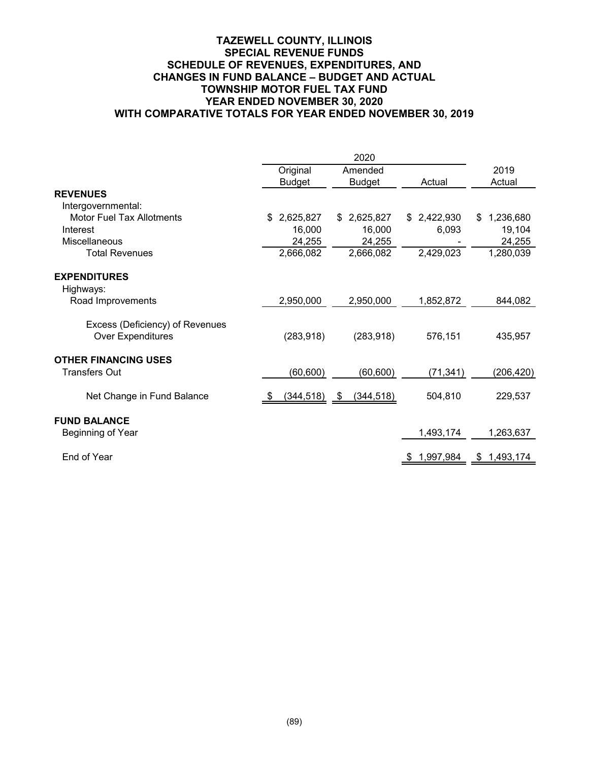# **TAZEWELL COUNTY, ILLINOIS SPECIAL REVENUE FUNDS SCHEDULE OF REVENUES, EXPENDITURES, AND CHANGES IN FUND BALANCE – BUDGET AND ACTUAL TOWNSHIP MOTOR FUEL TAX FUND YEAR ENDED NOVEMBER 30, 2020 WITH COMPARATIVE TOTALS FOR YEAR ENDED NOVEMBER 30, 2019**

|                                  | Original        | Amended         |                 | 2019            |
|----------------------------------|-----------------|-----------------|-----------------|-----------------|
|                                  | <b>Budget</b>   | <b>Budget</b>   | Actual          | Actual          |
| <b>REVENUES</b>                  |                 |                 |                 |                 |
| Intergovernmental:               |                 |                 |                 |                 |
| <b>Motor Fuel Tax Allotments</b> | 2,625,827<br>\$ | 2,625,827<br>\$ | 2,422,930<br>\$ | 1,236,680<br>\$ |
| Interest                         | 16,000          | 16,000          | 6,093           | 19,104          |
| Miscellaneous                    | 24,255          | 24,255          |                 | 24,255          |
| <b>Total Revenues</b>            | 2,666,082       | 2,666,082       | 2,429,023       | 1,280,039       |
| <b>EXPENDITURES</b>              |                 |                 |                 |                 |
| Highways:                        |                 |                 |                 |                 |
| Road Improvements                | 2,950,000       | 2,950,000       | 1,852,872       | 844,082         |
| Excess (Deficiency) of Revenues  |                 |                 |                 |                 |
| <b>Over Expenditures</b>         | (283, 918)      | (283, 918)      | 576,151         | 435,957         |
| <b>OTHER FINANCING USES</b>      |                 |                 |                 |                 |
| <b>Transfers Out</b>             | (60, 600)       | (60, 600)       | (71, 341)       | (206,420)       |
| Net Change in Fund Balance       | $(344, 518)$ \$ | (344, 518)      | 504,810         | 229,537         |
| <b>FUND BALANCE</b>              |                 |                 |                 |                 |
| Beginning of Year                |                 |                 | 1,493,174       | 1,263,637       |
| End of Year                      |                 |                 | 1,997,984       | 1,493,174<br>S. |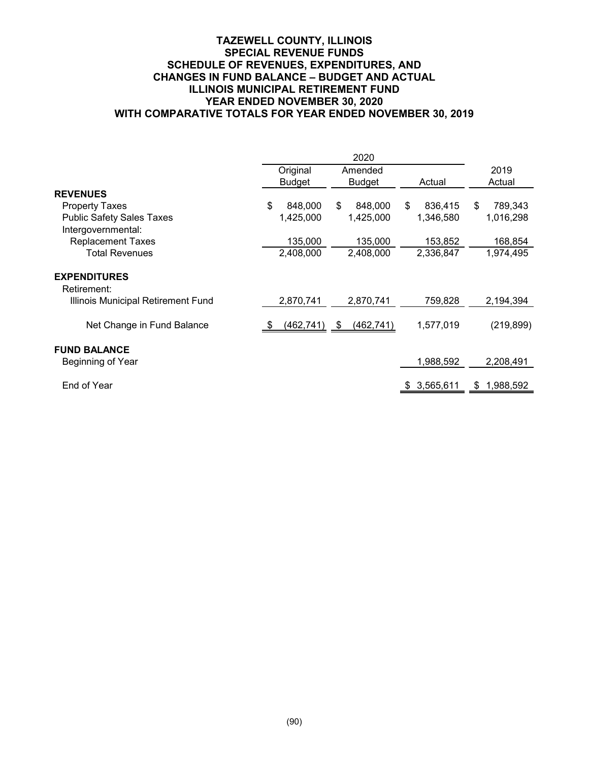# **TAZEWELL COUNTY, ILLINOIS SPECIAL REVENUE FUNDS SCHEDULE OF REVENUES, EXPENDITURES, AND CHANGES IN FUND BALANCE – BUDGET AND ACTUAL ILLINOIS MUNICIPAL RETIREMENT FUND YEAR ENDED NOVEMBER 30, 2020 WITH COMPARATIVE TOTALS FOR YEAR ENDED NOVEMBER 30, 2019**

|                                                        | Original      | Amended          |                 | 2019            |
|--------------------------------------------------------|---------------|------------------|-----------------|-----------------|
|                                                        | <b>Budget</b> | <b>Budget</b>    | Actual          | Actual          |
| <b>REVENUES</b>                                        |               |                  |                 |                 |
| <b>Property Taxes</b>                                  | \$<br>848,000 | \$<br>848,000    | 836,415<br>\$   | 789,343<br>\$   |
| <b>Public Safety Sales Taxes</b><br>Intergovernmental: | 1,425,000     | 1,425,000        | 1,346,580       | 1,016,298       |
| <b>Replacement Taxes</b>                               | 135,000       | 135,000          | 153,852         | 168,854         |
| <b>Total Revenues</b>                                  | 2,408,000     | 2,408,000        | 2,336,847       | 1,974,495       |
| <b>EXPENDITURES</b><br>Retirement:                     |               |                  |                 |                 |
| Illinois Municipal Retirement Fund                     | 2,870,741     | 2,870,741        | 759,828         | 2,194,394       |
| Net Change in Fund Balance                             | (462, 741)    | (462, 741)<br>\$ | 1,577,019       | (219, 899)      |
| <b>FUND BALANCE</b>                                    |               |                  |                 |                 |
| Beginning of Year                                      |               |                  | 1,988,592       | 2,208,491       |
| End of Year                                            |               |                  | 3,565,611<br>\$ | 1,988,592<br>\$ |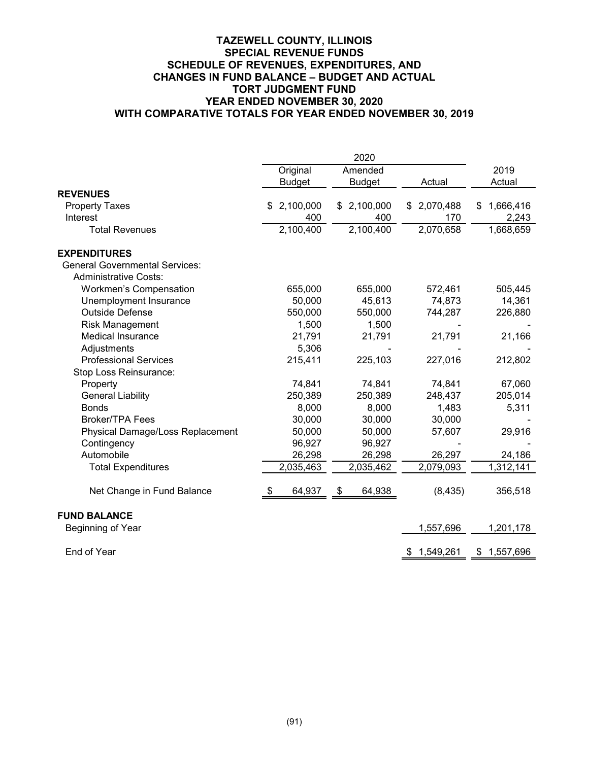# **TAZEWELL COUNTY, ILLINOIS SPECIAL REVENUE FUNDS SCHEDULE OF REVENUES, EXPENDITURES, AND CHANGES IN FUND BALANCE – BUDGET AND ACTUAL TORT JUDGMENT FUND YEAR ENDED NOVEMBER 30, 2020 WITH COMPARATIVE TOTALS FOR YEAR ENDED NOVEMBER 30, 2019**

|                                       | Original      | Amended                |                 | 2019            |  |
|---------------------------------------|---------------|------------------------|-----------------|-----------------|--|
|                                       | <b>Budget</b> | <b>Budget</b>          | Actual          | Actual          |  |
| <b>REVENUES</b>                       |               |                        |                 |                 |  |
| <b>Property Taxes</b>                 | 2,100,000     | 2,100,000<br>\$        | 2,070,488<br>\$ | 1,666,416<br>\$ |  |
| Interest                              | 400           | 400                    | 170             | 2,243           |  |
| <b>Total Revenues</b>                 | 2,100,400     | $\overline{2,}100,400$ | 2,070,658       | 1,668,659       |  |
| <b>EXPENDITURES</b>                   |               |                        |                 |                 |  |
| <b>General Governmental Services:</b> |               |                        |                 |                 |  |
| <b>Administrative Costs:</b>          |               |                        |                 |                 |  |
| <b>Workmen's Compensation</b>         | 655,000       | 655,000                | 572,461         | 505,445         |  |
| Unemployment Insurance                | 50,000        | 45,613                 | 74,873          | 14,361          |  |
| <b>Outside Defense</b>                | 550,000       | 550,000                | 744,287         | 226,880         |  |
| <b>Risk Management</b>                | 1,500         | 1,500                  |                 |                 |  |
| <b>Medical Insurance</b>              | 21,791        | 21,791                 | 21,791          | 21,166          |  |
| Adjustments                           | 5,306         |                        |                 |                 |  |
| <b>Professional Services</b>          | 215,411       | 225,103                | 227,016         | 212,802         |  |
| Stop Loss Reinsurance:                |               |                        |                 |                 |  |
| Property                              | 74,841        | 74,841                 | 74,841          | 67,060          |  |
| <b>General Liability</b>              | 250,389       | 250,389                | 248,437         | 205,014         |  |
| <b>Bonds</b>                          | 8,000         | 8,000                  | 1,483           | 5,311           |  |
| <b>Broker/TPA Fees</b>                | 30,000        | 30,000                 | 30,000          |                 |  |
| Physical Damage/Loss Replacement      | 50,000        | 50,000                 | 57,607          | 29,916          |  |
| Contingency                           | 96,927        | 96,927                 |                 |                 |  |
| Automobile                            | 26,298        | 26,298                 | 26,297          | 24,186          |  |
| <b>Total Expenditures</b>             | 2,035,463     | 2,035,462              | 2,079,093       | 1,312,141       |  |
| Net Change in Fund Balance            | 64,937<br>\$  | 64,938<br>\$           | (8, 435)        | 356,518         |  |
| <b>FUND BALANCE</b>                   |               |                        |                 |                 |  |
| Beginning of Year                     |               |                        | 1,557,696       | 1,201,178       |  |
| End of Year                           |               |                        | 1,549,261<br>\$ | \$1,557,696     |  |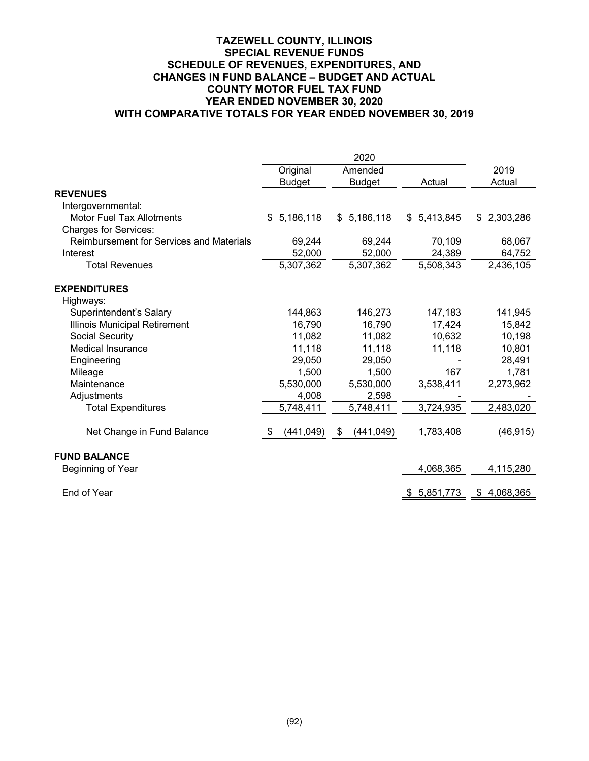# **TAZEWELL COUNTY, ILLINOIS SPECIAL REVENUE FUNDS SCHEDULE OF REVENUES, EXPENDITURES, AND CHANGES IN FUND BALANCE – BUDGET AND ACTUAL COUNTY MOTOR FUEL TAX FUND YEAR ENDED NOVEMBER 30, 2020 WITH COMPARATIVE TOTALS FOR YEAR ENDED NOVEMBER 30, 2019**

|                                          | Original           | Amended            |                 | 2019            |
|------------------------------------------|--------------------|--------------------|-----------------|-----------------|
|                                          | <b>Budget</b>      | <b>Budget</b>      | Actual          | Actual          |
| <b>REVENUES</b>                          |                    |                    |                 |                 |
| Intergovernmental:                       |                    |                    |                 |                 |
| <b>Motor Fuel Tax Allotments</b>         | 5,186,118<br>\$    | \$5,186,118        | 5,413,845<br>\$ | 2,303,286<br>\$ |
| <b>Charges for Services:</b>             |                    |                    |                 |                 |
| Reimbursement for Services and Materials | 69,244             | 69,244             | 70,109          | 68,067          |
| Interest                                 | 52,000             | 52,000             | 24,389          | 64,752          |
| <b>Total Revenues</b>                    | 5,307,362          | 5,307,362          | 5,508,343       | 2,436,105       |
| <b>EXPENDITURES</b>                      |                    |                    |                 |                 |
| Highways:                                |                    |                    |                 |                 |
| Superintendent's Salary                  | 144,863            | 146,273            | 147,183         | 141,945         |
| Illinois Municipal Retirement            | 16,790             | 16,790             | 17,424          | 15,842          |
| Social Security                          | 11,082             | 11,082             | 10,632          | 10,198          |
| <b>Medical Insurance</b>                 | 11,118             | 11,118             | 11,118          | 10,801          |
| Engineering                              | 29,050             | 29,050             |                 | 28,491          |
| Mileage                                  | 1,500              | 1,500              | 167             | 1,781           |
| Maintenance                              | 5,530,000          | 5,530,000          | 3,538,411       | 2,273,962       |
| Adjustments                              | 4,008              | 2,598              |                 |                 |
| <b>Total Expenditures</b>                | 5,748,411          | 5,748,411          | 3,724,935       | 2,483,020       |
| Net Change in Fund Balance               | (441, 049)<br>- 56 | (441, 049)<br>- \$ | 1,783,408       | (46, 915)       |
| <b>FUND BALANCE</b>                      |                    |                    |                 |                 |
| Beginning of Year                        |                    |                    | 4,068,365       | 4,115,280       |
| End of Year                              |                    |                    | 5,851,773<br>S. | 4,068,365<br>\$ |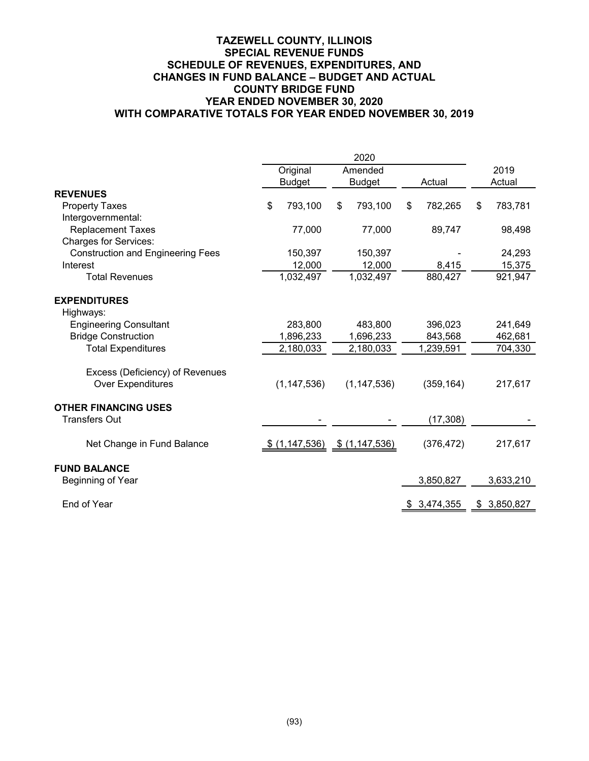|                                          | Original                            | Amended       |   |             |        | 2019        |
|------------------------------------------|-------------------------------------|---------------|---|-------------|--------|-------------|
|                                          | <b>Budget</b>                       | <b>Budget</b> |   | Actual      | Actual |             |
| <b>REVENUES</b>                          |                                     |               |   |             |        |             |
| <b>Property Taxes</b>                    | \$<br>793,100                       | \$<br>793,100 | S | 782,265     | \$     | 783,781     |
| Intergovernmental:                       |                                     |               |   |             |        |             |
| <b>Replacement Taxes</b>                 | 77,000                              | 77,000        |   | 89,747      |        | 98,498      |
| <b>Charges for Services:</b>             |                                     |               |   |             |        |             |
| <b>Construction and Engineering Fees</b> | 150,397                             | 150,397       |   |             |        | 24,293      |
| Interest                                 | 12,000                              | 12,000        |   | 8,415       |        | 15,375      |
| <b>Total Revenues</b>                    | 1,032,497                           | 1,032,497     |   | 880,427     |        | 921,947     |
| <b>EXPENDITURES</b>                      |                                     |               |   |             |        |             |
| Highways:                                |                                     |               |   |             |        |             |
| <b>Engineering Consultant</b>            | 283,800                             | 483,800       |   | 396,023     |        | 241,649     |
| <b>Bridge Construction</b>               | 1,896,233                           | 1,696,233     |   | 843,568     |        | 462,681     |
| <b>Total Expenditures</b>                | 2,180,033                           | 2,180,033     |   | 1,239,591   |        | 704,330     |
| Excess (Deficiency) of Revenues          |                                     |               |   |             |        |             |
| <b>Over Expenditures</b>                 | (1, 147, 536)                       | (1, 147, 536) |   | (359, 164)  |        | 217,617     |
| <b>OTHER FINANCING USES</b>              |                                     |               |   |             |        |             |
| <b>Transfers Out</b>                     |                                     |               |   | (17, 308)   |        |             |
| Net Change in Fund Balance               | $$ (1,147,536) \quad $ (1,147,536)$ |               |   | (376, 472)  |        | 217,617     |
| <b>FUND BALANCE</b>                      |                                     |               |   |             |        |             |
| Beginning of Year                        |                                     |               |   | 3,850,827   |        | 3,633,210   |
| End of Year                              |                                     |               |   | \$3,474,355 |        | \$3,850,827 |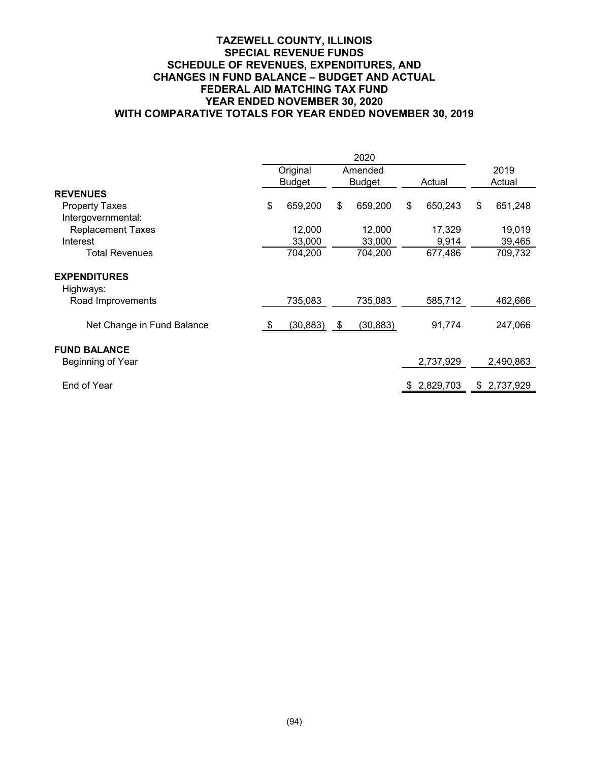# **TAZEWELL COUNTY, ILLINOIS SPECIAL REVENUE FUNDS SCHEDULE OF REVENUES, EXPENDITURES, AND CHANGES IN FUND BALANCE – BUDGET AND ACTUAL FEDERAL AID MATCHING TAX FUND YEAR ENDED NOVEMBER 30, 2020 WITH COMPARATIVE TOTALS FOR YEAR ENDED NOVEMBER 30, 2019**

|                                  | 2020 |               |    |               |    |           |      |           |
|----------------------------------|------|---------------|----|---------------|----|-----------|------|-----------|
|                                  |      | Original      |    | Amended       |    |           | 2019 |           |
|                                  |      | <b>Budget</b> |    | <b>Budget</b> |    | Actual    |      | Actual    |
| <b>REVENUES</b>                  |      |               |    |               |    |           |      |           |
| <b>Property Taxes</b>            | \$   | 659,200       | \$ | 659,200       | \$ | 650,243   | \$   | 651,248   |
| Intergovernmental:               |      |               |    |               |    |           |      |           |
| <b>Replacement Taxes</b>         |      | 12,000        |    | 12,000        |    | 17,329    |      | 19,019    |
| Interest                         |      | 33,000        |    | 33,000        |    | 9,914     |      | 39,465    |
| <b>Total Revenues</b>            |      | 704,200       |    | 704,200       |    | 677,486   |      | 709,732   |
| <b>EXPENDITURES</b><br>Highways: |      |               |    |               |    |           |      |           |
| Road Improvements                |      | 735,083       |    | 735,083       |    | 585,712   |      | 462,666   |
| Net Change in Fund Balance       |      | (30, 883)     | \$ | (30, 883)     |    | 91,774    |      | 247,066   |
| <b>FUND BALANCE</b>              |      |               |    |               |    |           |      |           |
| Beginning of Year                |      |               |    |               |    | 2,737,929 |      | 2,490,863 |
| End of Year                      |      |               |    |               | S. | 2,829,703 | \$   | 2,737,929 |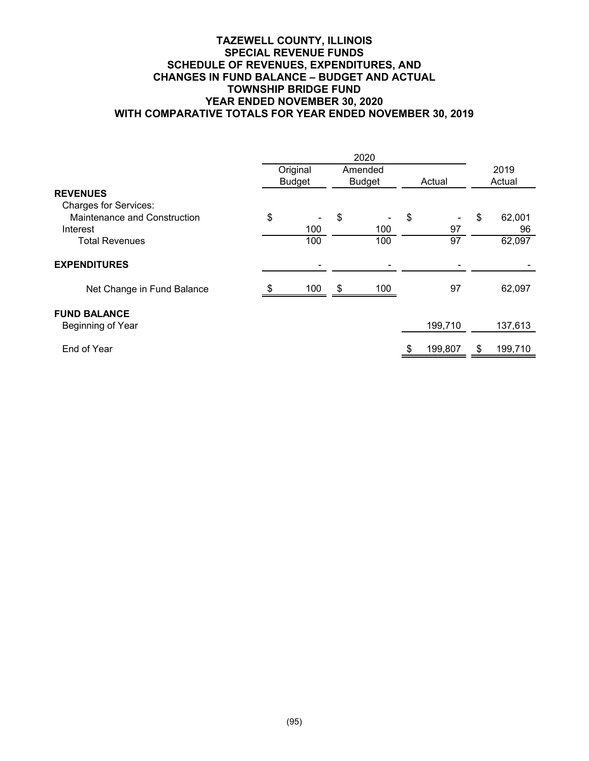# **TAZEWELL COUNTY, ILLINOIS SPECIAL REVENUE FUNDS SCHEDULE OF REVENUES, EXPENDITURES, AND CHANGES IN FUND BALANCE – BUDGET AND ACTUAL TOWNSHIP BRIDGE FUND YEAR ENDED NOVEMBER 30, 2020 WITH COMPARATIVE TOTALS FOR YEAR ENDED NOVEMBER 30, 2019**

|                              |    | Original      | Amended       |         |    | 2019    |  |
|------------------------------|----|---------------|---------------|---------|----|---------|--|
|                              |    | <b>Budget</b> | <b>Budget</b> | Actual  |    | Actual  |  |
| <b>REVENUES</b>              |    |               |               |         |    |         |  |
| <b>Charges for Services:</b> |    |               |               |         |    |         |  |
| Maintenance and Construction | \$ |               | \$            | \$      | \$ | 62,001  |  |
| Interest                     |    | 100           | 100           | 97      |    | 96      |  |
| <b>Total Revenues</b>        |    | 100           | 100           | 97      |    | 62,097  |  |
|                              |    |               |               |         |    |         |  |
| <b>EXPENDITURES</b>          |    |               |               |         |    |         |  |
| Net Change in Fund Balance   |    | 100           | \$<br>100     | 97      |    | 62,097  |  |
| <b>FUND BALANCE</b>          |    |               |               |         |    |         |  |
| Beginning of Year            |    |               |               | 199,710 |    | 137,613 |  |
| End of Year                  |    |               |               | 199,807 | \$ | 199,710 |  |
|                              |    |               |               |         |    |         |  |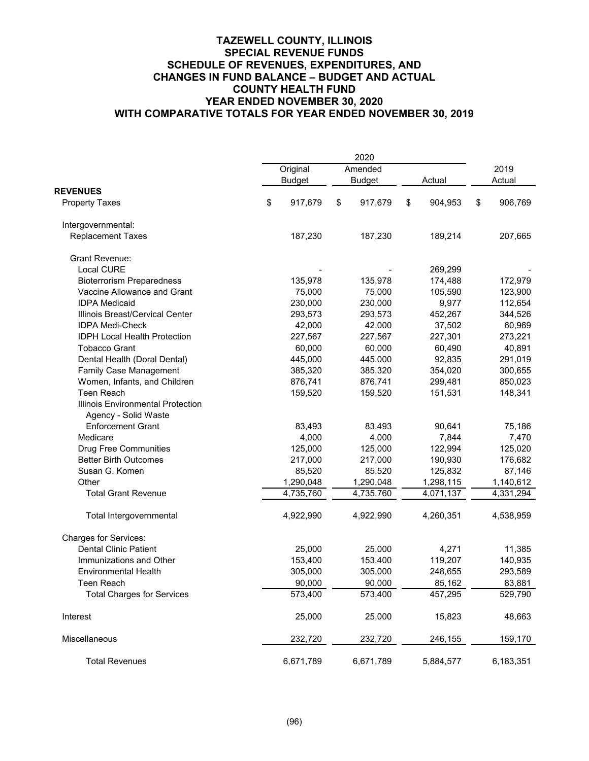|                                                           |               | 2020          |               |               |  |  |  |  |  |
|-----------------------------------------------------------|---------------|---------------|---------------|---------------|--|--|--|--|--|
|                                                           | Original      | Amended       |               | 2019          |  |  |  |  |  |
|                                                           | <b>Budget</b> | <b>Budget</b> | Actual        | Actual        |  |  |  |  |  |
| <b>REVENUES</b>                                           |               |               |               |               |  |  |  |  |  |
| <b>Property Taxes</b>                                     | \$<br>917,679 | \$<br>917,679 | \$<br>904,953 | \$<br>906,769 |  |  |  |  |  |
| Intergovernmental:                                        |               |               |               |               |  |  |  |  |  |
| <b>Replacement Taxes</b>                                  | 187,230       | 187,230       | 189,214       | 207,665       |  |  |  |  |  |
| <b>Grant Revenue:</b>                                     |               |               |               |               |  |  |  |  |  |
| <b>Local CURE</b>                                         |               |               | 269,299       |               |  |  |  |  |  |
| <b>Bioterrorism Preparedness</b>                          | 135,978       | 135,978       | 174,488       | 172,979       |  |  |  |  |  |
| Vaccine Allowance and Grant                               | 75,000        | 75,000        | 105,590       | 123,900       |  |  |  |  |  |
| <b>IDPA Medicaid</b>                                      | 230,000       | 230,000       | 9,977         | 112,654       |  |  |  |  |  |
| Illinois Breast/Cervical Center                           | 293,573       | 293,573       | 452,267       | 344,526       |  |  |  |  |  |
| <b>IDPA Medi-Check</b>                                    | 42,000        | 42,000        | 37,502        | 60,969        |  |  |  |  |  |
| <b>IDPH Local Health Protection</b>                       | 227,567       | 227,567       | 227,301       | 273,221       |  |  |  |  |  |
| <b>Tobacco Grant</b>                                      | 60,000        | 60,000        | 60,490        | 40,891        |  |  |  |  |  |
| Dental Health (Doral Dental)                              | 445,000       | 445,000       | 92,835        | 291,019       |  |  |  |  |  |
| Family Case Management                                    | 385,320       | 385,320       | 354,020       | 300,655       |  |  |  |  |  |
| Women, Infants, and Children                              | 876,741       | 876,741       | 299,481       | 850,023       |  |  |  |  |  |
| Teen Reach                                                | 159,520       | 159,520       | 151,531       | 148,341       |  |  |  |  |  |
| Illinois Environmental Protection<br>Agency - Solid Waste |               |               |               |               |  |  |  |  |  |
| <b>Enforcement Grant</b>                                  | 83,493        | 83,493        | 90,641        | 75,186        |  |  |  |  |  |
| Medicare                                                  | 4,000         | 4,000         | 7,844         | 7,470         |  |  |  |  |  |
| <b>Drug Free Communities</b>                              | 125,000       | 125,000       | 122,994       | 125,020       |  |  |  |  |  |
| <b>Better Birth Outcomes</b>                              | 217,000       | 217,000       | 190,930       | 176,682       |  |  |  |  |  |
| Susan G. Komen                                            | 85,520        | 85,520        | 125,832       | 87,146        |  |  |  |  |  |
| Other                                                     | 1,290,048     | 1,290,048     | 1,298,115     | 1,140,612     |  |  |  |  |  |
| <b>Total Grant Revenue</b>                                | 4,735,760     | 4,735,760     | 4,071,137     | 4,331,294     |  |  |  |  |  |
| Total Intergovernmental                                   | 4,922,990     | 4,922,990     | 4,260,351     | 4,538,959     |  |  |  |  |  |
| <b>Charges for Services:</b>                              |               |               |               |               |  |  |  |  |  |
| <b>Dental Clinic Patient</b>                              | 25,000        | 25,000        | 4,271         | 11,385        |  |  |  |  |  |
| Immunizations and Other                                   | 153,400       | 153,400       | 119,207       | 140,935       |  |  |  |  |  |
| <b>Environmental Health</b>                               | 305,000       | 305,000       | 248,655       | 293,589       |  |  |  |  |  |
| Teen Reach                                                | 90,000        | 90,000        | 85,162        | 83,881        |  |  |  |  |  |
| <b>Total Charges for Services</b>                         | 573,400       | 573,400       | 457,295       | 529,790       |  |  |  |  |  |
| Interest                                                  | 25,000        | 25,000        | 15,823        | 48,663        |  |  |  |  |  |
| Miscellaneous                                             | 232,720       | 232,720       | 246,155       | 159,170       |  |  |  |  |  |
| <b>Total Revenues</b>                                     | 6,671,789     | 6,671,789     | 5,884,577     | 6,183,351     |  |  |  |  |  |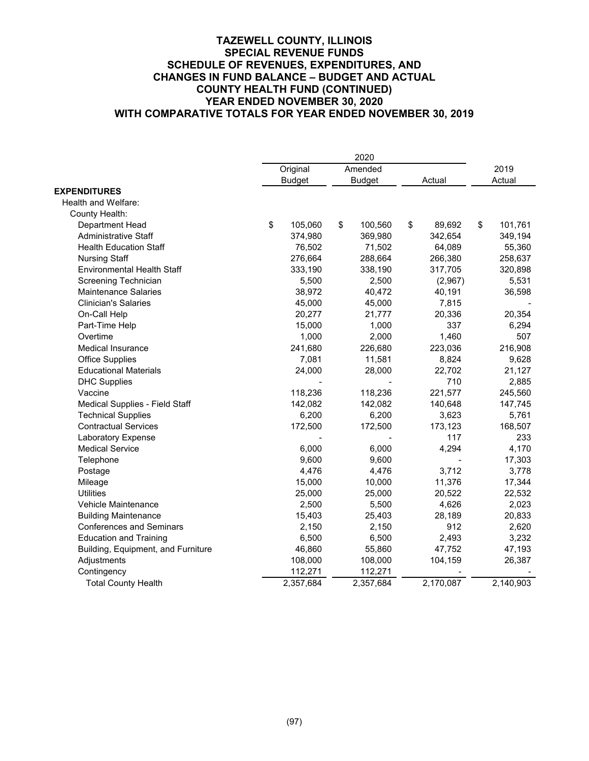|                                    | 2020 |               |    |               |        |           |                |           |
|------------------------------------|------|---------------|----|---------------|--------|-----------|----------------|-----------|
|                                    |      | Original      |    | Amended       | Actual |           | 2019<br>Actual |           |
|                                    |      | <b>Budget</b> |    | <b>Budget</b> |        |           |                |           |
| <b>EXPENDITURES</b>                |      |               |    |               |        |           |                |           |
| Health and Welfare:                |      |               |    |               |        |           |                |           |
| County Health:                     |      |               |    |               |        |           |                |           |
| Department Head                    | \$   | 105,060       | \$ | 100,560       | \$     | 89,692    | \$             | 101,761   |
| <b>Administrative Staff</b>        |      | 374,980       |    | 369,980       |        | 342,654   |                | 349,194   |
| <b>Health Education Staff</b>      |      | 76,502        |    | 71,502        |        | 64,089    |                | 55,360    |
| <b>Nursing Staff</b>               |      | 276,664       |    | 288,664       |        | 266,380   |                | 258,637   |
| <b>Environmental Health Staff</b>  |      | 333,190       |    | 338,190       |        | 317,705   |                | 320,898   |
| Screening Technician               |      | 5,500         |    | 2,500         |        | (2,967)   |                | 5,531     |
| <b>Maintenance Salaries</b>        |      | 38,972        |    | 40,472        |        | 40,191    |                | 36,598    |
| <b>Clinician's Salaries</b>        |      | 45,000        |    | 45,000        |        | 7,815     |                |           |
| On-Call Help                       |      | 20,277        |    | 21,777        |        | 20,336    |                | 20,354    |
| Part-Time Help                     |      | 15,000        |    | 1,000         |        | 337       |                | 6,294     |
| Overtime                           |      | 1,000         |    | 2,000         |        | 1,460     |                | 507       |
| Medical Insurance                  |      | 241,680       |    | 226,680       |        | 223,036   |                | 216,908   |
| <b>Office Supplies</b>             |      | 7,081         |    | 11,581        |        | 8,824     |                | 9,628     |
| <b>Educational Materials</b>       |      | 24,000        |    | 28,000        |        | 22,702    |                | 21,127    |
| <b>DHC Supplies</b>                |      |               |    |               |        | 710       |                | 2,885     |
| Vaccine                            |      | 118,236       |    | 118,236       |        | 221,577   |                | 245,560   |
| Medical Supplies - Field Staff     |      | 142,082       |    | 142,082       |        | 140,648   |                | 147,745   |
| <b>Technical Supplies</b>          |      | 6,200         |    | 6,200         |        | 3,623     |                | 5,761     |
| <b>Contractual Services</b>        |      | 172,500       |    | 172,500       |        | 173,123   |                | 168,507   |
| Laboratory Expense                 |      |               |    |               |        | 117       |                | 233       |
| <b>Medical Service</b>             |      | 6,000         |    | 6,000         |        | 4,294     |                | 4,170     |
| Telephone                          |      | 9,600         |    | 9,600         |        |           |                | 17,303    |
| Postage                            |      | 4,476         |    | 4,476         |        | 3,712     |                | 3,778     |
| Mileage                            |      | 15,000        |    | 10,000        |        | 11,376    |                | 17,344    |
| <b>Utilities</b>                   |      | 25,000        |    | 25,000        |        | 20,522    |                | 22,532    |
| Vehicle Maintenance                |      | 2,500         |    | 5,500         |        | 4,626     |                | 2,023     |
| <b>Building Maintenance</b>        |      | 15,403        |    | 25,403        |        | 28,189    |                | 20,833    |
| <b>Conferences and Seminars</b>    |      | 2,150         |    | 2,150         |        | 912       |                | 2,620     |
| <b>Education and Training</b>      |      | 6,500         |    | 6,500         |        | 2,493     |                | 3,232     |
| Building, Equipment, and Furniture |      | 46,860        |    | 55,860        |        | 47,752    |                | 47,193    |
| Adjustments                        |      | 108,000       |    | 108,000       |        | 104,159   |                | 26,387    |
| Contingency                        |      | 112,271       |    | 112,271       |        |           |                |           |
| <b>Total County Health</b>         |      | 2,357,684     |    | 2,357,684     |        | 2,170,087 |                | 2,140,903 |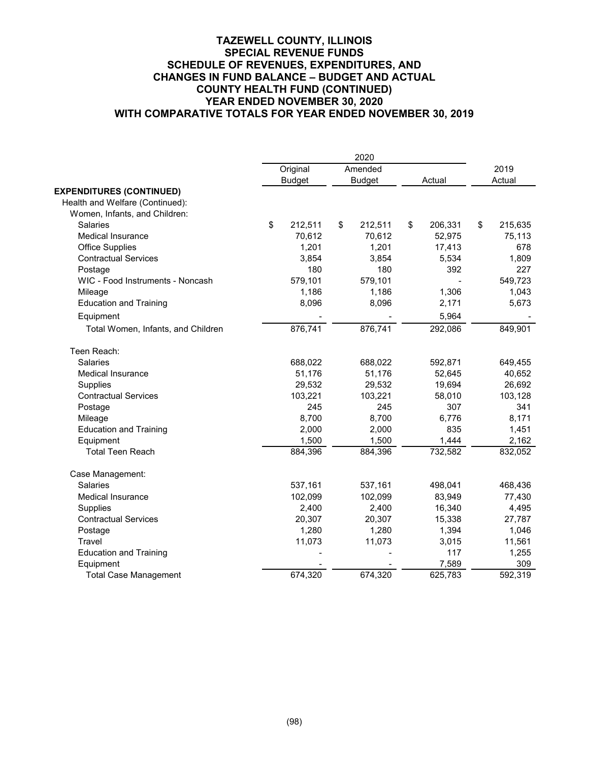|                                    | Original      | Amended       |                | 2019          |
|------------------------------------|---------------|---------------|----------------|---------------|
|                                    | <b>Budget</b> | <b>Budget</b> | Actual         | Actual        |
| <b>EXPENDITURES (CONTINUED)</b>    |               |               |                |               |
| Health and Welfare (Continued):    |               |               |                |               |
| Women, Infants, and Children:      |               |               |                |               |
| <b>Salaries</b>                    | \$<br>212,511 | \$<br>212,511 | \$<br>206,331  | \$<br>215,635 |
| <b>Medical Insurance</b>           | 70,612        | 70,612        | 52,975         | 75,113        |
| <b>Office Supplies</b>             | 1,201         | 1,201         | 17,413         | 678           |
| <b>Contractual Services</b>        | 3,854         | 3,854         | 5,534          | 1,809         |
| Postage                            | 180           | 180           | 392            | 227           |
| WIC - Food Instruments - Noncash   | 579,101       | 579,101       | $\overline{a}$ | 549,723       |
| Mileage                            | 1,186         | 1,186         | 1,306          | 1,043         |
| <b>Education and Training</b>      | 8,096         | 8,096         | 2,171          | 5,673         |
| Equipment                          |               |               | 5,964          |               |
| Total Women, Infants, and Children | 876,741       | 876,741       | 292,086        | 849,901       |
| Teen Reach:                        |               |               |                |               |
| <b>Salaries</b>                    | 688,022       | 688,022       | 592,871        | 649,455       |
| <b>Medical Insurance</b>           | 51,176        | 51,176        | 52,645         | 40,652        |
| Supplies                           | 29,532        | 29,532        | 19,694         | 26,692        |
| <b>Contractual Services</b>        | 103,221       | 103,221       | 58,010         | 103,128       |
| Postage                            | 245           | 245           | 307            | 341           |
| Mileage                            | 8,700         | 8,700         | 6,776          | 8,171         |
| <b>Education and Training</b>      | 2,000         | 2,000         | 835            | 1,451         |
| Equipment                          | 1,500         | 1,500         | 1,444          | 2,162         |
| <b>Total Teen Reach</b>            | 884,396       | 884,396       | 732,582        | 832,052       |
| Case Management:                   |               |               |                |               |
| Salaries                           | 537,161       | 537,161       | 498,041        | 468,436       |
| <b>Medical Insurance</b>           | 102,099       | 102,099       | 83,949         | 77,430        |
| Supplies                           | 2,400         | 2,400         | 16,340         | 4,495         |
| <b>Contractual Services</b>        | 20,307        | 20,307        | 15,338         | 27,787        |
| Postage                            | 1,280         | 1,280         | 1,394          | 1,046         |
| Travel                             | 11,073        | 11,073        | 3,015          | 11,561        |
| <b>Education and Training</b>      |               |               | 117            | 1,255         |
| Equipment                          |               |               | 7,589          | 309           |
| <b>Total Case Management</b>       | 674,320       | 674,320       | 625,783        | 592,319       |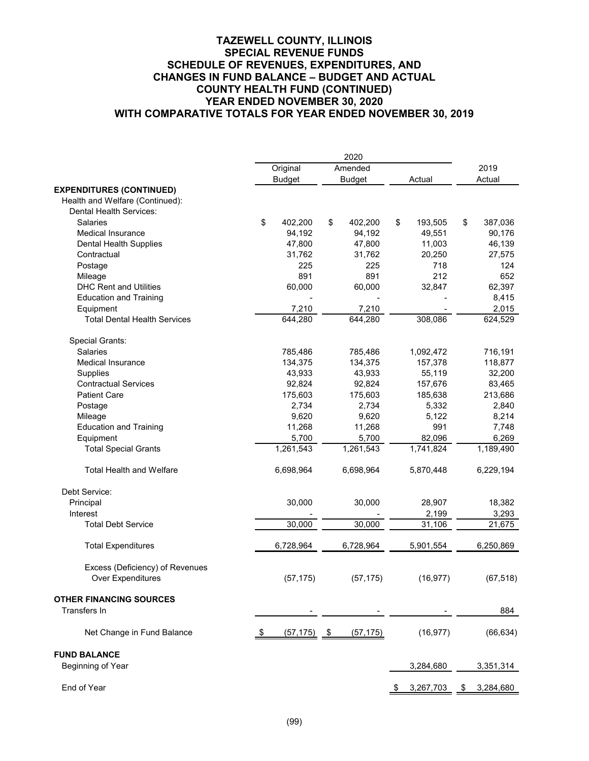|                                                             | 2020 |               |            |               |    |           |    |           |
|-------------------------------------------------------------|------|---------------|------------|---------------|----|-----------|----|-----------|
|                                                             |      | Original      |            | Amended       |    |           |    | 2019      |
|                                                             |      | <b>Budget</b> |            | <b>Budget</b> |    | Actual    |    | Actual    |
| <b>EXPENDITURES (CONTINUED)</b>                             |      |               |            |               |    |           |    |           |
| Health and Welfare (Continued):                             |      |               |            |               |    |           |    |           |
| <b>Dental Health Services:</b>                              |      |               |            |               |    |           |    |           |
| <b>Salaries</b>                                             | \$   | 402,200       | \$         | 402,200       | \$ | 193,505   | \$ | 387,036   |
| <b>Medical Insurance</b>                                    |      | 94,192        |            | 94,192        |    | 49,551    |    | 90,176    |
| Dental Health Supplies                                      |      | 47,800        |            | 47,800        |    | 11,003    |    | 46,139    |
| Contractual                                                 |      | 31,762        |            | 31,762        |    | 20,250    |    | 27,575    |
| Postage                                                     |      | 225           |            | 225           |    | 718       |    | 124       |
| Mileage                                                     |      | 891           |            | 891           |    | 212       |    | 652       |
| <b>DHC Rent and Utilities</b>                               |      | 60,000        |            | 60,000        |    | 32,847    |    | 62,397    |
| <b>Education and Training</b>                               |      |               |            |               |    |           |    | 8,415     |
| Equipment                                                   |      | 7,210         |            | 7,210         |    |           |    | 2,015     |
| <b>Total Dental Health Services</b>                         |      | 644,280       |            | 644,280       |    | 308,086   |    | 624,529   |
| Special Grants:                                             |      |               |            |               |    |           |    |           |
| <b>Salaries</b>                                             |      | 785,486       |            | 785,486       |    | 1,092,472 |    | 716,191   |
| <b>Medical Insurance</b>                                    |      | 134,375       |            | 134,375       |    | 157,378   |    | 118,877   |
| Supplies                                                    |      | 43,933        |            | 43,933        |    | 55,119    |    | 32,200    |
| <b>Contractual Services</b>                                 |      | 92,824        |            | 92,824        |    | 157,676   |    | 83,465    |
| <b>Patient Care</b>                                         |      | 175,603       |            | 175,603       |    | 185,638   |    | 213,686   |
| Postage                                                     |      | 2,734         |            | 2,734         |    | 5,332     |    | 2,840     |
| Mileage                                                     |      | 9,620         |            | 9,620         |    | 5,122     |    | 8,214     |
| <b>Education and Training</b>                               |      | 11,268        |            | 11,268        |    | 991       |    | 7,748     |
| Equipment                                                   |      | 5,700         |            | 5,700         |    | 82,096    |    | 6,269     |
| <b>Total Special Grants</b>                                 |      | 1,261,543     |            | 1,261,543     |    | 1,741,824 |    | 1,189,490 |
| <b>Total Health and Welfare</b>                             |      | 6,698,964     |            | 6,698,964     |    | 5,870,448 |    | 6,229,194 |
| Debt Service:                                               |      |               |            |               |    |           |    |           |
| Principal                                                   |      | 30,000        |            | 30,000        |    | 28,907    |    | 18,382    |
| Interest                                                    |      |               |            |               |    | 2,199     |    | 3,293     |
| <b>Total Debt Service</b>                                   |      | 30,000        |            | 30,000        |    | 31,106    |    | 21,675    |
| <b>Total Expenditures</b>                                   |      | 6,728,964     |            | 6,728,964     |    | 5,901,554 |    | 6,250,869 |
| Excess (Deficiency) of Revenues<br><b>Over Expenditures</b> |      | (57, 175)     |            | (57, 175)     |    | (16, 977) |    | (67, 518) |
| <b>OTHER FINANCING SOURCES</b><br>Transfers In              |      |               |            |               |    |           |    | 884       |
| Net Change in Fund Balance                                  | S    | (57, 175)     | <u>_\$</u> | (57, 175)     |    | (16, 977) |    | (66, 634) |
| <b>FUND BALANCE</b>                                         |      |               |            |               |    |           |    |           |
| Beginning of Year                                           |      |               |            |               |    | 3,284,680 |    | 3,351,314 |
| End of Year                                                 |      |               |            |               |    | 3,267,703 | \$ | 3,284,680 |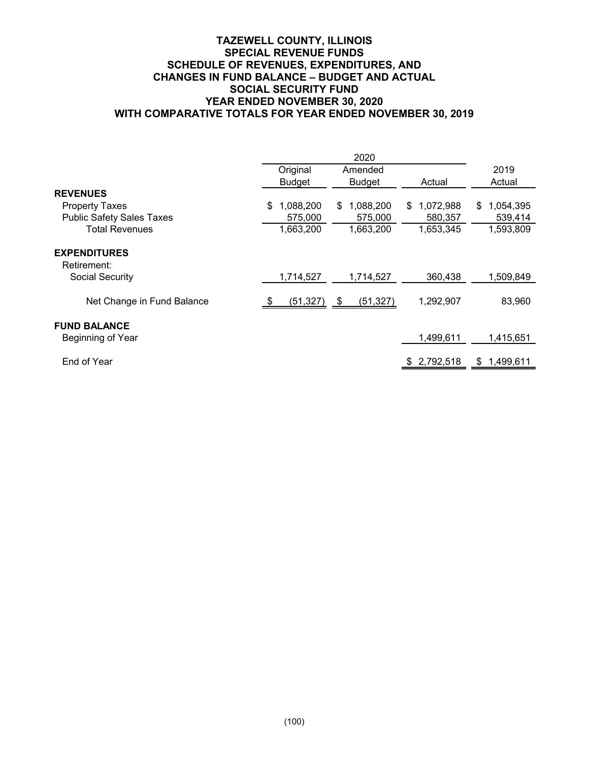# **TAZEWELL COUNTY, ILLINOIS SPECIAL REVENUE FUNDS SCHEDULE OF REVENUES, EXPENDITURES, AND CHANGES IN FUND BALANCE – BUDGET AND ACTUAL SOCIAL SECURITY FUND YEAR ENDED NOVEMBER 30, 2020 WITH COMPARATIVE TOTALS FOR YEAR ENDED NOVEMBER 30, 2019**

|                                          | Original        | Amended         |                  | 2019             |
|------------------------------------------|-----------------|-----------------|------------------|------------------|
|                                          | <b>Budget</b>   | <b>Budget</b>   | Actual           | Actual           |
| <b>REVENUES</b>                          |                 |                 |                  |                  |
| <b>Property Taxes</b>                    | 1,088,200<br>\$ | 1,088,200<br>\$ | 1,072,988<br>\$. | 1,054,395<br>\$. |
| <b>Public Safety Sales Taxes</b>         | 575,000         | 575,000         | 580,357          | 539,414          |
| <b>Total Revenues</b>                    | 1,663,200       | 1,663,200       | 1,653,345        | 1,593,809        |
| <b>EXPENDITURES</b><br>Retirement:       |                 |                 |                  |                  |
| Social Security                          | 1,714,527       | 1,714,527       | 360,438          | 1,509,849        |
| Net Change in Fund Balance               | $(51,327)$ \$   | (51, 327)       | 1,292,907        | 83,960           |
| <b>FUND BALANCE</b><br>Beginning of Year |                 |                 | 1,499,611        | 1,415,651        |
| End of Year                              |                 |                 | 2,792,518        | \$<br>1,499,611  |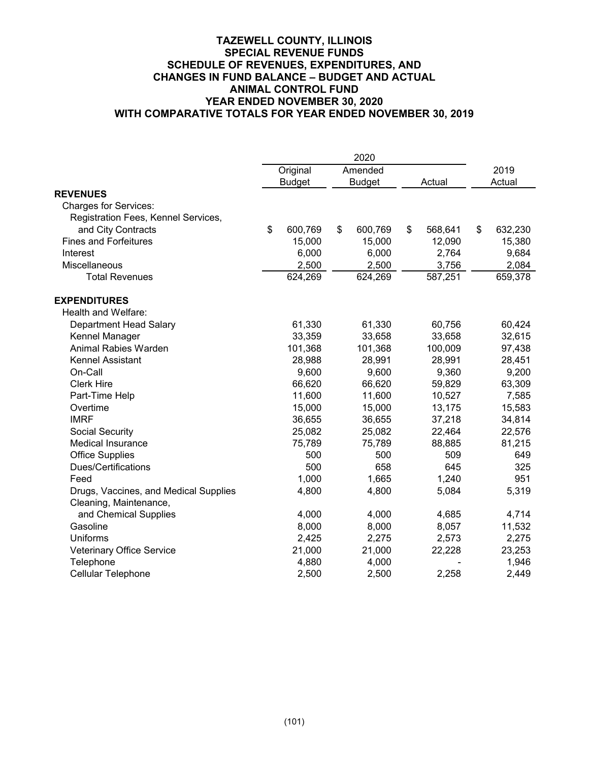|                                       | Original      | Amended       |        |         |        | 2019    |
|---------------------------------------|---------------|---------------|--------|---------|--------|---------|
|                                       | <b>Budget</b> | <b>Budget</b> | Actual |         | Actual |         |
| <b>REVENUES</b>                       |               |               |        |         |        |         |
| <b>Charges for Services:</b>          |               |               |        |         |        |         |
| Registration Fees, Kennel Services,   |               |               |        |         |        |         |
| and City Contracts                    | \$<br>600,769 | \$<br>600,769 | \$     | 568,641 | \$     | 632,230 |
| <b>Fines and Forfeitures</b>          | 15,000        | 15,000        |        | 12,090  |        | 15,380  |
| Interest                              | 6,000         | 6,000         |        | 2,764   |        | 9,684   |
| Miscellaneous                         | 2,500         | 2,500         |        | 3,756   |        | 2,084   |
| <b>Total Revenues</b>                 | 624,269       | 624,269       |        | 587,251 |        | 659,378 |
| <b>EXPENDITURES</b>                   |               |               |        |         |        |         |
| Health and Welfare:                   |               |               |        |         |        |         |
| <b>Department Head Salary</b>         | 61,330        | 61,330        |        | 60,756  |        | 60,424  |
| Kennel Manager                        | 33,359        | 33,658        |        | 33,658  |        | 32,615  |
| Animal Rabies Warden                  | 101,368       | 101,368       |        | 100,009 |        | 97,438  |
| Kennel Assistant                      | 28,988        | 28,991        |        | 28,991  |        | 28,451  |
| On-Call                               | 9,600         | 9,600         |        | 9,360   |        | 9,200   |
| <b>Clerk Hire</b>                     | 66,620        | 66,620        |        | 59,829  |        | 63,309  |
| Part-Time Help                        | 11,600        | 11,600        |        | 10,527  |        | 7,585   |
| Overtime                              | 15,000        | 15,000        |        | 13,175  |        | 15,583  |
| <b>IMRF</b>                           | 36,655        | 36,655        |        | 37,218  |        | 34,814  |
| Social Security                       | 25,082        | 25,082        |        | 22,464  |        | 22,576  |
| <b>Medical Insurance</b>              | 75,789        | 75,789        |        | 88,885  |        | 81,215  |
| <b>Office Supplies</b>                | 500           | 500           |        | 509     |        | 649     |
| <b>Dues/Certifications</b>            | 500           | 658           |        | 645     |        | 325     |
| Feed                                  | 1,000         | 1,665         |        | 1,240   |        | 951     |
| Drugs, Vaccines, and Medical Supplies | 4,800         | 4,800         |        | 5,084   |        | 5,319   |
| Cleaning, Maintenance,                |               |               |        |         |        |         |
| and Chemical Supplies                 | 4,000         | 4,000         |        | 4,685   |        | 4,714   |
| Gasoline                              | 8,000         | 8,000         |        | 8,057   |        | 11,532  |
| Uniforms                              | 2,425         | 2,275         |        | 2,573   |        | 2,275   |
| Veterinary Office Service             | 21,000        | 21,000        |        | 22,228  |        | 23,253  |
| Telephone                             | 4,880         | 4,000         |        |         |        | 1,946   |
| Cellular Telephone                    | 2,500         | 2,500         |        | 2,258   |        | 2,449   |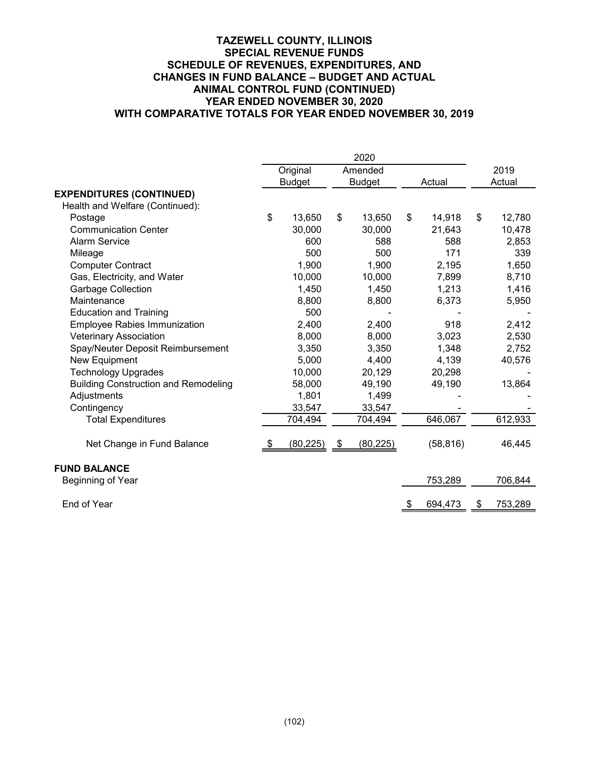|                                             | 2020 |               |               |           |        |           |        |         |
|---------------------------------------------|------|---------------|---------------|-----------|--------|-----------|--------|---------|
|                                             |      | Original      |               | Amended   |        |           |        | 2019    |
|                                             |      | <b>Budget</b> | <b>Budget</b> |           | Actual |           | Actual |         |
| <b>EXPENDITURES (CONTINUED)</b>             |      |               |               |           |        |           |        |         |
| Health and Welfare (Continued):             |      |               |               |           |        |           |        |         |
| Postage                                     | \$   | 13,650        | \$            | 13,650    | \$     | 14,918    | \$     | 12,780  |
| <b>Communication Center</b>                 |      | 30,000        |               | 30,000    |        | 21,643    |        | 10,478  |
| <b>Alarm Service</b>                        |      | 600           |               | 588       |        | 588       |        | 2,853   |
| Mileage                                     |      | 500           |               | 500       |        | 171       |        | 339     |
| <b>Computer Contract</b>                    |      | 1,900         |               | 1,900     |        | 2,195     |        | 1,650   |
| Gas, Electricity, and Water                 |      | 10,000        |               | 10,000    |        | 7,899     |        | 8,710   |
| <b>Garbage Collection</b>                   |      | 1,450         |               | 1,450     |        | 1,213     |        | 1,416   |
| Maintenance                                 |      | 8,800         |               | 8,800     |        | 6,373     |        | 5,950   |
| <b>Education and Training</b>               |      | 500           |               |           |        |           |        |         |
| <b>Employee Rabies Immunization</b>         |      | 2,400         |               | 2,400     |        | 918       |        | 2,412   |
| <b>Veterinary Association</b>               |      | 8,000         |               | 8,000     |        | 3,023     |        | 2,530   |
| Spay/Neuter Deposit Reimbursement           |      | 3,350         |               | 3,350     |        | 1,348     |        | 2,752   |
| New Equipment                               |      | 5,000         |               | 4,400     |        | 4,139     |        | 40,576  |
| <b>Technology Upgrades</b>                  |      | 10,000        |               | 20,129    |        | 20,298    |        |         |
| <b>Building Construction and Remodeling</b> |      | 58,000        |               | 49,190    |        | 49,190    |        | 13,864  |
| Adjustments                                 |      | 1,801         |               | 1,499     |        |           |        |         |
| Contingency                                 |      | 33,547        |               | 33,547    |        |           |        |         |
| <b>Total Expenditures</b>                   |      | 704,494       |               | 704,494   |        | 646,067   |        | 612,933 |
| Net Change in Fund Balance                  |      | (80, 225)     | \$            | (80, 225) |        | (58, 816) |        | 46,445  |
| <b>FUND BALANCE</b>                         |      |               |               |           |        |           |        |         |
| Beginning of Year                           |      |               |               |           |        | 753,289   |        | 706,844 |
| End of Year                                 |      |               |               |           | \$     | 694,473   | \$     | 753,289 |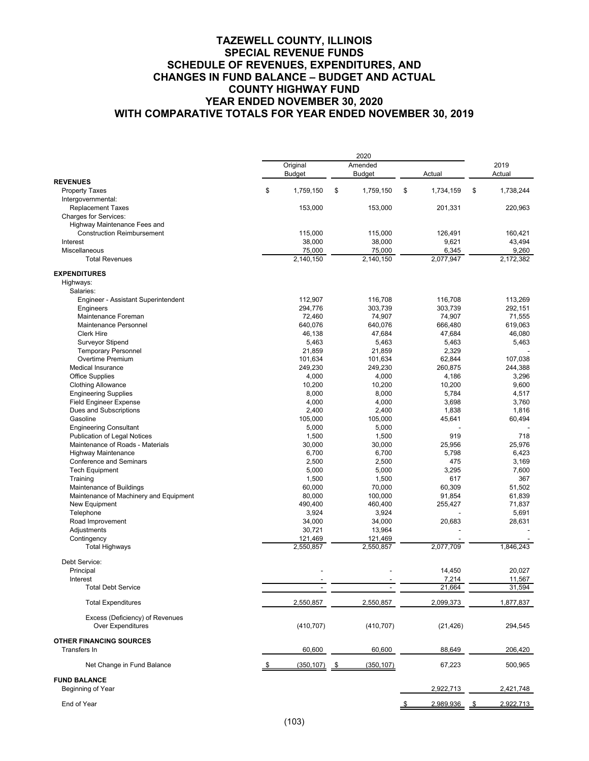|                                                              | Original                 | Amended          |                 | 2019            |
|--------------------------------------------------------------|--------------------------|------------------|-----------------|-----------------|
|                                                              | <b>Budget</b>            | <b>Budget</b>    | Actual          | Actual          |
| <b>REVENUES</b>                                              |                          |                  |                 |                 |
| <b>Property Taxes</b>                                        | \$<br>1,759,150          | 1,759,150<br>\$  | \$<br>1,734,159 | \$<br>1,738,244 |
| Intergovernmental:<br><b>Replacement Taxes</b>               | 153,000                  | 153,000          | 201,331         | 220,963         |
| <b>Charges for Services:</b>                                 |                          |                  |                 |                 |
| Highway Maintenance Fees and                                 |                          |                  |                 |                 |
| <b>Construction Reimbursement</b>                            | 115,000                  | 115,000          | 126,491         | 160,421         |
| Interest                                                     | 38,000                   | 38,000           | 9,621           | 43,494          |
| Miscellaneous                                                | 75,000                   | 75,000           | 6,345           | 9,260           |
| <b>Total Revenues</b>                                        | 2,140,150                | 2,140,150        | 2,077,947       | 2,172,382       |
|                                                              |                          |                  |                 |                 |
| <b>EXPENDITURES</b>                                          |                          |                  |                 |                 |
| Highways:                                                    |                          |                  |                 |                 |
| Salaries:                                                    |                          |                  |                 |                 |
| Engineer - Assistant Superintendent                          | 112,907                  | 116,708          | 116,708         | 113,269         |
| Engineers                                                    | 294,776                  | 303,739          | 303,739         | 292,151         |
| Maintenance Foreman                                          | 72,460                   | 74,907           | 74,907          | 71,555          |
| Maintenance Personnel                                        | 640,076                  | 640,076          | 666,480         | 619,063         |
| <b>Clerk Hire</b>                                            | 46,138                   | 47,684           | 47,684          | 46,080          |
| Surveyor Stipend                                             | 5,463                    | 5,463            | 5,463           | 5,463           |
| <b>Temporary Personnel</b>                                   | 21.859                   | 21,859           | 2,329           |                 |
| Overtime Premium                                             | 101,634                  | 101,634          | 62,844          | 107,038         |
| <b>Medical Insurance</b>                                     | 249,230                  | 249,230          | 260,875         | 244,388         |
| <b>Office Supplies</b>                                       | 4,000                    | 4,000            | 4,186           | 3,296           |
| <b>Clothing Allowance</b>                                    | 10,200                   | 10,200           | 10,200          | 9,600           |
| <b>Engineering Supplies</b>                                  | 8,000                    | 8,000            | 5,784           | 4,517           |
| <b>Field Engineer Expense</b>                                | 4,000                    | 4,000            | 3,698           | 3,760           |
| Dues and Subscriptions                                       | 2,400                    | 2,400            | 1,838           | 1,816           |
| Gasoline                                                     | 105,000                  | 105,000          | 45,641          | 60,494          |
| <b>Engineering Consultant</b>                                | 5,000                    | 5,000            | 919             | 718             |
| Publication of Legal Notices                                 | 1,500                    | 1,500            |                 |                 |
| Maintenance of Roads - Materials                             | 30,000                   | 30,000           | 25,956<br>5,798 | 25,976<br>6,423 |
| <b>Highway Maintenance</b><br><b>Conference and Seminars</b> | 6,700<br>2,500           | 6,700<br>2,500   | 475             |                 |
| <b>Tech Equipment</b>                                        | 5,000                    | 5,000            | 3,295           | 3,169<br>7,600  |
| Training                                                     | 1,500                    | 1,500            | 617             | 367             |
| Maintenance of Buildings                                     | 60,000                   | 70,000           | 60,309          | 51,502          |
| Maintenance of Machinery and Equipment                       | 80,000                   | 100,000          | 91,854          | 61,839          |
| New Equipment                                                | 490,400                  | 460,400          | 255,427         | 71,837          |
| Telephone                                                    | 3,924                    | 3,924            |                 | 5,691           |
| Road Improvement                                             | 34,000                   | 34,000           | 20,683          | 28,631          |
| Adjustments                                                  | 30,721                   | 13,964           |                 |                 |
| Contingency                                                  | 121,469                  | 121,469          |                 |                 |
| <b>Total Highways</b>                                        | 2,550,857                | 2,550,857        | 2,077,709       | 1,846,243       |
|                                                              |                          |                  |                 |                 |
| Debt Service:                                                |                          |                  |                 |                 |
| Principal                                                    |                          |                  | 14,450          | 20,027          |
| Interest                                                     |                          |                  | 7,214           | 11,567          |
| <b>Total Debt Service</b>                                    | $\overline{\phantom{a}}$ |                  | 21,664          | 31,594          |
| <b>Total Expenditures</b>                                    | 2,550,857                | 2,550,857        | 2,099,373       | 1,877,837       |
| Excess (Deficiency) of Revenues                              |                          |                  |                 |                 |
| <b>Over Expenditures</b>                                     | (410, 707)               | (410, 707)       | (21, 426)       | 294,545         |
|                                                              |                          |                  |                 |                 |
| <b>OTHER FINANCING SOURCES</b>                               |                          |                  |                 |                 |
| Transfers In                                                 | 60,600                   | 60,600           | 88,649          | 206,420         |
| Net Change in Fund Balance                                   | (350, 107)               | (350, 107)<br>\$ | 67,223          | 500,965         |
| <b>FUND BALANCE</b>                                          |                          |                  |                 |                 |
| Beginning of Year                                            |                          |                  | 2,922,713       | 2,421,748       |
| End of Year                                                  |                          |                  | 2,989,936       | 2,922,713<br>-S |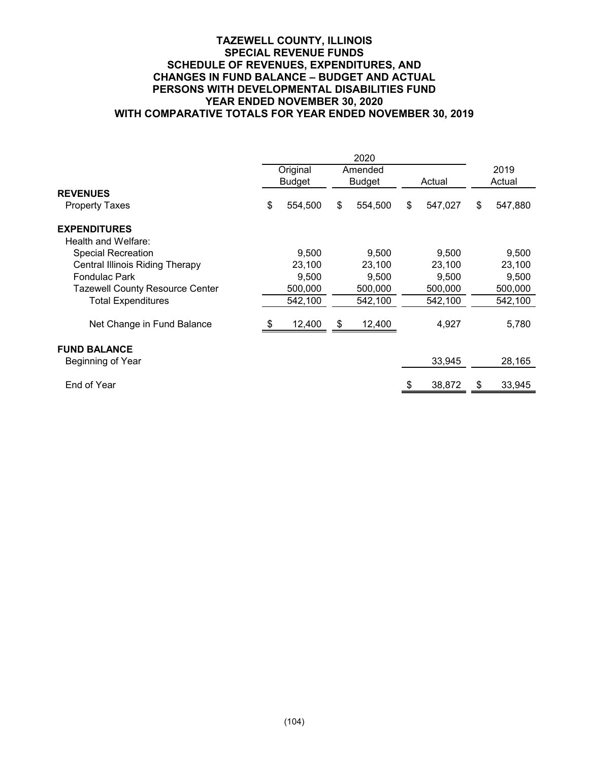## **TAZEWELL COUNTY, ILLINOIS SPECIAL REVENUE FUNDS SCHEDULE OF REVENUES, EXPENDITURES, AND CHANGES IN FUND BALANCE – BUDGET AND ACTUAL PERSONS WITH DEVELOPMENTAL DISABILITIES FUND YEAR ENDED NOVEMBER 30, 2020 WITH COMPARATIVE TOTALS FOR YEAR ENDED NOVEMBER 30, 2019**

|                                          | Original      | Amended       |   |         |    | 2019    |
|------------------------------------------|---------------|---------------|---|---------|----|---------|
|                                          | <b>Budget</b> | <b>Budget</b> |   | Actual  |    | Actual  |
| <b>REVENUES</b>                          |               |               |   |         |    |         |
| Property Taxes                           | \$<br>554,500 | \$<br>554,500 | S | 547,027 | \$ | 547,880 |
| <b>EXPENDITURES</b>                      |               |               |   |         |    |         |
| Health and Welfare:                      |               |               |   |         |    |         |
| <b>Special Recreation</b>                | 9,500         | 9,500         |   | 9,500   |    | 9,500   |
| Central Illinois Riding Therapy          | 23,100        | 23,100        |   | 23,100  |    | 23,100  |
| <b>Fondulac Park</b>                     | 9,500         | 9.500         |   | 9.500   |    | 9,500   |
| <b>Tazewell County Resource Center</b>   | 500,000       | 500,000       |   | 500,000 |    | 500,000 |
| <b>Total Expenditures</b>                | 542,100       | 542,100       |   | 542,100 |    | 542,100 |
| Net Change in Fund Balance               | 12,400        | \$<br>12,400  |   | 4,927   |    | 5,780   |
| <b>FUND BALANCE</b><br>Beginning of Year |               |               |   | 33,945  |    | 28,165  |
|                                          |               |               |   |         |    |         |
| End of Year                              |               |               |   | 38,872  | \$ | 33,945  |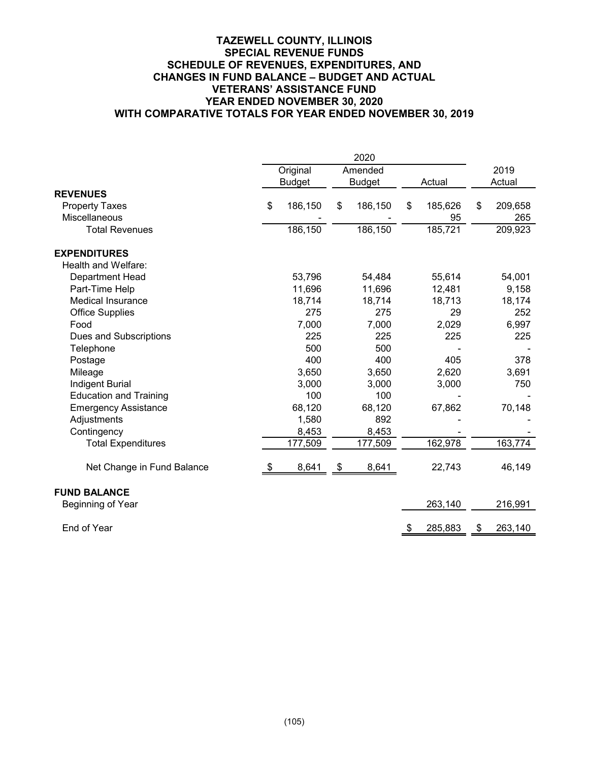## **TAZEWELL COUNTY, ILLINOIS SPECIAL REVENUE FUNDS SCHEDULE OF REVENUES, EXPENDITURES, AND CHANGES IN FUND BALANCE – BUDGET AND ACTUAL VETERANS' ASSISTANCE FUND YEAR ENDED NOVEMBER 30, 2020 WITH COMPARATIVE TOTALS FOR YEAR ENDED NOVEMBER 30, 2019**

| 2020                          |    |               |    |               |    |         |    |         |  |
|-------------------------------|----|---------------|----|---------------|----|---------|----|---------|--|
|                               |    | Original      |    | Amended       |    |         |    | 2019    |  |
|                               |    | <b>Budget</b> |    | <b>Budget</b> |    | Actual  |    | Actual  |  |
| <b>REVENUES</b>               |    |               |    |               |    |         |    |         |  |
| <b>Property Taxes</b>         | \$ | 186,150       | \$ | 186,150       | \$ | 185,626 | \$ | 209,658 |  |
| <b>Miscellaneous</b>          |    |               |    |               |    | 95      |    | 265     |  |
| <b>Total Revenues</b>         |    | 186,150       |    | 186,150       |    | 185,721 |    | 209,923 |  |
| <b>EXPENDITURES</b>           |    |               |    |               |    |         |    |         |  |
| Health and Welfare:           |    |               |    |               |    |         |    |         |  |
| Department Head               |    | 53,796        |    | 54,484        |    | 55,614  |    | 54,001  |  |
| Part-Time Help                |    | 11,696        |    | 11,696        |    | 12,481  |    | 9,158   |  |
| <b>Medical Insurance</b>      |    | 18,714        |    | 18,714        |    | 18,713  |    | 18,174  |  |
| <b>Office Supplies</b>        |    | 275           |    | 275           |    | 29      |    | 252     |  |
| Food                          |    | 7,000         |    | 7,000         |    | 2,029   |    | 6,997   |  |
| Dues and Subscriptions        |    | 225           |    | 225           |    | 225     |    | 225     |  |
| Telephone                     |    | 500           |    | 500           |    |         |    |         |  |
| Postage                       |    | 400           |    | 400           |    | 405     |    | 378     |  |
| Mileage                       |    | 3,650         |    | 3,650         |    | 2,620   |    | 3,691   |  |
| <b>Indigent Burial</b>        |    | 3,000         |    | 3,000         |    | 3,000   |    | 750     |  |
| <b>Education and Training</b> |    | 100           |    | 100           |    |         |    |         |  |
| <b>Emergency Assistance</b>   |    | 68,120        |    | 68,120        |    | 67,862  |    | 70,148  |  |
| Adjustments                   |    | 1,580         |    | 892           |    |         |    |         |  |
| Contingency                   |    | 8,453         |    | 8,453         |    |         |    |         |  |
| <b>Total Expenditures</b>     |    | 177,509       |    | 177,509       |    | 162,978 |    | 163,774 |  |
| Net Change in Fund Balance    |    | 8,641         | \$ | 8,641         |    | 22,743  |    | 46,149  |  |
| <b>FUND BALANCE</b>           |    |               |    |               |    |         |    |         |  |
| Beginning of Year             |    |               |    |               |    | 263,140 |    | 216,991 |  |
| End of Year                   |    |               |    |               | \$ | 285,883 | \$ | 263,140 |  |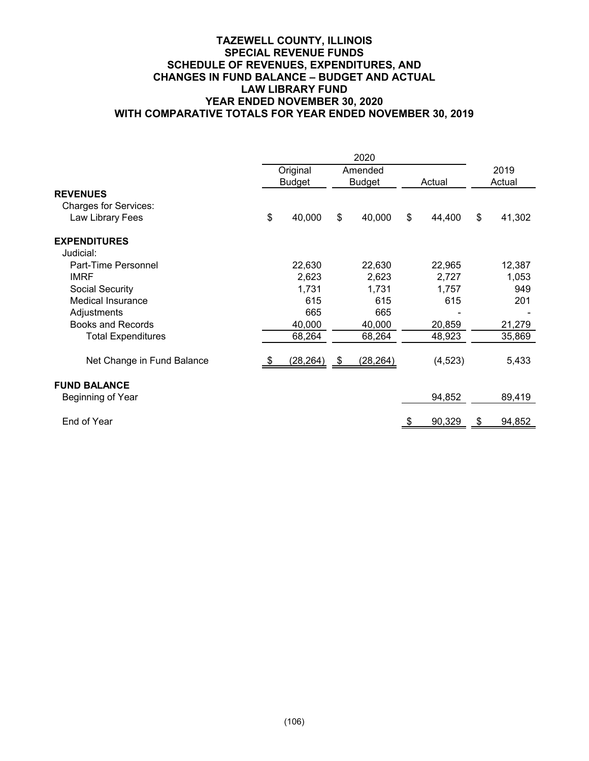## **TAZEWELL COUNTY, ILLINOIS SPECIAL REVENUE FUNDS SCHEDULE OF REVENUES, EXPENDITURES, AND CHANGES IN FUND BALANCE – BUDGET AND ACTUAL LAW LIBRARY FUND YEAR ENDED NOVEMBER 30, 2020 WITH COMPARATIVE TOTALS FOR YEAR ENDED NOVEMBER 30, 2019**

|                              | 2020                      |    |                          |                           |          |      |                |
|------------------------------|---------------------------|----|--------------------------|---------------------------|----------|------|----------------|
|                              | Original<br><b>Budget</b> |    | Amended<br><b>Budget</b> |                           | Actual   |      | 2019<br>Actual |
| <b>REVENUES</b>              |                           |    |                          |                           |          |      |                |
| <b>Charges for Services:</b> |                           |    |                          |                           |          |      |                |
| Law Library Fees             | \$<br>40,000              | \$ | 40,000                   | $\boldsymbol{\mathsf{s}}$ | 44,400   | \$   | 41,302         |
| <b>EXPENDITURES</b>          |                           |    |                          |                           |          |      |                |
| Judicial:                    |                           |    |                          |                           |          |      |                |
| Part-Time Personnel          | 22,630                    |    | 22,630                   |                           | 22,965   |      | 12,387         |
| <b>IMRF</b>                  | 2,623                     |    | 2,623                    |                           | 2,727    |      | 1,053          |
| Social Security              | 1,731                     |    | 1,731                    |                           | 1,757    |      | 949            |
| <b>Medical Insurance</b>     | 615                       |    | 615                      |                           | 615      |      | 201            |
| Adjustments                  | 665                       |    | 665                      |                           |          |      |                |
| <b>Books and Records</b>     | 40,000                    |    | 40,000                   |                           | 20,859   |      | 21,279         |
| <b>Total Expenditures</b>    | 68,264                    |    | 68,264                   |                           | 48,923   |      | 35,869         |
| Net Change in Fund Balance   | (28,264)                  | \$ | (28, 264)                |                           | (4, 523) |      | 5,433          |
| <b>FUND BALANCE</b>          |                           |    |                          |                           |          |      |                |
| Beginning of Year            |                           |    |                          |                           | 94,852   |      | 89,419         |
| End of Year                  |                           |    |                          |                           | 90,329   | - \$ | 94,852         |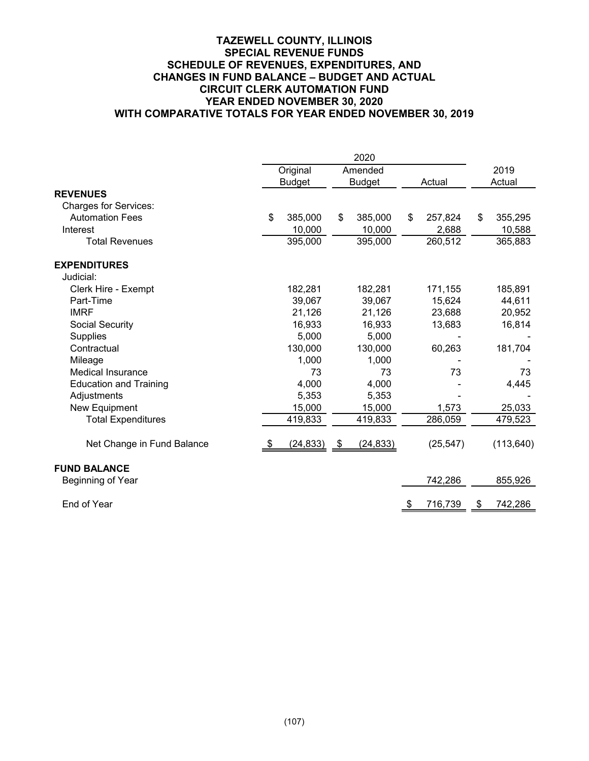## **TAZEWELL COUNTY, ILLINOIS SPECIAL REVENUE FUNDS SCHEDULE OF REVENUES, EXPENDITURES, AND CHANGES IN FUND BALANCE – BUDGET AND ACTUAL CIRCUIT CLERK AUTOMATION FUND YEAR ENDED NOVEMBER 30, 2020 WITH COMPARATIVE TOTALS FOR YEAR ENDED NOVEMBER 30, 2019**

|                               |    | Original      | Amended         |           |           | 2019          |
|-------------------------------|----|---------------|-----------------|-----------|-----------|---------------|
|                               |    | <b>Budget</b> | <b>Budget</b>   |           | Actual    | Actual        |
| <b>REVENUES</b>               |    |               |                 |           |           |               |
| <b>Charges for Services:</b>  |    |               |                 |           |           |               |
| <b>Automation Fees</b>        | \$ | 385,000       | \$<br>385,000   | \$        | 257,824   | \$<br>355,295 |
| Interest                      |    | 10,000        | 10,000          |           | 2,688     | 10,588        |
| <b>Total Revenues</b>         |    | 395,000       | 395,000         |           | 260,512   | 365,883       |
| <b>EXPENDITURES</b>           |    |               |                 |           |           |               |
| Judicial:                     |    |               |                 |           |           |               |
| Clerk Hire - Exempt           |    | 182,281       | 182,281         |           | 171,155   | 185,891       |
| Part-Time                     |    | 39,067        | 39,067          |           | 15,624    | 44,611        |
| <b>IMRF</b>                   |    | 21,126        | 21,126          |           | 23,688    | 20,952        |
| Social Security               |    | 16,933        | 16,933          |           | 13,683    | 16,814        |
| <b>Supplies</b>               |    | 5,000         | 5,000           |           |           |               |
| Contractual                   |    | 130,000       | 130,000         |           | 60,263    | 181,704       |
| Mileage                       |    | 1,000         | 1,000           |           |           |               |
| <b>Medical Insurance</b>      |    | 73            | 73              |           | 73        | 73            |
| <b>Education and Training</b> |    | 4,000         | 4,000           |           |           | 4,445         |
| Adjustments                   |    | 5,353         | 5,353           |           |           |               |
| New Equipment                 |    | 15,000        | 15,000          |           | 1,573     | 25,033        |
| <b>Total Expenditures</b>     |    | 419,833       | 419,833         |           | 286,059   | 479,523       |
| Net Change in Fund Balance    | æ. | (24, 833)     | \$<br>(24, 833) |           | (25, 547) | (113, 640)    |
| <b>FUND BALANCE</b>           |    |               |                 |           |           |               |
| Beginning of Year             |    |               |                 |           | 742,286   | 855,926       |
| End of Year                   |    |               |                 | <u>\$</u> | 716,739   | \$<br>742,286 |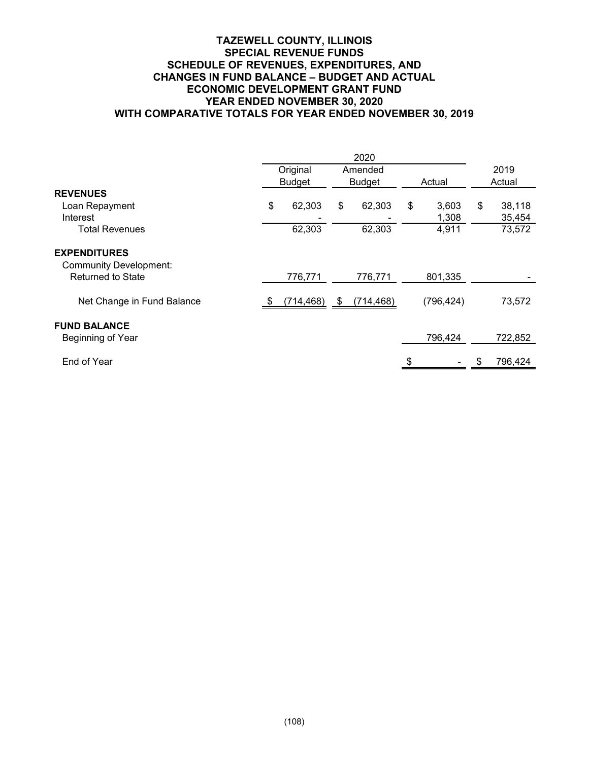## **TAZEWELL COUNTY, ILLINOIS SPECIAL REVENUE FUNDS SCHEDULE OF REVENUES, EXPENDITURES, AND CHANGES IN FUND BALANCE – BUDGET AND ACTUAL ECONOMIC DEVELOPMENT GRANT FUND YEAR ENDED NOVEMBER 30, 2020 WITH COMPARATIVE TOTALS FOR YEAR ENDED NOVEMBER 30, 2019**

|                                                      | Original      | Amended          |        |            |        | 2019    |
|------------------------------------------------------|---------------|------------------|--------|------------|--------|---------|
|                                                      | <b>Budget</b> | <b>Budget</b>    | Actual |            | Actual |         |
| <b>REVENUES</b>                                      |               |                  |        |            |        |         |
| Loan Repayment                                       | \$<br>62,303  | \$<br>62,303     | \$     | 3,603      | \$     | 38,118  |
| Interest                                             |               |                  |        | 1,308      |        | 35,454  |
| <b>Total Revenues</b>                                | 62,303        | 62,303           |        | 4,911      |        | 73,572  |
| <b>EXPENDITURES</b><br><b>Community Development:</b> |               |                  |        |            |        |         |
| <b>Returned to State</b>                             | 776,771       | 776,771          |        | 801,335    |        |         |
| Net Change in Fund Balance                           | (714, 468)    | \$<br>(714, 468) |        | (796, 424) |        | 73,572  |
| <b>FUND BALANCE</b><br>Beginning of Year             |               |                  |        | 796,424    |        | 722,852 |
| End of Year                                          |               |                  |        |            |        | 796,424 |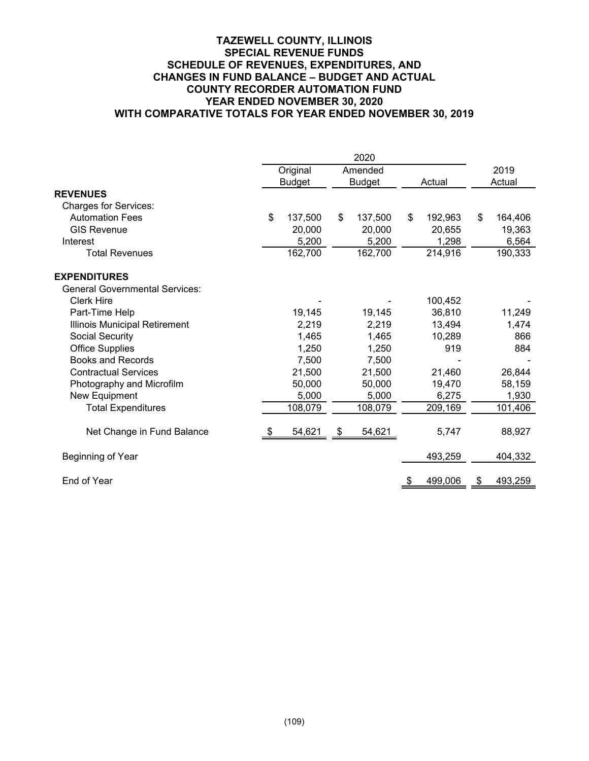## **TAZEWELL COUNTY, ILLINOIS SPECIAL REVENUE FUNDS SCHEDULE OF REVENUES, EXPENDITURES, AND CHANGES IN FUND BALANCE – BUDGET AND ACTUAL COUNTY RECORDER AUTOMATION FUND YEAR ENDED NOVEMBER 30, 2020 WITH COMPARATIVE TOTALS FOR YEAR ENDED NOVEMBER 30, 2019**

|                                       |    | Original      | Amended       |    |         | 2019          |
|---------------------------------------|----|---------------|---------------|----|---------|---------------|
|                                       |    | <b>Budget</b> | <b>Budget</b> |    | Actual  | Actual        |
| <b>REVENUES</b>                       |    |               |               |    |         |               |
| <b>Charges for Services:</b>          |    |               |               |    |         |               |
| <b>Automation Fees</b>                | \$ | 137,500       | \$<br>137,500 | \$ | 192,963 | \$<br>164,406 |
| <b>GIS Revenue</b>                    |    | 20,000        | 20,000        |    | 20,655  | 19,363        |
| Interest                              |    | 5,200         | 5,200         |    | 1,298   | 6,564         |
| <b>Total Revenues</b>                 |    | 162,700       | 162,700       |    | 214,916 | 190,333       |
| <b>EXPENDITURES</b>                   |    |               |               |    |         |               |
| <b>General Governmental Services:</b> |    |               |               |    |         |               |
| <b>Clerk Hire</b>                     |    |               |               |    | 100,452 |               |
| Part-Time Help                        |    | 19,145        | 19,145        |    | 36,810  | 11,249        |
| Illinois Municipal Retirement         |    | 2,219         | 2,219         |    | 13,494  | 1,474         |
| Social Security                       |    | 1,465         | 1,465         |    | 10,289  | 866           |
| <b>Office Supplies</b>                |    | 1,250         | 1,250         |    | 919     | 884           |
| <b>Books and Records</b>              |    | 7,500         | 7,500         |    |         |               |
| <b>Contractual Services</b>           |    | 21,500        | 21,500        |    | 21,460  | 26,844        |
| Photography and Microfilm             |    | 50,000        | 50,000        |    | 19,470  | 58,159        |
| New Equipment                         |    | 5,000         | 5,000         |    | 6,275   | 1,930         |
| <b>Total Expenditures</b>             |    | 108,079       | 108,079       |    | 209,169 | 101,406       |
| Net Change in Fund Balance            | S  | 54,621        | \$<br>54,621  |    | 5,747   | 88,927        |
| Beginning of Year                     |    |               |               |    | 493,259 | 404,332       |
| End of Year                           |    |               |               |    | 499,006 | \$<br>493,259 |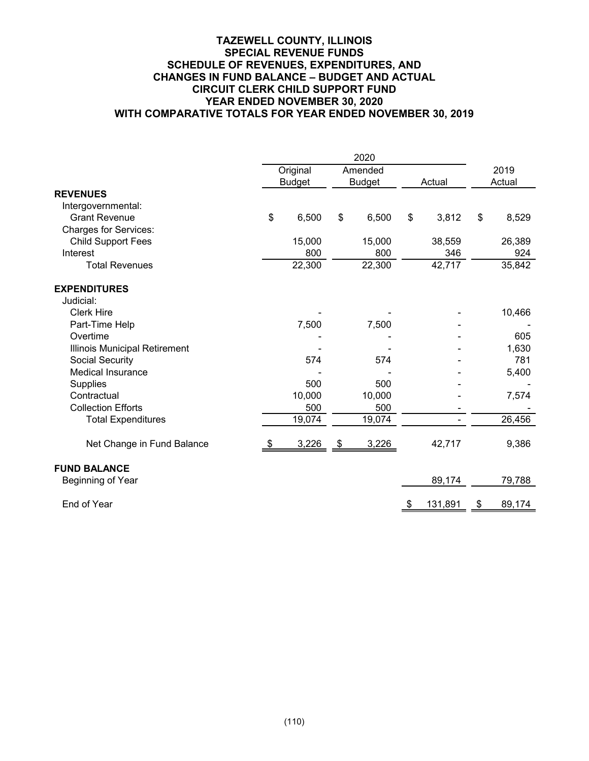## **TAZEWELL COUNTY, ILLINOIS SPECIAL REVENUE FUNDS SCHEDULE OF REVENUES, EXPENDITURES, AND CHANGES IN FUND BALANCE – BUDGET AND ACTUAL CIRCUIT CLERK CHILD SUPPORT FUND YEAR ENDED NOVEMBER 30, 2020 WITH COMPARATIVE TOTALS FOR YEAR ENDED NOVEMBER 30, 2019**

|                               |    | Original      | Amended       |    |         |           | 2019   |
|-------------------------------|----|---------------|---------------|----|---------|-----------|--------|
|                               |    | <b>Budget</b> | <b>Budget</b> |    | Actual  |           | Actual |
| <b>REVENUES</b>               |    |               |               |    |         |           |        |
| Intergovernmental:            |    |               |               |    |         |           |        |
| <b>Grant Revenue</b>          | \$ | 6,500         | \$<br>6,500   | \$ | 3,812   | \$        | 8,529  |
| <b>Charges for Services:</b>  |    |               |               |    |         |           |        |
| <b>Child Support Fees</b>     |    | 15,000        | 15,000        |    | 38,559  |           | 26,389 |
| Interest                      |    | 800           | 800           |    | 346     |           | 924    |
| <b>Total Revenues</b>         |    | 22,300        | 22,300        |    | 42,717  |           | 35,842 |
| <b>EXPENDITURES</b>           |    |               |               |    |         |           |        |
| Judicial:                     |    |               |               |    |         |           |        |
| <b>Clerk Hire</b>             |    |               |               |    |         |           | 10,466 |
| Part-Time Help                |    | 7,500         | 7,500         |    |         |           |        |
| Overtime                      |    |               |               |    |         |           | 605    |
| Illinois Municipal Retirement |    |               |               |    |         |           | 1,630  |
| Social Security               |    | 574           | 574           |    |         |           | 781    |
| <b>Medical Insurance</b>      |    |               |               |    |         |           | 5,400  |
| <b>Supplies</b>               |    | 500           | 500           |    |         |           |        |
| Contractual                   |    | 10,000        | 10,000        |    |         |           | 7,574  |
| <b>Collection Efforts</b>     |    | 500           | 500           |    |         |           |        |
| <b>Total Expenditures</b>     |    | 19,074        | 19,074        |    |         |           | 26,456 |
| Net Change in Fund Balance    | S. | 3,226         | \$<br>3,226   |    | 42,717  |           | 9,386  |
| <b>FUND BALANCE</b>           |    |               |               |    |         |           |        |
| Beginning of Year             |    |               |               |    | 89,174  |           | 79,788 |
| End of Year                   |    |               |               | \$ | 131,891 | <u>\$</u> | 89,174 |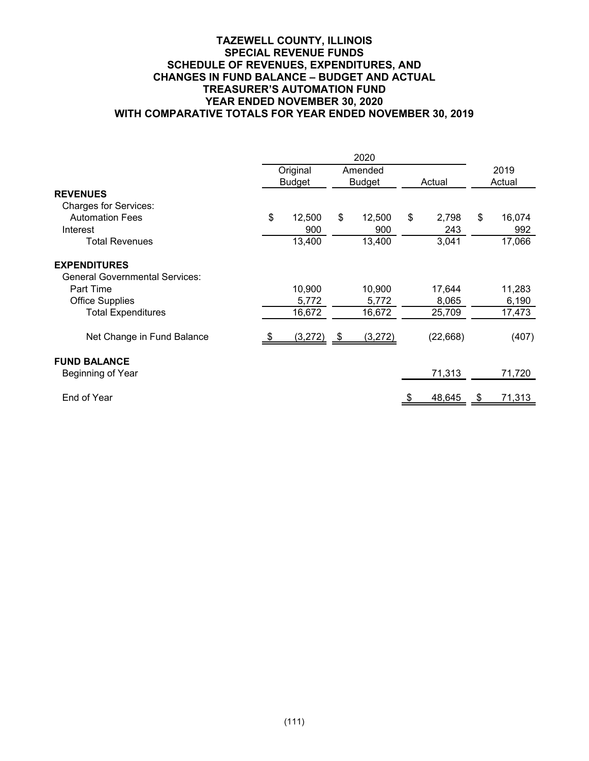## **TAZEWELL COUNTY, ILLINOIS SPECIAL REVENUE FUNDS SCHEDULE OF REVENUES, EXPENDITURES, AND CHANGES IN FUND BALANCE – BUDGET AND ACTUAL TREASURER'S AUTOMATION FUND YEAR ENDED NOVEMBER 30, 2020 WITH COMPARATIVE TOTALS FOR YEAR ENDED NOVEMBER 30, 2019**

|                                                              |    | Original<br><b>Budget</b> | Amended<br><b>Budget</b> |    | Actual          |    | 2019<br>Actual  |  |
|--------------------------------------------------------------|----|---------------------------|--------------------------|----|-----------------|----|-----------------|--|
| <b>REVENUES</b><br><b>Charges for Services:</b>              |    |                           |                          |    |                 |    |                 |  |
| <b>Automation Fees</b><br>Interest                           | \$ | 12,500<br>900             | \$<br>12,500<br>900      | \$ | 2,798<br>243    | \$ | 16,074<br>992   |  |
| Total Revenues                                               |    | 13,400                    | 13,400                   |    | 3,041           |    | 17,066          |  |
| <b>EXPENDITURES</b><br><b>General Governmental Services:</b> |    |                           |                          |    |                 |    |                 |  |
| Part Time<br><b>Office Supplies</b>                          |    | 10,900<br>5,772           | 10,900<br>5,772          |    | 17,644<br>8,065 |    | 11,283<br>6,190 |  |
| <b>Total Expenditures</b>                                    |    | 16,672                    | 16,672                   |    | 25,709          |    | 17,473          |  |
| Net Change in Fund Balance                                   |    | (3,272)                   | \$<br>(3,272)            |    | (22, 668)       |    | (407)           |  |
| <b>FUND BALANCE</b>                                          |    |                           |                          |    |                 |    |                 |  |
| Beginning of Year                                            |    |                           |                          |    | 71,313          |    | 71,720          |  |
| End of Year                                                  |    |                           |                          |    | 48,645          | \$ | 71,313          |  |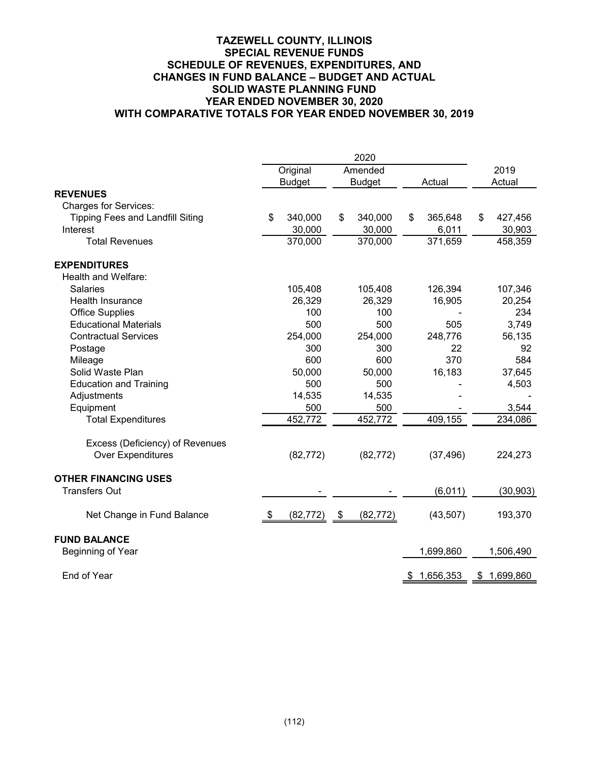## **TAZEWELL COUNTY, ILLINOIS SPECIAL REVENUE FUNDS SCHEDULE OF REVENUES, EXPENDITURES, AND CHANGES IN FUND BALANCE – BUDGET AND ACTUAL SOLID WASTE PLANNING FUND YEAR ENDED NOVEMBER 30, 2020 WITH COMPARATIVE TOTALS FOR YEAR ENDED NOVEMBER 30, 2019**

|                                         |    | Original      |      | Amended       |    |             | 2019            |
|-----------------------------------------|----|---------------|------|---------------|----|-------------|-----------------|
|                                         |    | <b>Budget</b> |      | <b>Budget</b> |    | Actual      | Actual          |
| <b>REVENUES</b>                         |    |               |      |               |    |             |                 |
| <b>Charges for Services:</b>            |    |               |      |               |    |             |                 |
| <b>Tipping Fees and Landfill Siting</b> | \$ | 340,000       | \$   | 340,000       | \$ | 365,648     | \$<br>427,456   |
| Interest                                |    | 30,000        |      | 30,000        |    | 6,011       | 30,903          |
| <b>Total Revenues</b>                   |    | 370,000       |      | 370,000       |    | 371,659     | 458,359         |
| <b>EXPENDITURES</b>                     |    |               |      |               |    |             |                 |
| Health and Welfare:                     |    |               |      |               |    |             |                 |
| <b>Salaries</b>                         |    | 105,408       |      | 105,408       |    | 126,394     | 107,346         |
| Health Insurance                        |    | 26,329        |      | 26,329        |    | 16,905      | 20,254          |
| <b>Office Supplies</b>                  |    | 100           |      | 100           |    |             | 234             |
| <b>Educational Materials</b>            |    | 500           |      | 500           |    | 505         | 3,749           |
| <b>Contractual Services</b>             |    | 254,000       |      | 254,000       |    | 248,776     | 56,135          |
| Postage                                 |    | 300           |      | 300           |    | 22          | 92              |
| Mileage                                 |    | 600           |      | 600           |    | 370         | 584             |
| Solid Waste Plan                        |    | 50,000        |      | 50,000        |    | 16,183      | 37,645          |
| <b>Education and Training</b>           |    | 500           |      | 500           |    |             | 4,503           |
| Adjustments                             |    | 14,535        |      | 14,535        |    |             |                 |
| Equipment                               |    | 500           |      | 500           |    |             | 3,544           |
| <b>Total Expenditures</b>               |    | 452,772       |      | 452,772       |    | 409,155     | 234,086         |
| Excess (Deficiency) of Revenues         |    |               |      |               |    |             |                 |
| <b>Over Expenditures</b>                |    | (82, 772)     |      | (82, 772)     |    | (37, 496)   | 224,273         |
| <b>OTHER FINANCING USES</b>             |    |               |      |               |    |             |                 |
| <b>Transfers Out</b>                    |    |               |      |               |    | (6, 011)    | (30, 903)       |
| Net Change in Fund Balance              | S. | (82, 772)     | - \$ | (82, 772)     |    | (43, 507)   | 193,370         |
| <b>FUND BALANCE</b>                     |    |               |      |               |    |             |                 |
| Beginning of Year                       |    |               |      |               |    | 1,699,860   | 1,506,490       |
| End of Year                             |    |               |      |               |    | \$1,656,353 | \$<br>1,699,860 |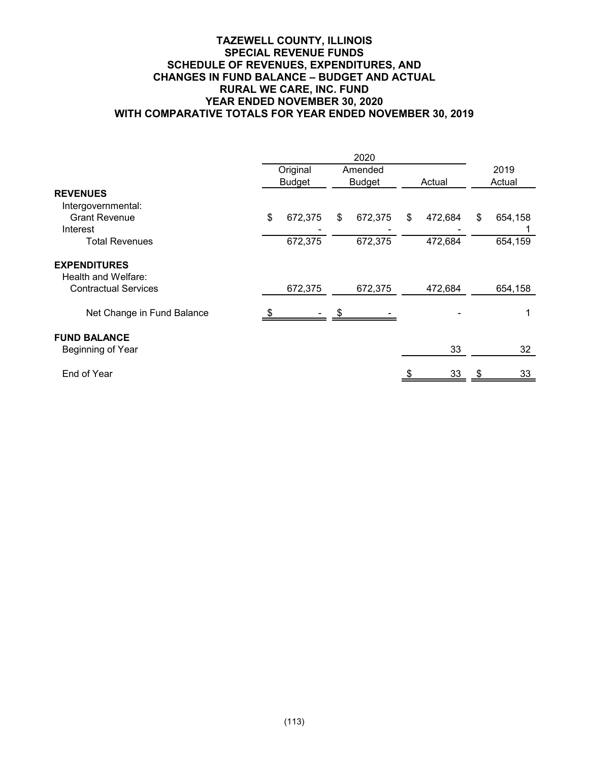## **TAZEWELL COUNTY, ILLINOIS SPECIAL REVENUE FUNDS SCHEDULE OF REVENUES, EXPENDITURES, AND CHANGES IN FUND BALANCE – BUDGET AND ACTUAL RURAL WE CARE, INC. FUND YEAR ENDED NOVEMBER 30, 2020 WITH COMPARATIVE TOTALS FOR YEAR ENDED NOVEMBER 30, 2019**

|                             | Original      | Amended       |        |         | 2019          |
|-----------------------------|---------------|---------------|--------|---------|---------------|
|                             | <b>Budget</b> | <b>Budget</b> | Actual |         | Actual        |
| <b>REVENUES</b>             |               |               |        |         |               |
| Intergovernmental:          |               |               |        |         |               |
| <b>Grant Revenue</b>        | \$<br>672,375 | \$<br>672,375 | \$     | 472,684 | \$<br>654,158 |
| Interest                    |               |               |        |         |               |
| Total Revenues              | 672,375       | 672,375       |        | 472,684 | 654,159       |
| <b>EXPENDITURES</b>         |               |               |        |         |               |
| Health and Welfare:         |               |               |        |         |               |
| <b>Contractual Services</b> | 672,375       | 672,375       |        | 472,684 | 654,158       |
| Net Change in Fund Balance  |               |               |        |         |               |
| <b>FUND BALANCE</b>         |               |               |        |         |               |
| Beginning of Year           |               |               |        | 33      | 32            |
| End of Year                 |               |               |        | 33      | 33            |
|                             |               |               |        |         |               |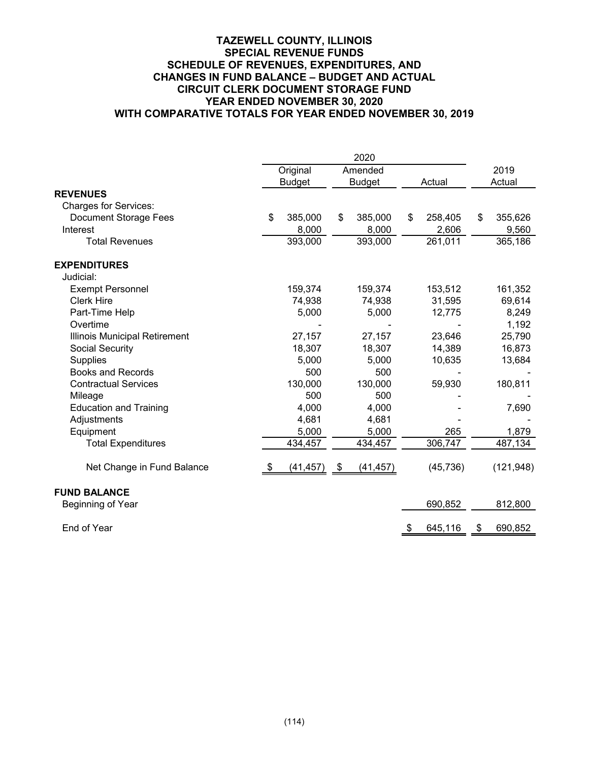## **TAZEWELL COUNTY, ILLINOIS SPECIAL REVENUE FUNDS SCHEDULE OF REVENUES, EXPENDITURES, AND CHANGES IN FUND BALANCE – BUDGET AND ACTUAL CIRCUIT CLERK DOCUMENT STORAGE FUND YEAR ENDED NOVEMBER 30, 2020 WITH COMPARATIVE TOTALS FOR YEAR ENDED NOVEMBER 30, 2019**

|                               | Original      |           | Amended       |    |           | 2019          |
|-------------------------------|---------------|-----------|---------------|----|-----------|---------------|
|                               | <b>Budget</b> |           | <b>Budget</b> |    | Actual    | Actual        |
| <b>REVENUES</b>               |               |           |               |    |           |               |
| <b>Charges for Services:</b>  |               |           |               |    |           |               |
| <b>Document Storage Fees</b>  | \$<br>385,000 | \$        | 385,000       | \$ | 258,405   | \$<br>355,626 |
| Interest                      | 8,000         |           | 8,000         |    | 2,606     | 9,560         |
| <b>Total Revenues</b>         | 393,000       |           | 393,000       |    | 261,011   | 365,186       |
| <b>EXPENDITURES</b>           |               |           |               |    |           |               |
| Judicial:                     |               |           |               |    |           |               |
| <b>Exempt Personnel</b>       | 159,374       |           | 159,374       |    | 153,512   | 161,352       |
| <b>Clerk Hire</b>             | 74,938        |           | 74,938        |    | 31,595    | 69,614        |
| Part-Time Help                | 5,000         |           | 5,000         |    | 12,775    | 8,249         |
| Overtime                      |               |           |               |    |           | 1,192         |
| Illinois Municipal Retirement | 27,157        |           | 27,157        |    | 23,646    | 25,790        |
| Social Security               | 18,307        |           | 18,307        |    | 14,389    | 16,873        |
| <b>Supplies</b>               | 5,000         |           | 5,000         |    | 10,635    | 13,684        |
| <b>Books and Records</b>      | 500           |           | 500           |    |           |               |
| <b>Contractual Services</b>   | 130,000       |           | 130,000       |    | 59,930    | 180,811       |
| Mileage                       | 500           |           | 500           |    |           |               |
| <b>Education and Training</b> | 4,000         |           | 4,000         |    |           | 7,690         |
| Adjustments                   | 4,681         |           | 4,681         |    |           |               |
| Equipment                     | 5,000         |           | 5,000         |    | 265       | 1,879         |
| <b>Total Expenditures</b>     | 434,457       |           | 434,457       |    | 306,747   | 487,134       |
| Net Change in Fund Balance    | (41, 457)     | <u>\$</u> | (41, 457)     |    | (45, 736) | (121, 948)    |
| <b>FUND BALANCE</b>           |               |           |               |    |           |               |
| Beginning of Year             |               |           |               |    | 690,852   | 812,800       |
| End of Year                   |               |           |               | \$ | 645,116   | \$<br>690,852 |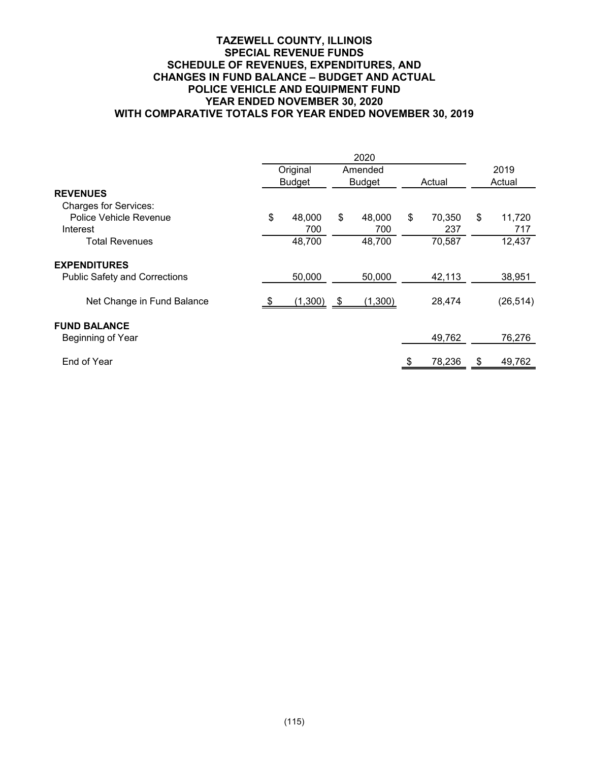## **TAZEWELL COUNTY, ILLINOIS SPECIAL REVENUE FUNDS SCHEDULE OF REVENUES, EXPENDITURES, AND CHANGES IN FUND BALANCE – BUDGET AND ACTUAL POLICE VEHICLE AND EQUIPMENT FUND YEAR ENDED NOVEMBER 30, 2020 WITH COMPARATIVE TOTALS FOR YEAR ENDED NOVEMBER 30, 2019**

|                                      | Original<br>Amended |    |               | 2019   |        |    |           |
|--------------------------------------|---------------------|----|---------------|--------|--------|----|-----------|
|                                      | <b>Budget</b>       |    | <b>Budget</b> | Actual |        |    | Actual    |
| <b>REVENUES</b>                      |                     |    |               |        |        |    |           |
| <b>Charges for Services:</b>         |                     |    |               |        |        |    |           |
| Police Vehicle Revenue               | \$<br>48,000        | \$ | 48,000        | \$     | 70,350 | \$ | 11,720    |
| Interest                             | 700                 |    | 700           |        | 237    |    | 717       |
| <b>Total Revenues</b>                | 48,700              |    | 48,700        |        | 70,587 |    | 12,437    |
| <b>EXPENDITURES</b>                  |                     |    |               |        |        |    |           |
| <b>Public Safety and Corrections</b> | 50,000              |    | 50,000        |        | 42,113 |    | 38,951    |
| Net Change in Fund Balance           | (1,300)             | \$ | (1,300)       |        | 28,474 |    | (26, 514) |
| <b>FUND BALANCE</b>                  |                     |    |               |        |        |    |           |
| Beginning of Year                    |                     |    |               |        | 49,762 |    | 76,276    |
| End of Year                          |                     |    |               |        | 78,236 | S  | 49,762    |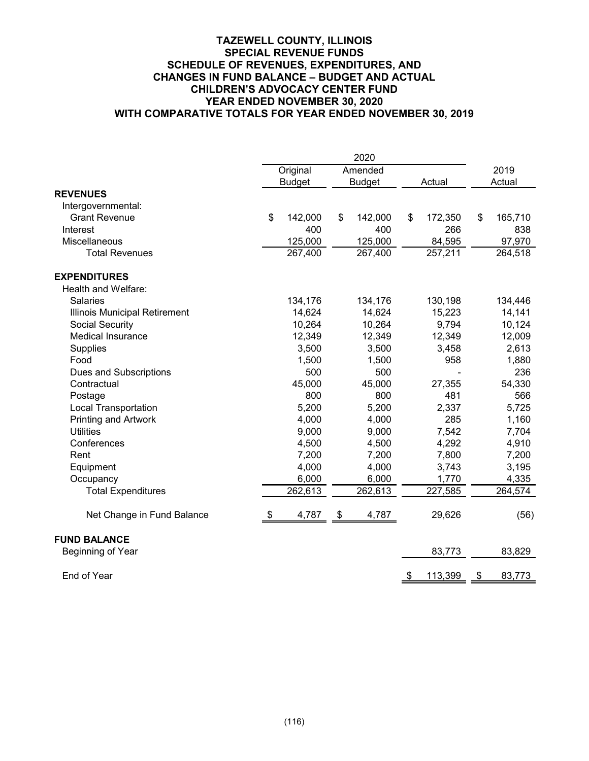## **TAZEWELL COUNTY, ILLINOIS SPECIAL REVENUE FUNDS SCHEDULE OF REVENUES, EXPENDITURES, AND CHANGES IN FUND BALANCE – BUDGET AND ACTUAL CHILDREN'S ADVOCACY CENTER FUND YEAR ENDED NOVEMBER 30, 2020 WITH COMPARATIVE TOTALS FOR YEAR ENDED NOVEMBER 30, 2019**

|                               |               | 2020          |               |               |
|-------------------------------|---------------|---------------|---------------|---------------|
|                               | Original      | Amended       |               | 2019          |
|                               | <b>Budget</b> | <b>Budget</b> | Actual        | Actual        |
| <b>REVENUES</b>               |               |               |               |               |
| Intergovernmental:            |               |               |               |               |
| <b>Grant Revenue</b>          | \$<br>142,000 | \$<br>142,000 | \$<br>172,350 | \$<br>165,710 |
| Interest                      | 400           | 400           | 266           | 838           |
| Miscellaneous                 | 125,000       | 125,000       | 84,595        | 97,970        |
| <b>Total Revenues</b>         | 267,400       | 267,400       | 257,211       | 264,518       |
| <b>EXPENDITURES</b>           |               |               |               |               |
| Health and Welfare:           |               |               |               |               |
| <b>Salaries</b>               | 134,176       | 134,176       | 130,198       | 134,446       |
| Illinois Municipal Retirement | 14,624        | 14,624        | 15,223        | 14,141        |
| Social Security               | 10,264        | 10,264        | 9,794         | 10,124        |
| <b>Medical Insurance</b>      | 12,349        | 12,349        | 12,349        | 12,009        |
| Supplies                      | 3,500         | 3,500         | 3,458         | 2,613         |
| Food                          | 1,500         | 1,500         | 958           | 1,880         |
| Dues and Subscriptions        | 500           | 500           |               | 236           |
| Contractual                   | 45,000        | 45,000        | 27,355        | 54,330        |
| Postage                       | 800           | 800           | 481           | 566           |
| <b>Local Transportation</b>   | 5,200         | 5,200         | 2,337         | 5,725         |
| <b>Printing and Artwork</b>   | 4,000         | 4,000         | 285           | 1,160         |
| <b>Utilities</b>              | 9,000         | 9,000         | 7,542         | 7,704         |
| Conferences                   | 4,500         | 4,500         | 4,292         | 4,910         |
| Rent                          | 7,200         | 7,200         | 7,800         | 7,200         |
| Equipment                     | 4,000         | 4,000         | 3,743         | 3,195         |
| Occupancy                     | 6,000         | 6,000         | 1,770         | 4,335         |
| <b>Total Expenditures</b>     | 262,613       | 262,613       | 227,585       | 264,574       |
| Net Change in Fund Balance    | \$<br>4,787   | \$<br>4,787   | 29,626        | (56)          |
| <b>FUND BALANCE</b>           |               |               |               |               |
| Beginning of Year             |               |               | 83,773        | 83,829        |
| End of Year                   |               |               | \$<br>113,399 | \$<br>83,773  |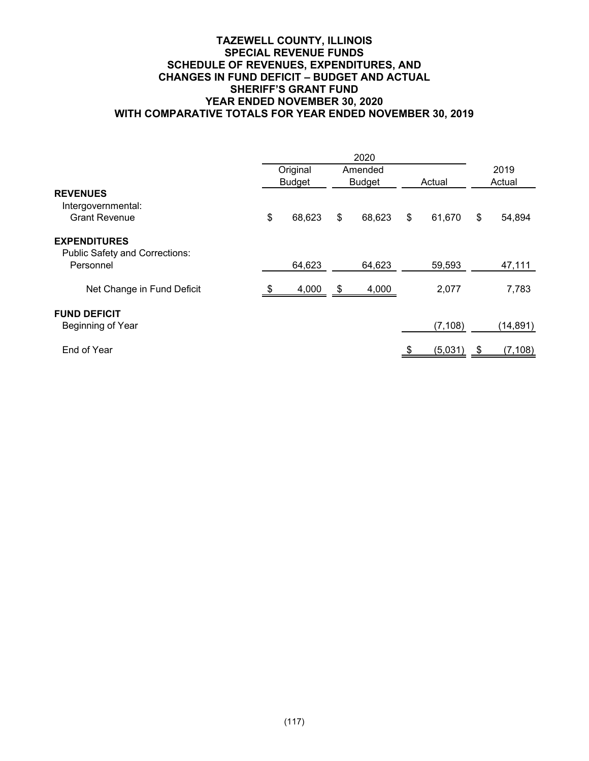## **TAZEWELL COUNTY, ILLINOIS SPECIAL REVENUE FUNDS SCHEDULE OF REVENUES, EXPENDITURES, AND CHANGES IN FUND DEFICIT – BUDGET AND ACTUAL SHERIFF'S GRANT FUND YEAR ENDED NOVEMBER 30, 2020 WITH COMPARATIVE TOTALS FOR YEAR ENDED NOVEMBER 30, 2019**

|                                                              | Original      |        |               | Amended |        |          | 2019   |           |
|--------------------------------------------------------------|---------------|--------|---------------|---------|--------|----------|--------|-----------|
| <b>REVENUES</b>                                              | <b>Budget</b> |        | <b>Budget</b> |         | Actual |          | Actual |           |
| Intergovernmental:<br><b>Grant Revenue</b>                   | \$            | 68,623 | \$            | 68,623  | \$     | 61,670   | \$     | 54,894    |
| <b>EXPENDITURES</b><br><b>Public Safety and Corrections:</b> |               |        |               |         |        |          |        |           |
| Personnel                                                    |               | 64,623 |               | 64,623  |        | 59,593   |        | 47,111    |
| Net Change in Fund Deficit                                   |               | 4,000  | \$            | 4,000   |        | 2,077    |        | 7,783     |
| <b>FUND DEFICIT</b><br>Beginning of Year                     |               |        |               |         |        | (7, 108) |        | (14, 891) |
| End of Year                                                  |               |        |               |         |        | (5,031)  | \$     | (7, 108)  |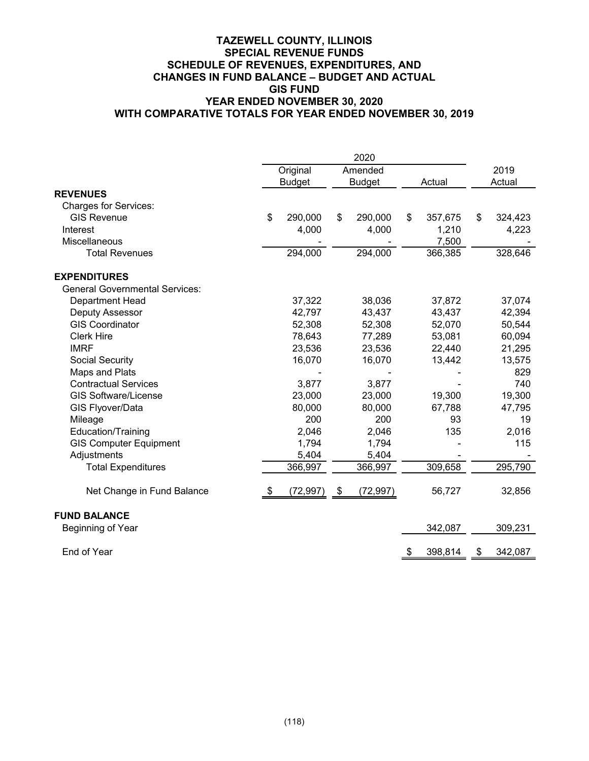## **TAZEWELL COUNTY, ILLINOIS SPECIAL REVENUE FUNDS SCHEDULE OF REVENUES, EXPENDITURES, AND CHANGES IN FUND BALANCE – BUDGET AND ACTUAL GIS FUND YEAR ENDED NOVEMBER 30, 2020 WITH COMPARATIVE TOTALS FOR YEAR ENDED NOVEMBER 30, 2019**

|                                       |               | 2020            |           |         |               |
|---------------------------------------|---------------|-----------------|-----------|---------|---------------|
|                                       | Original      | Amended         |           |         | 2019          |
|                                       | <b>Budget</b> | <b>Budget</b>   |           | Actual  | Actual        |
| <b>REVENUES</b>                       |               |                 |           |         |               |
| <b>Charges for Services:</b>          |               |                 |           |         |               |
| <b>GIS Revenue</b>                    | \$<br>290,000 | \$<br>290,000   | \$        | 357,675 | \$<br>324,423 |
| Interest                              | 4,000         | 4,000           |           | 1,210   | 4,223         |
| Miscellaneous                         |               |                 |           | 7,500   |               |
| <b>Total Revenues</b>                 | 294,000       | 294,000         |           | 366,385 | 328,646       |
| <b>EXPENDITURES</b>                   |               |                 |           |         |               |
| <b>General Governmental Services:</b> |               |                 |           |         |               |
| Department Head                       | 37,322        | 38,036          |           | 37,872  | 37,074        |
| Deputy Assessor                       | 42,797        | 43,437          |           | 43,437  | 42,394        |
| <b>GIS Coordinator</b>                | 52,308        | 52,308          |           | 52,070  | 50,544        |
| <b>Clerk Hire</b>                     | 78,643        | 77,289          |           | 53,081  | 60,094        |
| <b>IMRF</b>                           | 23,536        | 23,536          |           | 22,440  | 21,295        |
| Social Security                       | 16,070        | 16,070          |           | 13,442  | 13,575        |
| Maps and Plats                        |               |                 |           |         | 829           |
| <b>Contractual Services</b>           | 3,877         | 3,877           |           |         | 740           |
| <b>GIS Software/License</b>           | 23,000        | 23,000          |           | 19,300  | 19,300        |
| GIS Flyover/Data                      | 80,000        | 80,000          |           | 67,788  | 47,795        |
| Mileage                               | 200           | 200             |           | 93      | 19            |
| Education/Training                    | 2,046         | 2,046           |           | 135     | 2,016         |
| <b>GIS Computer Equipment</b>         | 1,794         | 1,794           |           |         | 115           |
| Adjustments                           | 5,404         | 5,404           |           |         |               |
| <b>Total Expenditures</b>             | 366,997       | 366,997         |           | 309,658 | 295,790       |
| Net Change in Fund Balance            | (72, 997)     | \$<br>(72, 997) |           | 56,727  | 32,856        |
| <b>FUND BALANCE</b>                   |               |                 |           |         |               |
| Beginning of Year                     |               |                 |           | 342,087 | 309,231       |
| End of Year                           |               |                 | <u>\$</u> | 398,814 | \$<br>342,087 |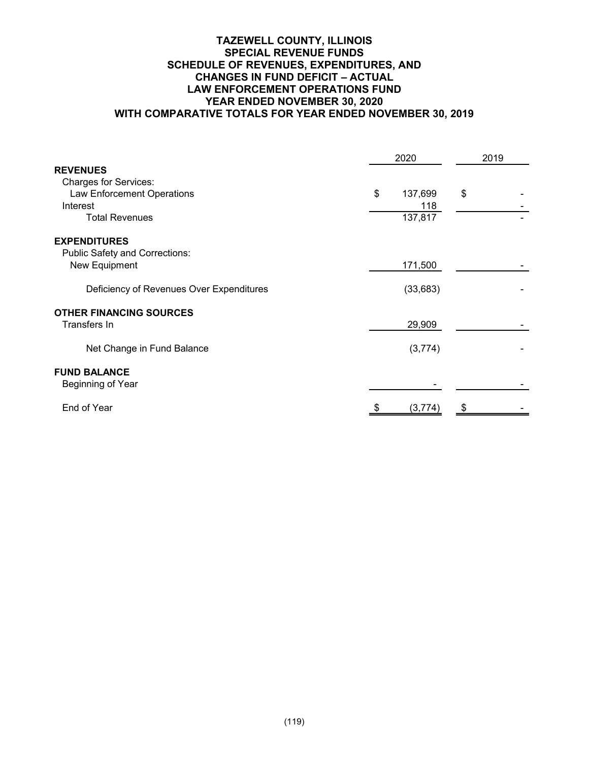## **TAZEWELL COUNTY, ILLINOIS SPECIAL REVENUE FUNDS SCHEDULE OF REVENUES, EXPENDITURES, AND CHANGES IN FUND DEFICIT – ACTUAL LAW ENFORCEMENT OPERATIONS FUND YEAR ENDED NOVEMBER 30, 2020 WITH COMPARATIVE TOTALS FOR YEAR ENDED NOVEMBER 30, 2019**

|                                          | 2020           | 2019 |  |
|------------------------------------------|----------------|------|--|
| <b>REVENUES</b>                          |                |      |  |
| <b>Charges for Services:</b>             |                |      |  |
| Law Enforcement Operations               | \$<br>137,699  | \$   |  |
| Interest<br><b>Total Revenues</b>        | 118<br>137,817 |      |  |
|                                          |                |      |  |
| <b>EXPENDITURES</b>                      |                |      |  |
| <b>Public Safety and Corrections:</b>    |                |      |  |
| New Equipment                            | 171,500        |      |  |
|                                          |                |      |  |
| Deficiency of Revenues Over Expenditures | (33, 683)      |      |  |
| <b>OTHER FINANCING SOURCES</b>           |                |      |  |
| Transfers In                             | 29,909         |      |  |
|                                          |                |      |  |
| Net Change in Fund Balance               | (3,774)        |      |  |
|                                          |                |      |  |
| <b>FUND BALANCE</b>                      |                |      |  |
| Beginning of Year                        |                |      |  |
|                                          |                |      |  |
| End of Year                              | (3, 774)       |      |  |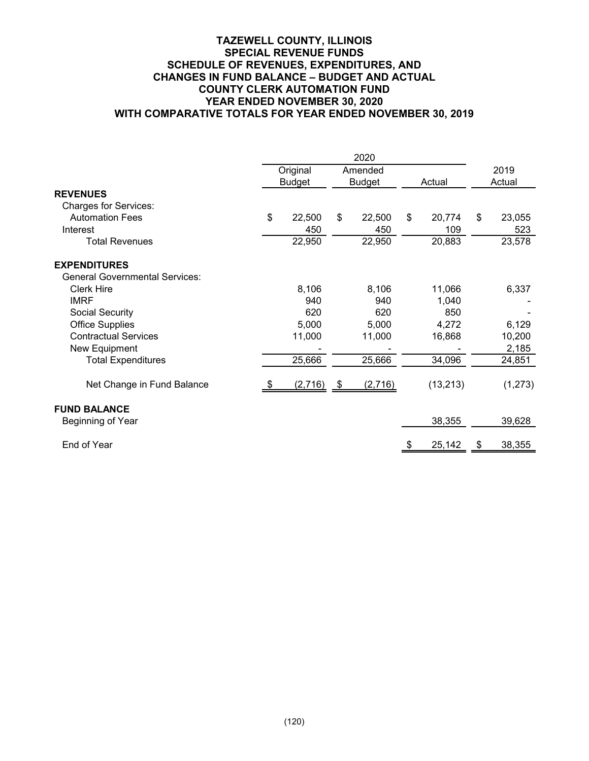## **TAZEWELL COUNTY, ILLINOIS SPECIAL REVENUE FUNDS SCHEDULE OF REVENUES, EXPENDITURES, AND CHANGES IN FUND BALANCE – BUDGET AND ACTUAL COUNTY CLERK AUTOMATION FUND YEAR ENDED NOVEMBER 30, 2020 WITH COMPARATIVE TOTALS FOR YEAR ENDED NOVEMBER 30, 2019**

|                                       | Original      | Amended       |    |           | 2019   |         |
|---------------------------------------|---------------|---------------|----|-----------|--------|---------|
|                                       | <b>Budget</b> | <b>Budget</b> |    | Actual    | Actual |         |
| <b>REVENUES</b>                       |               |               |    |           |        |         |
| <b>Charges for Services:</b>          |               |               |    |           |        |         |
| <b>Automation Fees</b>                | \$<br>22,500  | \$<br>22,500  | \$ | 20,774    | \$     | 23,055  |
| Interest                              | 450           | 450           |    | 109       |        | 523     |
| <b>Total Revenues</b>                 | 22,950        | 22,950        |    | 20,883    |        | 23,578  |
| <b>EXPENDITURES</b>                   |               |               |    |           |        |         |
| <b>General Governmental Services:</b> |               |               |    |           |        |         |
| <b>Clerk Hire</b>                     | 8,106         | 8,106         |    | 11,066    |        | 6,337   |
| <b>IMRF</b>                           | 940           | 940           |    | 1,040     |        |         |
| Social Security                       | 620           | 620           |    | 850       |        |         |
| <b>Office Supplies</b>                | 5,000         | 5,000         |    | 4,272     |        | 6,129   |
| <b>Contractual Services</b>           | 11,000        | 11,000        |    | 16,868    |        | 10,200  |
| New Equipment                         |               |               |    |           |        | 2,185   |
| <b>Total Expenditures</b>             | 25,666        | 25,666        |    | 34,096    |        | 24,851  |
| Net Change in Fund Balance            | $(2,716)$ \$  | (2,716)       |    | (13, 213) |        | (1,273) |
| <b>FUND BALANCE</b>                   |               |               |    |           |        |         |
| Beginning of Year                     |               |               |    | 38,355    |        | 39,628  |
| End of Year                           |               |               |    | 25,142    | S      | 38,355  |
|                                       |               |               |    |           |        |         |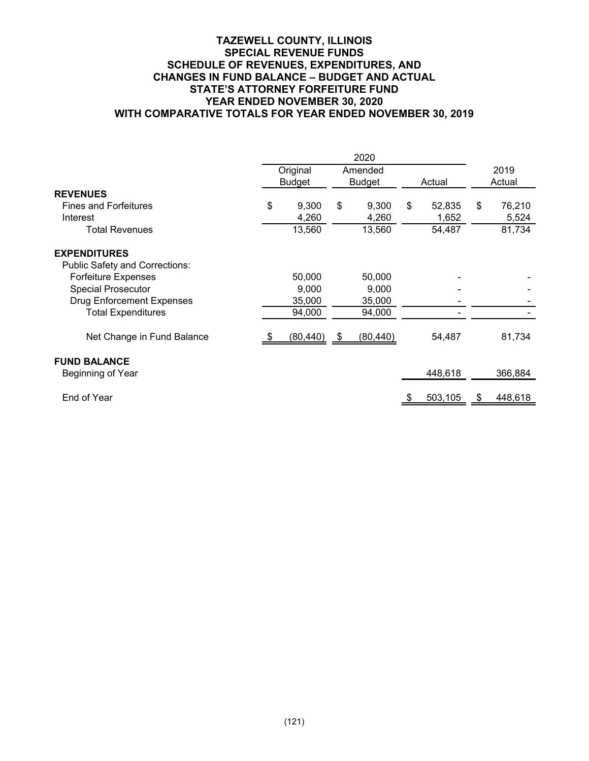## **TAZEWELL COUNTY, ILLINOIS SPECIAL REVENUE FUNDS SCHEDULE OF REVENUES, EXPENDITURES, AND CHANGES IN FUND BALANCE – BUDGET AND ACTUAL STATE'S ATTORNEY FORFEITURE FUND YEAR ENDED NOVEMBER 30, 2020 WITH COMPARATIVE TOTALS FOR YEAR ENDED NOVEMBER 30, 2019**

|                                  |    | Original      |      | Amended       |              | 2019          |
|----------------------------------|----|---------------|------|---------------|--------------|---------------|
|                                  |    | <b>Budget</b> |      | <b>Budget</b> | Actual       | Actual        |
| <b>REVENUES</b>                  |    |               |      |               |              |               |
| <b>Fines and Forfeitures</b>     | \$ | 9,300         | \$   | 9,300         | \$<br>52,835 | \$<br>76,210  |
| Interest                         |    | 4,260         |      | 4,260         | 1,652        | 5,524         |
| <b>Total Revenues</b>            |    | 13,560        |      | 13,560        | 54,487       | 81,734        |
| <b>EXPENDITURES</b>              |    |               |      |               |              |               |
| Public Safety and Corrections:   |    |               |      |               |              |               |
| <b>Forfeiture Expenses</b>       |    | 50,000        |      | 50,000        |              |               |
| <b>Special Prosecutor</b>        |    | 9,000         |      | 9,000         |              |               |
| <b>Drug Enforcement Expenses</b> |    | 35,000        |      | 35,000        |              |               |
| <b>Total Expenditures</b>        |    | 94,000        |      | 94,000        |              |               |
| Net Change in Fund Balance       |    | (80, 440)     | - \$ | (80,440)      | 54,487       | 81,734        |
| <b>FUND BALANCE</b>              |    |               |      |               |              |               |
| Beginning of Year                |    |               |      |               | 448,618      | 366,884       |
| End of Year                      |    |               |      |               | 503,105      | \$<br>448,618 |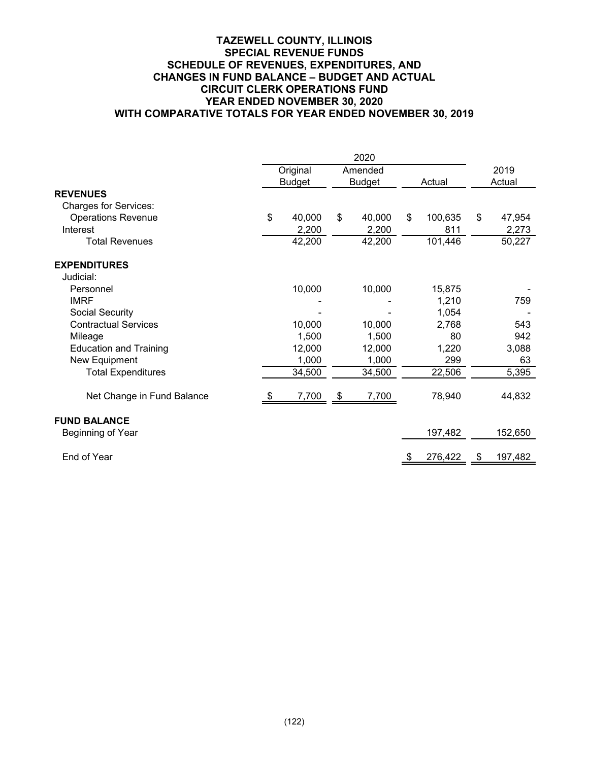## **TAZEWELL COUNTY, ILLINOIS SPECIAL REVENUE FUNDS SCHEDULE OF REVENUES, EXPENDITURES, AND CHANGES IN FUND BALANCE – BUDGET AND ACTUAL CIRCUIT CLERK OPERATIONS FUND YEAR ENDED NOVEMBER 30, 2020 WITH COMPARATIVE TOTALS FOR YEAR ENDED NOVEMBER 30, 2019**

|                               | Original      | Amended       |    |         | 2019          |
|-------------------------------|---------------|---------------|----|---------|---------------|
|                               | <b>Budget</b> | <b>Budget</b> |    | Actual  | Actual        |
| <b>REVENUES</b>               |               |               |    |         |               |
| <b>Charges for Services:</b>  |               |               |    |         |               |
| <b>Operations Revenue</b>     | \$<br>40,000  | \$<br>40,000  | \$ | 100,635 | \$<br>47,954  |
| Interest                      | 2,200         | 2,200         |    | 811     | 2,273         |
| <b>Total Revenues</b>         | 42,200        | 42,200        |    | 101,446 | 50,227        |
| <b>EXPENDITURES</b>           |               |               |    |         |               |
| Judicial:                     |               |               |    |         |               |
| Personnel                     | 10,000        | 10,000        |    | 15,875  |               |
| <b>IMRF</b>                   |               |               |    | 1,210   | 759           |
| Social Security               |               |               |    | 1,054   |               |
| <b>Contractual Services</b>   | 10,000        | 10,000        |    | 2,768   | 543           |
| Mileage                       | 1,500         | 1,500         |    | 80      | 942           |
| <b>Education and Training</b> | 12,000        | 12,000        |    | 1,220   | 3,088         |
| New Equipment                 | 1,000         | 1,000         |    | 299     | 63            |
| <b>Total Expenditures</b>     | 34,500        | 34,500        |    | 22,506  | 5,395         |
| Net Change in Fund Balance    | 7,700         | \$<br>7,700   |    | 78,940  | 44,832        |
| <b>FUND BALANCE</b>           |               |               |    |         |               |
| Beginning of Year             |               |               |    | 197,482 | 152,650       |
| End of Year                   |               |               | \$ | 276,422 | \$<br>197,482 |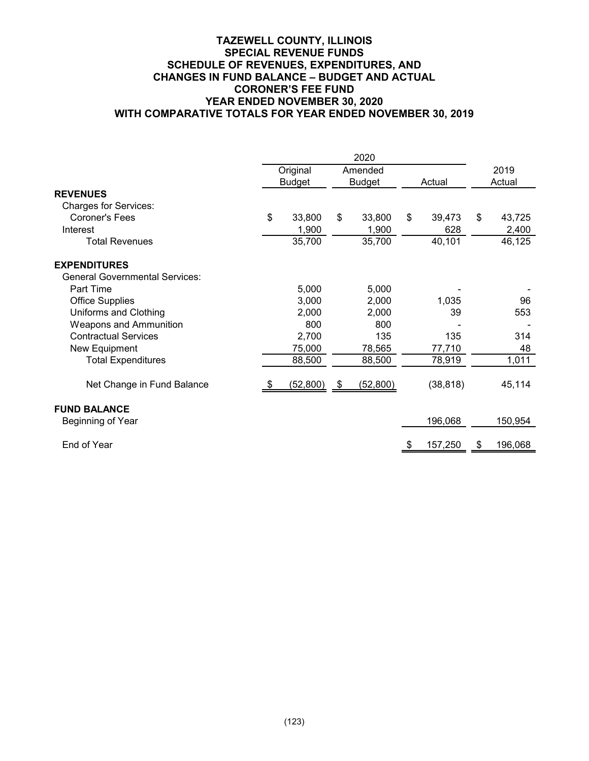## **TAZEWELL COUNTY, ILLINOIS SPECIAL REVENUE FUNDS SCHEDULE OF REVENUES, EXPENDITURES, AND CHANGES IN FUND BALANCE – BUDGET AND ACTUAL CORONER'S FEE FUND YEAR ENDED NOVEMBER 30, 2020 WITH COMPARATIVE TOTALS FOR YEAR ENDED NOVEMBER 30, 2019**

|                                       | Original      | Amended         |    |           | 2019          |
|---------------------------------------|---------------|-----------------|----|-----------|---------------|
|                                       | <b>Budget</b> | <b>Budget</b>   |    | Actual    | Actual        |
| <b>REVENUES</b>                       |               |                 |    |           |               |
| <b>Charges for Services:</b>          |               |                 |    |           |               |
| Coroner's Fees                        | \$<br>33,800  | \$<br>33,800    | \$ | 39,473    | \$<br>43,725  |
| Interest                              | 1,900         | 1,900           |    | 628       | 2,400         |
| <b>Total Revenues</b>                 | 35,700        | 35,700          |    | 40,101    | 46,125        |
| <b>EXPENDITURES</b>                   |               |                 |    |           |               |
| <b>General Governmental Services:</b> |               |                 |    |           |               |
| Part Time                             | 5,000         | 5,000           |    |           |               |
| <b>Office Supplies</b>                | 3,000         | 2,000           |    | 1,035     | 96            |
| Uniforms and Clothing                 | 2,000         | 2,000           |    | 39        | 553           |
| <b>Weapons and Ammunition</b>         | 800           | 800             |    |           |               |
| <b>Contractual Services</b>           | 2,700         | 135             |    | 135       | 314           |
| New Equipment                         | 75,000        | 78,565          |    | 77,710    | 48            |
| <b>Total Expenditures</b>             | 88,500        | 88,500          |    | 78,919    | 1,011         |
| Net Change in Fund Balance            | (52, 800)     | \$<br>(52, 800) |    | (38, 818) | 45,114        |
| <b>FUND BALANCE</b>                   |               |                 |    |           |               |
| Beginning of Year                     |               |                 |    | 196,068   | 150,954       |
| End of Year                           |               |                 |    | 157,250   | \$<br>196,068 |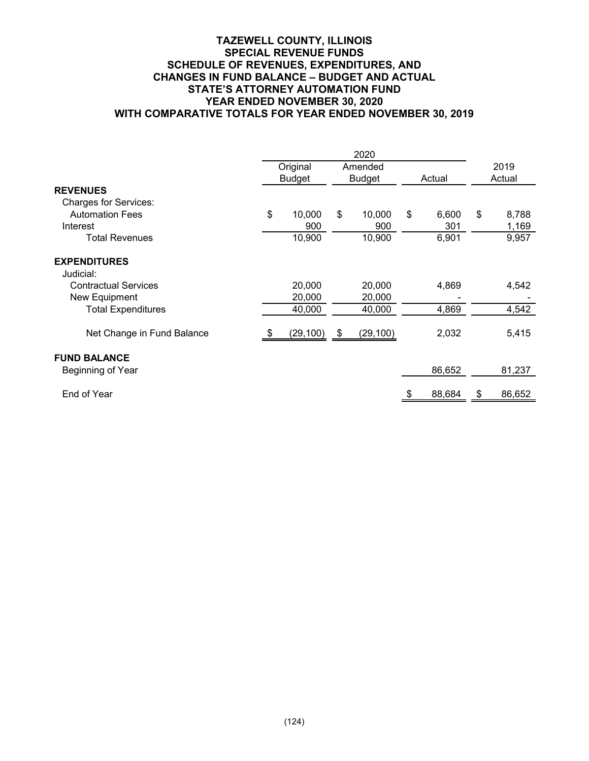## **TAZEWELL COUNTY, ILLINOIS SPECIAL REVENUE FUNDS SCHEDULE OF REVENUES, EXPENDITURES, AND CHANGES IN FUND BALANCE – BUDGET AND ACTUAL STATE'S ATTORNEY AUTOMATION FUND YEAR ENDED NOVEMBER 30, 2020 WITH COMPARATIVE TOTALS FOR YEAR ENDED NOVEMBER 30, 2019**

|                                  | Original      |                | Amended       |    |        | 2019   |        |
|----------------------------------|---------------|----------------|---------------|----|--------|--------|--------|
|                                  | <b>Budget</b> |                | <b>Budget</b> |    | Actual | Actual |        |
| <b>REVENUES</b>                  |               |                |               |    |        |        |        |
| <b>Charges for Services:</b>     |               |                |               |    |        |        |        |
| <b>Automation Fees</b>           | \$<br>10,000  | \$             | 10,000        | \$ | 6,600  | \$     | 8,788  |
| Interest                         | 900           |                | 900           |    | 301    |        | 1,169  |
| <b>Total Revenues</b>            | 10,900        |                | 10,900        |    | 6,901  |        | 9,957  |
| <b>EXPENDITURES</b><br>Judicial: |               |                |               |    |        |        |        |
| <b>Contractual Services</b>      | 20,000        |                | 20,000        |    | 4,869  |        | 4,542  |
| New Equipment                    | 20,000        |                | 20,000        |    |        |        |        |
| <b>Total Expenditures</b>        | 40,000        |                | 40,000        |    | 4,869  |        | 4,542  |
| Net Change in Fund Balance       | (29, 100)     | $\mathfrak{S}$ | (29, 100)     |    | 2,032  |        | 5,415  |
| <b>FUND BALANCE</b>              |               |                |               |    |        |        |        |
| Beginning of Year                |               |                |               |    | 86,652 |        | 81,237 |
| End of Year                      |               |                |               |    | 88,684 | \$     | 86,652 |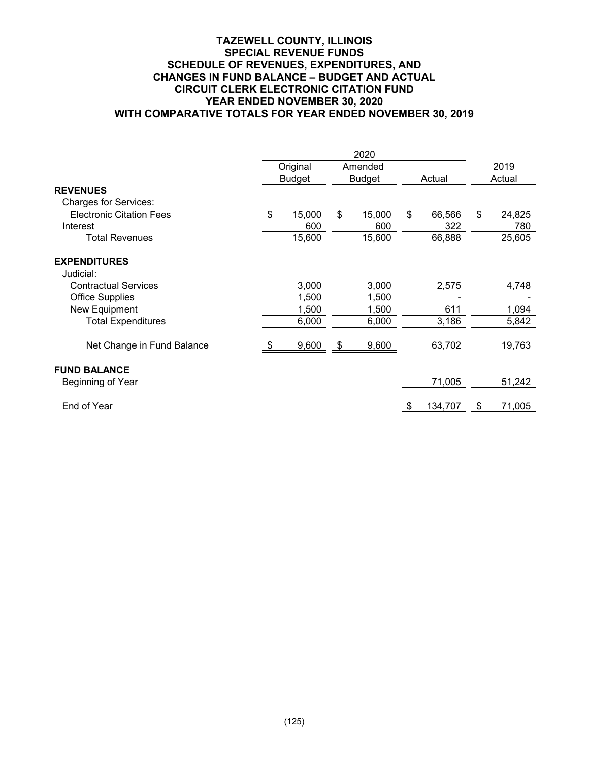## **TAZEWELL COUNTY, ILLINOIS SPECIAL REVENUE FUNDS SCHEDULE OF REVENUES, EXPENDITURES, AND CHANGES IN FUND BALANCE – BUDGET AND ACTUAL CIRCUIT CLERK ELECTRONIC CITATION FUND YEAR ENDED NOVEMBER 30, 2020 WITH COMPARATIVE TOTALS FOR YEAR ENDED NOVEMBER 30, 2019**

|                                                                 |    | Original<br><b>Budget</b> | Amended<br><b>Budget</b> |    | Actual  | 2019<br>Actual |
|-----------------------------------------------------------------|----|---------------------------|--------------------------|----|---------|----------------|
| <b>REVENUES</b>                                                 |    |                           |                          |    |         |                |
| <b>Charges for Services:</b><br><b>Electronic Citation Fees</b> | \$ | 15,000                    | \$<br>15,000             | \$ | 66,566  | \$<br>24,825   |
| Interest                                                        |    | 600                       | 600                      |    | 322     | 780            |
| <b>Total Revenues</b>                                           |    | 15,600                    | 15,600                   |    | 66,888  | 25,605         |
| <b>EXPENDITURES</b>                                             |    |                           |                          |    |         |                |
| Judicial:                                                       |    |                           |                          |    |         |                |
| <b>Contractual Services</b>                                     |    | 3,000                     | 3,000                    |    | 2,575   | 4,748          |
| <b>Office Supplies</b>                                          |    | 1,500                     | 1,500                    |    |         |                |
| New Equipment                                                   |    | 1,500                     | 1,500                    |    | 611     | 1,094          |
| <b>Total Expenditures</b>                                       |    | 6,000                     | 6,000                    |    | 3,186   | 5,842          |
| Net Change in Fund Balance                                      |    | 9,600                     | \$<br>9,600              |    | 63,702  | 19,763         |
| <b>FUND BALANCE</b>                                             |    |                           |                          |    |         |                |
| Beginning of Year                                               |    |                           |                          |    | 71,005  | 51,242         |
| End of Year                                                     |    |                           |                          |    | 134,707 | \$<br>71,005   |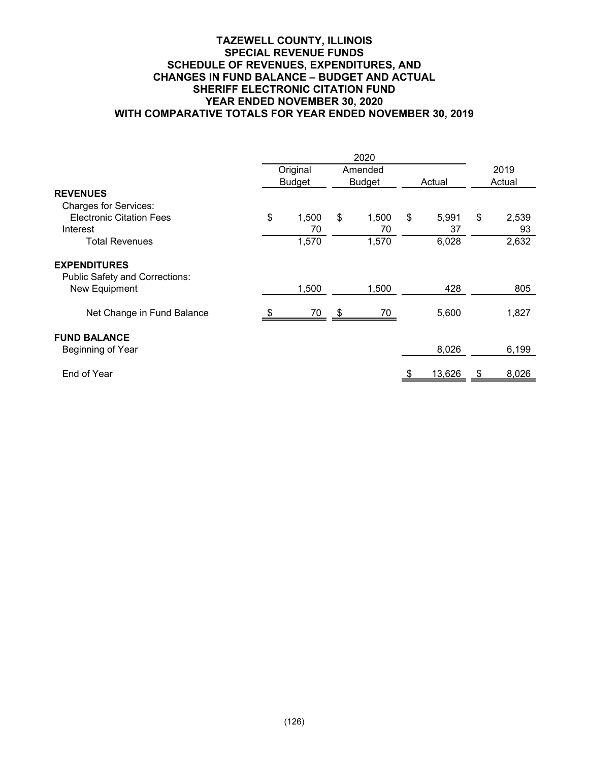## **TAZEWELL COUNTY, ILLINOIS SPECIAL REVENUE FUNDS SCHEDULE OF REVENUES, EXPENDITURES, AND CHANGES IN FUND BALANCE – BUDGET AND ACTUAL SHERIFF ELECTRONIC CITATION FUND YEAR ENDED NOVEMBER 30, 2020 WITH COMPARATIVE TOTALS FOR YEAR ENDED NOVEMBER 30, 2019**

|                                                              |               | 2020          |             |        |       |
|--------------------------------------------------------------|---------------|---------------|-------------|--------|-------|
|                                                              | Original      | Amended       |             | 2019   |       |
|                                                              | <b>Budget</b> | <b>Budget</b> | Actual      | Actual |       |
| <b>REVENUES</b>                                              |               |               |             |        |       |
| <b>Charges for Services:</b>                                 |               |               |             |        |       |
| <b>Electronic Citation Fees</b>                              | \$<br>1,500   | \$<br>1,500   | \$<br>5,991 | \$     | 2,539 |
| Interest                                                     | 70            | 70            | 37          |        | 93    |
| <b>Total Revenues</b>                                        | 1,570         | 1,570         | 6,028       |        | 2,632 |
| <b>EXPENDITURES</b><br><b>Public Safety and Corrections:</b> |               |               |             |        |       |
| New Equipment                                                | 1,500         | 1,500         | 428         |        | 805   |
| Net Change in Fund Balance                                   | 70            | \$<br>70      | 5,600       |        | 1,827 |
| <b>FUND BALANCE</b><br>Beginning of Year                     |               |               | 8,026       |        | 6,199 |
| End of Year                                                  |               |               | 13,626      | \$     | 8,026 |
|                                                              |               |               |             |        |       |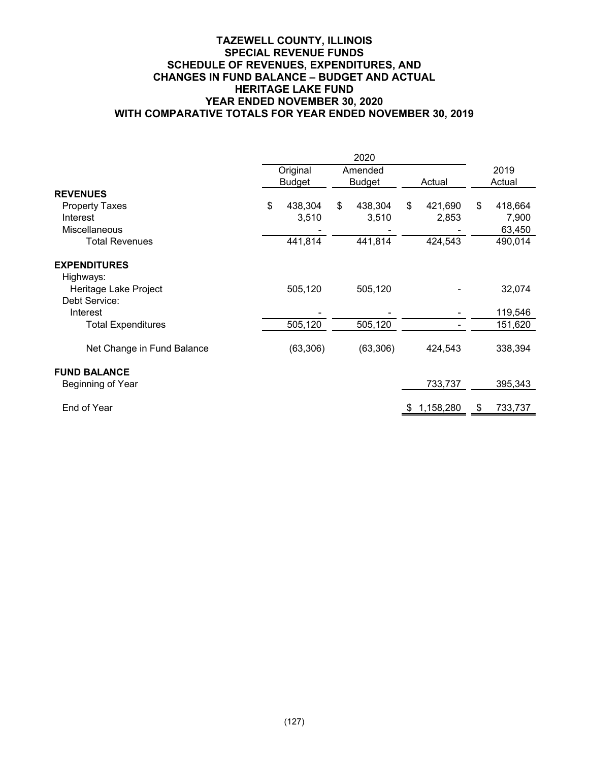## **TAZEWELL COUNTY, ILLINOIS SPECIAL REVENUE FUNDS SCHEDULE OF REVENUES, EXPENDITURES, AND CHANGES IN FUND BALANCE – BUDGET AND ACTUAL HERITAGE LAKE FUND YEAR ENDED NOVEMBER 30, 2020 WITH COMPARATIVE TOTALS FOR YEAR ENDED NOVEMBER 30, 2019**

|                                  | Original<br><b>Budget</b> | Amended<br><b>Budget</b> |    | Actual    |    | 2019<br>Actual |
|----------------------------------|---------------------------|--------------------------|----|-----------|----|----------------|
| <b>REVENUES</b>                  |                           |                          |    |           |    |                |
| <b>Property Taxes</b>            | \$<br>438,304             | \$<br>438,304            | \$ | 421,690   | \$ | 418,664        |
| Interest                         | 3,510                     | 3,510                    |    | 2,853     |    | 7,900          |
| Miscellaneous                    |                           |                          |    |           |    | 63,450         |
| <b>Total Revenues</b>            | 441,814                   | 441,814                  |    | 424,543   |    | 490,014        |
| <b>EXPENDITURES</b><br>Highways: |                           |                          |    |           |    |                |
| Heritage Lake Project            | 505,120                   | 505,120                  |    |           |    | 32,074         |
| Debt Service:                    |                           |                          |    |           |    |                |
| Interest                         |                           |                          |    |           |    | 119,546        |
| <b>Total Expenditures</b>        | 505,120                   | 505,120                  |    |           |    | 151,620        |
| Net Change in Fund Balance       | (63, 306)                 | (63, 306)                |    | 424,543   |    | 338,394        |
| <b>FUND BALANCE</b>              |                           |                          |    |           |    |                |
| Beginning of Year                |                           |                          |    | 733,737   |    | 395,343        |
| End of Year                      |                           |                          | -5 | 1,158,280 | S. | 733,737        |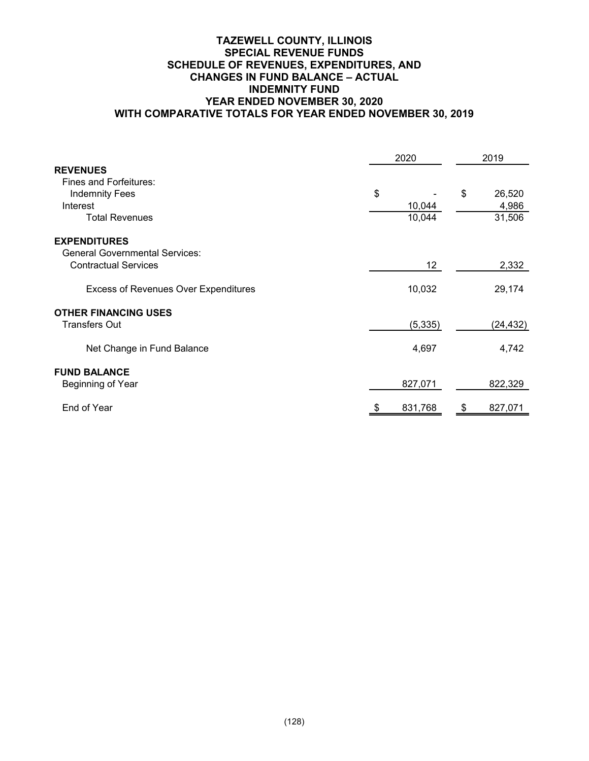## **TAZEWELL COUNTY, ILLINOIS SPECIAL REVENUE FUNDS SCHEDULE OF REVENUES, EXPENDITURES, AND CHANGES IN FUND BALANCE – ACTUAL INDEMNITY FUND YEAR ENDED NOVEMBER 30, 2020 WITH COMPARATIVE TOTALS FOR YEAR ENDED NOVEMBER 30, 2019**

|                                             | 2020 |                 | 2019         |
|---------------------------------------------|------|-----------------|--------------|
| <b>REVENUES</b>                             |      |                 |              |
| Fines and Forfeitures:                      |      |                 |              |
| <b>Indemnity Fees</b>                       | \$   |                 | \$<br>26,520 |
| Interest                                    |      | 10,044          | 4,986        |
| <b>Total Revenues</b>                       |      | 10,044          | 31,506       |
| <b>EXPENDITURES</b>                         |      |                 |              |
| <b>General Governmental Services:</b>       |      |                 |              |
| <b>Contractual Services</b>                 |      | 12 <sup>2</sup> | 2,332        |
| <b>Excess of Revenues Over Expenditures</b> |      | 10,032          | 29,174       |
| <b>OTHER FINANCING USES</b>                 |      |                 |              |
| <b>Transfers Out</b>                        |      | (5, 335)        | (24, 432)    |
|                                             |      |                 |              |
| Net Change in Fund Balance                  |      | 4,697           | 4,742        |
| <b>FUND BALANCE</b>                         |      |                 |              |
| Beginning of Year                           |      | 827,071         | 822,329      |
|                                             |      |                 |              |
| End of Year                                 |      | 831,768         | 827,071      |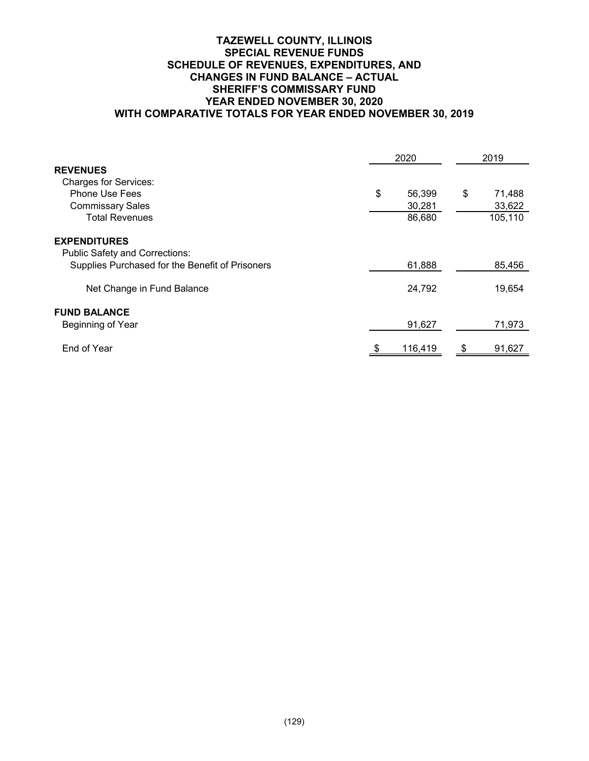## **TAZEWELL COUNTY, ILLINOIS SPECIAL REVENUE FUNDS SCHEDULE OF REVENUES, EXPENDITURES, AND CHANGES IN FUND BALANCE – ACTUAL SHERIFF'S COMMISSARY FUND YEAR ENDED NOVEMBER 30, 2020 WITH COMPARATIVE TOTALS FOR YEAR ENDED NOVEMBER 30, 2019**

|                                                 | 2020         |    | 2019    |
|-------------------------------------------------|--------------|----|---------|
| <b>REVENUES</b>                                 |              |    |         |
| <b>Charges for Services:</b>                    |              |    |         |
| <b>Phone Use Fees</b>                           | \$<br>56,399 | \$ | 71,488  |
| <b>Commissary Sales</b>                         | 30,281       |    | 33,622  |
| <b>Total Revenues</b>                           | 86,680       |    | 105,110 |
| <b>EXPENDITURES</b>                             |              |    |         |
| <b>Public Safety and Corrections:</b>           |              |    |         |
| Supplies Purchased for the Benefit of Prisoners | 61,888       |    | 85,456  |
| Net Change in Fund Balance                      | 24,792       |    | 19,654  |
| <b>FUND BALANCE</b>                             |              |    |         |
| Beginning of Year                               | 91,627       |    | 71,973  |
| End of Year                                     | 116,419      | \$ | 91,627  |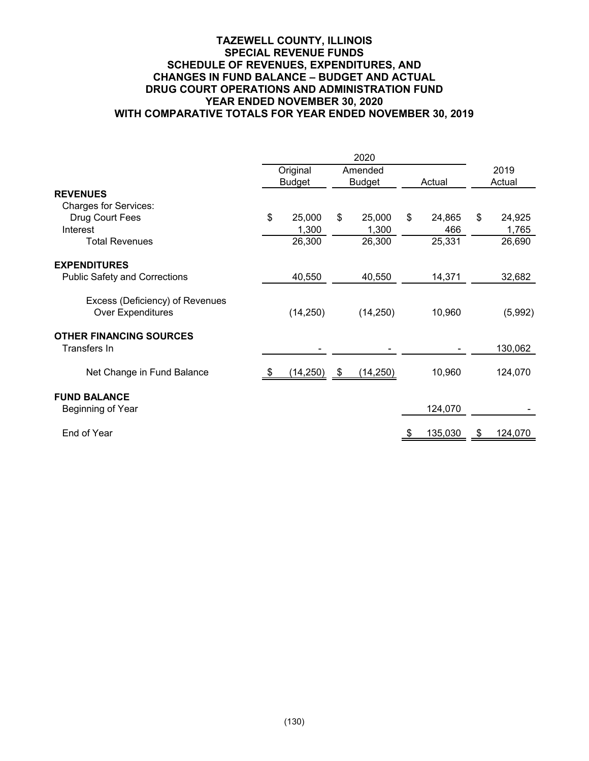## **TAZEWELL COUNTY, ILLINOIS SPECIAL REVENUE FUNDS SCHEDULE OF REVENUES, EXPENDITURES, AND CHANGES IN FUND BALANCE – BUDGET AND ACTUAL DRUG COURT OPERATIONS AND ADMINISTRATION FUND YEAR ENDED NOVEMBER 30, 2020 WITH COMPARATIVE TOTALS FOR YEAR ENDED NOVEMBER 30, 2019**

|                                                             | 2020 |               |      |               |    |         |    |         |
|-------------------------------------------------------------|------|---------------|------|---------------|----|---------|----|---------|
|                                                             |      | Original      |      | Amended       |    |         |    | 2019    |
|                                                             |      | <b>Budget</b> |      | <b>Budget</b> |    | Actual  |    | Actual  |
| <b>REVENUES</b>                                             |      |               |      |               |    |         |    |         |
| <b>Charges for Services:</b>                                |      |               |      |               |    |         |    |         |
| Drug Court Fees                                             | \$   | 25,000        | \$   | 25,000        | \$ | 24,865  | \$ | 24,925  |
| Interest                                                    |      | 1,300         |      | 1,300         |    | 466     |    | 1,765   |
| <b>Total Revenues</b>                                       |      | 26,300        |      | 26,300        |    | 25,331  |    | 26,690  |
| <b>EXPENDITURES</b>                                         |      |               |      |               |    |         |    |         |
| <b>Public Safety and Corrections</b>                        |      | 40,550        |      | 40,550        |    | 14,371  |    | 32,682  |
| Excess (Deficiency) of Revenues<br><b>Over Expenditures</b> |      | (14, 250)     |      | (14, 250)     |    | 10,960  |    | (5,992) |
| <b>OTHER FINANCING SOURCES</b>                              |      |               |      |               |    |         |    |         |
| Transfers In                                                |      |               |      |               |    |         |    | 130,062 |
| Net Change in Fund Balance                                  |      | (14, 250)     | - \$ | (14, 250)     |    | 10,960  |    | 124,070 |
| <b>FUND BALANCE</b>                                         |      |               |      |               |    |         |    |         |
| Beginning of Year                                           |      |               |      |               |    | 124,070 |    |         |
| End of Year                                                 |      |               |      |               |    | 135,030 | SБ | 124,070 |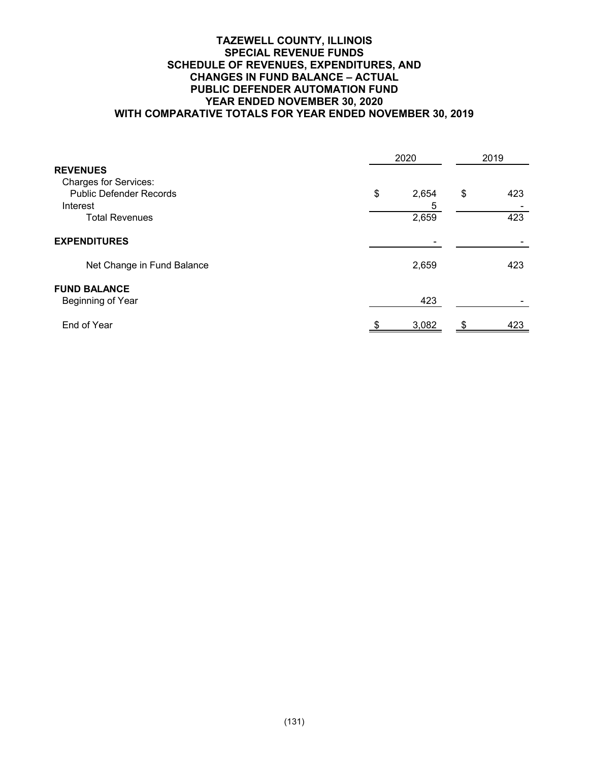## **TAZEWELL COUNTY, ILLINOIS SPECIAL REVENUE FUNDS SCHEDULE OF REVENUES, EXPENDITURES, AND CHANGES IN FUND BALANCE – ACTUAL PUBLIC DEFENDER AUTOMATION FUND YEAR ENDED NOVEMBER 30, 2020 WITH COMPARATIVE TOTALS FOR YEAR ENDED NOVEMBER 30, 2019**

|                                | 2020 | 2019  |    |     |
|--------------------------------|------|-------|----|-----|
| <b>REVENUES</b>                |      |       |    |     |
| <b>Charges for Services:</b>   |      |       |    |     |
| <b>Public Defender Records</b> | \$   | 2,654 | \$ | 423 |
| Interest                       |      | 5     |    |     |
| <b>Total Revenues</b>          |      | 2,659 |    | 423 |
| <b>EXPENDITURES</b>            |      |       |    |     |
| Net Change in Fund Balance     |      | 2,659 |    | 423 |
| <b>FUND BALANCE</b>            |      |       |    |     |
| Beginning of Year              |      | 423   |    |     |
| End of Year                    | - \$ | 3,082 | S  | 423 |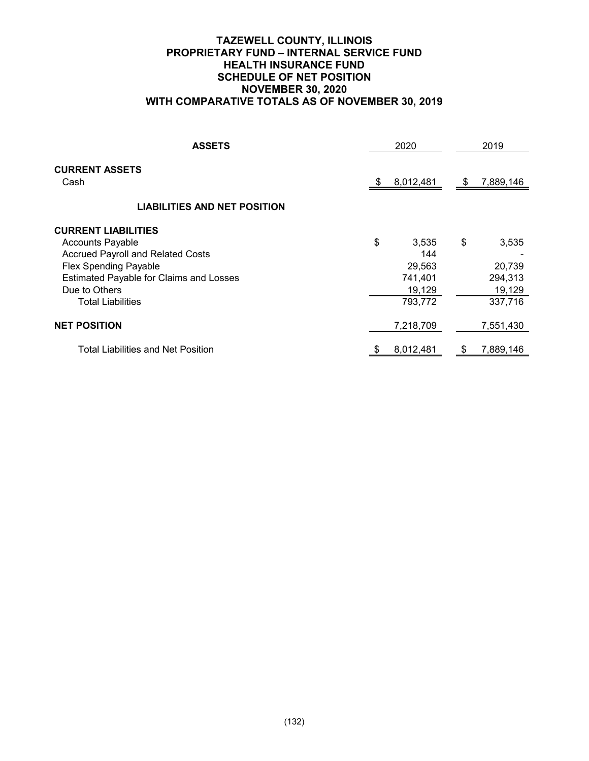## **TAZEWELL COUNTY, ILLINOIS PROPRIETARY FUND – INTERNAL SERVICE FUND HEALTH INSURANCE FUND SCHEDULE OF NET POSITION NOVEMBER 30, 2020 WITH COMPARATIVE TOTALS AS OF NOVEMBER 30, 2019**

| <b>ASSETS</b>                                  | 2020        |     | 2019      |
|------------------------------------------------|-------------|-----|-----------|
| <b>CURRENT ASSETS</b><br>Cash                  | 8,012,481   | SБ. | 7,889,146 |
| <b>LIABILITIES AND NET POSITION</b>            |             |     |           |
| <b>CURRENT LIABILITIES</b>                     |             |     |           |
| <b>Accounts Payable</b>                        | \$<br>3,535 | \$  | 3,535     |
| <b>Accrued Payroll and Related Costs</b>       | 144         |     |           |
| <b>Flex Spending Payable</b>                   | 29,563      |     | 20,739    |
| <b>Estimated Payable for Claims and Losses</b> | 741,401     |     | 294,313   |
| Due to Others                                  | 19,129      |     | 19,129    |
| <b>Total Liabilities</b>                       | 793,772     |     | 337,716   |
| <b>NET POSITION</b>                            | 7,218,709   |     | 7,551,430 |
| Total Liabilities and Net Position             | 8,012,481   |     | 7,889,146 |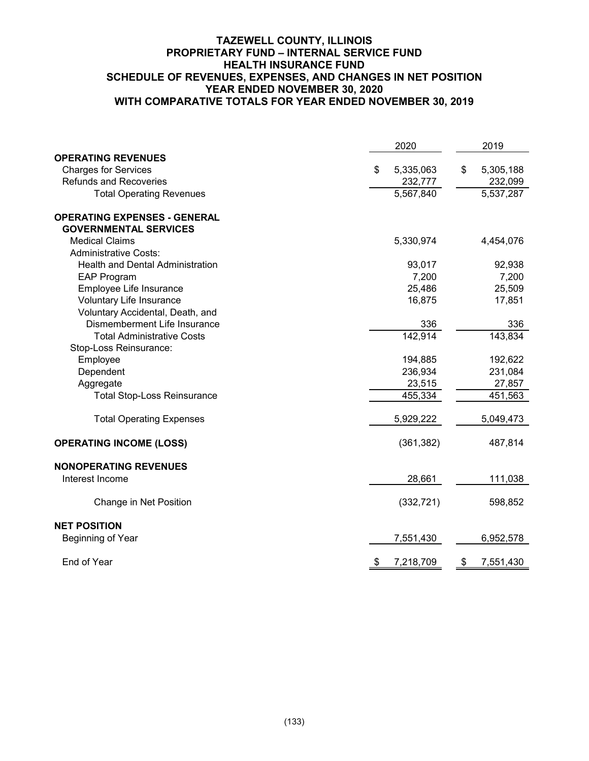## **TAZEWELL COUNTY, ILLINOIS PROPRIETARY FUND – INTERNAL SERVICE FUND HEALTH INSURANCE FUND SCHEDULE OF REVENUES, EXPENSES, AND CHANGES IN NET POSITION YEAR ENDED NOVEMBER 30, 2020 WITH COMPARATIVE TOTALS FOR YEAR ENDED NOVEMBER 30, 2019**

|                                         | 2020            | 2019            |
|-----------------------------------------|-----------------|-----------------|
| <b>OPERATING REVENUES</b>               |                 |                 |
| <b>Charges for Services</b>             | 5,335,063<br>\$ | 5,305,188<br>\$ |
| <b>Refunds and Recoveries</b>           | 232,777         | 232,099         |
| <b>Total Operating Revenues</b>         | 5,567,840       | 5,537,287       |
| <b>OPERATING EXPENSES - GENERAL</b>     |                 |                 |
| <b>GOVERNMENTAL SERVICES</b>            |                 |                 |
| <b>Medical Claims</b>                   | 5,330,974       | 4,454,076       |
| <b>Administrative Costs:</b>            |                 |                 |
| <b>Health and Dental Administration</b> | 93,017          | 92,938          |
| <b>EAP Program</b>                      | 7,200           | 7,200           |
| Employee Life Insurance                 | 25,486          | 25,509          |
| Voluntary Life Insurance                | 16,875          | 17,851          |
| Voluntary Accidental, Death, and        |                 |                 |
| Dismemberment Life Insurance            | 336             | 336             |
| <b>Total Administrative Costs</b>       | 142,914         | 143,834         |
| Stop-Loss Reinsurance:                  |                 |                 |
| Employee                                | 194,885         | 192,622         |
| Dependent                               | 236,934         | 231,084         |
| Aggregate                               | 23,515          | 27,857          |
| <b>Total Stop-Loss Reinsurance</b>      | 455,334         | 451,563         |
| <b>Total Operating Expenses</b>         | 5,929,222       | 5,049,473       |
| <b>OPERATING INCOME (LOSS)</b>          | (361, 382)      | 487,814         |
| <b>NONOPERATING REVENUES</b>            |                 |                 |
| Interest Income                         | 28,661          | 111,038         |
| Change in Net Position                  | (332, 721)      | 598,852         |
| <b>NET POSITION</b>                     |                 |                 |
| Beginning of Year                       | 7,551,430       | 6,952,578       |
| End of Year                             | 7,218,709<br>\$ | \$<br>7,551,430 |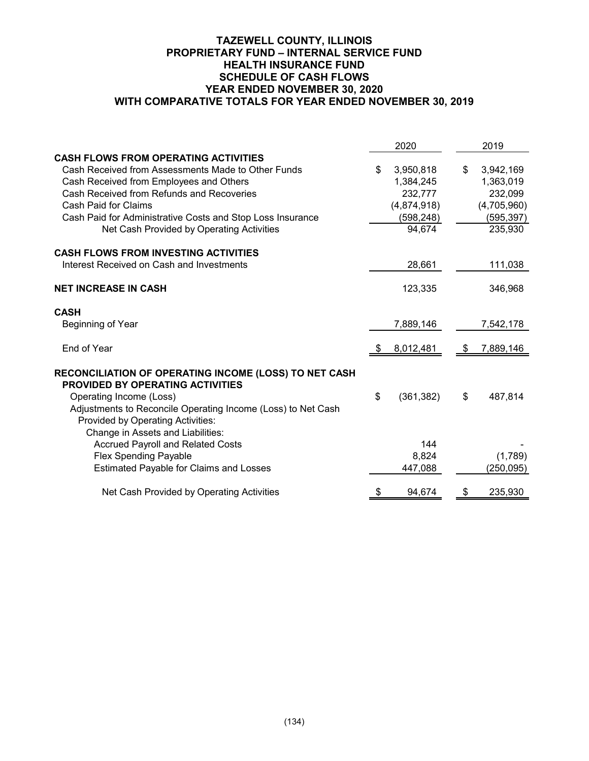## **TAZEWELL COUNTY, ILLINOIS PROPRIETARY FUND – INTERNAL SERVICE FUND HEALTH INSURANCE FUND SCHEDULE OF CASH FLOWS YEAR ENDED NOVEMBER 30, 2020 WITH COMPARATIVE TOTALS FOR YEAR ENDED NOVEMBER 30, 2019**

|                                                              |    | 2020        | 2019            |
|--------------------------------------------------------------|----|-------------|-----------------|
| <b>CASH FLOWS FROM OPERATING ACTIVITIES</b>                  |    |             |                 |
| Cash Received from Assessments Made to Other Funds           | \$ | 3,950,818   | \$<br>3,942,169 |
| Cash Received from Employees and Others                      |    | 1,384,245   | 1,363,019       |
| Cash Received from Refunds and Recoveries                    |    | 232,777     | 232,099         |
| Cash Paid for Claims                                         |    | (4,874,918) | (4,705,960)     |
| Cash Paid for Administrative Costs and Stop Loss Insurance   |    | (598,248)   | (595, 397)      |
| Net Cash Provided by Operating Activities                    |    | 94,674      | 235,930         |
| <b>CASH FLOWS FROM INVESTING ACTIVITIES</b>                  |    |             |                 |
| Interest Received on Cash and Investments                    |    | 28,661      | 111,038         |
| <b>NET INCREASE IN CASH</b>                                  |    | 123,335     | 346,968         |
| <b>CASH</b>                                                  |    |             |                 |
| Beginning of Year                                            |    | 7,889,146   | 7,542,178       |
| End of Year                                                  | S  | 8,012,481   | \$<br>7,889,146 |
| RECONCILIATION OF OPERATING INCOME (LOSS) TO NET CASH        |    |             |                 |
| <b>PROVIDED BY OPERATING ACTIVITIES</b>                      |    |             |                 |
| Operating Income (Loss)                                      | \$ | (361, 382)  | \$<br>487,814   |
| Adjustments to Reconcile Operating Income (Loss) to Net Cash |    |             |                 |
| Provided by Operating Activities:                            |    |             |                 |
| Change in Assets and Liabilities:                            |    |             |                 |
| <b>Accrued Payroll and Related Costs</b>                     |    | 144         |                 |
| <b>Flex Spending Payable</b>                                 |    | 8,824       | (1,789)         |
| <b>Estimated Payable for Claims and Losses</b>               |    | 447,088     | (250, 095)      |
| Net Cash Provided by Operating Activities                    | \$ | 94,674      | \$<br>235,930   |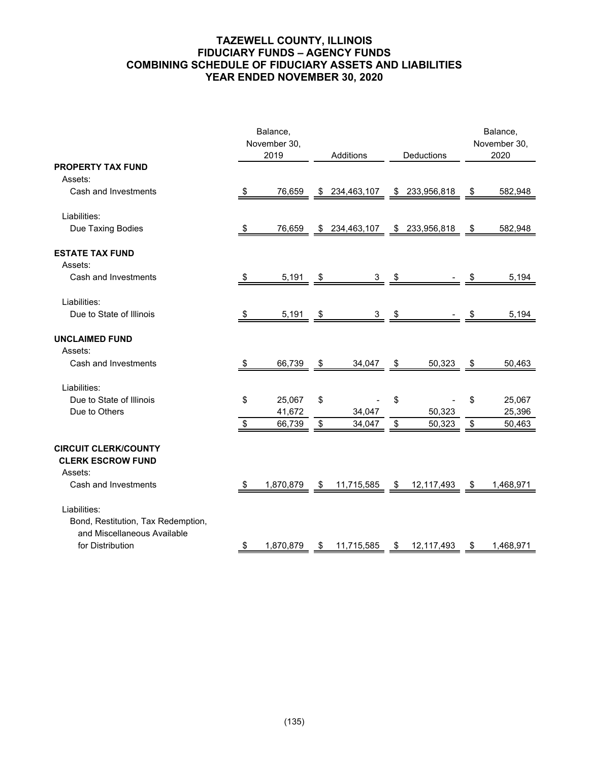# **TAZEWELL COUNTY, ILLINOIS FIDUCIARY FUNDS – AGENCY FUNDS COMBINING SCHEDULE OF FIDUCIARY ASSETS AND LIABILITIES YEAR ENDED NOVEMBER 30, 2020**

|                                    |               | Balance,     |                      |                  |    | Balance,     |
|------------------------------------|---------------|--------------|----------------------|------------------|----|--------------|
|                                    |               | November 30, |                      |                  |    | November 30, |
|                                    |               | 2019         | Additions            | Deductions       |    | 2020         |
| <b>PROPERTY TAX FUND</b>           |               |              |                      |                  |    |              |
| Assets:                            |               |              |                      |                  |    |              |
| Cash and Investments               | - \$          | 76,659       | \$234,463,107        | \$ 233,956,818   | \$ | 582,948      |
| Liabilities:                       |               |              |                      |                  |    |              |
| Due Taxing Bodies                  |               | 76,659       | \$ 234,463,107       | \$233,956,818    |    | 582,948      |
|                                    | \$.           |              |                      |                  | \$ |              |
| <b>ESTATE TAX FUND</b>             |               |              |                      |                  |    |              |
| Assets:                            |               |              |                      |                  |    |              |
| Cash and Investments               | \$            | 5,191        | \$<br>3              | \$               | S  | 5,194        |
|                                    |               |              |                      |                  |    |              |
| Liabilities:                       |               |              |                      |                  |    |              |
| Due to State of Illinois           | \$            | 5,191        | \$<br>3 <sup>7</sup> | \$               | \$ | 5,194        |
|                                    |               |              |                      |                  |    |              |
| <b>UNCLAIMED FUND</b>              |               |              |                      |                  |    |              |
| Assets:<br>Cash and Investments    |               |              |                      |                  |    |              |
|                                    | \$            | 66,739       | \$<br>34,047         | \$<br>50,323     | \$ | 50,463       |
| Liabilities:                       |               |              |                      |                  |    |              |
| Due to State of Illinois           | \$            | 25,067       | \$                   | \$               | \$ | 25,067       |
| Due to Others                      |               | 41,672       | 34,047               | 50,323           |    | 25,396       |
|                                    | $\frac{3}{2}$ | 66,739       | \$<br>34,047         | \$<br>50,323     | \$ | 50,463       |
|                                    |               |              |                      |                  |    |              |
| <b>CIRCUIT CLERK/COUNTY</b>        |               |              |                      |                  |    |              |
| <b>CLERK ESCROW FUND</b>           |               |              |                      |                  |    |              |
| Assets:                            |               |              |                      |                  |    |              |
| Cash and Investments               | \$            | 1,870,879    | \$<br>11,715,585     | \$<br>12,117,493 | \$ | 1,468,971    |
| Liabilities:                       |               |              |                      |                  |    |              |
| Bond, Restitution, Tax Redemption, |               |              |                      |                  |    |              |
| and Miscellaneous Available        |               |              |                      |                  |    |              |
| for Distribution                   | $\frac{3}{2}$ | 1,870,879    | \$<br>11,715,585     | \$<br>12,117,493 | \$ | 1,468,971    |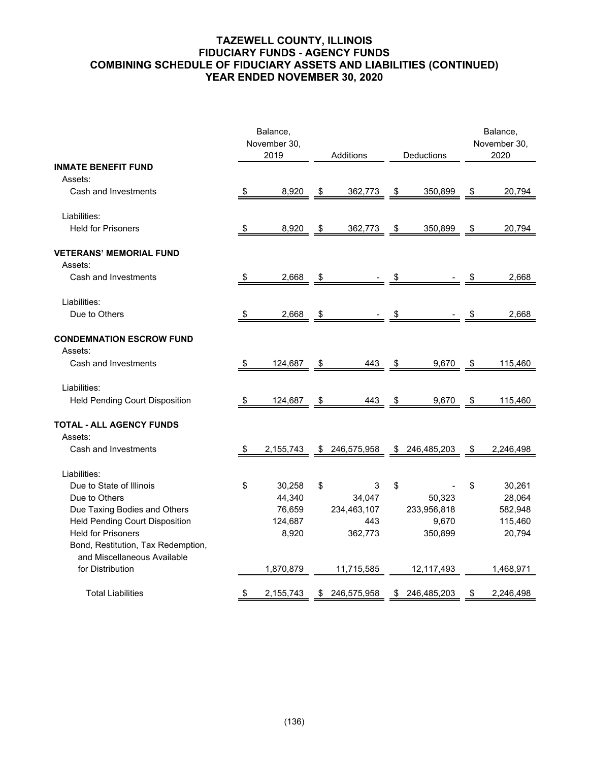## **TAZEWELL COUNTY, ILLINOIS FIDUCIARY FUNDS - AGENCY FUNDS COMBINING SCHEDULE OF FIDUCIARY ASSETS AND LIABILITIES (CONTINUED) YEAR ENDED NOVEMBER 30, 2020**

|                                                                   | Balance,<br>November 30, |      |             |                   | Balance,<br>November 30, |
|-------------------------------------------------------------------|--------------------------|------|-------------|-------------------|--------------------------|
|                                                                   | 2019                     |      | Additions   | Deductions        | 2020                     |
| <b>INMATE BENEFIT FUND</b>                                        |                          |      |             |                   |                          |
| Assets:                                                           |                          |      |             |                   |                          |
| Cash and Investments                                              | \$<br>8,920              | \$   | 362,773     | \$<br>350,899     | \$<br>20,794             |
| Liabilities:                                                      |                          |      |             |                   |                          |
| <b>Held for Prisoners</b>                                         | \$<br>8,920              | \$   | 362,773     | \$<br>350,899     | \$<br>20,794             |
| <b>VETERANS' MEMORIAL FUND</b>                                    |                          |      |             |                   |                          |
| Assets:                                                           |                          |      |             |                   |                          |
| Cash and Investments                                              | \$<br>2,668              | \$   |             | \$                | 2,668                    |
| Liabilities:                                                      |                          |      |             |                   |                          |
| Due to Others                                                     | \$<br>2,668              | \$   |             | \$                | \$<br>2,668              |
| <b>CONDEMNATION ESCROW FUND</b>                                   |                          |      |             |                   |                          |
| Assets:                                                           |                          |      |             |                   |                          |
| Cash and Investments                                              | \$<br>124,687            | \$   | 443         | \$<br>9,670       | \$<br>115,460            |
| Liabilities:                                                      |                          |      |             |                   |                          |
| Held Pending Court Disposition                                    | \$<br>124,687            | - \$ | 443         | \$<br>9,670       | \$<br>115,460            |
| <b>TOTAL - ALL AGENCY FUNDS</b><br>Assets:                        |                          |      |             |                   |                          |
| Cash and Investments                                              | \$<br>2,155,743          | \$   | 246,575,958 | \$<br>246,485,203 | \$<br>2,246,498          |
| Liabilities:                                                      |                          |      |             |                   |                          |
| Due to State of Illinois                                          | \$<br>30,258             | \$   | 3           | \$                | \$<br>30,261             |
| Due to Others                                                     | 44,340                   |      | 34,047      | 50,323            | 28,064                   |
| Due Taxing Bodies and Others                                      | 76,659                   |      | 234,463,107 | 233,956,818       | 582,948                  |
| <b>Held Pending Court Disposition</b>                             | 124,687                  |      | 443         | 9,670             | 115,460                  |
| <b>Held for Prisoners</b>                                         | 8,920                    |      | 362,773     | 350,899           | 20,794                   |
| Bond, Restitution, Tax Redemption,<br>and Miscellaneous Available |                          |      |             |                   |                          |
| for Distribution                                                  | 1,870,879                |      | 11,715,585  | 12,117,493        | 1,468,971                |
| <b>Total Liabilities</b>                                          | \$<br>2,155,743          | \$   | 246,575,958 | \$<br>246,485,203 | \$<br>2,246,498          |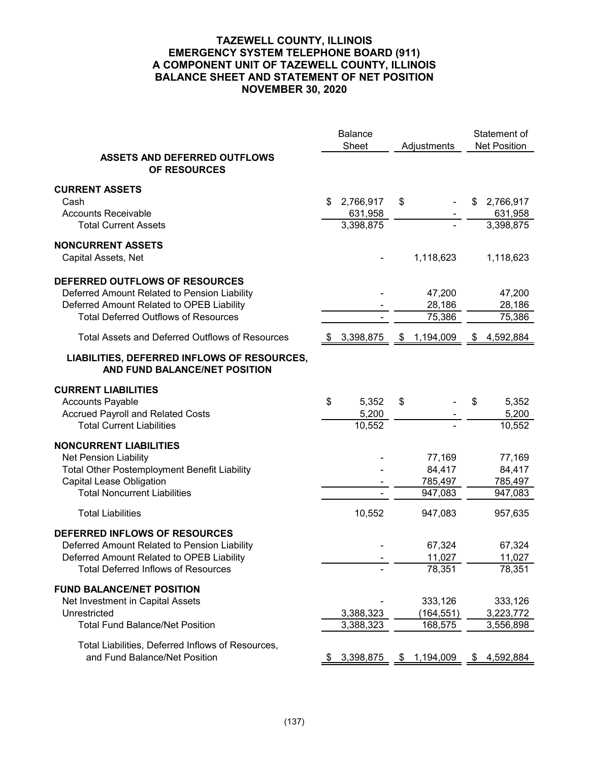## **TAZEWELL COUNTY, ILLINOIS EMERGENCY SYSTEM TELEPHONE BOARD (911) A COMPONENT UNIT OF TAZEWELL COUNTY, ILLINOIS BALANCE SHEET AND STATEMENT OF NET POSITION NOVEMBER 30, 2020**

|                                                                                                                                                                                  | <b>Balance</b><br>Sheet        | Adjustments                            | Statement of<br><b>Net Position</b>    |
|----------------------------------------------------------------------------------------------------------------------------------------------------------------------------------|--------------------------------|----------------------------------------|----------------------------------------|
| <b>ASSETS AND DEFERRED OUTFLOWS</b><br>OF RESOURCES                                                                                                                              |                                |                                        |                                        |
| <b>CURRENT ASSETS</b><br>Cash<br><b>Accounts Receivable</b>                                                                                                                      | 2,766,917<br>\$.<br>631,958    | \$                                     | 2,766,917<br>\$<br>631,958             |
| <b>Total Current Assets</b><br><b>NONCURRENT ASSETS</b><br>Capital Assets, Net                                                                                                   | 3,398,875                      | 1,118,623                              | 3,398,875<br>1,118,623                 |
| DEFERRED OUTFLOWS OF RESOURCES<br>Deferred Amount Related to Pension Liability<br>Deferred Amount Related to OPEB Liability<br><b>Total Deferred Outflows of Resources</b>       |                                | 47,200<br>28,186<br>75,386             | 47,200<br>28,186<br>75,386             |
| <b>Total Assets and Deferred Outflows of Resources</b>                                                                                                                           | 3,398,875                      | 1,194,009<br>\$                        | 4,592,884<br>S.                        |
| LIABILITIES, DEFERRED INFLOWS OF RESOURCES,<br>AND FUND BALANCE/NET POSITION                                                                                                     |                                |                                        |                                        |
| <b>CURRENT LIABILITIES</b><br><b>Accounts Payable</b><br><b>Accrued Payroll and Related Costs</b><br><b>Total Current Liabilities</b>                                            | \$<br>5,352<br>5,200<br>10,552 | \$                                     | 5,352<br>S<br>5,200<br>10,552          |
| <b>NONCURRENT LIABILITIES</b><br>Net Pension Liability<br>Total Other Postemployment Benefit Liability<br><b>Capital Lease Obligation</b><br><b>Total Noncurrent Liabilities</b> |                                | 77,169<br>84,417<br>785,497<br>947,083 | 77,169<br>84,417<br>785,497<br>947,083 |
| <b>Total Liabilities</b>                                                                                                                                                         | 10,552                         | 947,083                                | 957,635                                |
| DEFERRED INFLOWS OF RESOURCES<br>Deferred Amount Related to Pension Liability<br>Deferred Amount Related to OPEB Liability<br><b>Total Deferred Inflows of Resources</b>         |                                | 67,324<br>11,027<br>78,351             | 67,324<br>11,027<br>78,351             |
| <b>FUND BALANCE/NET POSITION</b><br>Net Investment in Capital Assets<br>Unrestricted<br><b>Total Fund Balance/Net Position</b>                                                   | 3,388,323<br>3,388,323         | 333,126<br>(164, 551)<br>168,575       | 333,126<br>3,223,772<br>3,556,898      |
| Total Liabilities, Deferred Inflows of Resources,<br>and Fund Balance/Net Position                                                                                               | 3,398,875<br>\$.               | 1,194,009<br>\$                        | 4,592,884<br>\$                        |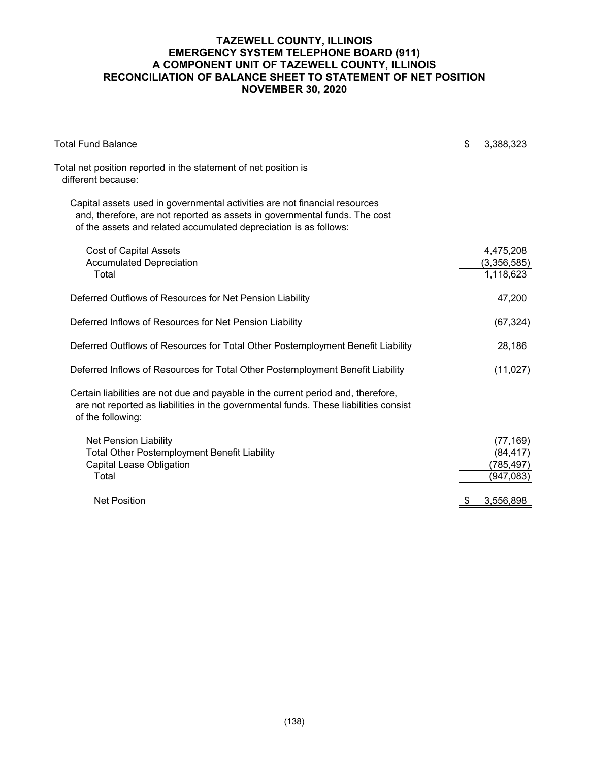## **TAZEWELL COUNTY, ILLINOIS EMERGENCY SYSTEM TELEPHONE BOARD (911) A COMPONENT UNIT OF TAZEWELL COUNTY, ILLINOIS RECONCILIATION OF BALANCE SHEET TO STATEMENT OF NET POSITION NOVEMBER 30, 2020**

| <b>Total Fund Balance</b>                                                                                                                                                                                                     | \$<br>3,388,323                                    |
|-------------------------------------------------------------------------------------------------------------------------------------------------------------------------------------------------------------------------------|----------------------------------------------------|
| Total net position reported in the statement of net position is<br>different because:                                                                                                                                         |                                                    |
| Capital assets used in governmental activities are not financial resources<br>and, therefore, are not reported as assets in governmental funds. The cost<br>of the assets and related accumulated depreciation is as follows: |                                                    |
| <b>Cost of Capital Assets</b><br><b>Accumulated Depreciation</b><br>Total                                                                                                                                                     | 4,475,208<br>(3,356,585)<br>1,118,623              |
| Deferred Outflows of Resources for Net Pension Liability                                                                                                                                                                      | 47,200                                             |
| Deferred Inflows of Resources for Net Pension Liability                                                                                                                                                                       | (67, 324)                                          |
| Deferred Outflows of Resources for Total Other Postemployment Benefit Liability                                                                                                                                               | 28,186                                             |
| Deferred Inflows of Resources for Total Other Postemployment Benefit Liability                                                                                                                                                | (11, 027)                                          |
| Certain liabilities are not due and payable in the current period and, therefore,<br>are not reported as liabilities in the governmental funds. These liabilities consist<br>of the following:                                |                                                    |
| <b>Net Pension Liability</b><br><b>Total Other Postemployment Benefit Liability</b><br><b>Capital Lease Obligation</b><br>Total                                                                                               | (77, 169)<br>(84, 417)<br>(785, 497)<br>(947, 083) |
| <b>Net Position</b>                                                                                                                                                                                                           | 3,556,898                                          |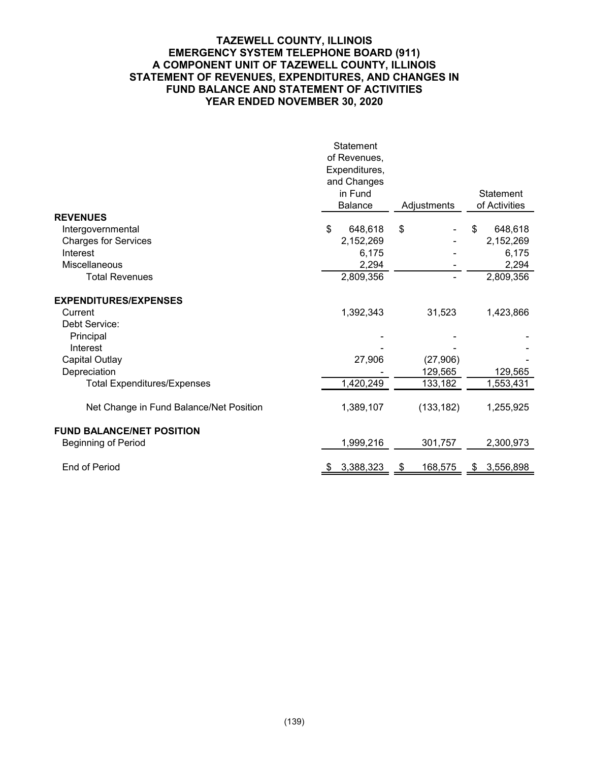## **TAZEWELL COUNTY, ILLINOIS EMERGENCY SYSTEM TELEPHONE BOARD (911) A COMPONENT UNIT OF TAZEWELL COUNTY, ILLINOIS STATEMENT OF REVENUES, EXPENDITURES, AND CHANGES IN FUND BALANCE AND STATEMENT OF ACTIVITIES YEAR ENDED NOVEMBER 30, 2020**

|                                         | Statement       |               |                 |
|-----------------------------------------|-----------------|---------------|-----------------|
|                                         | of Revenues,    |               |                 |
|                                         | Expenditures,   |               |                 |
|                                         | and Changes     |               |                 |
|                                         | in Fund         |               | Statement       |
|                                         | Balance         | Adjustments   | of Activities   |
| <b>REVENUES</b>                         |                 |               |                 |
| Intergovernmental                       | \$<br>648,618   | \$            | 648,618<br>\$   |
| <b>Charges for Services</b>             | 2,152,269       |               | 2,152,269       |
| Interest                                | 6,175           |               | 6,175           |
| <b>Miscellaneous</b>                    | 2,294           |               | 2,294           |
| <b>Total Revenues</b>                   | 2,809,356       |               | 2,809,356       |
| <b>EXPENDITURES/EXPENSES</b>            |                 |               |                 |
| Current                                 | 1,392,343       | 31,523        | 1,423,866       |
| Debt Service:                           |                 |               |                 |
| Principal                               |                 |               |                 |
| Interest                                |                 |               |                 |
| <b>Capital Outlay</b>                   | 27,906          | (27,906)      |                 |
| Depreciation                            |                 | 129,565       | 129,565         |
| <b>Total Expenditures/Expenses</b>      | 1,420,249       | 133,182       | 1,553,431       |
|                                         |                 |               |                 |
| Net Change in Fund Balance/Net Position | 1,389,107       | (133, 182)    | 1,255,925       |
| <b>FUND BALANCE/NET POSITION</b>        |                 |               |                 |
| <b>Beginning of Period</b>              | 1,999,216       | 301,757       | 2,300,973       |
|                                         |                 |               |                 |
| End of Period                           | 3,388,323<br>\$ | 168,575<br>\$ | 3,556,898<br>\$ |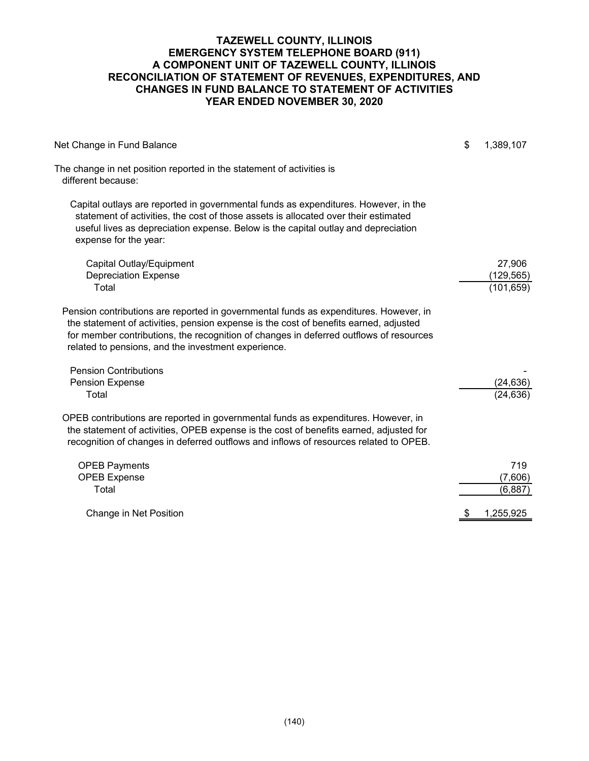### **TAZEWELL COUNTY, ILLINOIS EMERGENCY SYSTEM TELEPHONE BOARD (911) A COMPONENT UNIT OF TAZEWELL COUNTY, ILLINOIS RECONCILIATION OF STATEMENT OF REVENUES, EXPENDITURES, AND CHANGES IN FUND BALANCE TO STATEMENT OF ACTIVITIES YEAR ENDED NOVEMBER 30, 2020**

| Net Change in Fund Balance                                                                                                                                                                                                                                                                                                      | \$<br>1,389,107 |
|---------------------------------------------------------------------------------------------------------------------------------------------------------------------------------------------------------------------------------------------------------------------------------------------------------------------------------|-----------------|
| The change in net position reported in the statement of activities is<br>different because:                                                                                                                                                                                                                                     |                 |
| Capital outlays are reported in governmental funds as expenditures. However, in the<br>statement of activities, the cost of those assets is allocated over their estimated<br>useful lives as depreciation expense. Below is the capital outlay and depreciation<br>expense for the year:                                       |                 |
| Capital Outlay/Equipment                                                                                                                                                                                                                                                                                                        | 27,906          |
| <b>Depreciation Expense</b>                                                                                                                                                                                                                                                                                                     | (129, 565)      |
| Total                                                                                                                                                                                                                                                                                                                           | (101, 659)      |
| Pension contributions are reported in governmental funds as expenditures. However, in<br>the statement of activities, pension expense is the cost of benefits earned, adjusted<br>for member contributions, the recognition of changes in deferred outflows of resources<br>related to pensions, and the investment experience. |                 |
| <b>Pension Contributions</b>                                                                                                                                                                                                                                                                                                    |                 |
| Pension Expense                                                                                                                                                                                                                                                                                                                 | (24, 636)       |
| Total                                                                                                                                                                                                                                                                                                                           | (24, 636)       |
| OPEB contributions are reported in governmental funds as expenditures. However, in<br>the statement of activities, OPEB expense is the cost of benefits earned, adjusted for<br>recognition of changes in deferred outflows and inflows of resources related to OPEB.                                                           |                 |
| <b>OPEB Payments</b>                                                                                                                                                                                                                                                                                                            | 719             |
| <b>OPEB Expense</b>                                                                                                                                                                                                                                                                                                             | (7,606)         |
| Total                                                                                                                                                                                                                                                                                                                           | (6, 887)        |
| Change in Net Position                                                                                                                                                                                                                                                                                                          | 1,255,925       |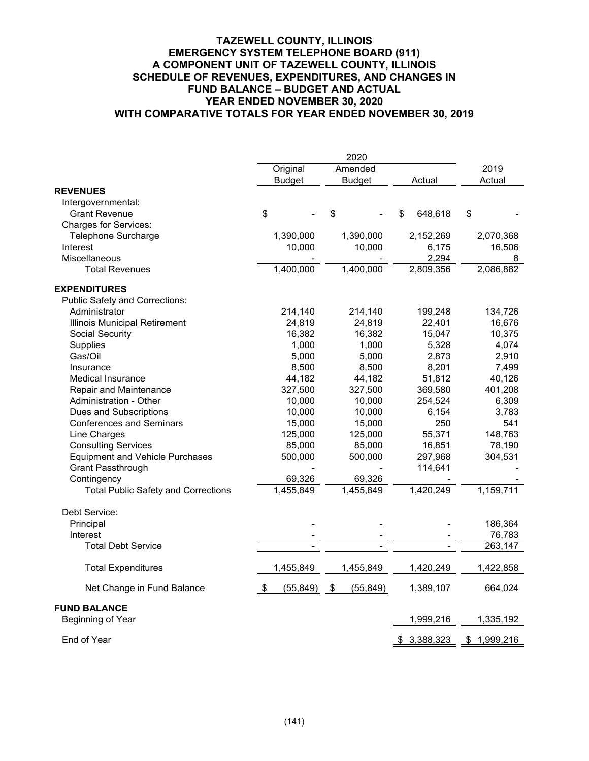#### **TAZEWELL COUNTY, ILLINOIS EMERGENCY SYSTEM TELEPHONE BOARD (911) A COMPONENT UNIT OF TAZEWELL COUNTY, ILLINOIS SCHEDULE OF REVENUES, EXPENDITURES, AND CHANGES IN FUND BALANCE – BUDGET AND ACTUAL YEAR ENDED NOVEMBER 30, 2020 WITH COMPARATIVE TOTALS FOR YEAR ENDED NOVEMBER 30, 2019**

|                                            | 2020     |               |               |           |        |             |        |             |
|--------------------------------------------|----------|---------------|---------------|-----------|--------|-------------|--------|-------------|
|                                            | Original |               |               | Amended   |        |             | 2019   |             |
|                                            |          | <b>Budget</b> | <b>Budget</b> |           | Actual |             | Actual |             |
| <b>REVENUES</b>                            |          |               |               |           |        |             |        |             |
| Intergovernmental:                         |          |               |               |           |        |             |        |             |
| <b>Grant Revenue</b>                       | \$       |               | \$            |           | \$     | 648,618     | \$     |             |
| <b>Charges for Services:</b>               |          |               |               |           |        |             |        |             |
| Telephone Surcharge                        |          | 1,390,000     |               | 1,390,000 |        | 2,152,269   |        | 2,070,368   |
| Interest                                   |          | 10,000        |               | 10,000    |        | 6,175       |        | 16,506      |
| <b>Miscellaneous</b>                       |          |               |               |           |        | 2,294       |        | 8           |
| <b>Total Revenues</b>                      |          | 1,400,000     |               | 1,400,000 |        | 2,809,356   |        | 2,086,882   |
| <b>EXPENDITURES</b>                        |          |               |               |           |        |             |        |             |
| <b>Public Safety and Corrections:</b>      |          |               |               |           |        |             |        |             |
| Administrator                              |          | 214,140       |               | 214,140   |        | 199,248     |        | 134,726     |
| Illinois Municipal Retirement              |          | 24,819        |               | 24,819    |        | 22,401      |        | 16,676      |
| Social Security                            |          | 16,382        |               | 16,382    |        | 15,047      |        | 10,375      |
| Supplies                                   |          | 1,000         |               | 1,000     |        | 5,328       |        | 4,074       |
| Gas/Oil                                    |          | 5,000         |               | 5,000     |        | 2,873       |        | 2,910       |
| Insurance                                  |          | 8,500         |               | 8,500     |        | 8,201       |        | 7,499       |
| <b>Medical Insurance</b>                   |          | 44,182        |               | 44,182    |        | 51,812      |        | 40,126      |
| Repair and Maintenance                     |          | 327,500       |               | 327,500   |        | 369,580     |        | 401,208     |
| <b>Administration - Other</b>              |          | 10,000        |               | 10,000    |        | 254,524     |        | 6,309       |
| Dues and Subscriptions                     |          | 10,000        |               | 10,000    |        | 6,154       |        | 3,783       |
| <b>Conferences and Seminars</b>            |          | 15,000        |               | 15,000    |        | 250         |        | 541         |
| Line Charges                               |          | 125,000       |               | 125,000   |        | 55,371      |        | 148,763     |
| <b>Consulting Services</b>                 |          | 85,000        |               | 85,000    |        | 16,851      |        | 78,190      |
| <b>Equipment and Vehicle Purchases</b>     |          | 500,000       |               | 500,000   |        | 297,968     |        | 304,531     |
| Grant Passthrough                          |          |               |               |           |        | 114,641     |        |             |
| Contingency                                |          | 69,326        |               | 69,326    |        |             |        |             |
| <b>Total Public Safety and Corrections</b> |          | 1,455,849     |               | 1,455,849 |        | 1,420,249   |        | 1,159,711   |
| Debt Service:                              |          |               |               |           |        |             |        |             |
| Principal                                  |          |               |               |           |        |             |        | 186,364     |
| Interest                                   |          |               |               |           |        |             |        | 76,783      |
| <b>Total Debt Service</b>                  |          |               |               |           |        |             |        | 263,147     |
| <b>Total Expenditures</b>                  |          | 1,455,849     |               | 1,455,849 |        | 1,420,249   |        | 1,422,858   |
| Net Change in Fund Balance                 | \$       | (55, 849)     | \$            | (55, 849) |        | 1,389,107   |        | 664,024     |
| <b>FUND BALANCE</b><br>Beginning of Year   |          |               |               |           |        | 1,999,216   |        | 1,335,192   |
| End of Year                                |          |               |               |           |        | \$3,388,323 |        | \$1,999,216 |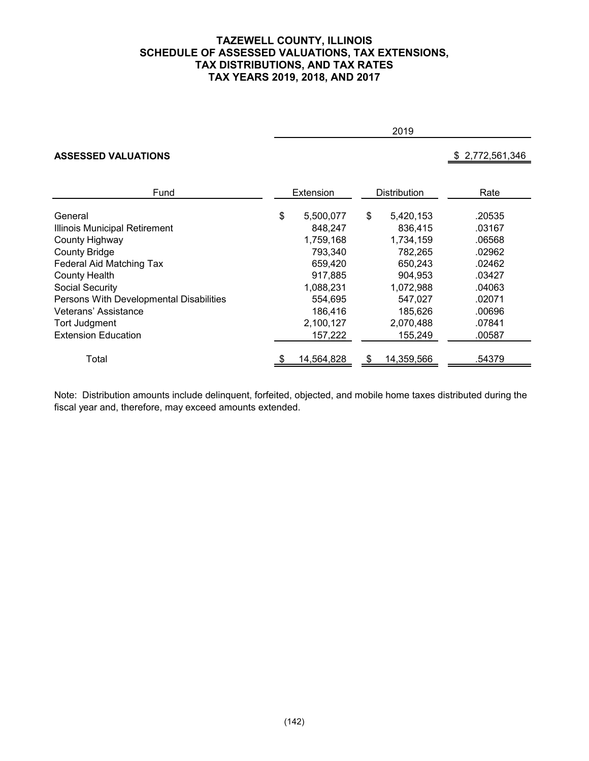### **TAZEWELL COUNTY, ILLINOIS SCHEDULE OF ASSESSED VALUATIONS, TAX EXTENSIONS, TAX DISTRIBUTIONS, AND TAX RATES TAX YEARS 2019, 2018, AND 2017**

|                                         | 2019      |            |                     |            |                 |  |  |  |
|-----------------------------------------|-----------|------------|---------------------|------------|-----------------|--|--|--|
| <b>ASSESSED VALUATIONS</b>              |           |            |                     |            | \$2,772,561,346 |  |  |  |
| Fund                                    | Extension |            | <b>Distribution</b> |            | Rate            |  |  |  |
| General                                 | \$        | 5,500,077  | \$                  | 5,420,153  | .20535          |  |  |  |
| Illinois Municipal Retirement           |           | 848,247    |                     | 836,415    | .03167          |  |  |  |
| County Highway                          |           | 1,759,168  |                     | 1,734,159  | .06568          |  |  |  |
| <b>County Bridge</b>                    |           | 793,340    |                     | 782,265    | .02962          |  |  |  |
| Federal Aid Matching Tax                |           | 659,420    |                     | 650,243    | .02462          |  |  |  |
| <b>County Health</b>                    |           | 917,885    |                     | 904,953    | .03427          |  |  |  |
| Social Security                         |           | 1,088,231  |                     | 1,072,988  | .04063          |  |  |  |
| Persons With Developmental Disabilities |           | 554,695    |                     | 547,027    | .02071          |  |  |  |
| Veterans' Assistance                    |           | 186,416    |                     | 185,626    | .00696          |  |  |  |
| Tort Judgment                           |           | 2,100,127  |                     | 2,070,488  | .07841          |  |  |  |
| <b>Extension Education</b>              |           | 157,222    |                     | 155,249    | .00587          |  |  |  |
| Total                                   |           | 14,564,828 |                     | 14,359,566 | .54379          |  |  |  |

Note: Distribution amounts include delinquent, forfeited, objected, and mobile home taxes distributed during the fiscal year and, therefore, may exceed amounts extended.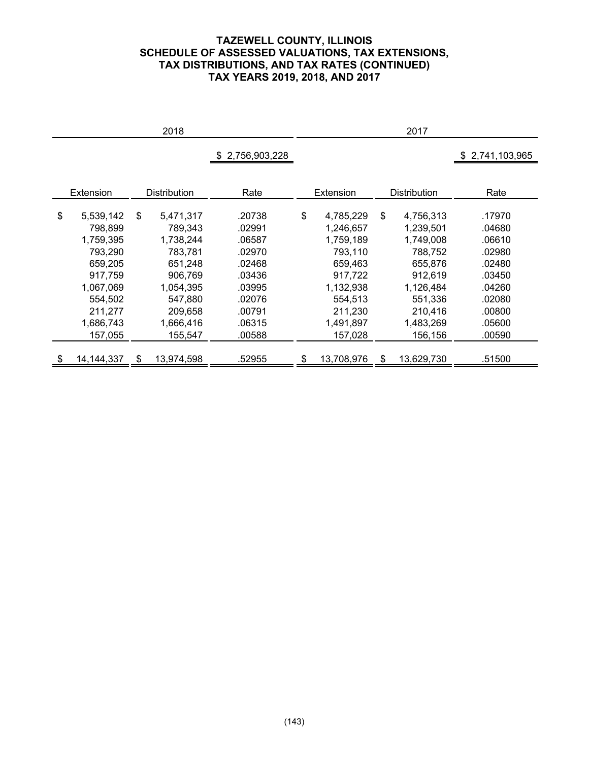## **TAZEWELL COUNTY, ILLINOIS SCHEDULE OF ASSESSED VALUATIONS, TAX EXTENSIONS, TAX DISTRIBUTIONS, AND TAX RATES (CONTINUED) TAX YEARS 2019, 2018, AND 2017**

|                  |    | 2018                |               |                  | 2017                |               |
|------------------|----|---------------------|---------------|------------------|---------------------|---------------|
|                  |    |                     | 2,756,903,228 |                  |                     | 2,741,103,965 |
|                  |    |                     |               |                  |                     |               |
| Extension        |    | <b>Distribution</b> | Rate          | Extension        | <b>Distribution</b> | Rate          |
|                  |    |                     |               |                  |                     |               |
| \$<br>5,539,142  | \$ | 5,471,317           | .20738        | \$<br>4,785,229  | \$<br>4,756,313     | .17970        |
| 798,899          |    | 789,343             | .02991        | 1,246,657        | 1,239,501           | .04680        |
| 1,759,395        |    | 1,738,244           | .06587        | 1,759,189        | 1,749,008           | .06610        |
| 793,290          |    | 783,781             | .02970        | 793,110          | 788,752             | .02980        |
| 659,205          |    | 651,248             | .02468        | 659,463          | 655,876             | .02480        |
| 917,759          |    | 906,769             | .03436        | 917,722          | 912,619             | .03450        |
| 1,067,069        |    | 1,054,395           | .03995        | 1,132,938        | 1,126,484           | .04260        |
| 554,502          |    | 547,880             | .02076        | 554,513          | 551,336             | .02080        |
| 211,277          |    | 209.658             | .00791        | 211,230          | 210,416             | .00800        |
| 1,686,743        |    | 1,666,416           | .06315        | 1,491,897        | 1,483,269           | .05600        |
| 157,055          |    | 155,547             | .00588        | 157,028          | 156,156             | .00590        |
|                  |    |                     |               |                  |                     |               |
| \$<br>14,144,337 | S  | 13,974,598          | .52955        | \$<br>13,708,976 | \$<br>13,629,730    | .51500        |